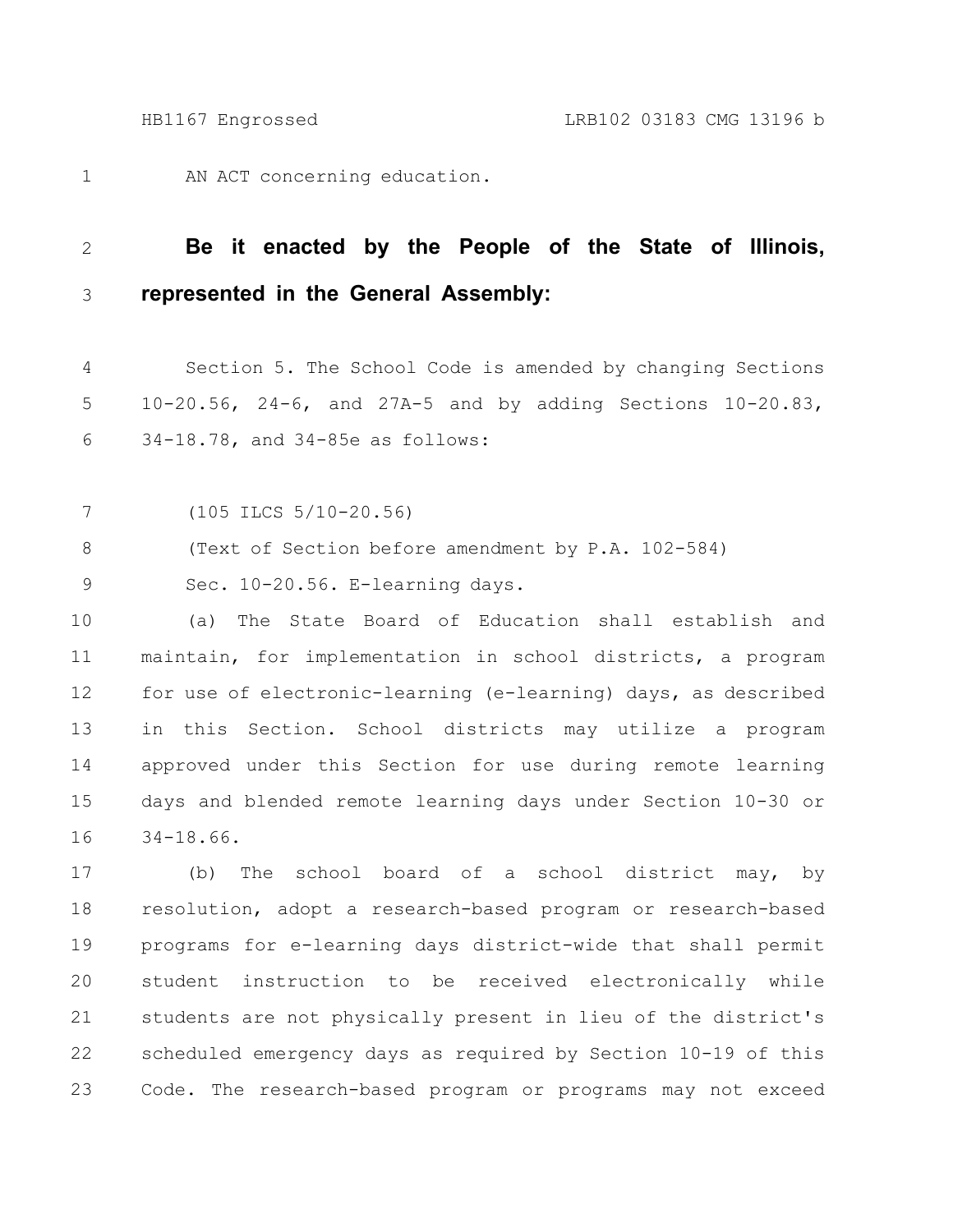AN ACT concerning education. 1

## **Be it enacted by the People of the State of Illinois, represented in the General Assembly:** 2 3

Section 5. The School Code is amended by changing Sections 10-20.56, 24-6, and 27A-5 and by adding Sections 10-20.83, 34-18.78, and 34-85e as follows: 4 5 6

(105 ILCS 5/10-20.56) 7

(Text of Section before amendment by P.A. 102-584) 8

Sec. 10-20.56. E-learning days. 9

(a) The State Board of Education shall establish and maintain, for implementation in school districts, a program for use of electronic-learning (e-learning) days, as described in this Section. School districts may utilize a program approved under this Section for use during remote learning days and blended remote learning days under Section 10-30 or 34-18.66. 10 11 12 13 14 15 16

(b) The school board of a school district may, by resolution, adopt a research-based program or research-based programs for e-learning days district-wide that shall permit student instruction to be received electronically while students are not physically present in lieu of the district's scheduled emergency days as required by Section 10-19 of this Code. The research-based program or programs may not exceed 17 18 19 20 21 22 23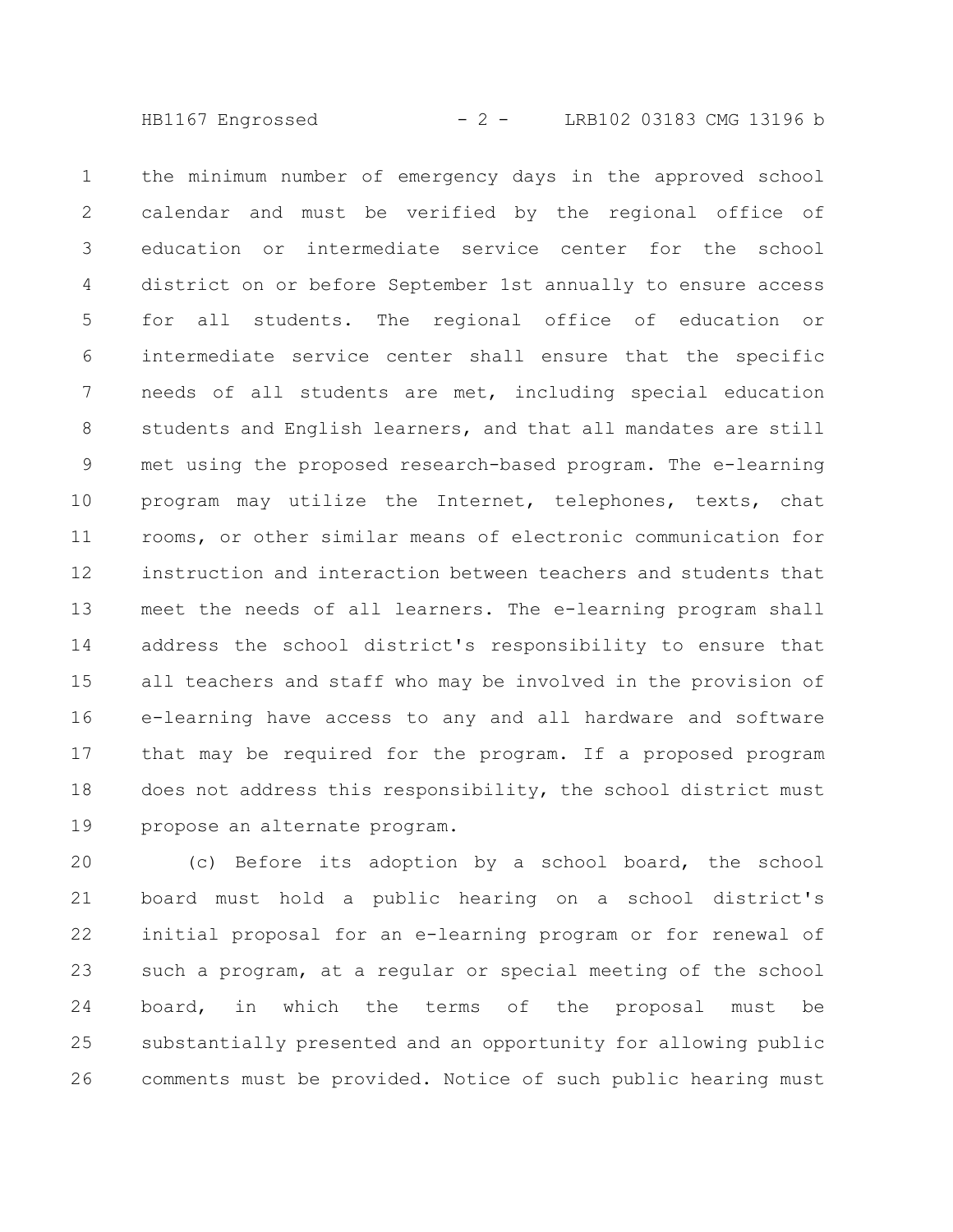HB1167 Engrossed - 2 - LRB102 03183 CMG 13196 b

the minimum number of emergency days in the approved school calendar and must be verified by the regional office of education or intermediate service center for the school district on or before September 1st annually to ensure access for all students. The regional office of education or intermediate service center shall ensure that the specific needs of all students are met, including special education students and English learners, and that all mandates are still met using the proposed research-based program. The e-learning program may utilize the Internet, telephones, texts, chat rooms, or other similar means of electronic communication for instruction and interaction between teachers and students that meet the needs of all learners. The e-learning program shall address the school district's responsibility to ensure that all teachers and staff who may be involved in the provision of e-learning have access to any and all hardware and software that may be required for the program. If a proposed program does not address this responsibility, the school district must propose an alternate program. 1 2 3 4 5 6 7 8 9 10 11 12 13 14 15 16 17 18 19

(c) Before its adoption by a school board, the school board must hold a public hearing on a school district's initial proposal for an e-learning program or for renewal of such a program, at a regular or special meeting of the school board, in which the terms of the proposal must be substantially presented and an opportunity for allowing public comments must be provided. Notice of such public hearing must 20 21 22 23 24 25 26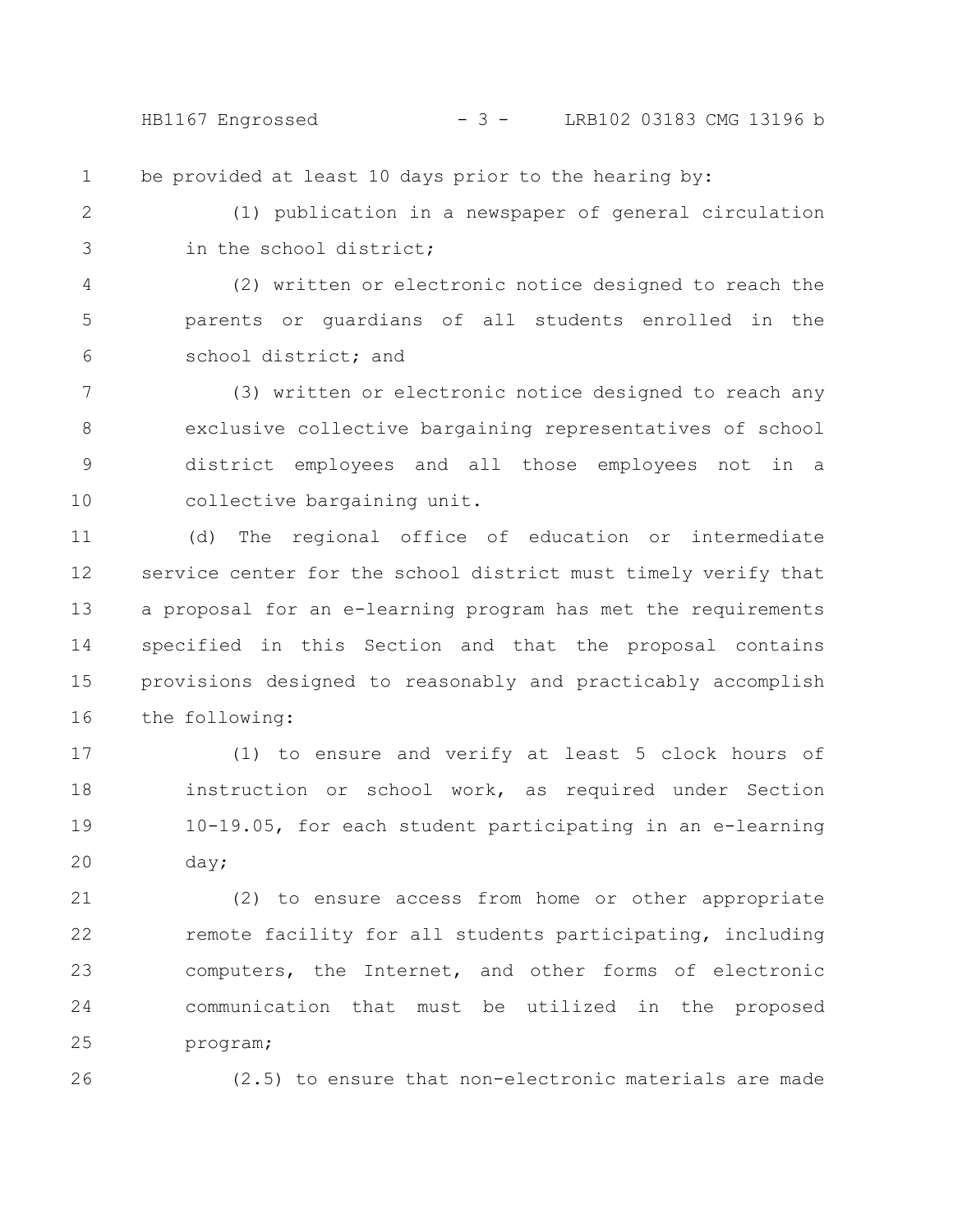HB1167 Engrossed - 3 - LRB102 03183 CMG 13196 b

be provided at least 10 days prior to the hearing by: 1

(1) publication in a newspaper of general circulation in the school district; 2 3

(2) written or electronic notice designed to reach the parents or guardians of all students enrolled in the school district; and 4 5 6

(3) written or electronic notice designed to reach any exclusive collective bargaining representatives of school district employees and all those employees not in a collective bargaining unit. 7 8 9 10

(d) The regional office of education or intermediate service center for the school district must timely verify that a proposal for an e-learning program has met the requirements specified in this Section and that the proposal contains provisions designed to reasonably and practicably accomplish the following: 11 12 13 14 15 16

(1) to ensure and verify at least 5 clock hours of instruction or school work, as required under Section 10-19.05, for each student participating in an e-learning day; 17 18 19 20

(2) to ensure access from home or other appropriate remote facility for all students participating, including computers, the Internet, and other forms of electronic communication that must be utilized in the proposed program; 21 22 23 24 25

26

(2.5) to ensure that non-electronic materials are made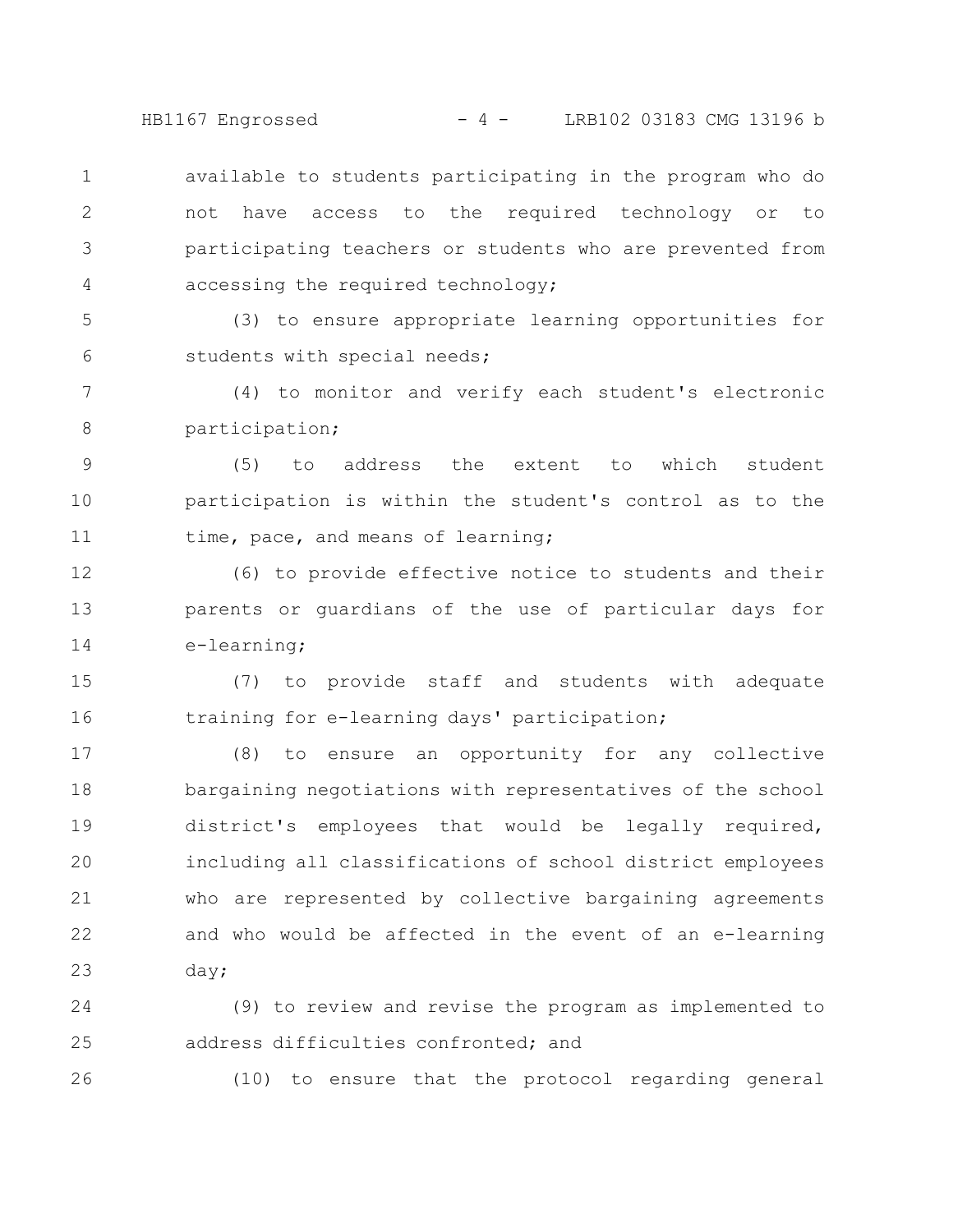HB1167 Engrossed - 4 - LRB102 03183 CMG 13196 b

available to students participating in the program who do not have access to the required technology or to participating teachers or students who are prevented from accessing the required technology; 1 2 3 4

(3) to ensure appropriate learning opportunities for students with special needs; 5 6

(4) to monitor and verify each student's electronic participation; 7 8

(5) to address the extent to which student participation is within the student's control as to the time, pace, and means of learning; 9 10 11

(6) to provide effective notice to students and their parents or guardians of the use of particular days for e-learning; 12 13 14

(7) to provide staff and students with adequate training for e-learning days' participation; 15 16

(8) to ensure an opportunity for any collective bargaining negotiations with representatives of the school district's employees that would be legally required, including all classifications of school district employees who are represented by collective bargaining agreements and who would be affected in the event of an e-learning day; 17 18 19 20 21 22 23

(9) to review and revise the program as implemented to address difficulties confronted; and 24 25

26

(10) to ensure that the protocol regarding general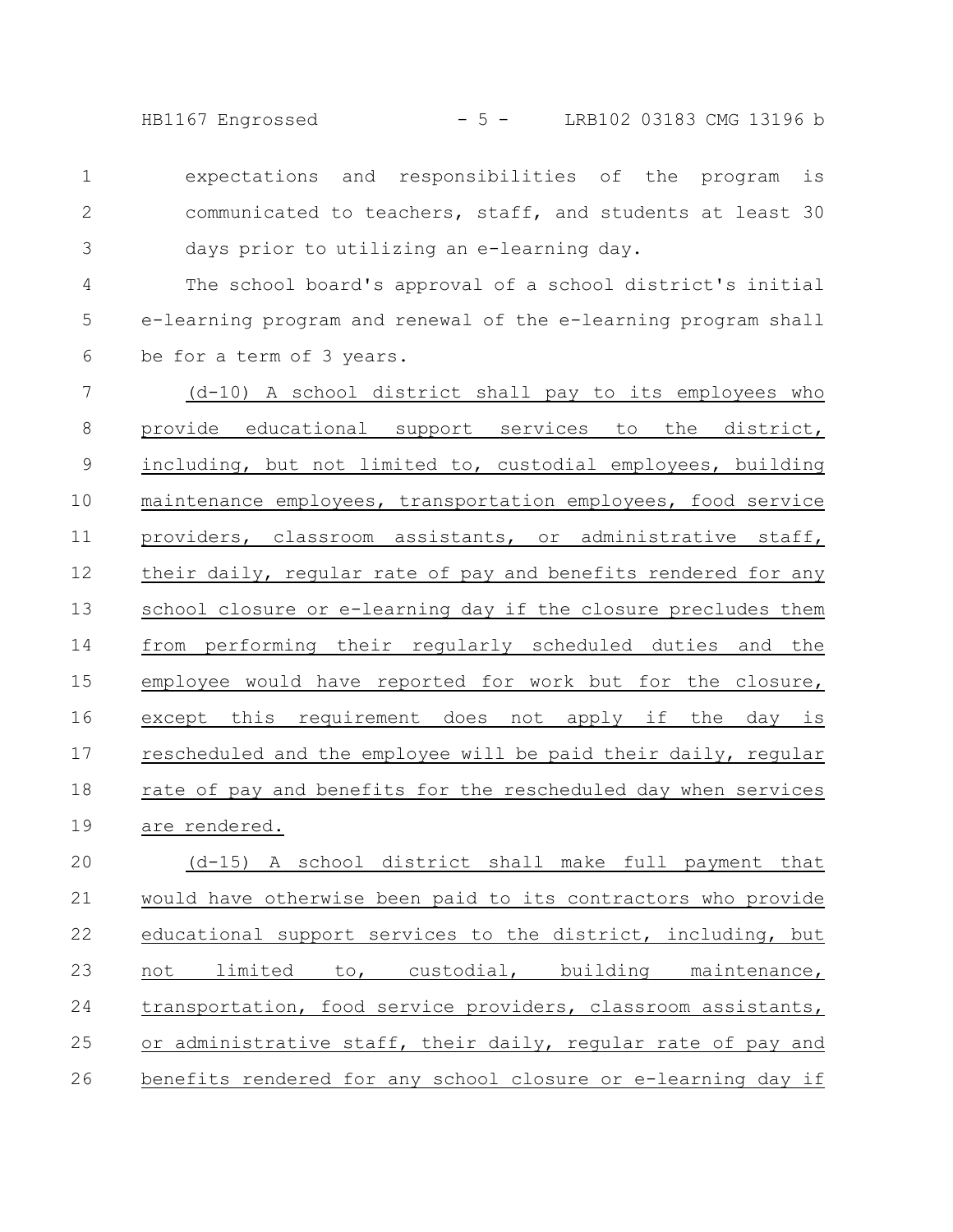HB1167 Engrossed - 5 - LRB102 03183 CMG 13196 b

expectations and responsibilities of the program is communicated to teachers, staff, and students at least 30 days prior to utilizing an e-learning day. 1 2 3

The school board's approval of a school district's initial e-learning program and renewal of the e-learning program shall be for a term of 3 years. 4 5 6

(d-10) A school district shall pay to its employees who provide educational support services to the district, including, but not limited to, custodial employees, building maintenance employees, transportation employees, food service providers, classroom assistants, or administrative staff, their daily, regular rate of pay and benefits rendered for any school closure or e-learning day if the closure precludes them from performing their regularly scheduled duties and the employee would have reported for work but for the closure, except this requirement does not apply if the day is rescheduled and the employee will be paid their daily, regular rate of pay and benefits for the rescheduled day when services are rendered. 7 8 9 10 11 12 13 14 15 16 17 18 19

(d-15) A school district shall make full payment that would have otherwise been paid to its contractors who provide educational support services to the district, including, but not limited to, custodial, building maintenance, transportation, food service providers, classroom assistants, or administrative staff, their daily, regular rate of pay and benefits rendered for any school closure or e-learning day if 20 21 22 23 24 25 26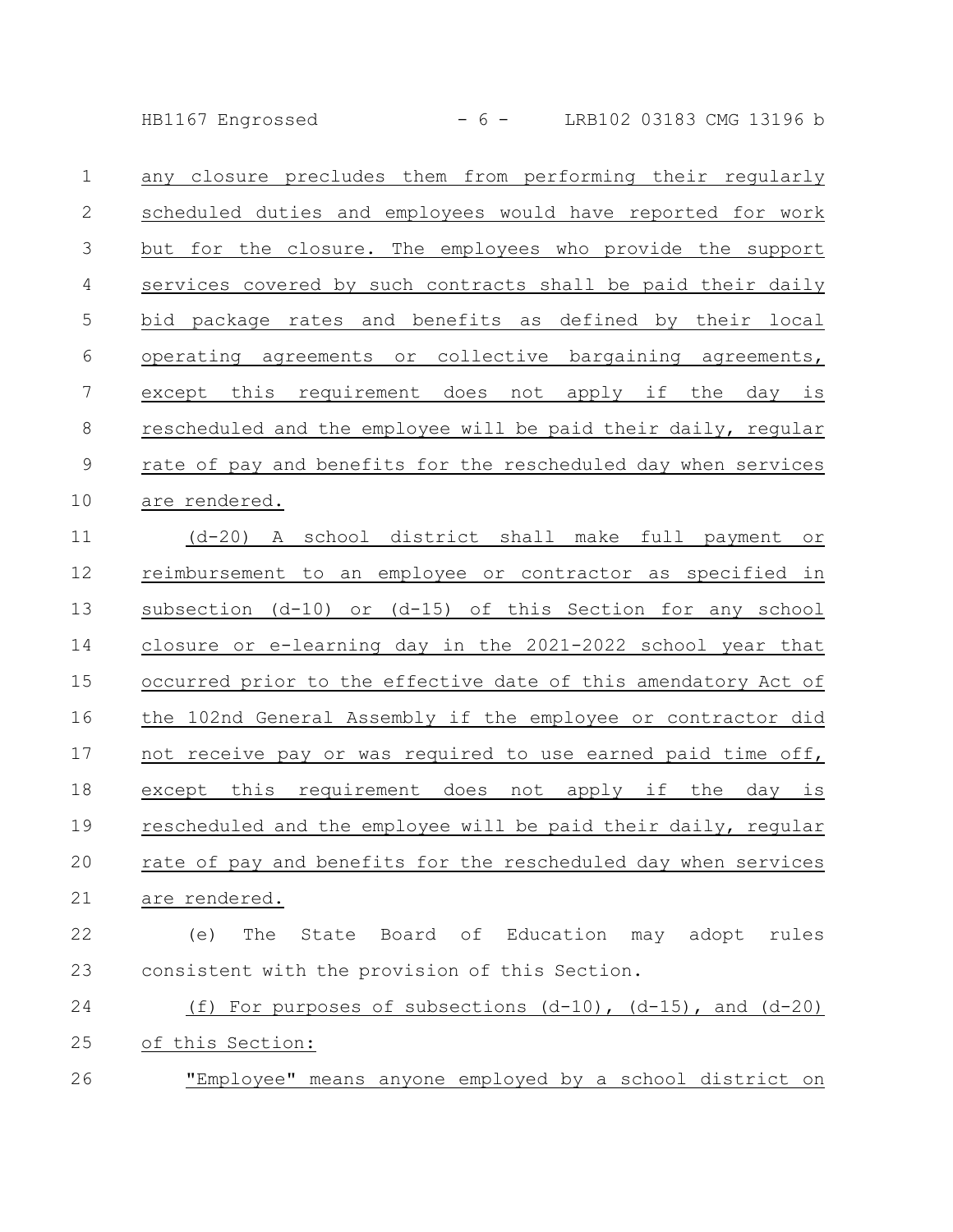HB1167 Engrossed - 6 - LRB102 03183 CMG 13196 b

| $\mathbf 1$    | any closure precludes them from performing their regularly         |
|----------------|--------------------------------------------------------------------|
| $\mathbf{2}$   | scheduled duties and employees would have reported for work        |
| $\mathfrak{Z}$ | but for the closure. The employees who provide the support         |
| $\overline{4}$ | services covered by such contracts shall be paid their daily       |
| $\mathsf S$    | bid package rates and benefits as defined by their local           |
| $6\,$          | operating agreements or collective bargaining agreements,          |
| $\overline{7}$ | except this requirement does not apply if the day is               |
| $8\,$          | rescheduled and the employee will be paid their daily, regular     |
| $\mathsf 9$    | rate of pay and benefits for the rescheduled day when services     |
| 10             | are rendered.                                                      |
| 11             | (d-20) A school district shall make full payment or                |
| 12             | reimbursement to an employee or contractor as specified in         |
| 13             | subsection (d-10) or (d-15) of this Section for any school         |
| 14             | closure or e-learning day in the 2021-2022 school year that        |
| 15             | occurred prior to the effective date of this amendatory Act of     |
| 16             | the 102nd General Assembly if the employee or contractor did       |
| 17             | not receive pay or was required to use earned paid time off,       |
| 18             | except this requirement does not apply if the day is               |
| 19             | rescheduled and the employee will be paid their daily, regular     |
| $20$           | rate of pay and benefits for the rescheduled day when services     |
| 21             | are rendered.                                                      |
| 22             | State Board of Education may adopt rules<br>(e)<br>The             |
| 23             | consistent with the provision of this Section.                     |
| 24             | (f) For purposes of subsections $(d-10)$ , $(d-15)$ , and $(d-20)$ |
| 25             | of this Section:                                                   |
| 26             | "Employee" means anyone employed by a school district on           |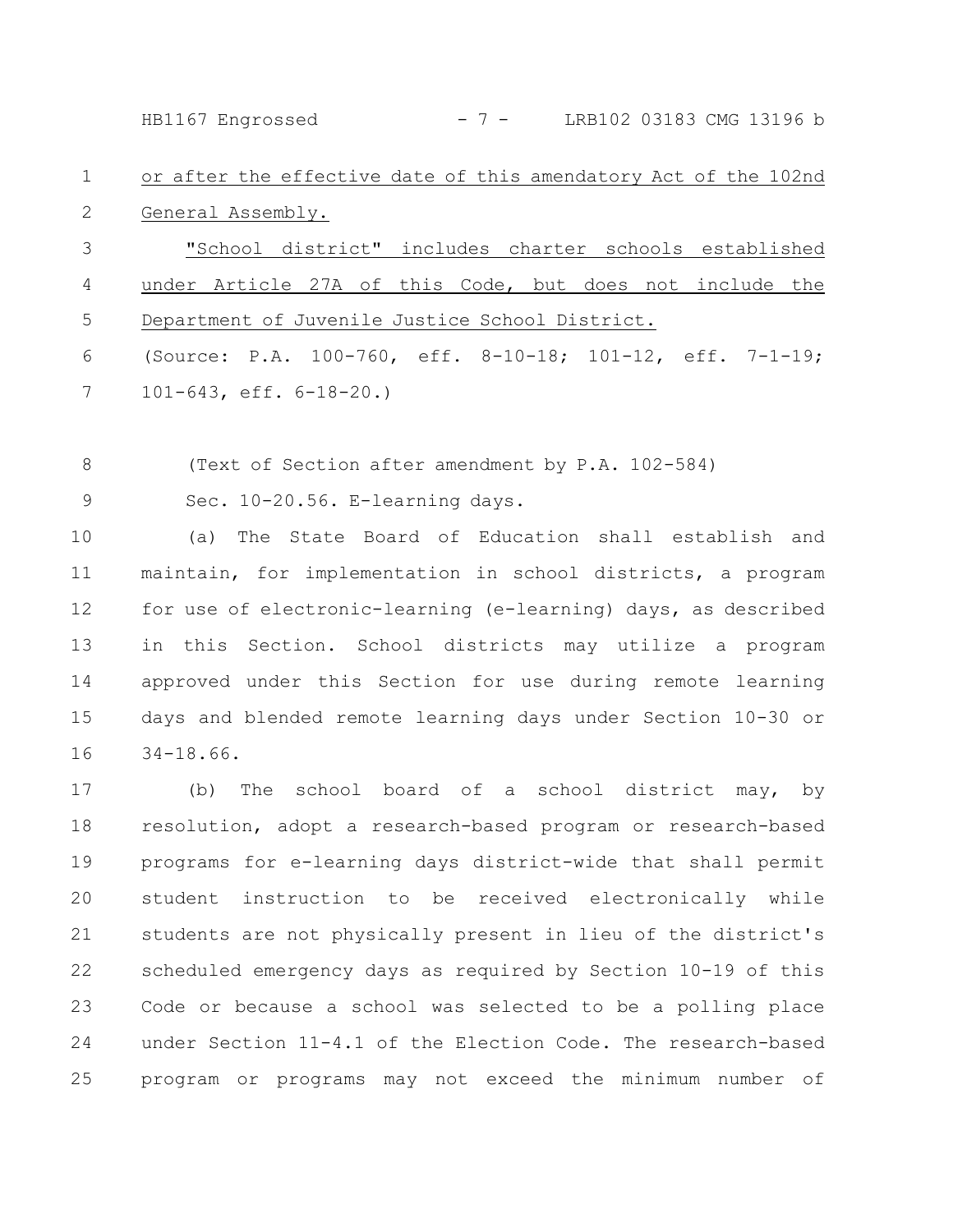or after the effective date of this amendatory Act of the 102nd General Assembly. "School district" includes charter schools established under Article 27A of this Code, but does not include the Department of Juvenile Justice School District. HB1167 Engrossed - 7 - LRB102 03183 CMG 13196 b

(Source: P.A. 100-760, eff. 8-10-18; 101-12, eff. 7-1-19; 101-643, eff. 6-18-20.) 6 7

(Text of Section after amendment by P.A. 102-584) 8

Sec. 10-20.56. E-learning days. 9

1

2

3

4

5

(a) The State Board of Education shall establish and maintain, for implementation in school districts, a program for use of electronic-learning (e-learning) days, as described in this Section. School districts may utilize a program approved under this Section for use during remote learning days and blended remote learning days under Section 10-30 or 34-18.66. 10 11 12 13 14 15 16

(b) The school board of a school district may, by resolution, adopt a research-based program or research-based programs for e-learning days district-wide that shall permit student instruction to be received electronically while students are not physically present in lieu of the district's scheduled emergency days as required by Section 10-19 of this Code or because a school was selected to be a polling place under Section 11-4.1 of the Election Code. The research-based program or programs may not exceed the minimum number of 17 18 19 20 21 22 23 24 25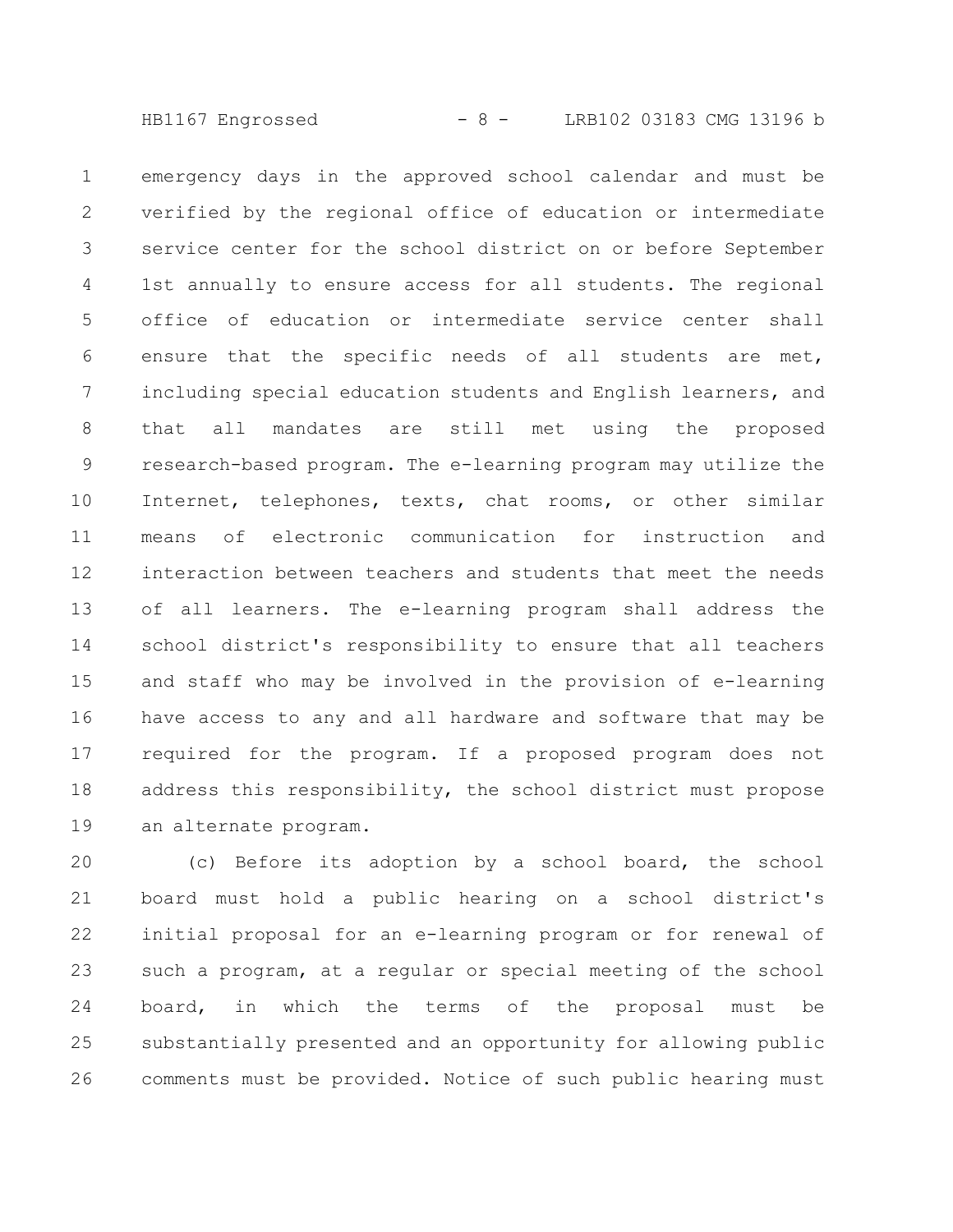HB1167 Engrossed - 8 - LRB102 03183 CMG 13196 b

emergency days in the approved school calendar and must be verified by the regional office of education or intermediate service center for the school district on or before September 1st annually to ensure access for all students. The regional office of education or intermediate service center shall ensure that the specific needs of all students are met, including special education students and English learners, and that all mandates are still met using the proposed research-based program. The e-learning program may utilize the Internet, telephones, texts, chat rooms, or other similar means of electronic communication for instruction and interaction between teachers and students that meet the needs of all learners. The e-learning program shall address the school district's responsibility to ensure that all teachers and staff who may be involved in the provision of e-learning have access to any and all hardware and software that may be required for the program. If a proposed program does not address this responsibility, the school district must propose an alternate program. 1 2 3 4 5 6 7 8 9 10 11 12 13 14 15 16 17 18 19

(c) Before its adoption by a school board, the school board must hold a public hearing on a school district's initial proposal for an e-learning program or for renewal of such a program, at a regular or special meeting of the school board, in which the terms of the proposal must be substantially presented and an opportunity for allowing public comments must be provided. Notice of such public hearing must 20 21 22 23 24 25 26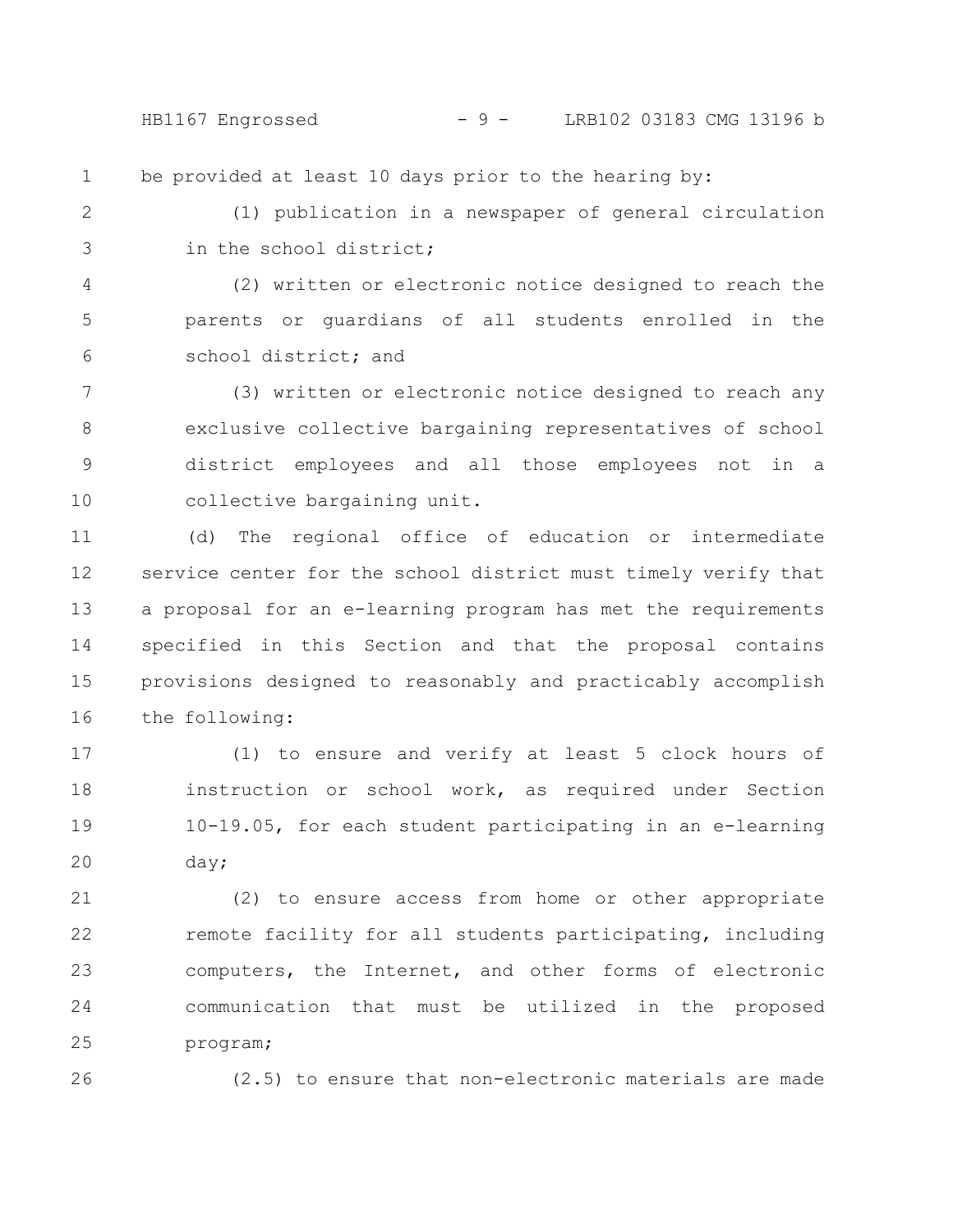HB1167 Engrossed - 9 - LRB102 03183 CMG 13196 b

be provided at least 10 days prior to the hearing by: 1

(1) publication in a newspaper of general circulation in the school district; 2 3

(2) written or electronic notice designed to reach the parents or guardians of all students enrolled in the school district; and 4 5 6

(3) written or electronic notice designed to reach any exclusive collective bargaining representatives of school district employees and all those employees not in a collective bargaining unit. 7 8 9 10

(d) The regional office of education or intermediate service center for the school district must timely verify that a proposal for an e-learning program has met the requirements specified in this Section and that the proposal contains provisions designed to reasonably and practicably accomplish the following: 11 12 13 14 15 16

(1) to ensure and verify at least 5 clock hours of instruction or school work, as required under Section 10-19.05, for each student participating in an e-learning day; 17 18 19 20

(2) to ensure access from home or other appropriate remote facility for all students participating, including computers, the Internet, and other forms of electronic communication that must be utilized in the proposed program; 21 22 23 24 25

26

(2.5) to ensure that non-electronic materials are made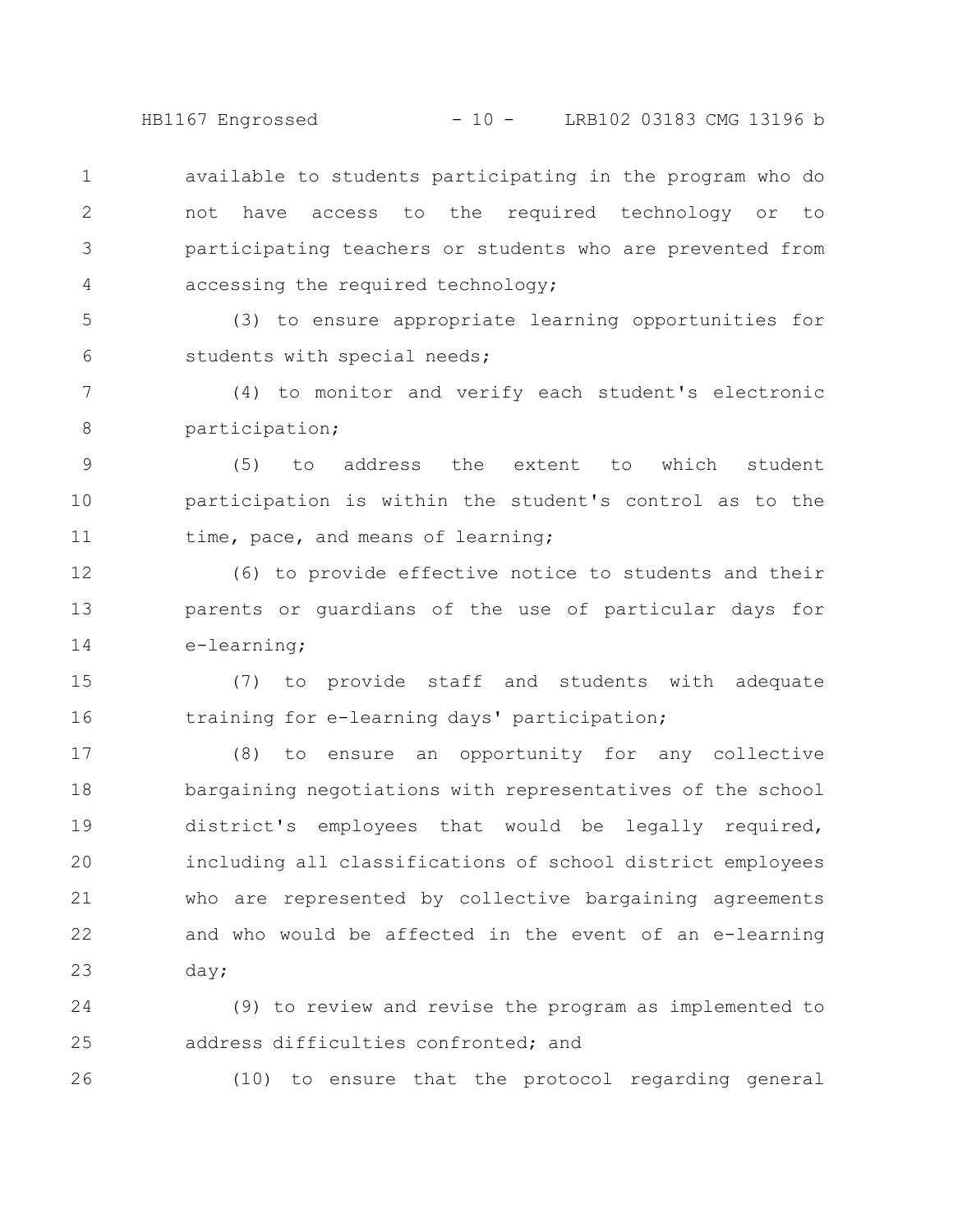HB1167 Engrossed - 10 - LRB102 03183 CMG 13196 b

available to students participating in the program who do not have access to the required technology or to participating teachers or students who are prevented from accessing the required technology; 1 2 3 4

(3) to ensure appropriate learning opportunities for students with special needs; 5 6

(4) to monitor and verify each student's electronic participation; 7 8

(5) to address the extent to which student participation is within the student's control as to the time, pace, and means of learning; 9 10 11

(6) to provide effective notice to students and their parents or guardians of the use of particular days for e-learning; 12 13 14

(7) to provide staff and students with adequate training for e-learning days' participation; 15 16

(8) to ensure an opportunity for any collective bargaining negotiations with representatives of the school district's employees that would be legally required, including all classifications of school district employees who are represented by collective bargaining agreements and who would be affected in the event of an e-learning day; 17 18 19 20 21 22 23

(9) to review and revise the program as implemented to address difficulties confronted; and 24 25

26

(10) to ensure that the protocol regarding general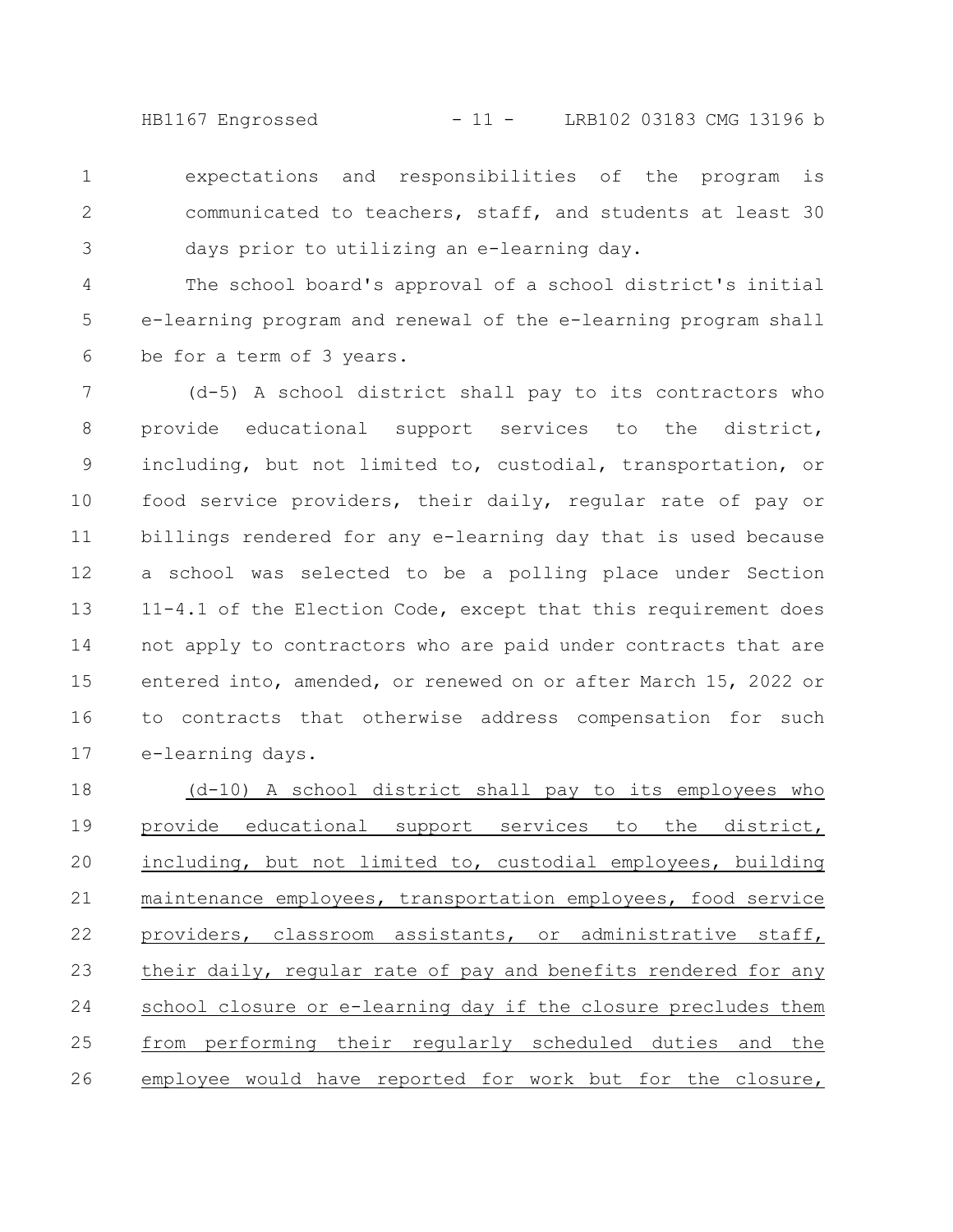HB1167 Engrossed - 11 - LRB102 03183 CMG 13196 b

expectations and responsibilities of the program is communicated to teachers, staff, and students at least 30 days prior to utilizing an e-learning day. 1 2 3

The school board's approval of a school district's initial e-learning program and renewal of the e-learning program shall be for a term of 3 years. 4 5 6

(d-5) A school district shall pay to its contractors who provide educational support services to the district, including, but not limited to, custodial, transportation, or food service providers, their daily, regular rate of pay or billings rendered for any e-learning day that is used because a school was selected to be a polling place under Section 11-4.1 of the Election Code, except that this requirement does not apply to contractors who are paid under contracts that are entered into, amended, or renewed on or after March 15, 2022 or to contracts that otherwise address compensation for such e-learning days. 7 8 9 10 11 12 13 14 15 16 17

(d-10) A school district shall pay to its employees who provide educational support services to the district, including, but not limited to, custodial employees, building maintenance employees, transportation employees, food service providers, classroom assistants, or administrative staff, their daily, regular rate of pay and benefits rendered for any school closure or e-learning day if the closure precludes them from performing their regularly scheduled duties and the employee would have reported for work but for the closure, 18 19 20 21 22 23 24 25 26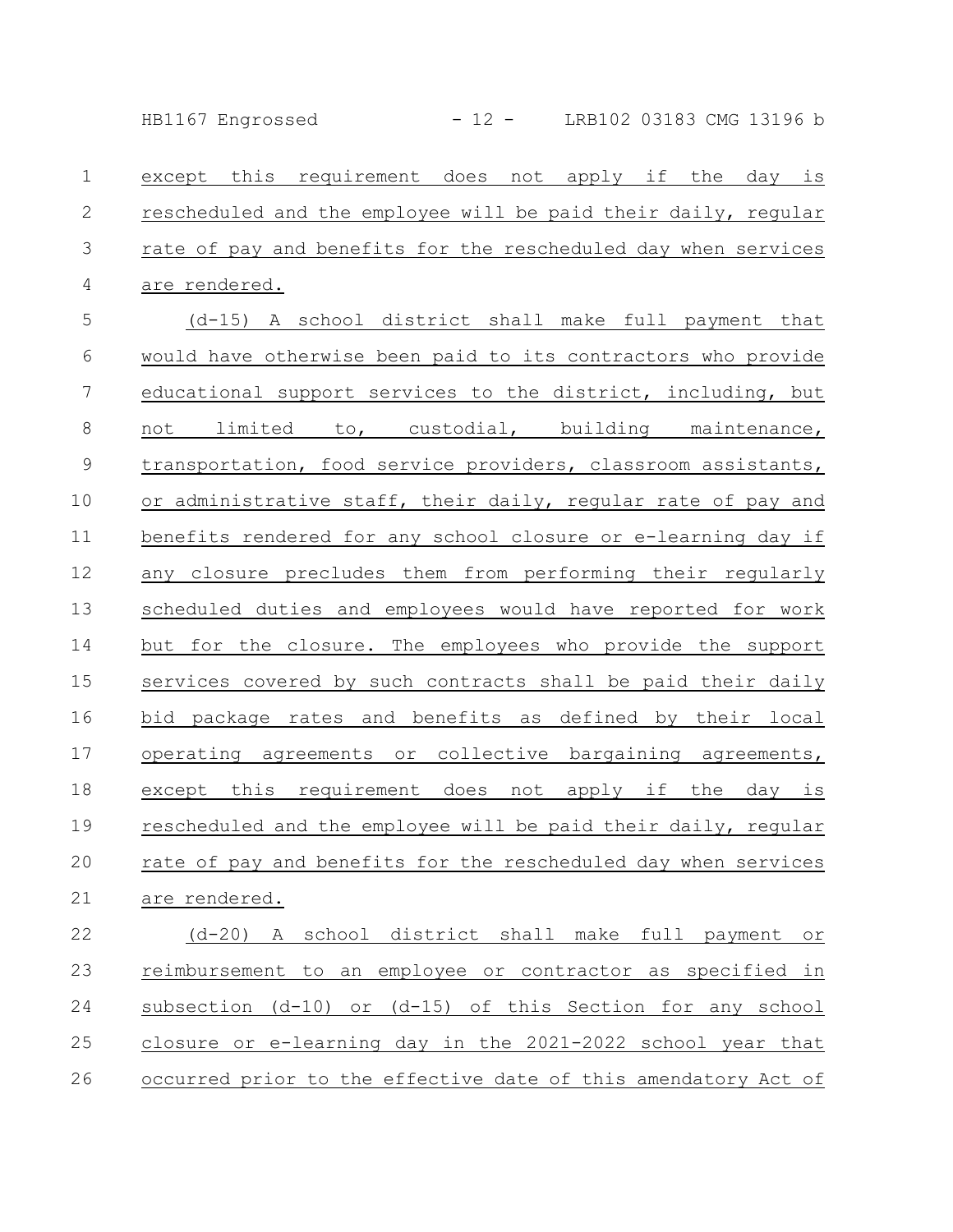HB1167 Engrossed - 12 - LRB102 03183 CMG 13196 b

except this requirement does not apply if the day is rescheduled and the employee will be paid their daily, regular rate of pay and benefits for the rescheduled day when services are rendered. (d-15) A school district shall make full payment that would have otherwise been paid to its contractors who provide educational support services to the district, including, but not limited to, custodial, building maintenance, transportation, food service providers, classroom assistants, or administrative staff, their daily, regular rate of pay and benefits rendered for any school closure or e-learning day if any closure precludes them from performing their regularly scheduled duties and employees would have reported for work but for the closure. The employees who provide the support services covered by such contracts shall be paid their daily bid package rates and benefits as defined by their local operating agreements or collective bargaining agreements, except this requirement does not apply if the day is rescheduled and the employee will be paid their daily, regular rate of pay and benefits for the rescheduled day when services are rendered. (d-20) A school district shall make full payment or reimbursement to an employee or contractor as specified in 1 2 3 4 5 6 7 8 9 10 11 12 13 14 15 16 17 18 19 20 21 22 23

subsection (d-10) or (d-15) of this Section for any school closure or e-learning day in the 2021-2022 school year that occurred prior to the effective date of this amendatory Act of 24 25 26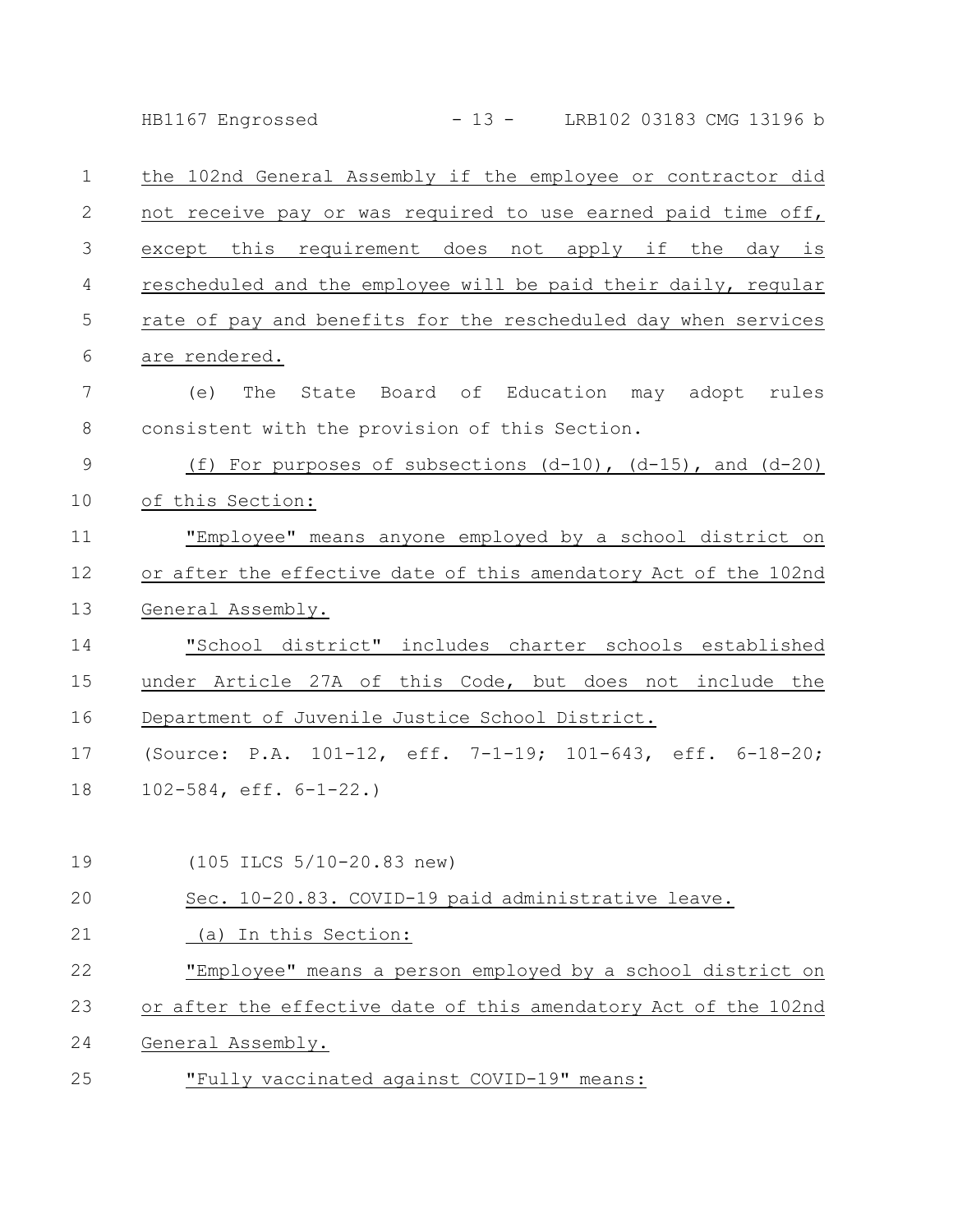|                | $-13 -$ LRB102 03183 CMG 13196 b<br>HB1167 Engrossed               |
|----------------|--------------------------------------------------------------------|
| $\mathbf 1$    | the 102nd General Assembly if the employee or contractor did       |
| $\mathbf{2}$   | not receive pay or was required to use earned paid time off,       |
| 3              | except this requirement does not apply if the day is               |
| $\overline{4}$ | rescheduled and the employee will be paid their daily, regular     |
| 5              | rate of pay and benefits for the rescheduled day when services     |
| 6              | are rendered.                                                      |
| 7              | State Board of Education may adopt rules<br>The<br>(e)             |
| 8              | consistent with the provision of this Section.                     |
| $\overline{9}$ | (f) For purposes of subsections $(d-10)$ , $(d-15)$ , and $(d-20)$ |
| 10             | of this Section:                                                   |
| 11             | "Employee" means anyone employed by a school district on           |
| 12             | or after the effective date of this amendatory Act of the 102nd    |
| 13             | General Assembly.                                                  |
| 14             | "School district" includes charter schools established             |
| 15             | under Article 27A of this Code, but does not include the           |
| 16             | Department of Juvenile Justice School District.                    |
| 17             | (Source: P.A. 101-12, eff. 7-1-19; 101-643, eff. 6-18-20;          |
| 18             | $102 - 584$ , eff. $6 - 1 - 22$ .)                                 |
| 19             | (105 ILCS 5/10-20.83 new)                                          |
| 20             | Sec. 10-20.83. COVID-19 paid administrative leave.                 |
| 21             | (a) In this Section:                                               |
| 22             | "Employee" means a person employed by a school district on         |
| 23             | or after the effective date of this amendatory Act of the 102nd    |
| 24             | General Assembly.                                                  |
| 25             | "Fully vaccinated against COVID-19" means:                         |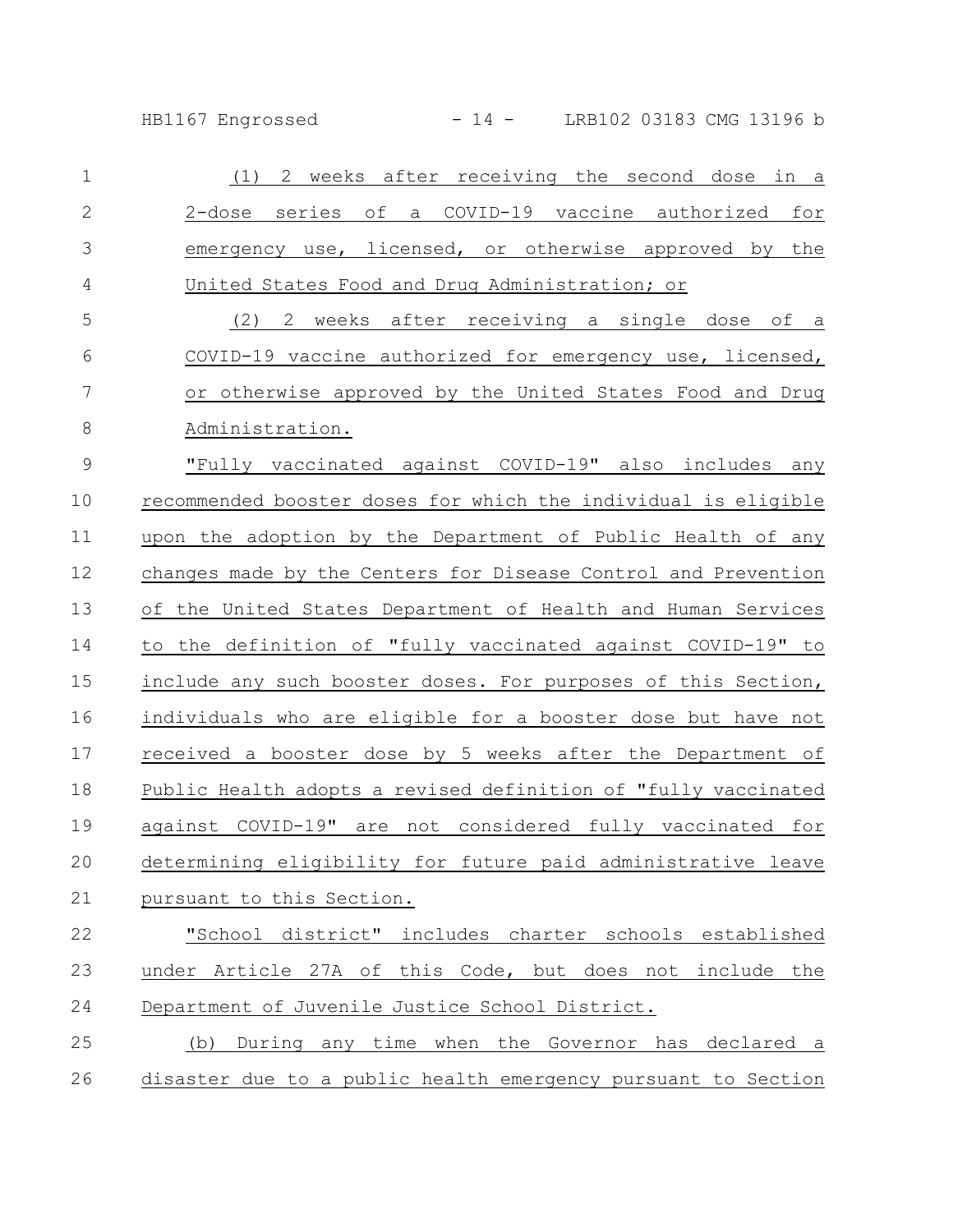HB1167 Engrossed - 14 - LRB102 03183 CMG 13196 b

| 1              | (1) 2 weeks after receiving the second dose in a               |
|----------------|----------------------------------------------------------------|
| $\mathbf{2}$   | 2-dose series of a COVID-19 vaccine authorized for             |
| 3              | emergency use, licensed, or otherwise approved by the          |
| $\overline{4}$ | United States Food and Drug Administration; or                 |
| 5              | 2 weeks after receiving a single dose of a<br>(2)              |
| 6              | COVID-19 vaccine authorized for emergency use, licensed,       |
| 7              | or otherwise approved by the United States Food and Drug       |
| 8              | Administration.                                                |
| $\mathsf 9$    | "Fully vaccinated against COVID-19" also includes any          |
| 10             | recommended booster doses for which the individual is eligible |
| 11             | upon the adoption by the Department of Public Health of any    |
| 12             | changes made by the Centers for Disease Control and Prevention |
| 13             | of the United States Department of Health and Human Services   |
| 14             | to the definition of "fully vaccinated against COVID-19" to    |
| 15             | include any such booster doses. For purposes of this Section,  |
| 16             | individuals who are eligible for a booster dose but have not   |
| 17             | received a booster dose by 5 weeks after the Department of     |
| 18             | Public Health adopts a revised definition of "fully vaccinated |
| 19             | against COVID-19" are not considered fully vaccinated for      |
| 20             | determining eligibility for future paid administrative leave   |
| 21             | pursuant to this Section.                                      |
| 22             | "School district" includes charter schools established         |
| 23             | under Article 27A of this Code, but does not include the       |
| 24             | Department of Juvenile Justice School District.                |
| 25             | (b) During any time when the Governor has declared a           |
| 26             | disaster due to a public health emergency pursuant to Section  |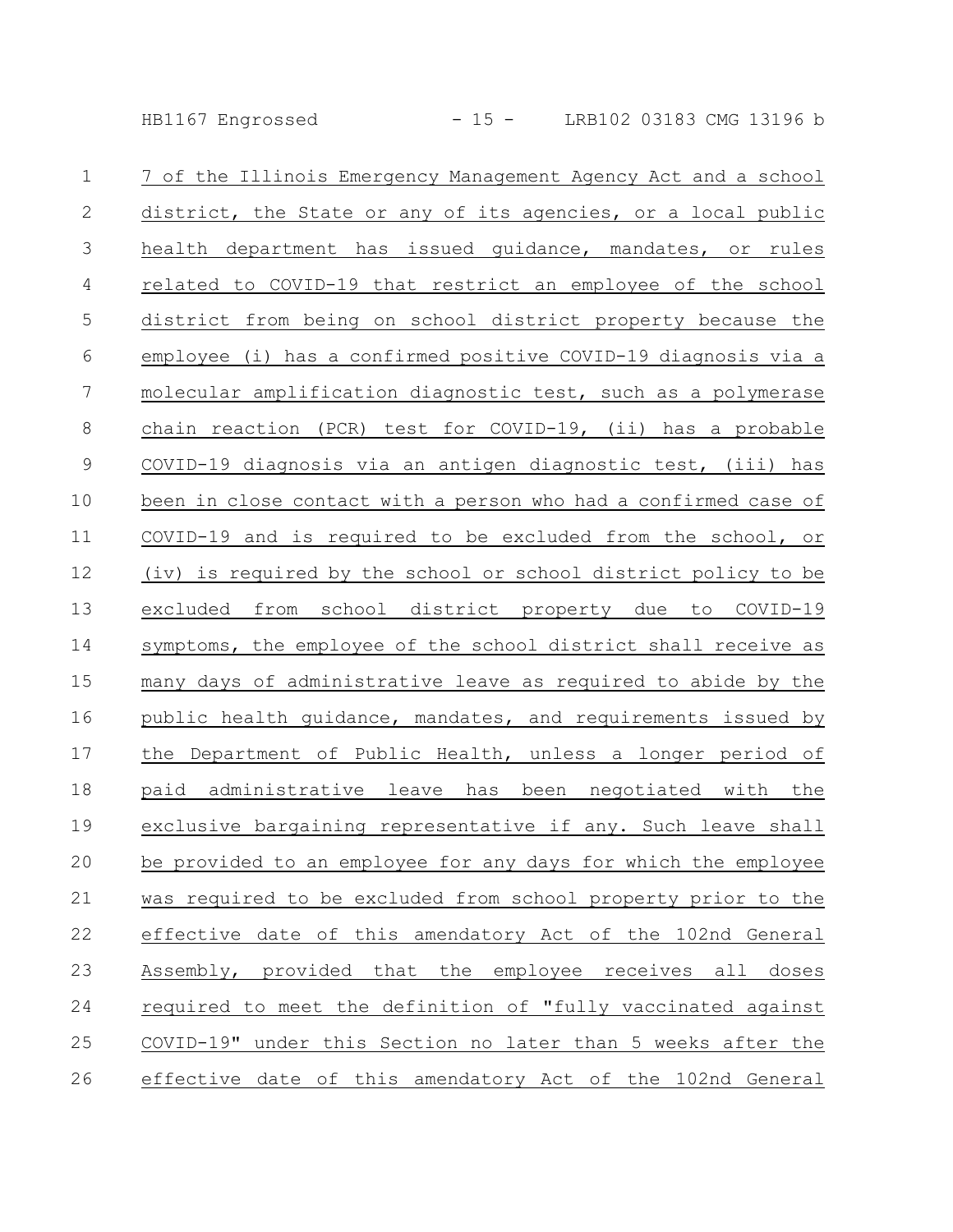HB1167 Engrossed - 15 - LRB102 03183 CMG 13196 b

| $\mathbf{1}$   | 7 of the Illinois Emergency Management Agency Act and a school  |
|----------------|-----------------------------------------------------------------|
| $\mathbf{2}$   | district, the State or any of its agencies, or a local public   |
| $\mathfrak{Z}$ | health department has issued quidance, mandates, or rules       |
| 4              | related to COVID-19 that restrict an employee of the school     |
| 5              | district from being on school district property because the     |
| 6              | employee (i) has a confirmed positive COVID-19 diagnosis via a  |
| 7              | molecular amplification diagnostic test, such as a polymerase   |
| $\,8\,$        | chain reaction (PCR) test for COVID-19, (ii) has a probable     |
| $\mathsf 9$    | COVID-19 diagnosis via an antigen diagnostic test, (iii) has    |
| 10             | been in close contact with a person who had a confirmed case of |
| 11             | COVID-19 and is required to be excluded from the school, or     |
| 12             | (iv) is required by the school or school district policy to be  |
| 13             | excluded from school district property due to COVID-19          |
| 14             | symptoms, the employee of the school district shall receive as  |
| 15             | many days of administrative leave as required to abide by the   |
| 16             | public health quidance, mandates, and requirements issued by    |
| 17             | the Department of Public Health, unless a longer period of      |
| 18             | paid administrative leave has been negotiated with the          |
| 19             | exclusive bargaining representative if any. Such leave shall    |
| 20             | be provided to an employee for any days for which the employee  |
| 21             | was required to be excluded from school property prior to the   |
| 22             | effective date of this amendatory Act of the 102nd General      |
| 23             | Assembly, provided that the employee receives all doses         |
| 24             | required to meet the definition of "fully vaccinated against    |
| 25             | COVID-19" under this Section no later than 5 weeks after the    |
| 26             | effective date of this amendatory Act of the 102nd General      |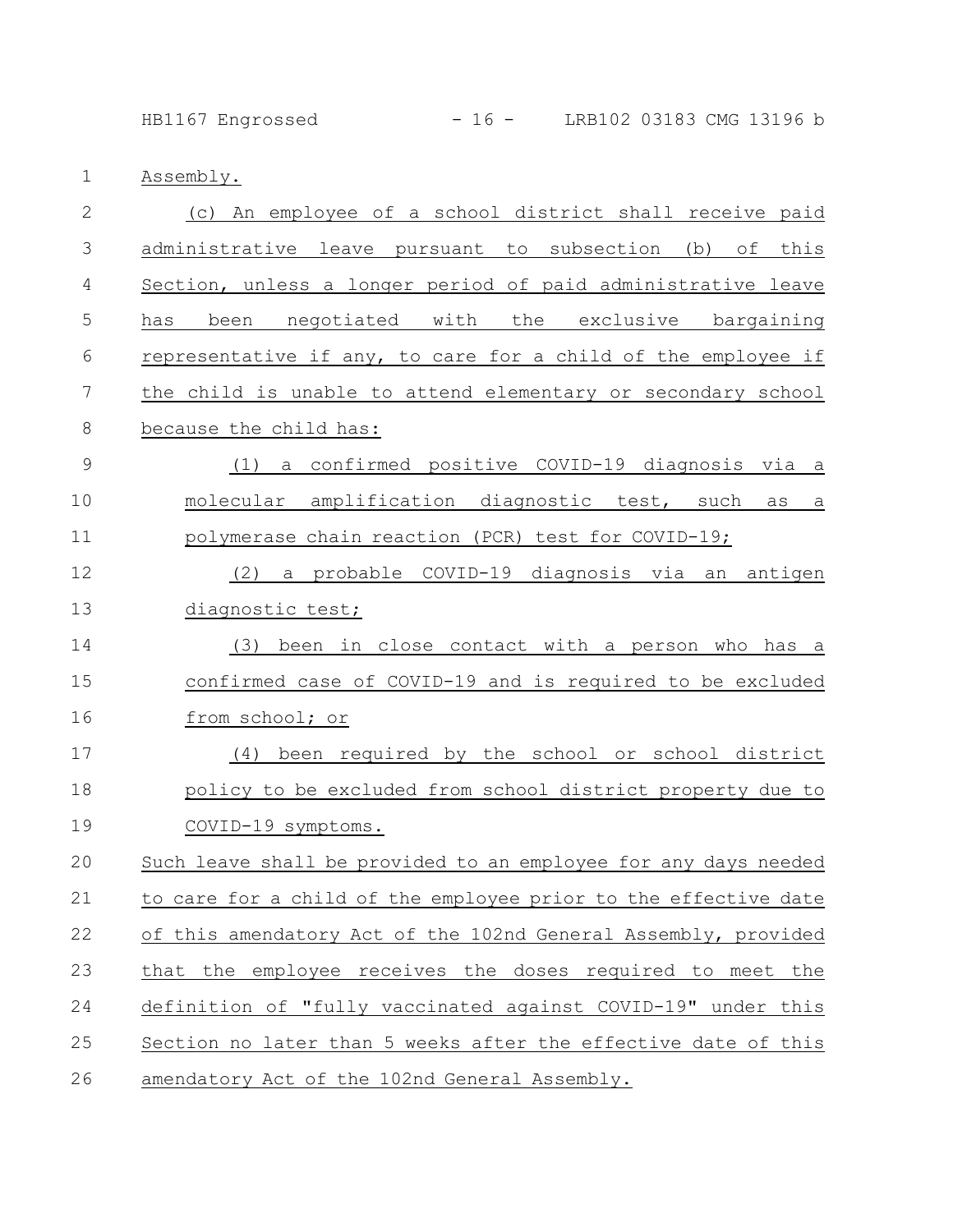HB1167 Engrossed - 16 - LRB102 03183 CMG 13196 b

Assembly. 1

| $\mathbf{2}$  | (c) An employee of a school district shall receive paid         |
|---------------|-----------------------------------------------------------------|
| 3             | administrative leave pursuant to subsection (b) of this         |
| 4             | Section, unless a longer period of paid administrative leave    |
| 5             | has been negotiated with the exclusive bargaining               |
| 6             | representative if any, to care for a child of the employee if   |
| 7             | the child is unable to attend elementary or secondary school    |
| 8             | because the child has:                                          |
| $\mathcal{G}$ | a confirmed positive COVID-19 diagnosis via a<br>(1)            |
| 10            | molecular amplification diagnostic test, such as<br>$\alpha$    |
| 11            | polymerase chain reaction (PCR) test for COVID-19;              |
| 12            | a probable COVID-19 diagnosis via an antigen<br>(2)             |
| 13            | diagnostic test;                                                |
| 14            | been in close contact with a person who has a<br>(3)            |
| 15            | confirmed case of COVID-19 and is required to be excluded       |
| 16            | from school; or                                                 |
| 17            | been required by the school or school district<br>(4)           |
| 18            | policy to be excluded from school district property due to      |
| 19            | COVID-19 symptoms.                                              |
| 20            | Such leave shall be provided to an employee for any days needed |
| 21            | to care for a child of the employee prior to the effective date |
| 22            | of this amendatory Act of the 102nd General Assembly, provided  |
| 23            | that the employee receives the doses required to meet the       |
| 24            | definition of "fully vaccinated against COVID-19" under this    |
| 25            | Section no later than 5 weeks after the effective date of this  |
| 26            | amendatory Act of the 102nd General Assembly.                   |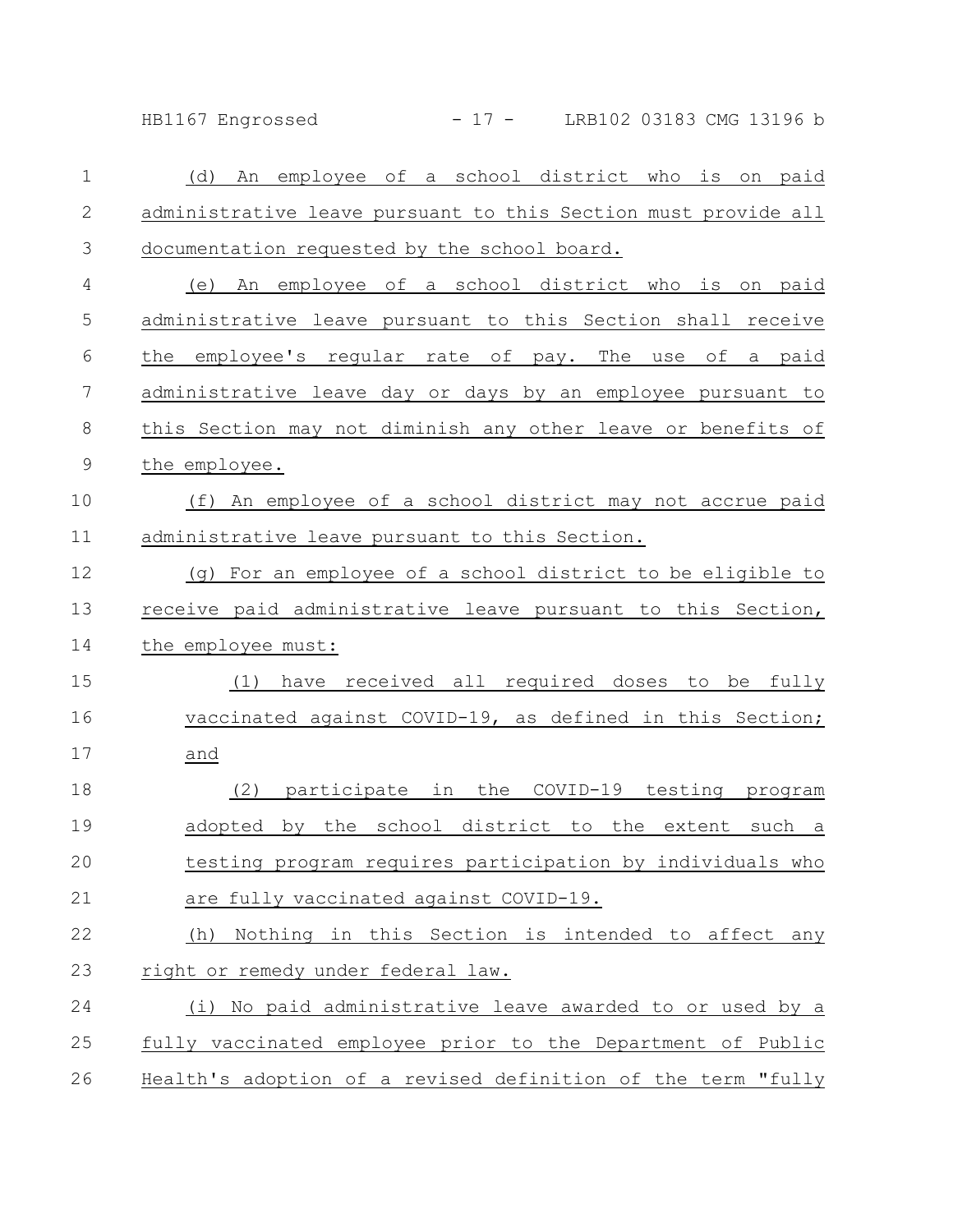HB1167 Engrossed - 17 - LRB102 03183 CMG 13196 b

| 1             | An employee of a school district who is on paid<br>(d)         |
|---------------|----------------------------------------------------------------|
| $\mathbf{2}$  | administrative leave pursuant to this Section must provide all |
| 3             | documentation requested by the school board.                   |
| 4             | An employee of a school district who is on paid<br>(e)         |
| 5             | administrative leave pursuant to this Section shall receive    |
| 6             | the employee's regular rate of pay. The use<br>of a paid       |
| 7             | administrative leave day or days by an employee pursuant to    |
| 8             | this Section may not diminish any other leave or benefits of   |
| $\mathcal{G}$ | the employee.                                                  |
| 10            | (f) An employee of a school district may not accrue paid       |
| 11            | administrative leave pursuant to this Section.                 |
| 12            | (q) For an employee of a school district to be eligible to     |
| 13            | receive paid administrative leave pursuant to this Section,    |
| 14            | the employee must:                                             |
| 15            | have received all required doses to be fully<br>(1)            |
| 16            | vaccinated against COVID-19, as defined in this Section;       |
| 17            | and                                                            |
| 18            | (2)<br>participate in the COVID-19 testing<br>program          |
| 19            | adopted by the school district to the extent such a            |
| 20            | testing program requires participation by individuals who      |
| 21            | are fully vaccinated against COVID-19.                         |
| 22            | (h) Nothing in this Section is intended to affect any          |
| 23            | right or remedy under federal law.                             |
| 24            | (i) No paid administrative leave awarded to or used by a       |
| 25            | fully vaccinated employee prior to the Department of Public    |
| 26            | Health's adoption of a revised definition of the term "fully   |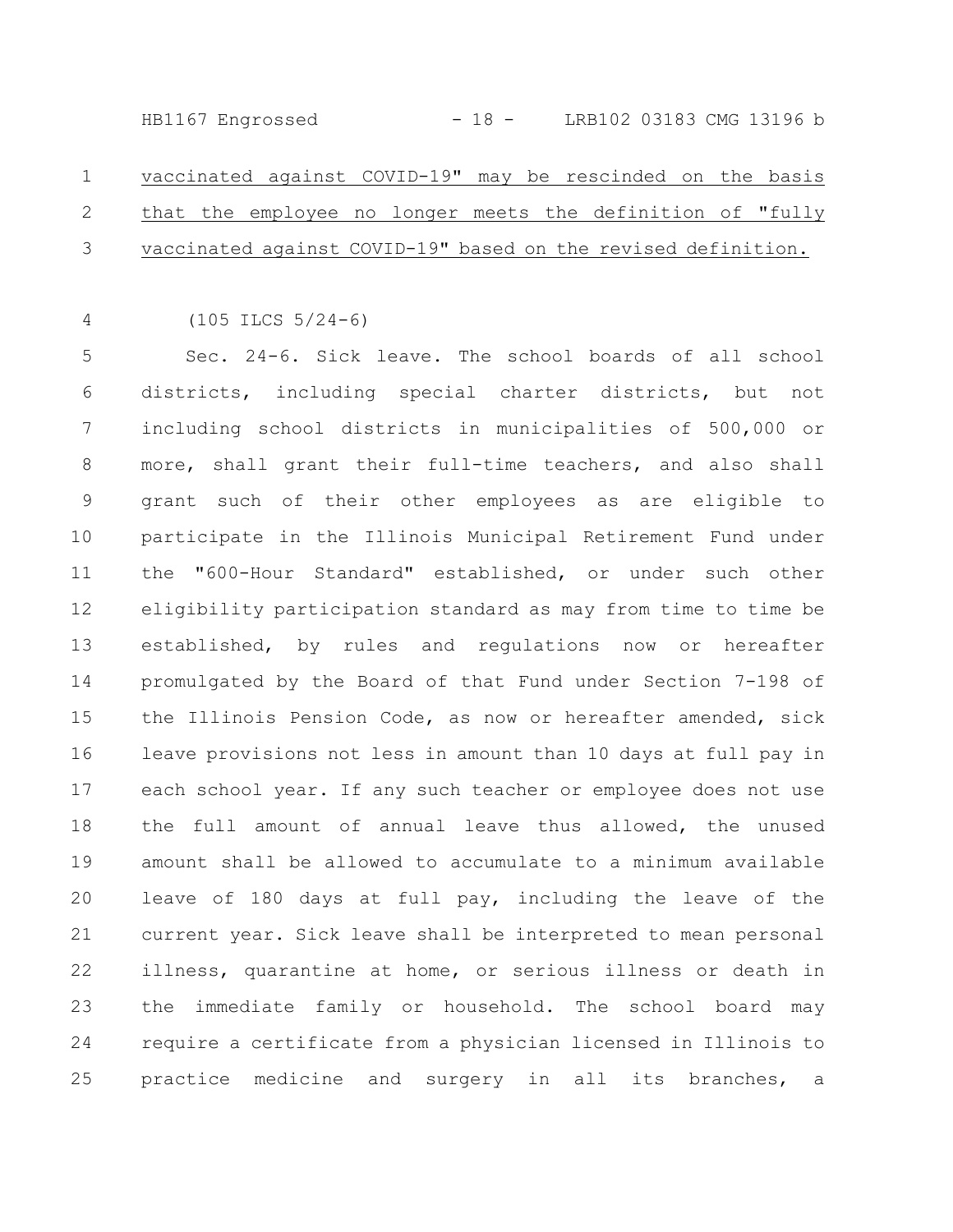HB1167 Engrossed - 18 - LRB102 03183 CMG 13196 b

vaccinated against COVID-19" may be rescinded on the basis that the employee no longer meets the definition of "fully vaccinated against COVID-19" based on the revised definition. 1 2 3

(105 ILCS 5/24-6) 4

Sec. 24-6. Sick leave. The school boards of all school districts, including special charter districts, but not including school districts in municipalities of 500,000 or more, shall grant their full-time teachers, and also shall grant such of their other employees as are eligible to participate in the Illinois Municipal Retirement Fund under the "600-Hour Standard" established, or under such other eligibility participation standard as may from time to time be established, by rules and regulations now or hereafter promulgated by the Board of that Fund under Section 7-198 of the Illinois Pension Code, as now or hereafter amended, sick leave provisions not less in amount than 10 days at full pay in each school year. If any such teacher or employee does not use the full amount of annual leave thus allowed, the unused amount shall be allowed to accumulate to a minimum available leave of 180 days at full pay, including the leave of the current year. Sick leave shall be interpreted to mean personal illness, quarantine at home, or serious illness or death in the immediate family or household. The school board may require a certificate from a physician licensed in Illinois to practice medicine and surgery in all its branches, a 5 6 7 8 9 10 11 12 13 14 15 16 17 18 19 20 21 22 23 24 25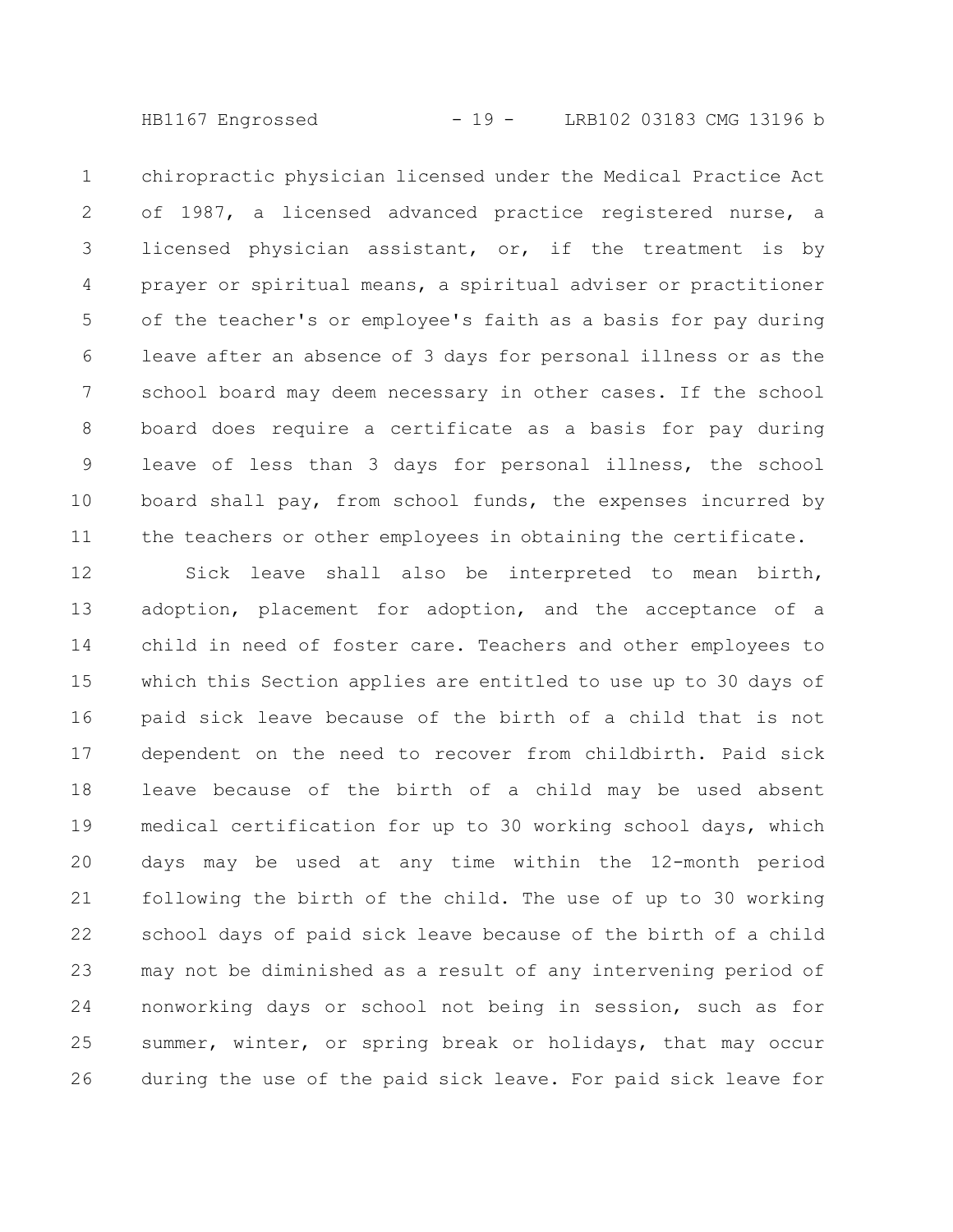HB1167 Engrossed - 19 - LRB102 03183 CMG 13196 b

chiropractic physician licensed under the Medical Practice Act of 1987, a licensed advanced practice registered nurse, a licensed physician assistant, or, if the treatment is by prayer or spiritual means, a spiritual adviser or practitioner of the teacher's or employee's faith as a basis for pay during leave after an absence of 3 days for personal illness or as the school board may deem necessary in other cases. If the school board does require a certificate as a basis for pay during leave of less than 3 days for personal illness, the school board shall pay, from school funds, the expenses incurred by the teachers or other employees in obtaining the certificate. 1 2 3 4 5 6 7 8 9 10 11

Sick leave shall also be interpreted to mean birth, adoption, placement for adoption, and the acceptance of a child in need of foster care. Teachers and other employees to which this Section applies are entitled to use up to 30 days of paid sick leave because of the birth of a child that is not dependent on the need to recover from childbirth. Paid sick leave because of the birth of a child may be used absent medical certification for up to 30 working school days, which days may be used at any time within the 12-month period following the birth of the child. The use of up to 30 working school days of paid sick leave because of the birth of a child may not be diminished as a result of any intervening period of nonworking days or school not being in session, such as for summer, winter, or spring break or holidays, that may occur during the use of the paid sick leave. For paid sick leave for 12 13 14 15 16 17 18 19 20 21 22 23 24 25 26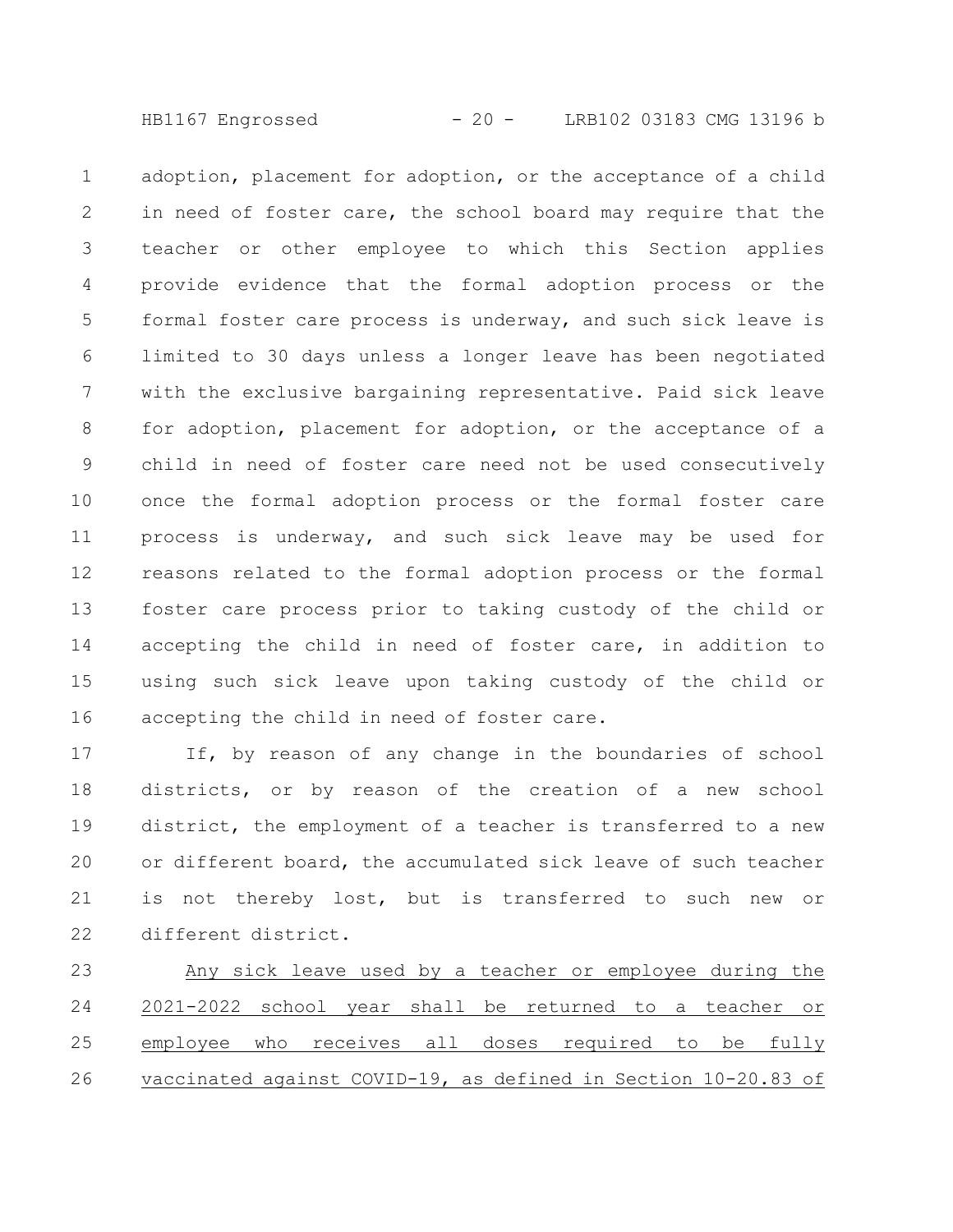HB1167 Engrossed - 20 - LRB102 03183 CMG 13196 b

adoption, placement for adoption, or the acceptance of a child in need of foster care, the school board may require that the teacher or other employee to which this Section applies provide evidence that the formal adoption process or the formal foster care process is underway, and such sick leave is limited to 30 days unless a longer leave has been negotiated with the exclusive bargaining representative. Paid sick leave for adoption, placement for adoption, or the acceptance of a child in need of foster care need not be used consecutively once the formal adoption process or the formal foster care process is underway, and such sick leave may be used for reasons related to the formal adoption process or the formal foster care process prior to taking custody of the child or accepting the child in need of foster care, in addition to using such sick leave upon taking custody of the child or accepting the child in need of foster care. 1 2 3 4 5 6 7 8 9 10 11 12 13 14 15 16

If, by reason of any change in the boundaries of school districts, or by reason of the creation of a new school district, the employment of a teacher is transferred to a new or different board, the accumulated sick leave of such teacher is not thereby lost, but is transferred to such new or different district. 17 18 19 20 21 22

Any sick leave used by a teacher or employee during the 2021-2022 school year shall be returned to a teacher or employee who receives all doses required to be fully vaccinated against COVID-19, as defined in Section 10-20.83 of 23 24 25 26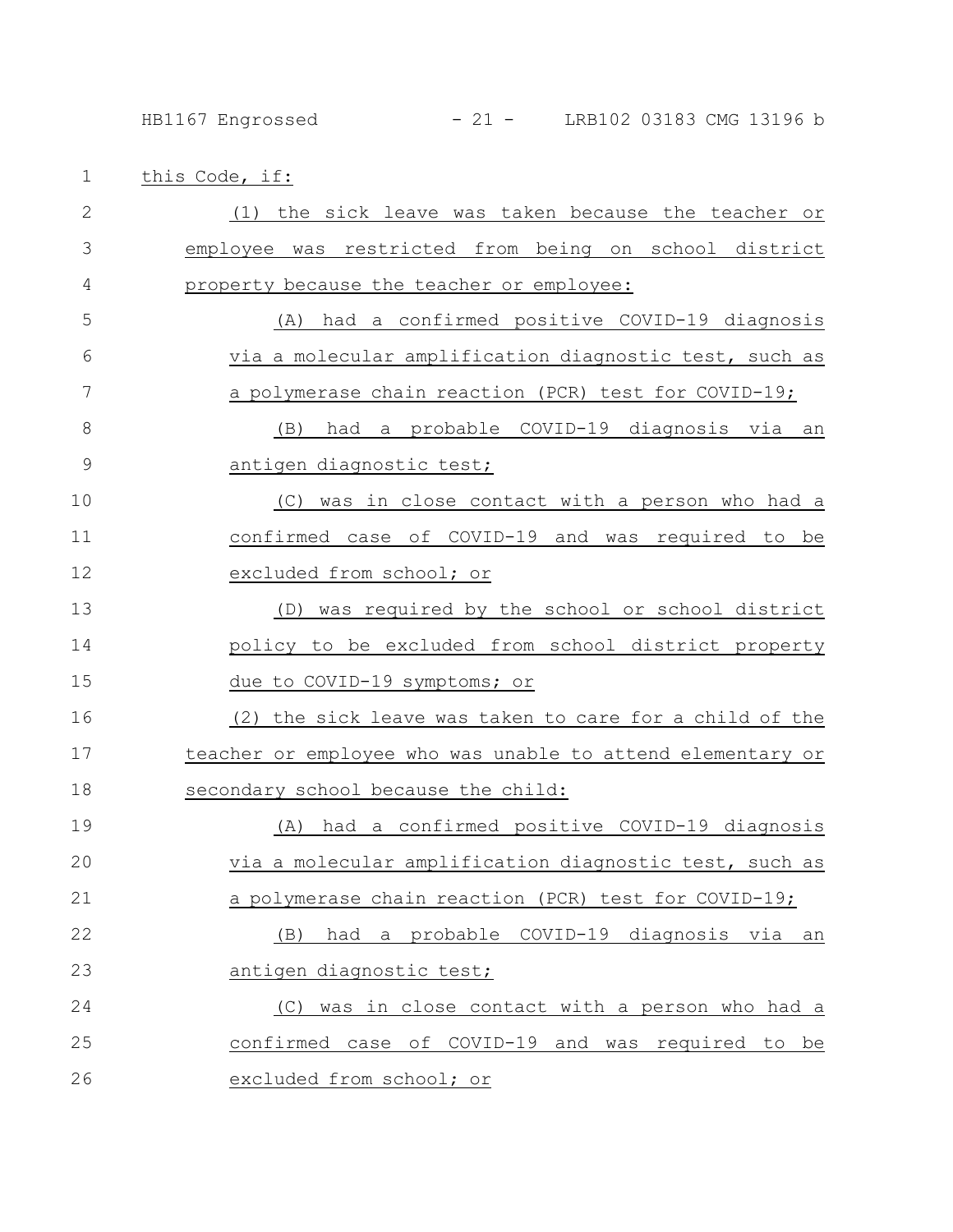HB1167 Engrossed - 21 - LRB102 03183 CMG 13196 b

1 this Code, if:

| $\mathbf{2}$  | (1) the sick leave was taken because the teacher or        |
|---------------|------------------------------------------------------------|
| 3             | employee was restricted from being on school district      |
| 4             | property because the teacher or employee:                  |
| 5             | had a confirmed positive COVID-19 diagnosis<br>(A)         |
| 6             | via a molecular amplification diagnostic test, such as     |
| 7             | a polymerase chain reaction (PCR) test for COVID-19;       |
| $8\,$         | had a probable COVID-19 diagnosis via an<br>(B)            |
| $\mathcal{G}$ | antigen diagnostic test;                                   |
| 10            | (C) was in close contact with a person who had a           |
| 11            | confirmed case of COVID-19 and was required to be          |
| 12            | excluded from school; or                                   |
| 13            | (D) was required by the school or school district          |
| 14            | policy to be excluded from school district property        |
| 15            | due to COVID-19 symptoms; or                               |
| 16            | (2) the sick leave was taken to care for a child of the    |
| 17            | teacher or employee who was unable to attend elementary or |
| 18            | secondary school because the child:                        |
| 19            | (A) had a confirmed positive COVID-19 diagnosis            |
| 20            | via a molecular amplification diagnostic test, such as     |
| $21$          | a polymerase chain reaction (PCR) test for COVID-19;       |
| 22            | had a probable COVID-19 diagnosis via<br>(B)<br>an         |
| 23            | antigen diagnostic test;                                   |
| 24            | (C) was in close contact with a person who had a           |
| 25            | confirmed case of COVID-19 and was required to be          |
| 26            | excluded from school; or                                   |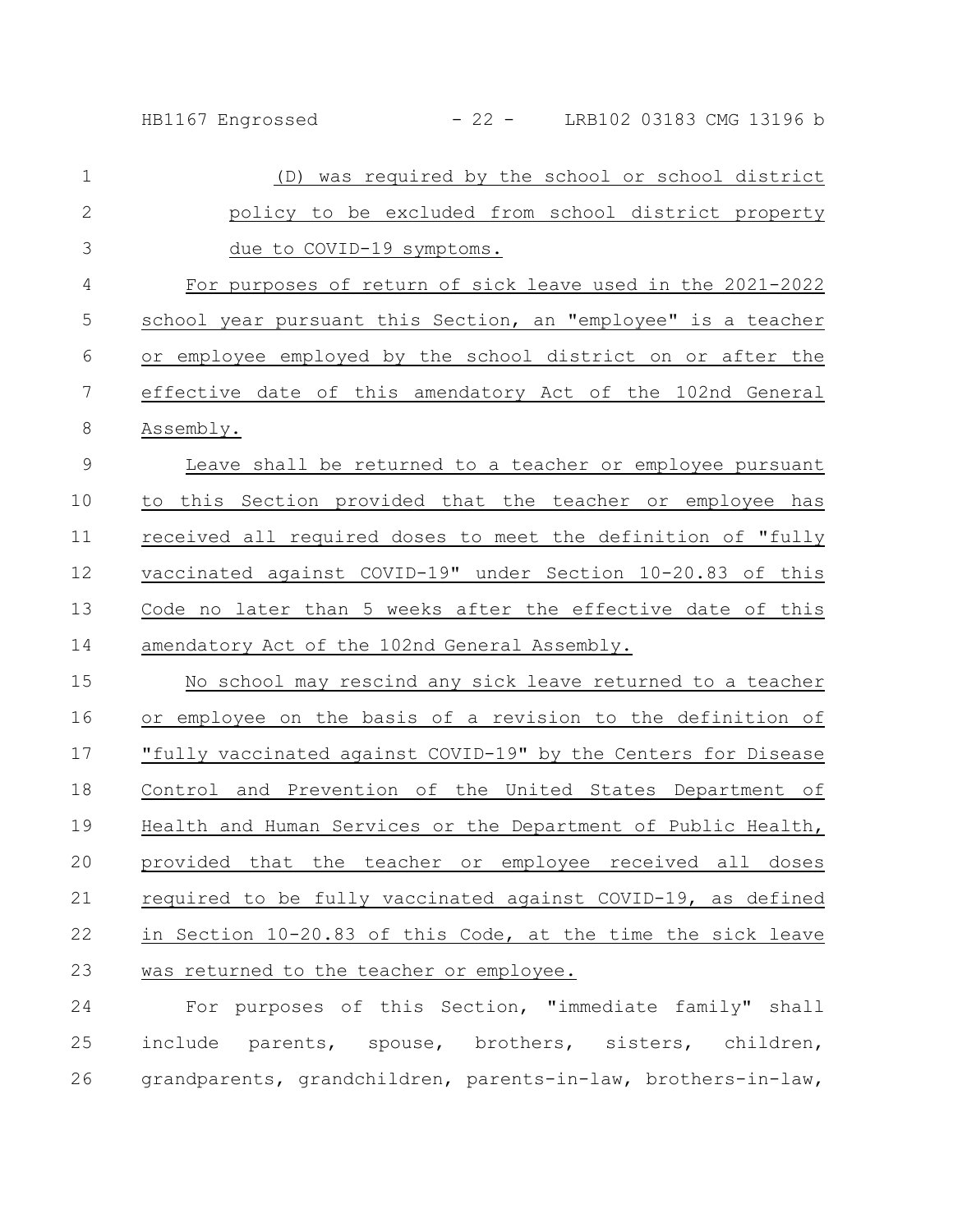| $\mathbf 1$    | was required by the school or school district<br>(D)           |
|----------------|----------------------------------------------------------------|
| $\overline{2}$ | policy to be excluded from school district property            |
| 3              | due to COVID-19 symptoms.                                      |
| $\overline{4}$ | For purposes of return of sick leave used in the 2021-2022     |
| 5              | school year pursuant this Section, an "employee" is a teacher  |
| 6              | or employee employed by the school district on or after the    |
| 7              | effective date of this amendatory Act of the 102nd General     |
| 8              | Assembly.                                                      |
| $\mathsf 9$    | Leave shall be returned to a teacher or employee pursuant      |
| 10             | to this Section provided that the teacher or employee has      |
| 11             | received all required doses to meet the definition of "fully   |
| 12             | vaccinated against COVID-19" under Section 10-20.83 of this    |
| 13             | Code no later than 5 weeks after the effective date of this    |
| 14             | amendatory Act of the 102nd General Assembly.                  |
| 15             | No school may rescind any sick leave returned to a teacher     |
| 16             | or employee on the basis of a revision to the definition of    |
| 17             | "fully vaccinated against COVID-19" by the Centers for Disease |
| 18             | Control and Prevention of the United States Department of      |
| 19             | Health and Human Services or the Department of Public Health,  |
| 20             | provided that the teacher or employee received all doses       |
| 21             | required to be fully vaccinated against COVID-19, as defined   |
| 22             | in Section 10-20.83 of this Code, at the time the sick leave   |
| 23             | was returned to the teacher or employee.                       |
| 24             | For purposes of this Section, "immediate family" shall         |

For purposes of this Section, "immediate family" shall include parents, spouse, brothers, sisters, children, 25 26 grandparents, grandchildren, parents-in-law, brothers-in-law,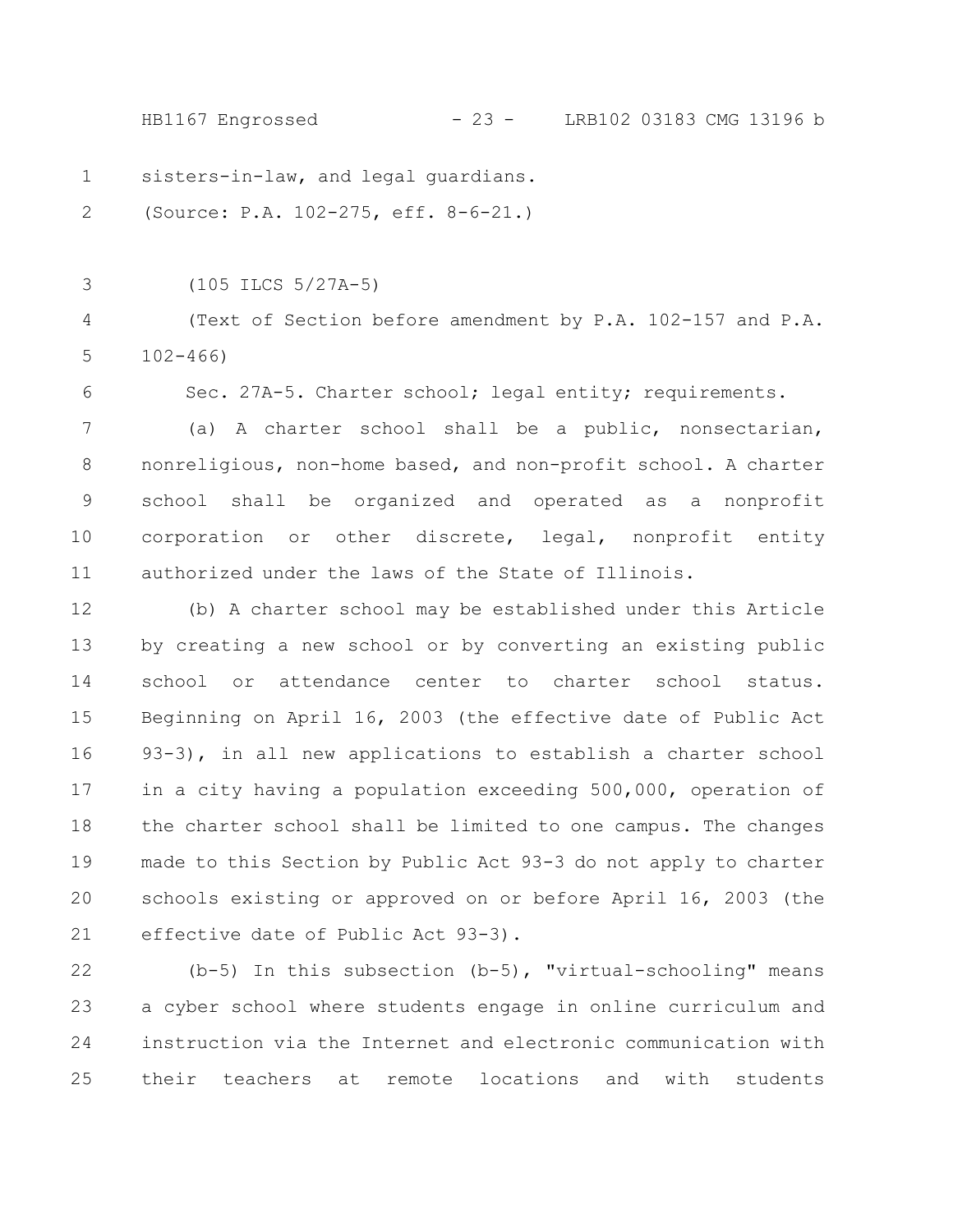HB1167 Engrossed - 23 - LRB102 03183 CMG 13196 b

sisters-in-law, and legal guardians. 1

(Source: P.A. 102-275, eff. 8-6-21.) 2

3

(105 ILCS 5/27A-5)

(Text of Section before amendment by P.A. 102-157 and P.A. 102-466) 4 5

6

Sec. 27A-5. Charter school; legal entity; requirements.

(a) A charter school shall be a public, nonsectarian, nonreligious, non-home based, and non-profit school. A charter school shall be organized and operated as a nonprofit corporation or other discrete, legal, nonprofit entity authorized under the laws of the State of Illinois. 7 8 9 10 11

(b) A charter school may be established under this Article by creating a new school or by converting an existing public school or attendance center to charter school status. Beginning on April 16, 2003 (the effective date of Public Act 93-3), in all new applications to establish a charter school in a city having a population exceeding 500,000, operation of the charter school shall be limited to one campus. The changes made to this Section by Public Act 93-3 do not apply to charter schools existing or approved on or before April 16, 2003 (the effective date of Public Act 93-3). 12 13 14 15 16 17 18 19 20 21

(b-5) In this subsection (b-5), "virtual-schooling" means a cyber school where students engage in online curriculum and instruction via the Internet and electronic communication with their teachers at remote locations and with students 22 23 24 25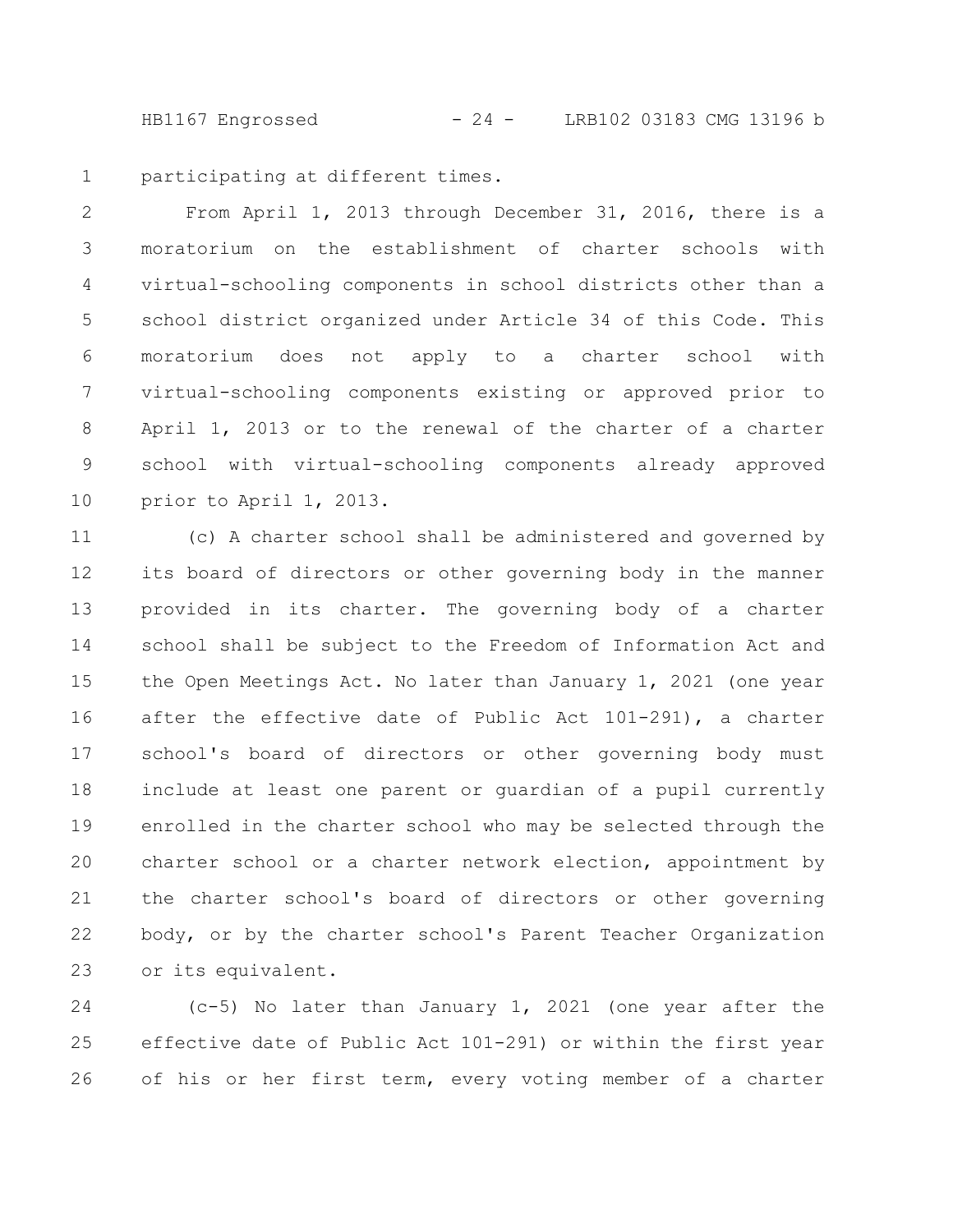HB1167 Engrossed - 24 - LRB102 03183 CMG 13196 b

participating at different times. 1

From April 1, 2013 through December 31, 2016, there is a moratorium on the establishment of charter schools with virtual-schooling components in school districts other than a school district organized under Article 34 of this Code. This moratorium does not apply to a charter school with virtual-schooling components existing or approved prior to April 1, 2013 or to the renewal of the charter of a charter school with virtual-schooling components already approved prior to April 1, 2013. 2 3 4 5 6 7 8 9 10

(c) A charter school shall be administered and governed by its board of directors or other governing body in the manner provided in its charter. The governing body of a charter school shall be subject to the Freedom of Information Act and the Open Meetings Act. No later than January 1, 2021 (one year after the effective date of Public Act 101-291), a charter school's board of directors or other governing body must include at least one parent or guardian of a pupil currently enrolled in the charter school who may be selected through the charter school or a charter network election, appointment by the charter school's board of directors or other governing body, or by the charter school's Parent Teacher Organization or its equivalent. 11 12 13 14 15 16 17 18 19 20 21 22 23

(c-5) No later than January 1, 2021 (one year after the effective date of Public Act 101-291) or within the first year of his or her first term, every voting member of a charter 24 25 26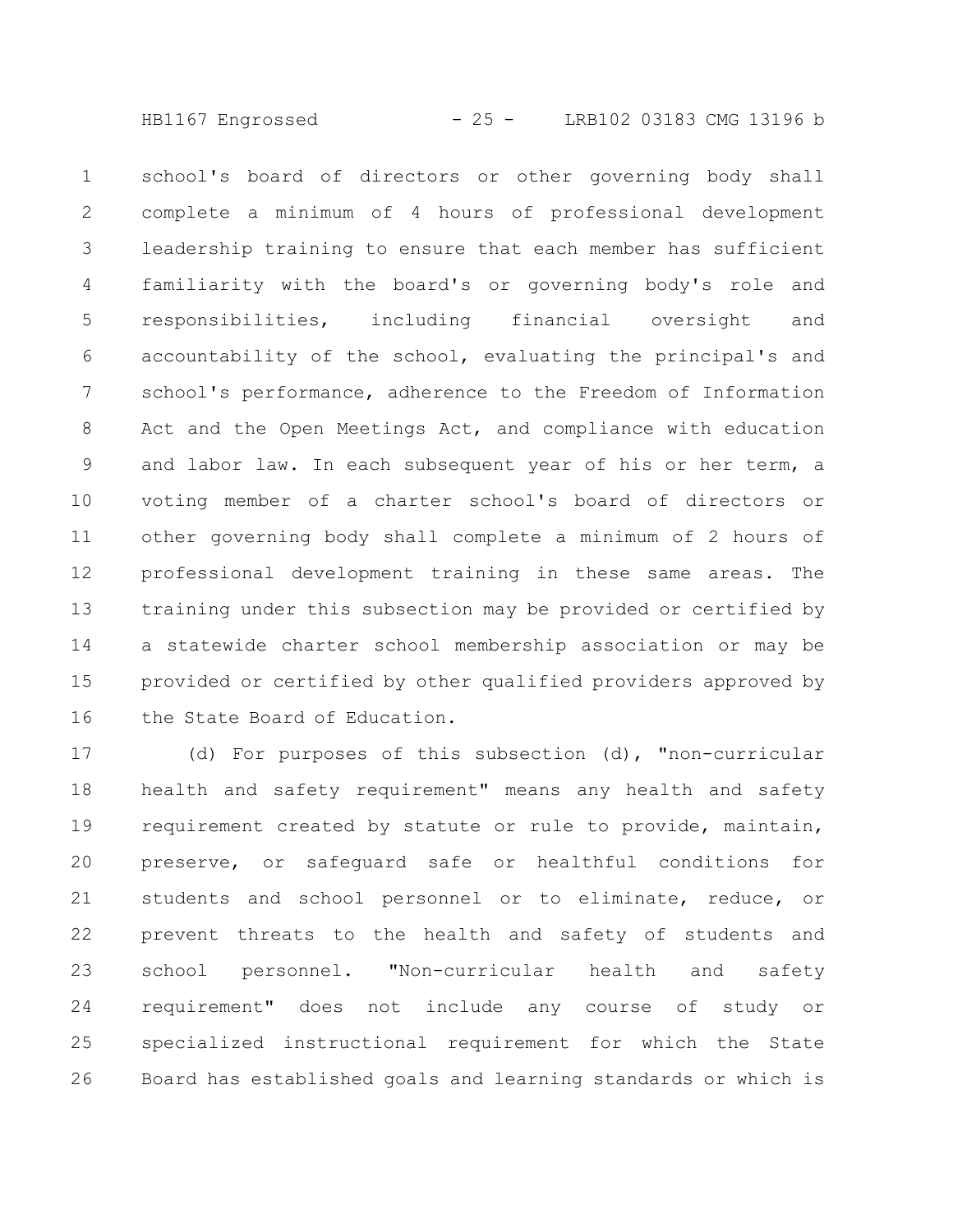HB1167 Engrossed - 25 - LRB102 03183 CMG 13196 b

school's board of directors or other governing body shall complete a minimum of 4 hours of professional development leadership training to ensure that each member has sufficient familiarity with the board's or governing body's role and responsibilities, including financial oversight and accountability of the school, evaluating the principal's and school's performance, adherence to the Freedom of Information Act and the Open Meetings Act, and compliance with education and labor law. In each subsequent year of his or her term, a voting member of a charter school's board of directors or other governing body shall complete a minimum of 2 hours of professional development training in these same areas. The training under this subsection may be provided or certified by a statewide charter school membership association or may be provided or certified by other qualified providers approved by the State Board of Education. 1 2 3 4 5 6 7 8 9 10 11 12 13 14 15 16

(d) For purposes of this subsection (d), "non-curricular health and safety requirement" means any health and safety requirement created by statute or rule to provide, maintain, preserve, or safeguard safe or healthful conditions for students and school personnel or to eliminate, reduce, or prevent threats to the health and safety of students and school personnel. "Non-curricular health and safety requirement" does not include any course of study or specialized instructional requirement for which the State Board has established goals and learning standards or which is 17 18 19 20 21 22 23 24 25 26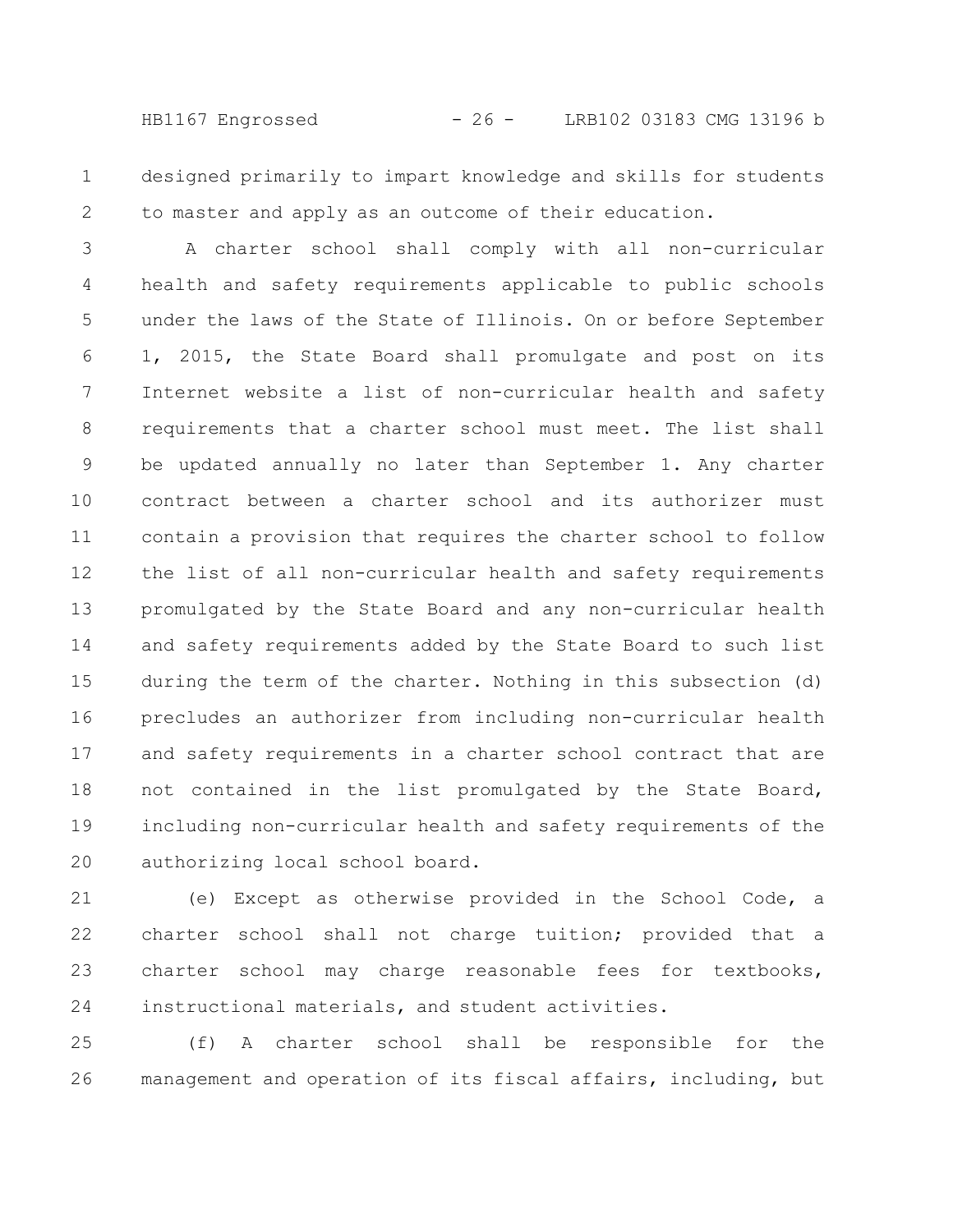HB1167 Engrossed - 26 - LRB102 03183 CMG 13196 b

designed primarily to impart knowledge and skills for students to master and apply as an outcome of their education. 1 2

A charter school shall comply with all non-curricular health and safety requirements applicable to public schools under the laws of the State of Illinois. On or before September 1, 2015, the State Board shall promulgate and post on its Internet website a list of non-curricular health and safety requirements that a charter school must meet. The list shall be updated annually no later than September 1. Any charter contract between a charter school and its authorizer must contain a provision that requires the charter school to follow the list of all non-curricular health and safety requirements promulgated by the State Board and any non-curricular health and safety requirements added by the State Board to such list during the term of the charter. Nothing in this subsection (d) precludes an authorizer from including non-curricular health and safety requirements in a charter school contract that are not contained in the list promulgated by the State Board, including non-curricular health and safety requirements of the authorizing local school board. 3 4 5 6 7 8 9 10 11 12 13 14 15 16 17 18 19 20

(e) Except as otherwise provided in the School Code, a charter school shall not charge tuition; provided that a charter school may charge reasonable fees for textbooks, instructional materials, and student activities. 21 22 23 24

(f) A charter school shall be responsible for the management and operation of its fiscal affairs, including, but 25 26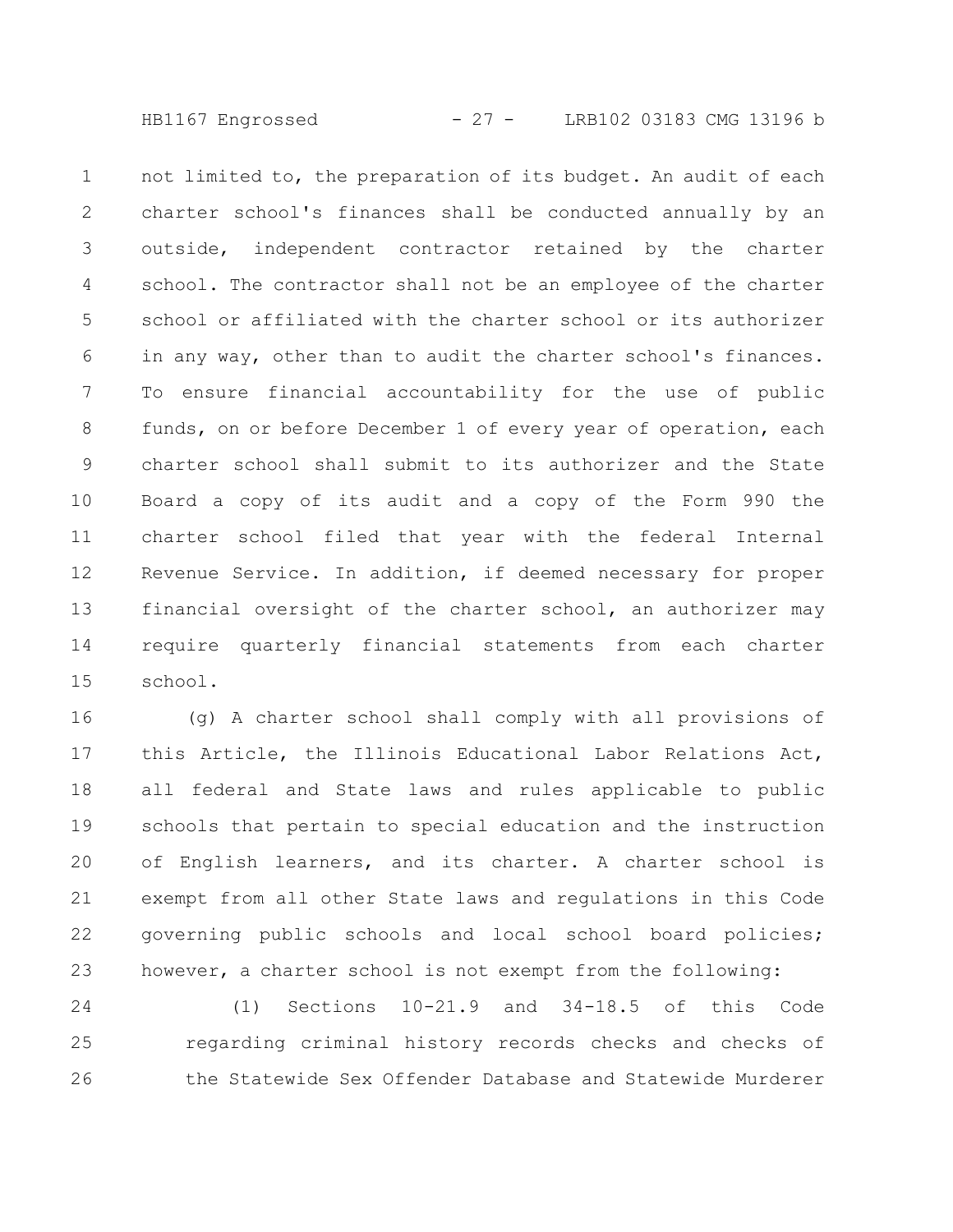HB1167 Engrossed - 27 - LRB102 03183 CMG 13196 b

not limited to, the preparation of its budget. An audit of each charter school's finances shall be conducted annually by an outside, independent contractor retained by the charter school. The contractor shall not be an employee of the charter school or affiliated with the charter school or its authorizer in any way, other than to audit the charter school's finances. To ensure financial accountability for the use of public funds, on or before December 1 of every year of operation, each charter school shall submit to its authorizer and the State Board a copy of its audit and a copy of the Form 990 the charter school filed that year with the federal Internal Revenue Service. In addition, if deemed necessary for proper financial oversight of the charter school, an authorizer may require quarterly financial statements from each charter school. 1 2 3 4 5 6 7 8 9 10 11 12 13 14 15

(g) A charter school shall comply with all provisions of this Article, the Illinois Educational Labor Relations Act, all federal and State laws and rules applicable to public schools that pertain to special education and the instruction of English learners, and its charter. A charter school is exempt from all other State laws and regulations in this Code governing public schools and local school board policies; however, a charter school is not exempt from the following: 16 17 18 19 20 21 22 23

(1) Sections 10-21.9 and 34-18.5 of this Code regarding criminal history records checks and checks of the Statewide Sex Offender Database and Statewide Murderer 24 25 26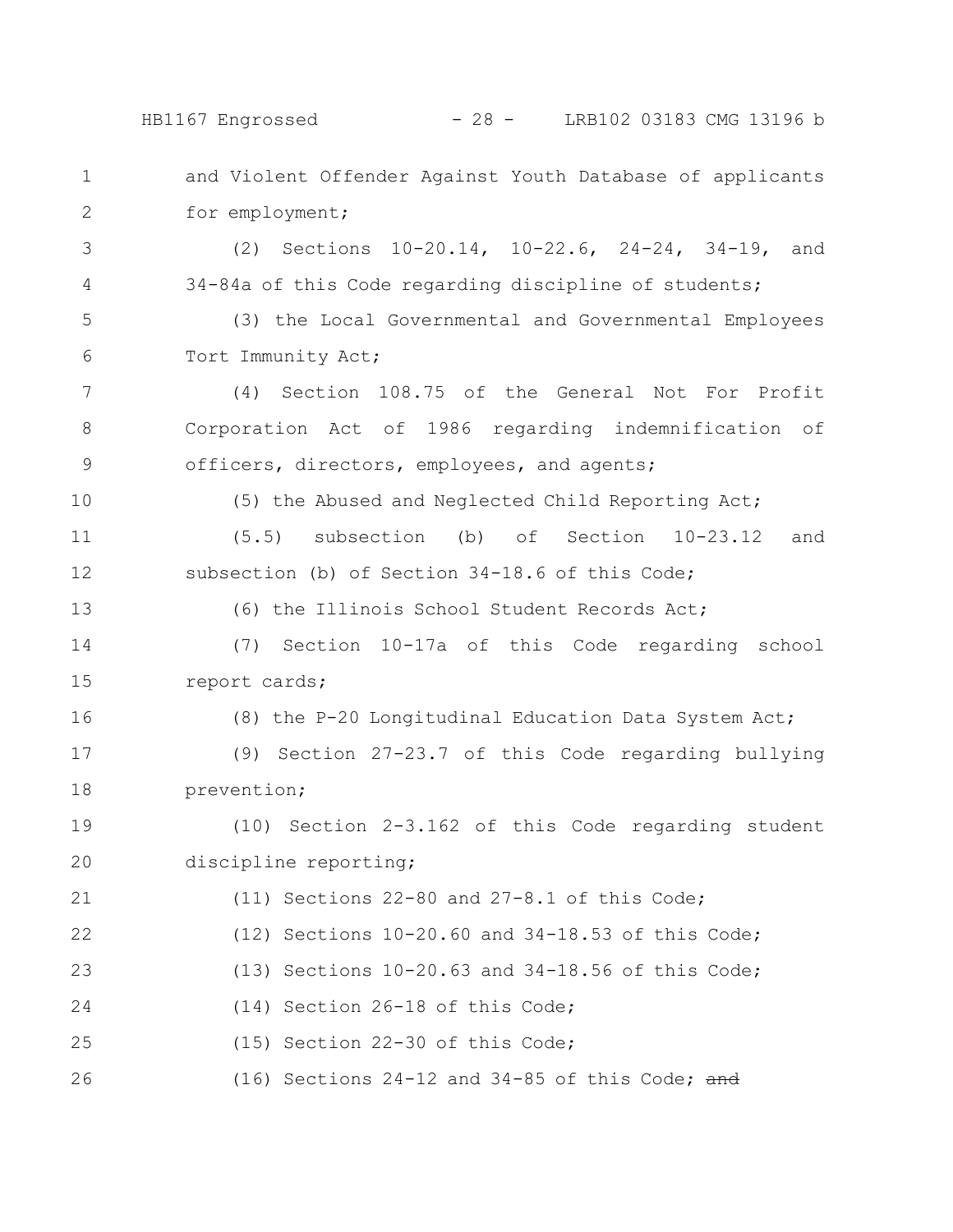## HB1167 Engrossed - 28 - LRB102 03183 CMG 13196 b

and Violent Offender Against Youth Database of applicants for employment; (2) Sections 10-20.14, 10-22.6, 24-24, 34-19, and 34-84a of this Code regarding discipline of students; (3) the Local Governmental and Governmental Employees Tort Immunity Act; (4) Section 108.75 of the General Not For Profit Corporation Act of 1986 regarding indemnification of officers, directors, employees, and agents; (5) the Abused and Neglected Child Reporting Act; (5.5) subsection (b) of Section 10-23.12 and subsection (b) of Section 34-18.6 of this Code; (6) the Illinois School Student Records Act; (7) Section 10-17a of this Code regarding school report cards; (8) the P-20 Longitudinal Education Data System Act; (9) Section 27-23.7 of this Code regarding bullying prevention; (10) Section 2-3.162 of this Code regarding student discipline reporting; (11) Sections 22-80 and 27-8.1 of this Code; (12) Sections 10-20.60 and 34-18.53 of this Code; (13) Sections 10-20.63 and 34-18.56 of this Code; (14) Section 26-18 of this Code; (15) Section 22-30 of this Code; (16) Sections  $24-12$  and  $34-85$  of this Code; and 1 2 3 4 5 6 7 8 9 10 11 12 13 14 15 16 17 18 19 20 21 22 23 24 25 26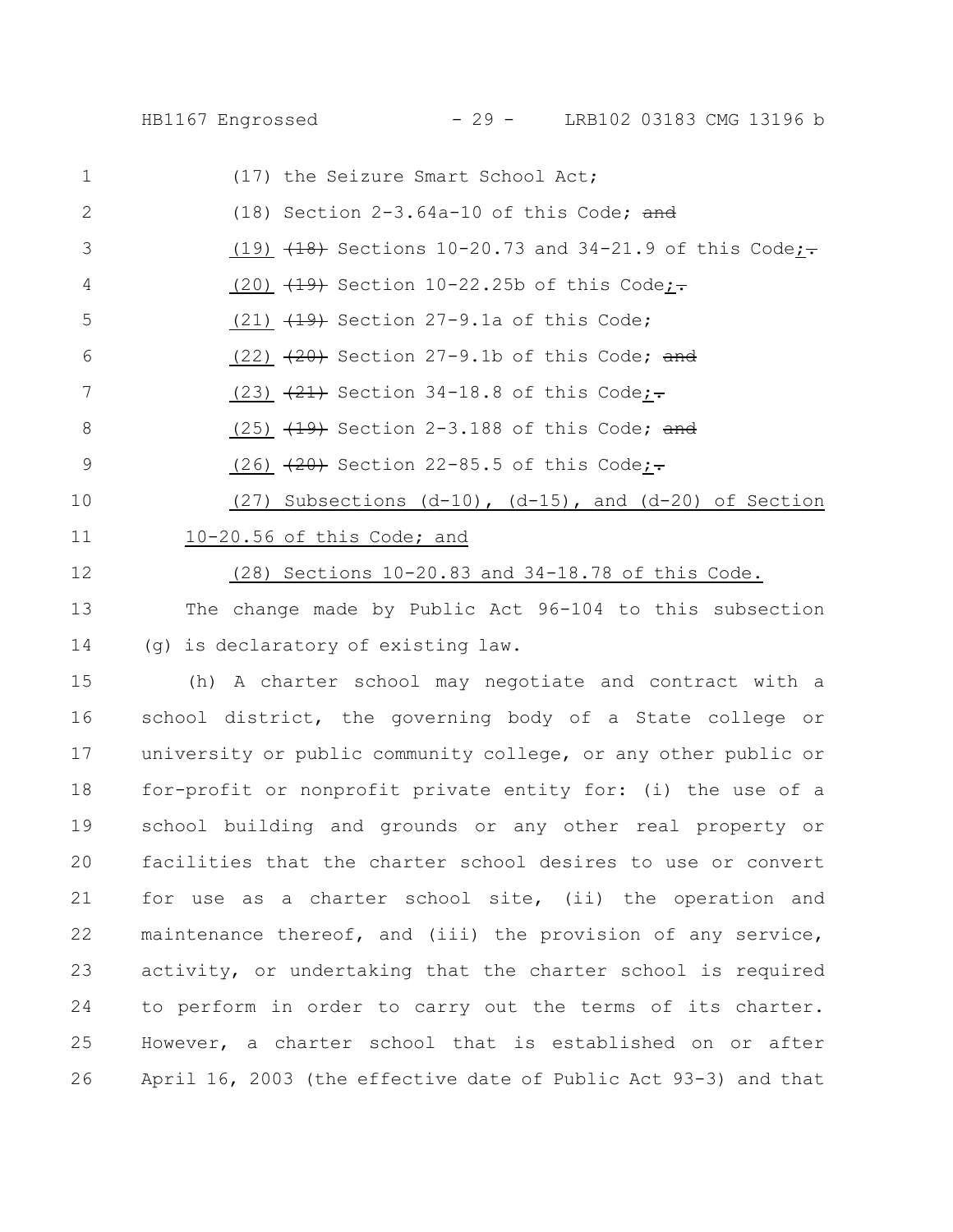HB1167 Engrossed - 29 - LRB102 03183 CMG 13196 b

| 1  | (17) the Seizure Smart School Act;                                    |
|----|-----------------------------------------------------------------------|
| 2  | $(18)$ Section 2-3.64a-10 of this Code; and                           |
| 3  | (19) $(18)$ Sections 10-20.73 and 34-21.9 of this Code;-              |
| 4  | (20) $\overline{(19)}$ Section 10-22.25b of this Code;                |
| 5  | $(21)$ $(19)$ Section 27-9.1a of this Code;                           |
| 6  | $(22)$ $\left(\frac{20}{20}\right)$ Section 27-9.1b of this Code; and |
| 7  | $(23)$ $\overline{+21}$ Section 34-18.8 of this Code;                 |
| 8  | $(25)$ $\overline{+19}$ Section 2-3.188 of this Code; and             |
| 9  | $(26)$ $\leftarrow 20$ Section 22-85.5 of this Code;                  |
| 10 | $(27)$ Subsections $(d-10)$ , $(d-15)$ , and $(d-20)$ of Section      |
| 11 | $10-20.56$ of this Code; and                                          |
| 12 | $(28)$ Sections $10-20.83$ and $34-18.78$ of this Code.               |
|    |                                                                       |

The change made by Public Act 96-104 to this subsection (g) is declaratory of existing law. 13 14

(h) A charter school may negotiate and contract with a school district, the governing body of a State college or university or public community college, or any other public or for-profit or nonprofit private entity for: (i) the use of a school building and grounds or any other real property or facilities that the charter school desires to use or convert for use as a charter school site, (ii) the operation and maintenance thereof, and (iii) the provision of any service, activity, or undertaking that the charter school is required to perform in order to carry out the terms of its charter. However, a charter school that is established on or after April 16, 2003 (the effective date of Public Act 93-3) and that 15 16 17 18 19 20 21 22 23 24 25 26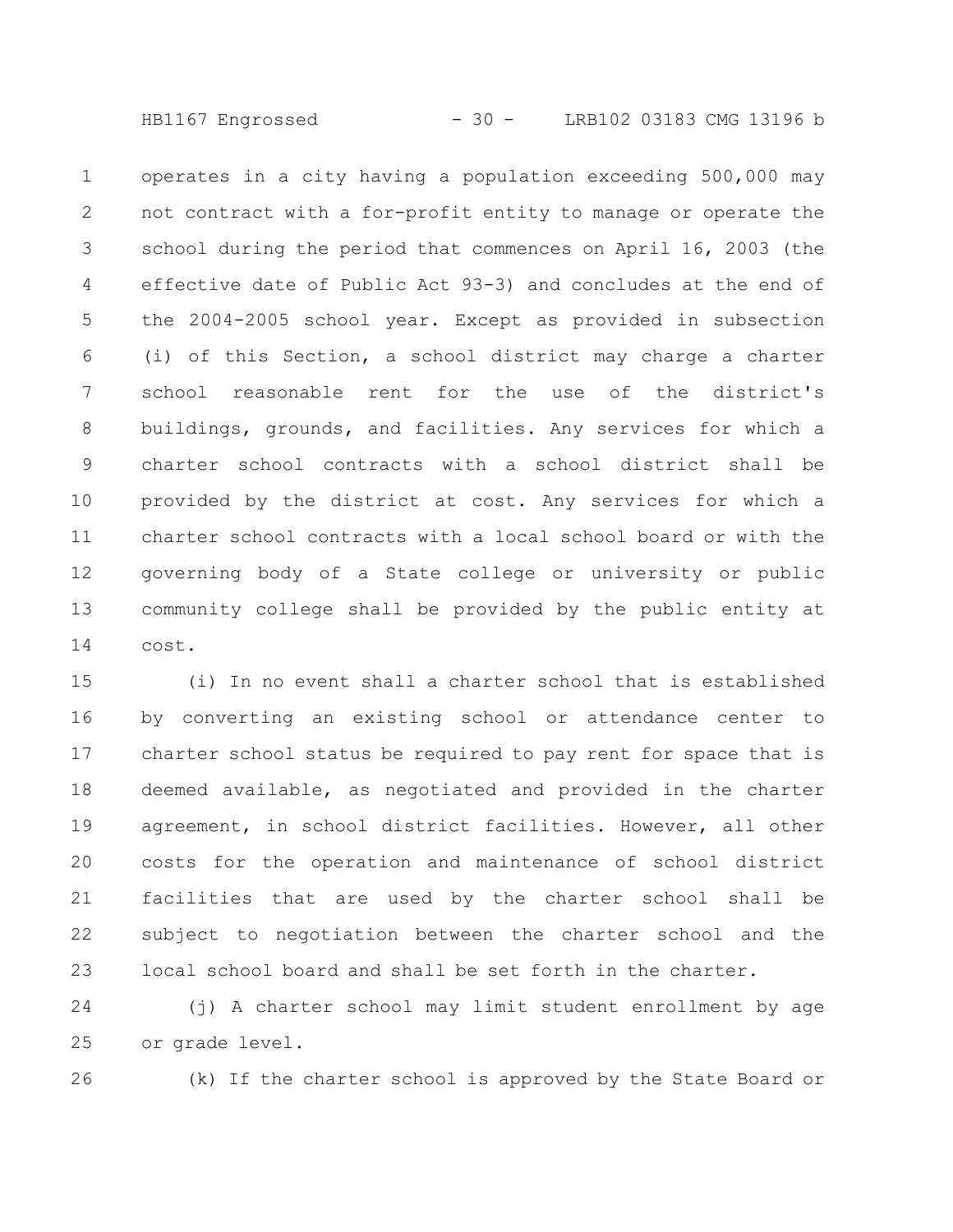HB1167 Engrossed - 30 - LRB102 03183 CMG 13196 b

operates in a city having a population exceeding 500,000 may not contract with a for-profit entity to manage or operate the school during the period that commences on April 16, 2003 (the effective date of Public Act 93-3) and concludes at the end of the 2004-2005 school year. Except as provided in subsection (i) of this Section, a school district may charge a charter school reasonable rent for the use of the district's buildings, grounds, and facilities. Any services for which a charter school contracts with a school district shall be provided by the district at cost. Any services for which a charter school contracts with a local school board or with the governing body of a State college or university or public community college shall be provided by the public entity at cost. 1 2 3 4 5 6 7 8 9 10 11 12 13 14

(i) In no event shall a charter school that is established by converting an existing school or attendance center to charter school status be required to pay rent for space that is deemed available, as negotiated and provided in the charter agreement, in school district facilities. However, all other costs for the operation and maintenance of school district facilities that are used by the charter school shall be subject to negotiation between the charter school and the local school board and shall be set forth in the charter. 15 16 17 18 19 20 21 22 23

(j) A charter school may limit student enrollment by age or grade level. 24 25

26

(k) If the charter school is approved by the State Board or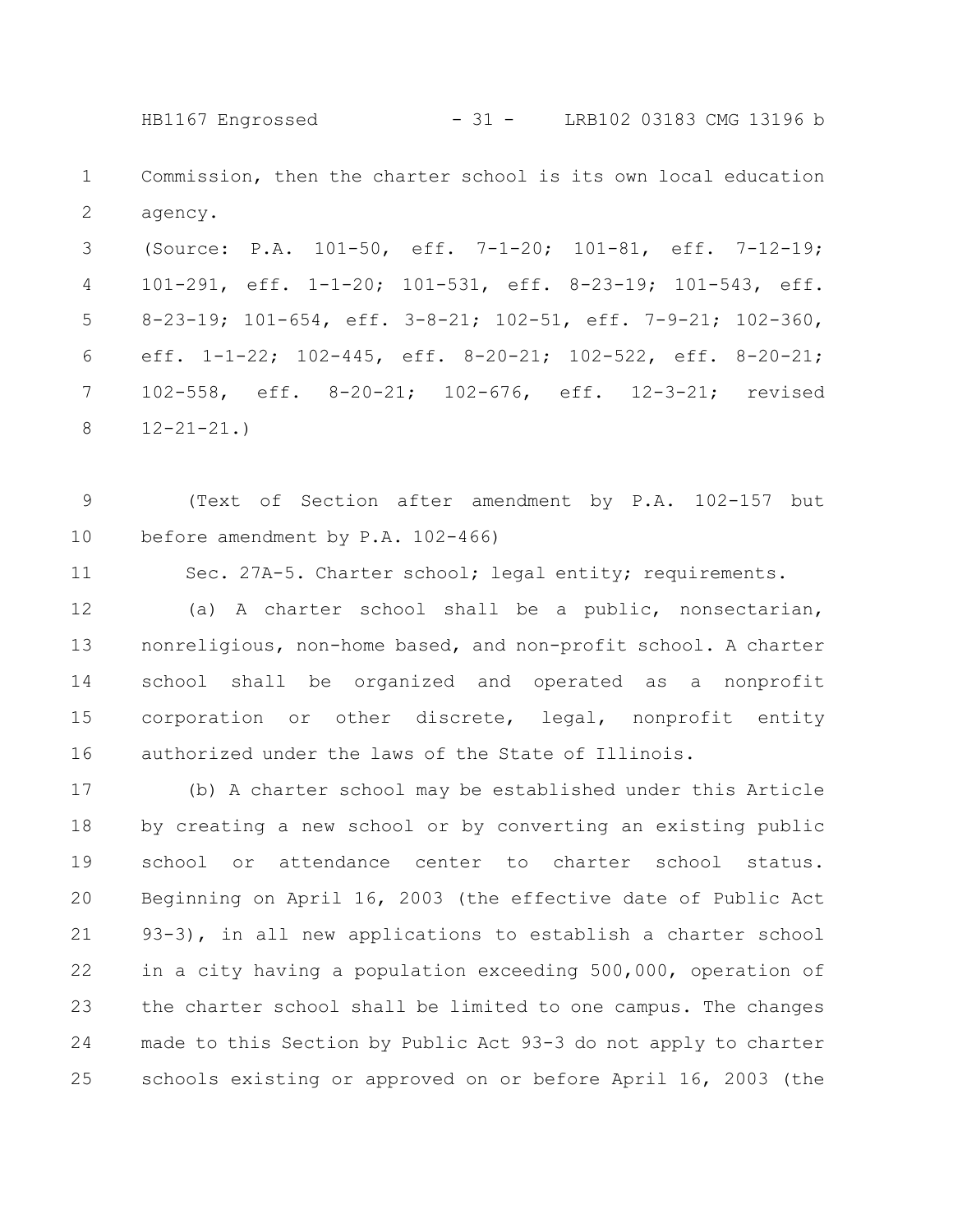Commission, then the charter school is its own local education agency. 1 2

HB1167 Engrossed - 31 - LRB102 03183 CMG 13196 b

(Source: P.A. 101-50, eff. 7-1-20; 101-81, eff. 7-12-19; 101-291, eff. 1-1-20; 101-531, eff. 8-23-19; 101-543, eff. 8-23-19; 101-654, eff. 3-8-21; 102-51, eff. 7-9-21; 102-360, eff. 1-1-22; 102-445, eff. 8-20-21; 102-522, eff. 8-20-21; 102-558, eff. 8-20-21; 102-676, eff. 12-3-21; revised  $12 - 21 - 21.$ 3 4 5 6 7 8

(Text of Section after amendment by P.A. 102-157 but before amendment by P.A. 102-466) 9 10

Sec. 27A-5. Charter school; legal entity; requirements. 11

(a) A charter school shall be a public, nonsectarian, nonreligious, non-home based, and non-profit school. A charter school shall be organized and operated as a nonprofit corporation or other discrete, legal, nonprofit entity authorized under the laws of the State of Illinois. 12 13 14 15 16

(b) A charter school may be established under this Article by creating a new school or by converting an existing public school or attendance center to charter school status. Beginning on April 16, 2003 (the effective date of Public Act 93-3), in all new applications to establish a charter school in a city having a population exceeding 500,000, operation of the charter school shall be limited to one campus. The changes made to this Section by Public Act 93-3 do not apply to charter schools existing or approved on or before April 16, 2003 (the 17 18 19 20 21 22 23 24 25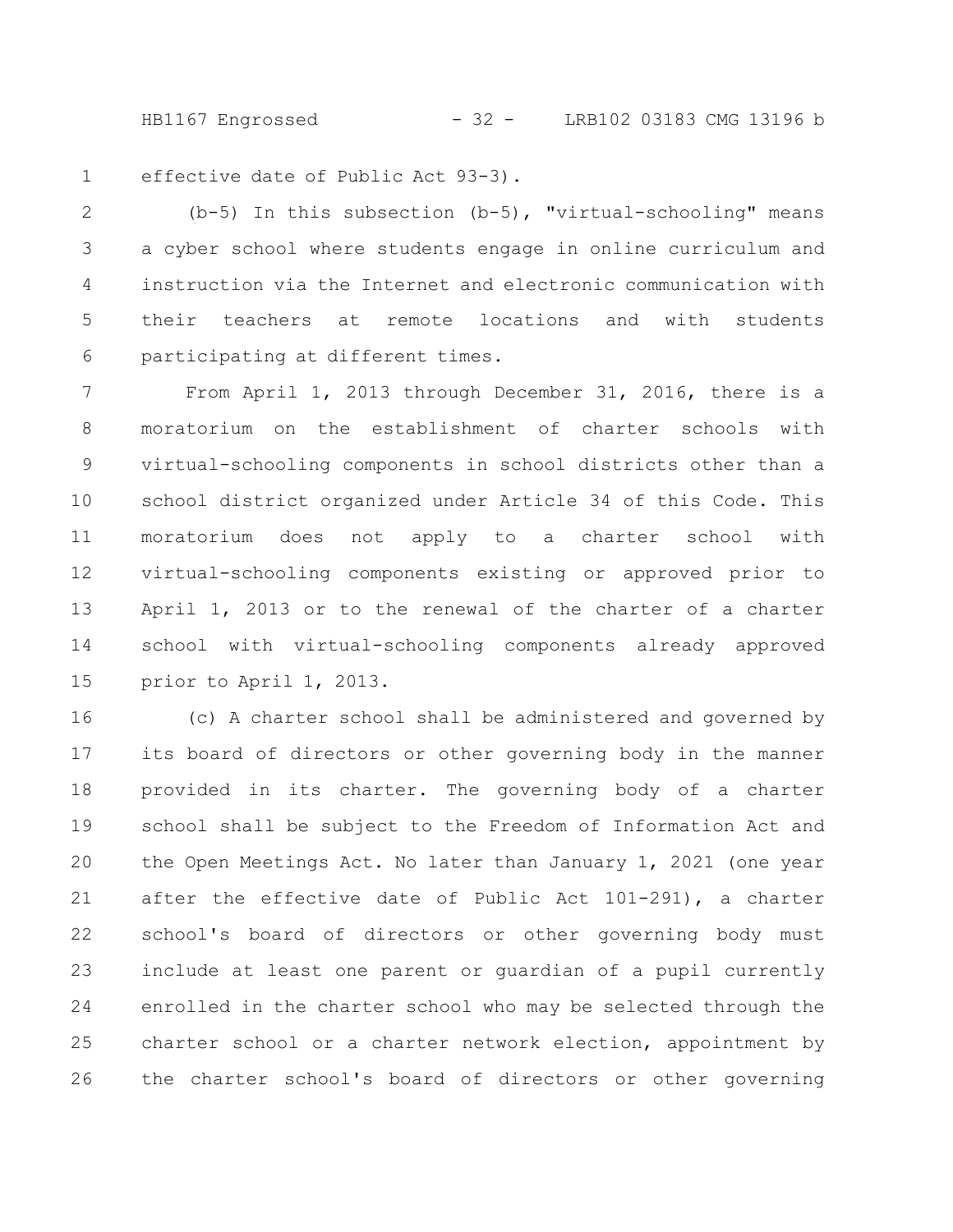HB1167 Engrossed - 32 - LRB102 03183 CMG 13196 b

effective date of Public Act 93-3). 1

(b-5) In this subsection (b-5), "virtual-schooling" means a cyber school where students engage in online curriculum and instruction via the Internet and electronic communication with their teachers at remote locations and with students participating at different times. 2 3 4 5 6

From April 1, 2013 through December 31, 2016, there is a moratorium on the establishment of charter schools with virtual-schooling components in school districts other than a school district organized under Article 34 of this Code. This moratorium does not apply to a charter school with virtual-schooling components existing or approved prior to April 1, 2013 or to the renewal of the charter of a charter school with virtual-schooling components already approved prior to April 1, 2013. 7 8 9 10 11 12 13 14 15

(c) A charter school shall be administered and governed by its board of directors or other governing body in the manner provided in its charter. The governing body of a charter school shall be subject to the Freedom of Information Act and the Open Meetings Act. No later than January 1, 2021 (one year after the effective date of Public Act 101-291), a charter school's board of directors or other governing body must include at least one parent or guardian of a pupil currently enrolled in the charter school who may be selected through the charter school or a charter network election, appointment by the charter school's board of directors or other governing 16 17 18 19 20 21 22 23 24 25 26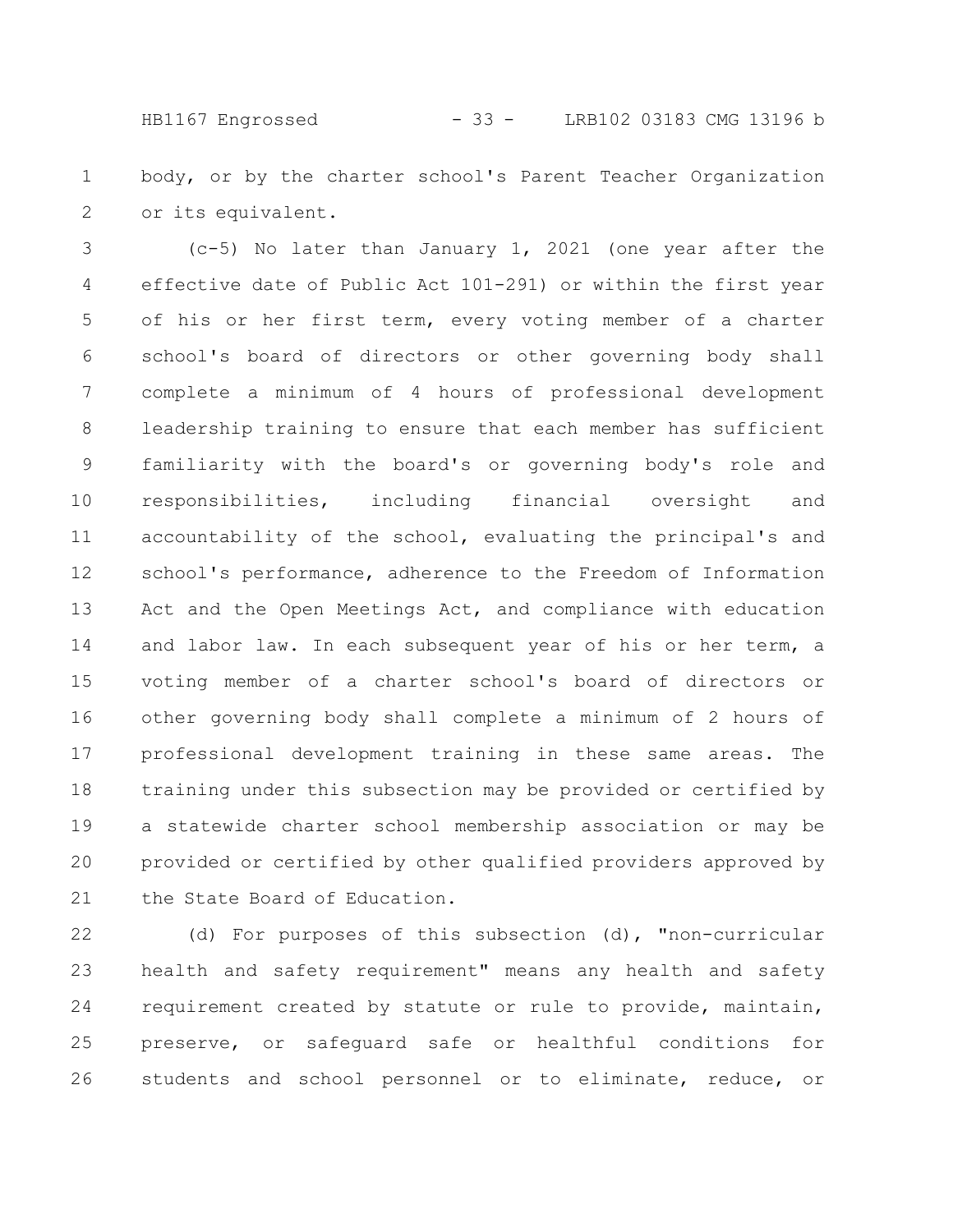HB1167 Engrossed - 33 - LRB102 03183 CMG 13196 b

body, or by the charter school's Parent Teacher Organization or its equivalent. 1 2

(c-5) No later than January 1, 2021 (one year after the effective date of Public Act 101-291) or within the first year of his or her first term, every voting member of a charter school's board of directors or other governing body shall complete a minimum of 4 hours of professional development leadership training to ensure that each member has sufficient familiarity with the board's or governing body's role and responsibilities, including financial oversight and accountability of the school, evaluating the principal's and school's performance, adherence to the Freedom of Information Act and the Open Meetings Act, and compliance with education and labor law. In each subsequent year of his or her term, a voting member of a charter school's board of directors or other governing body shall complete a minimum of 2 hours of professional development training in these same areas. The training under this subsection may be provided or certified by a statewide charter school membership association or may be provided or certified by other qualified providers approved by the State Board of Education. 3 4 5 6 7 8 9 10 11 12 13 14 15 16 17 18 19 20 21

(d) For purposes of this subsection (d), "non-curricular health and safety requirement" means any health and safety requirement created by statute or rule to provide, maintain, preserve, or safeguard safe or healthful conditions for students and school personnel or to eliminate, reduce, or 22 23 24 25 26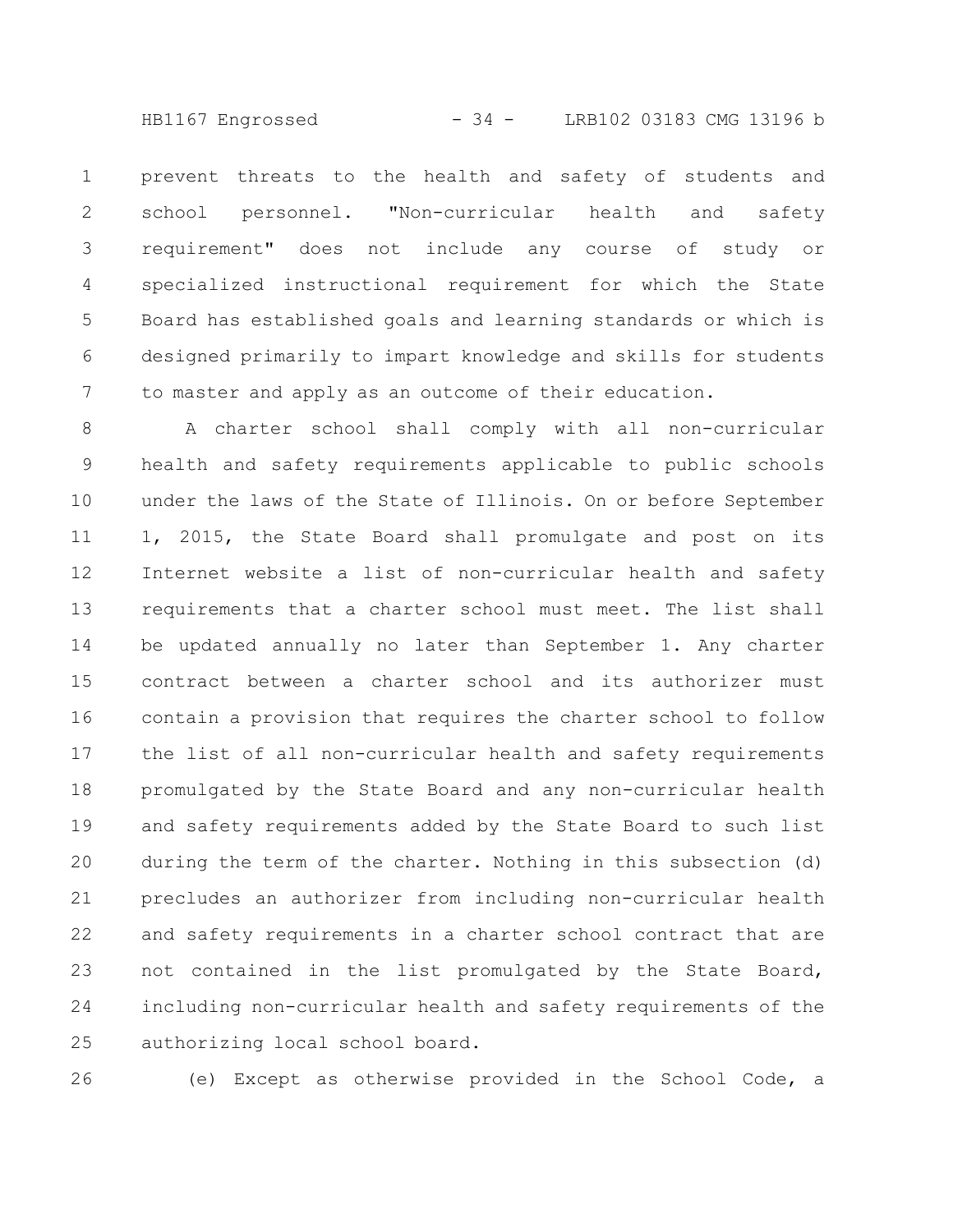HB1167 Engrossed - 34 - LRB102 03183 CMG 13196 b

prevent threats to the health and safety of students and school personnel. "Non-curricular health and safety requirement" does not include any course of study or specialized instructional requirement for which the State Board has established goals and learning standards or which is designed primarily to impart knowledge and skills for students to master and apply as an outcome of their education. 1 2 3 4 5 6 7

A charter school shall comply with all non-curricular health and safety requirements applicable to public schools under the laws of the State of Illinois. On or before September 1, 2015, the State Board shall promulgate and post on its Internet website a list of non-curricular health and safety requirements that a charter school must meet. The list shall be updated annually no later than September 1. Any charter contract between a charter school and its authorizer must contain a provision that requires the charter school to follow the list of all non-curricular health and safety requirements promulgated by the State Board and any non-curricular health and safety requirements added by the State Board to such list during the term of the charter. Nothing in this subsection (d) precludes an authorizer from including non-curricular health and safety requirements in a charter school contract that are not contained in the list promulgated by the State Board, including non-curricular health and safety requirements of the authorizing local school board. 8 9 10 11 12 13 14 15 16 17 18 19 20 21 22 23 24 25

26

(e) Except as otherwise provided in the School Code, a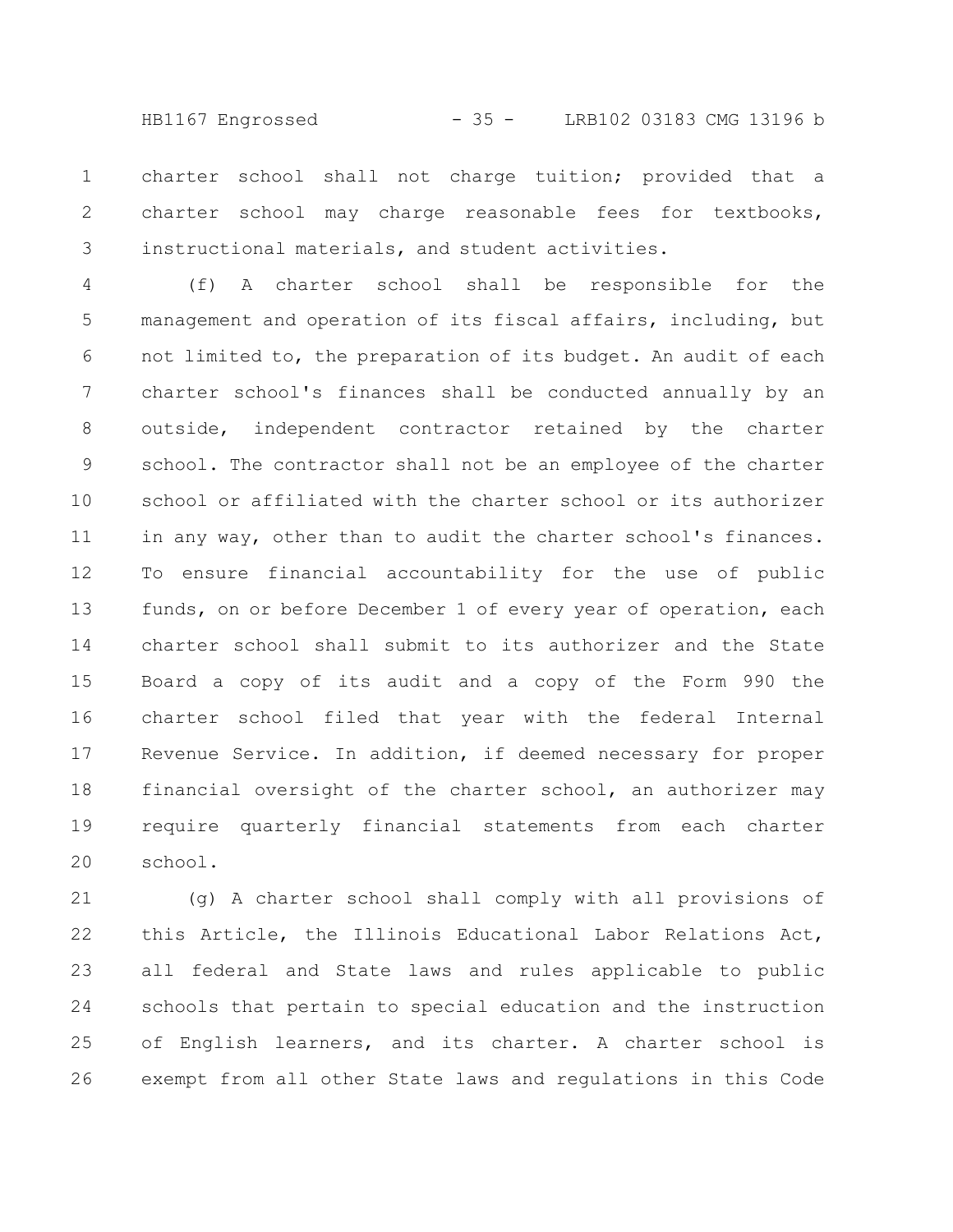HB1167 Engrossed - 35 - LRB102 03183 CMG 13196 b

charter school shall not charge tuition; provided that a charter school may charge reasonable fees for textbooks, instructional materials, and student activities. 1 2 3

(f) A charter school shall be responsible for the management and operation of its fiscal affairs, including, but not limited to, the preparation of its budget. An audit of each charter school's finances shall be conducted annually by an outside, independent contractor retained by the charter school. The contractor shall not be an employee of the charter school or affiliated with the charter school or its authorizer in any way, other than to audit the charter school's finances. To ensure financial accountability for the use of public funds, on or before December 1 of every year of operation, each charter school shall submit to its authorizer and the State Board a copy of its audit and a copy of the Form 990 the charter school filed that year with the federal Internal Revenue Service. In addition, if deemed necessary for proper financial oversight of the charter school, an authorizer may require quarterly financial statements from each charter school. 4 5 6 7 8 9 10 11 12 13 14 15 16 17 18 19 20

(g) A charter school shall comply with all provisions of this Article, the Illinois Educational Labor Relations Act, all federal and State laws and rules applicable to public schools that pertain to special education and the instruction of English learners, and its charter. A charter school is exempt from all other State laws and regulations in this Code 21 22 23 24 25 26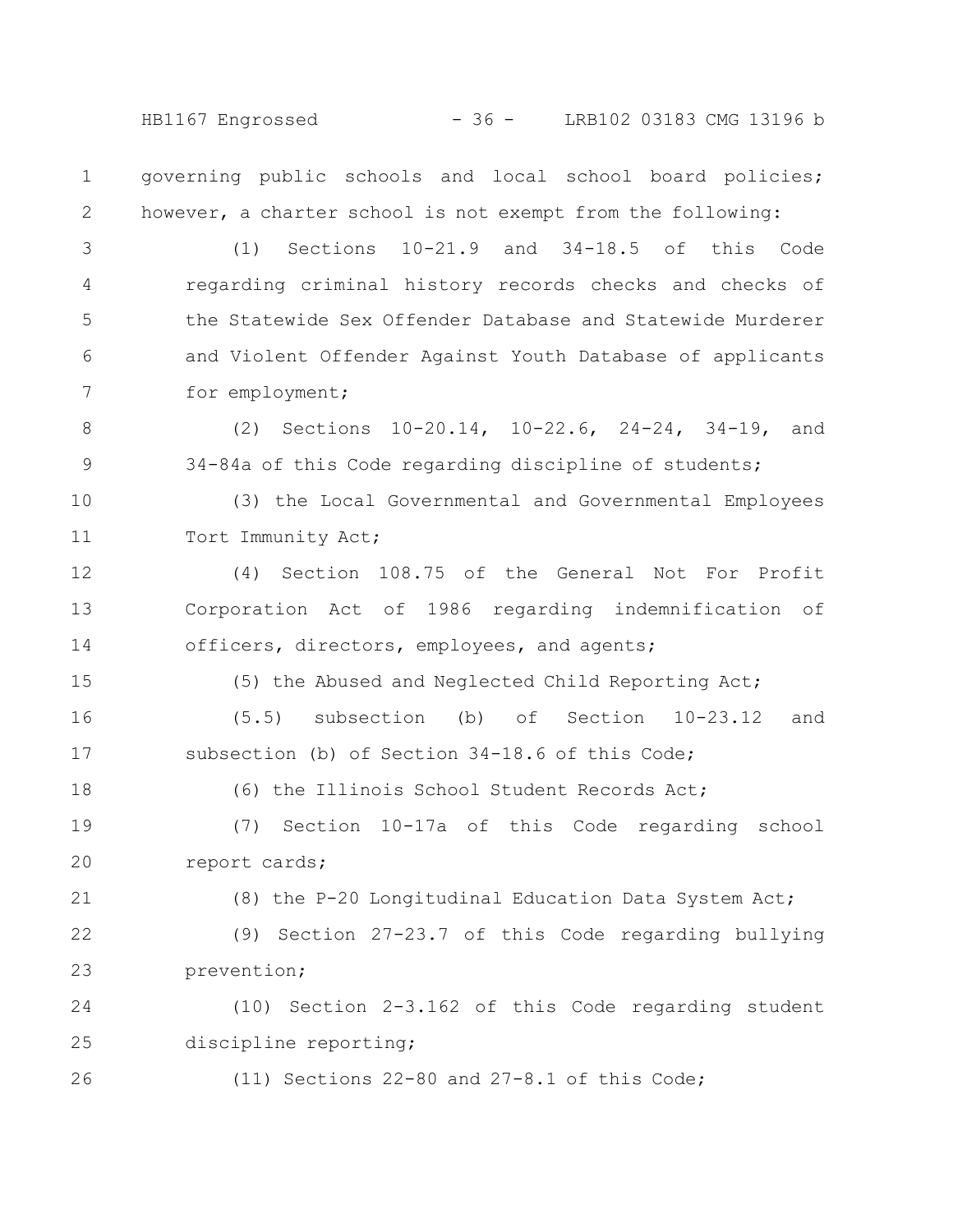HB1167 Engrossed - 36 - LRB102 03183 CMG 13196 b

governing public schools and local school board policies; however, a charter school is not exempt from the following: 1 2

(1) Sections 10-21.9 and 34-18.5 of this Code regarding criminal history records checks and checks of the Statewide Sex Offender Database and Statewide Murderer and Violent Offender Against Youth Database of applicants for employment; 3 4 5 6 7

(2) Sections 10-20.14, 10-22.6, 24-24, 34-19, and 34-84a of this Code regarding discipline of students; 8 9

(3) the Local Governmental and Governmental Employees Tort Immunity Act; 10 11

(4) Section 108.75 of the General Not For Profit Corporation Act of 1986 regarding indemnification of officers, directors, employees, and agents; 12 13 14

(5) the Abused and Neglected Child Reporting Act;

(5.5) subsection (b) of Section 10-23.12 and subsection (b) of Section 34-18.6 of this Code; 16 17

(6) the Illinois School Student Records Act;

(7) Section 10-17a of this Code regarding school report cards; 19 20

(8) the P-20 Longitudinal Education Data System Act; 21

(9) Section 27-23.7 of this Code regarding bullying prevention; 22 23

(10) Section 2-3.162 of this Code regarding student discipline reporting; 24 25

26

15

18

(11) Sections 22-80 and 27-8.1 of this Code;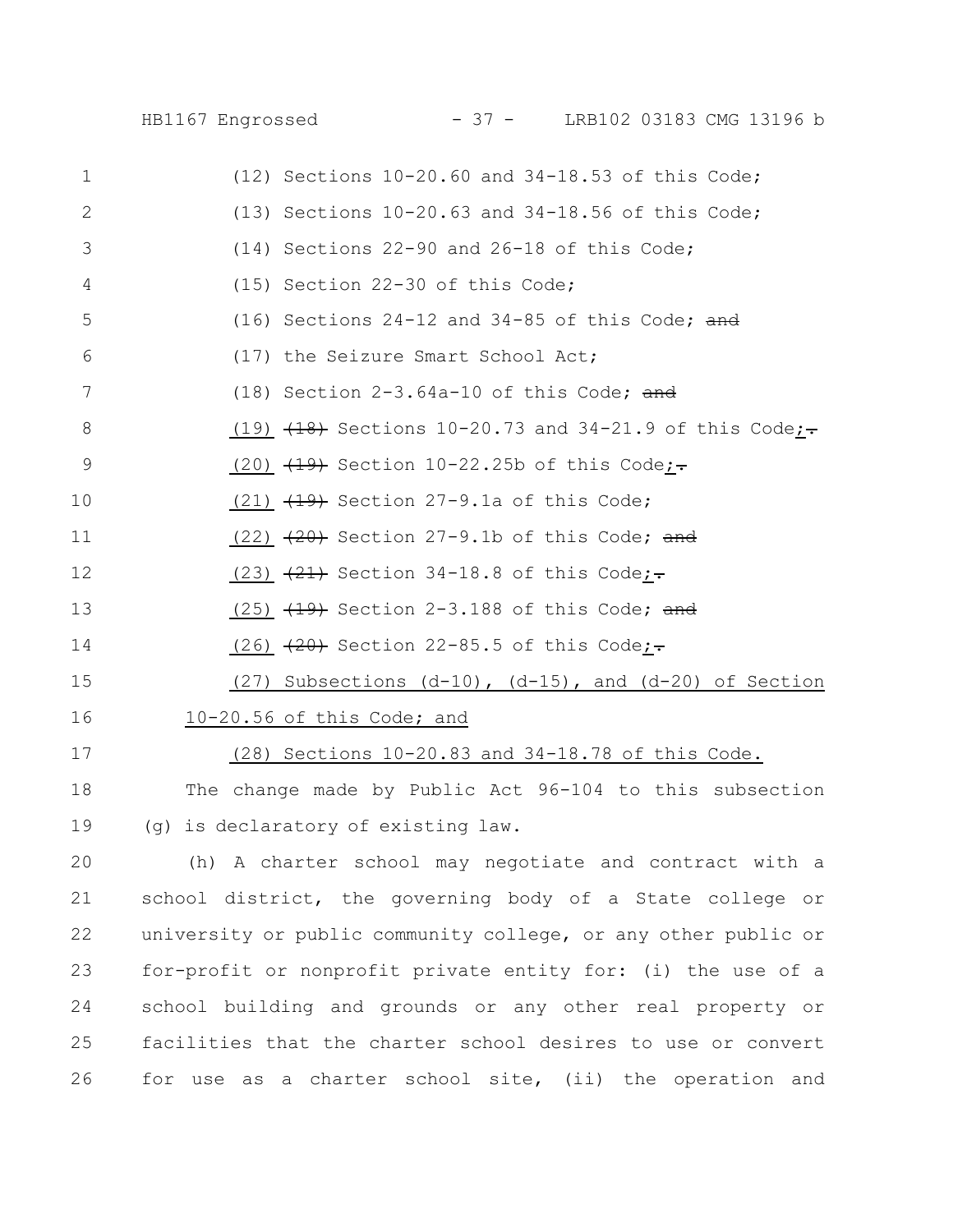| $\mathbf{1}$ | (12) Sections 10-20.60 and 34-18.53 of this Code;                    |
|--------------|----------------------------------------------------------------------|
| $\mathbf{2}$ | (13) Sections $10-20.63$ and $34-18.56$ of this Code;                |
| 3            | $(14)$ Sections 22-90 and 26-18 of this Code;                        |
| 4            | (15) Section 22-30 of this Code;                                     |
| 5            | (16) Sections $24-12$ and $34-85$ of this Code; and                  |
| 6            | (17) the Seizure Smart School Act;                                   |
| 7            | (18) Section $2-3.64a-10$ of this Code; and                          |
| 8            | $(19)$ $(18)$ Sections 10-20.73 and 34-21.9 of this Code;-           |
| $\mathsf 9$  | $(20)$ $(19)$ Section 10-22.25b of this Code;-                       |
| 10           | $(21)$ $(19)$ Section 27-9.1a of this Code;                          |
| 11           | $(22)$ $\left(\frac{20}{2}\right)$ Section 27-9.1b of this Code; and |
| 12           | (23) $\frac{21}{21}$ Section 34-18.8 of this Code;                   |
| 13           | $(25)$ $\overline{+19}$ Section 2-3.188 of this Code; and            |
| 14           | $(26)$ $(20)$ Section 22-85.5 of this Code;-                         |
| 15           | $(27)$ Subsections $(d-10)$ , $(d-15)$ , and $(d-20)$ of Section     |
| 16           | 10-20.56 of this Code; and                                           |
| 17           | (28) Sections 10-20.83 and 34-18.78 of this Code.                    |
| 18           | The change made by Public Act 96-104 to this subsection              |
| 19           | (g) is declaratory of existing law.                                  |
| 20           | (h) A charter school may negotiate and contract with a               |

school district, the governing body of a State college or university or public community college, or any other public or for-profit or nonprofit private entity for: (i) the use of a school building and grounds or any other real property or facilities that the charter school desires to use or convert for use as a charter school site, (ii) the operation and 21 22 23 24 25 26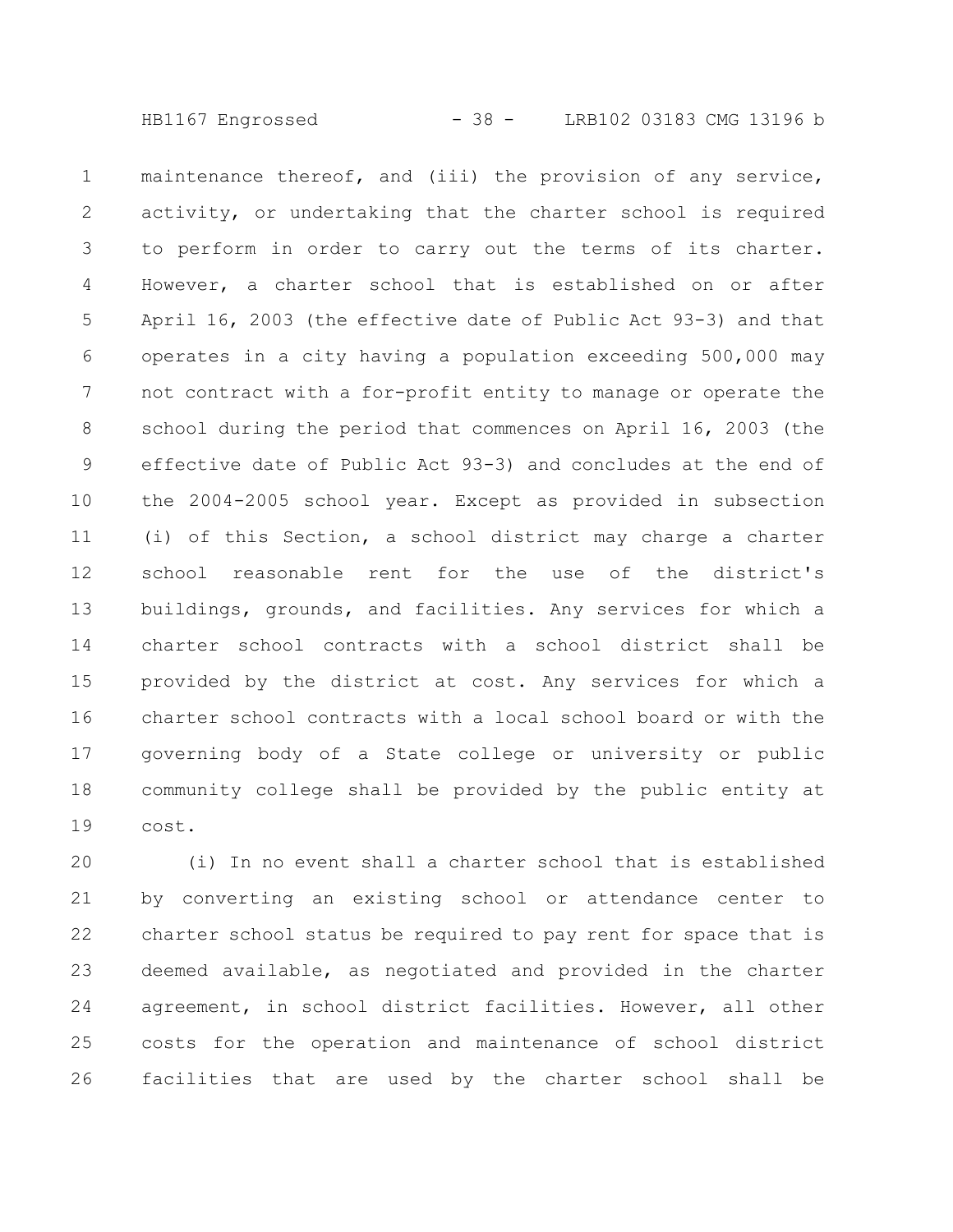maintenance thereof, and (iii) the provision of any service, activity, or undertaking that the charter school is required to perform in order to carry out the terms of its charter. However, a charter school that is established on or after April 16, 2003 (the effective date of Public Act 93-3) and that operates in a city having a population exceeding 500,000 may not contract with a for-profit entity to manage or operate the school during the period that commences on April 16, 2003 (the effective date of Public Act 93-3) and concludes at the end of the 2004-2005 school year. Except as provided in subsection (i) of this Section, a school district may charge a charter school reasonable rent for the use of the district's buildings, grounds, and facilities. Any services for which a charter school contracts with a school district shall be provided by the district at cost. Any services for which a charter school contracts with a local school board or with the governing body of a State college or university or public community college shall be provided by the public entity at cost. 1 2 3 4 5 6 7 8 9 10 11 12 13 14 15 16 17 18 19

(i) In no event shall a charter school that is established by converting an existing school or attendance center to charter school status be required to pay rent for space that is deemed available, as negotiated and provided in the charter agreement, in school district facilities. However, all other costs for the operation and maintenance of school district facilities that are used by the charter school shall be 20 21 22 23 24 25 26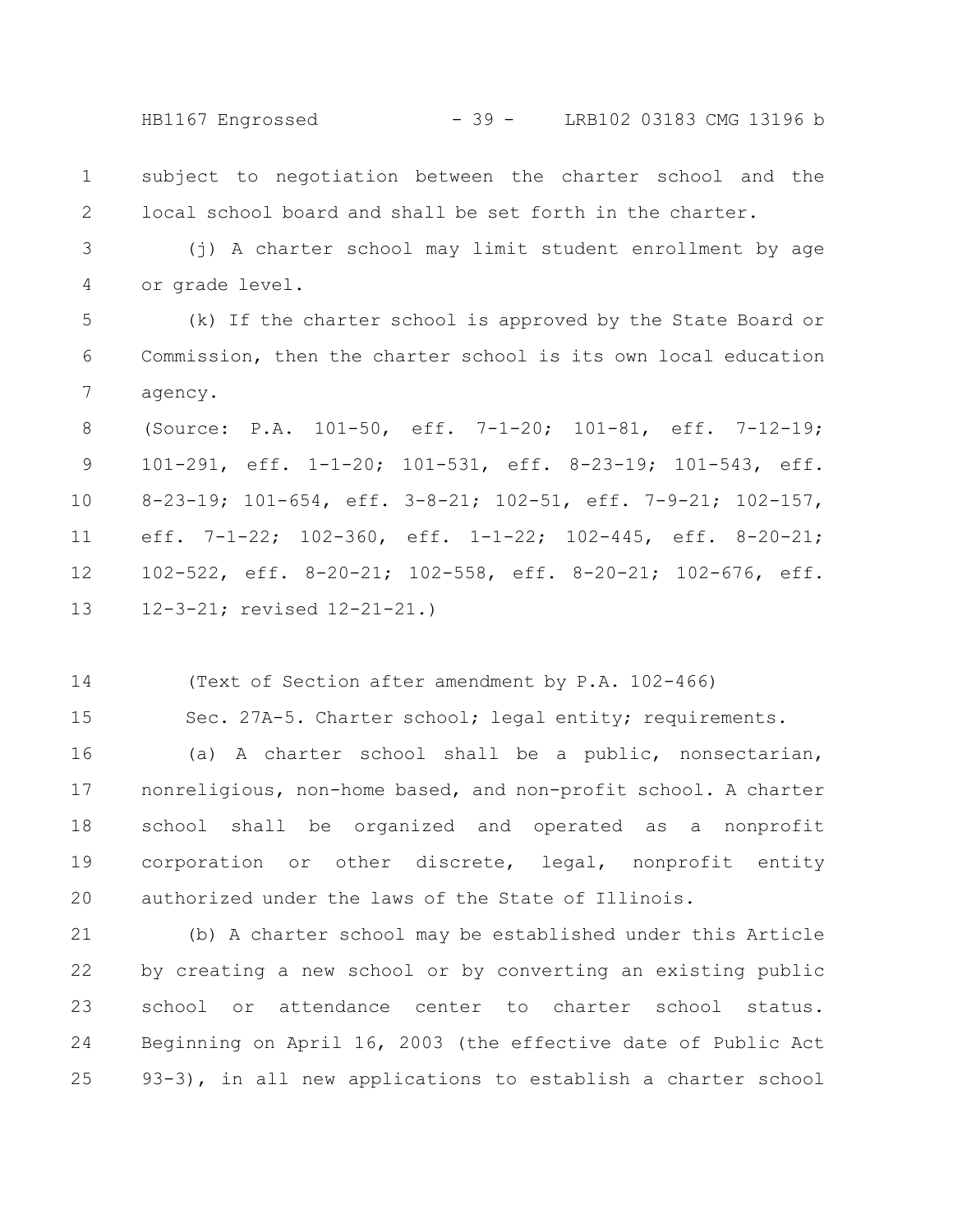HB1167 Engrossed - 39 - LRB102 03183 CMG 13196 b

subject to negotiation between the charter school and the local school board and shall be set forth in the charter. 1 2

(j) A charter school may limit student enrollment by age or grade level. 3 4

(k) If the charter school is approved by the State Board or Commission, then the charter school is its own local education agency. 5 6 7

(Source: P.A. 101-50, eff. 7-1-20; 101-81, eff. 7-12-19; 101-291, eff. 1-1-20; 101-531, eff. 8-23-19; 101-543, eff. 8-23-19; 101-654, eff. 3-8-21; 102-51, eff. 7-9-21; 102-157, eff. 7-1-22; 102-360, eff. 1-1-22; 102-445, eff. 8-20-21; 102-522, eff. 8-20-21; 102-558, eff. 8-20-21; 102-676, eff. 12-3-21; revised 12-21-21.) 8 9 10 11 12 13

(Text of Section after amendment by P.A. 102-466) 14

15

Sec. 27A-5. Charter school; legal entity; requirements.

(a) A charter school shall be a public, nonsectarian, nonreligious, non-home based, and non-profit school. A charter school shall be organized and operated as a nonprofit corporation or other discrete, legal, nonprofit entity authorized under the laws of the State of Illinois. 16 17 18 19 20

(b) A charter school may be established under this Article by creating a new school or by converting an existing public school or attendance center to charter school status. Beginning on April 16, 2003 (the effective date of Public Act 93-3), in all new applications to establish a charter school 21 22 23 24 25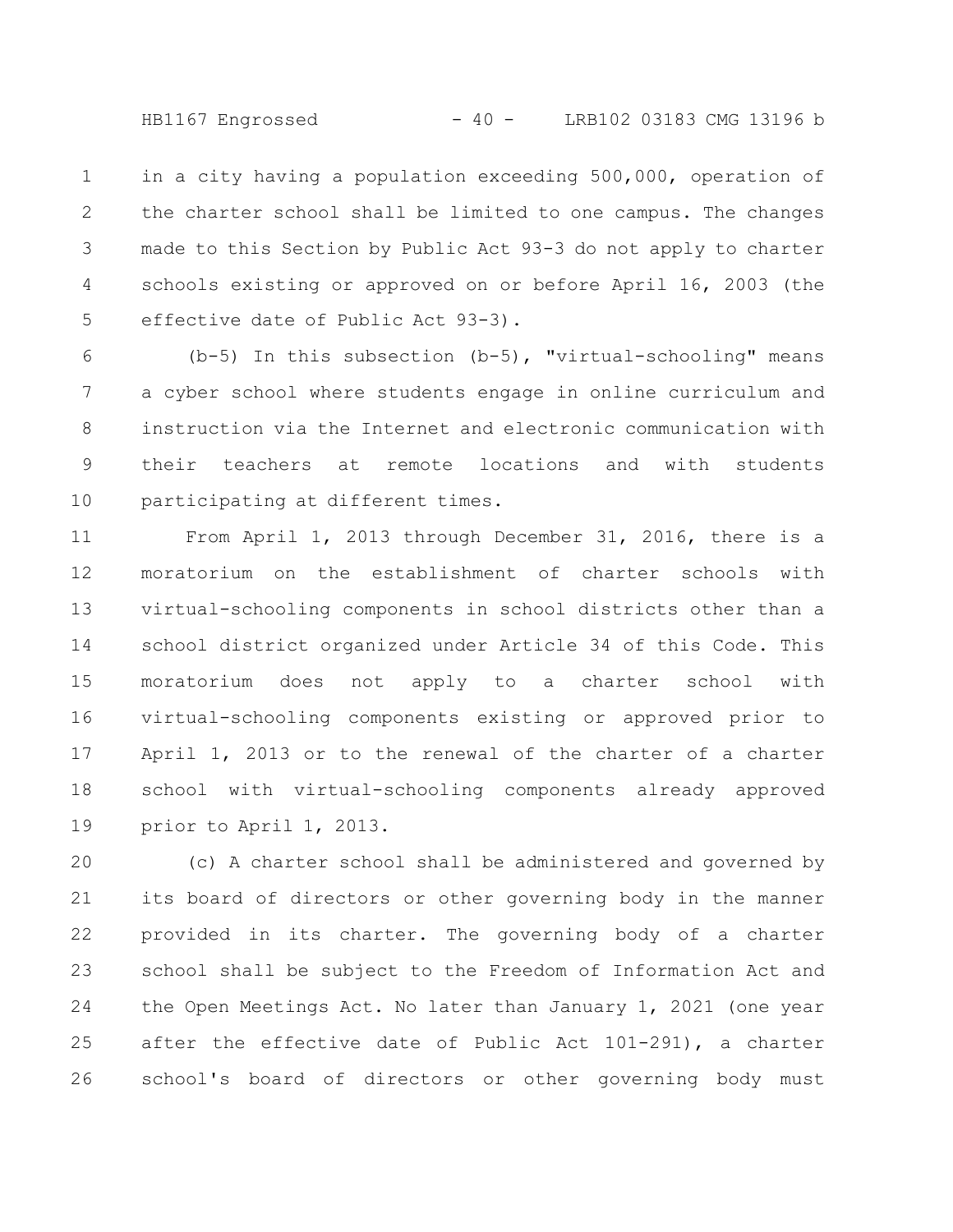HB1167 Engrossed - 40 - LRB102 03183 CMG 13196 b

in a city having a population exceeding 500,000, operation of the charter school shall be limited to one campus. The changes made to this Section by Public Act 93-3 do not apply to charter schools existing or approved on or before April 16, 2003 (the effective date of Public Act 93-3). 1 2 3 4 5

(b-5) In this subsection (b-5), "virtual-schooling" means a cyber school where students engage in online curriculum and instruction via the Internet and electronic communication with their teachers at remote locations and with students participating at different times. 6 7 8 9 10

From April 1, 2013 through December 31, 2016, there is a moratorium on the establishment of charter schools with virtual-schooling components in school districts other than a school district organized under Article 34 of this Code. This moratorium does not apply to a charter school with virtual-schooling components existing or approved prior to April 1, 2013 or to the renewal of the charter of a charter school with virtual-schooling components already approved prior to April 1, 2013. 11 12 13 14 15 16 17 18 19

(c) A charter school shall be administered and governed by its board of directors or other governing body in the manner provided in its charter. The governing body of a charter school shall be subject to the Freedom of Information Act and the Open Meetings Act. No later than January 1, 2021 (one year after the effective date of Public Act 101-291), a charter school's board of directors or other governing body must 20 21 22 23 24 25 26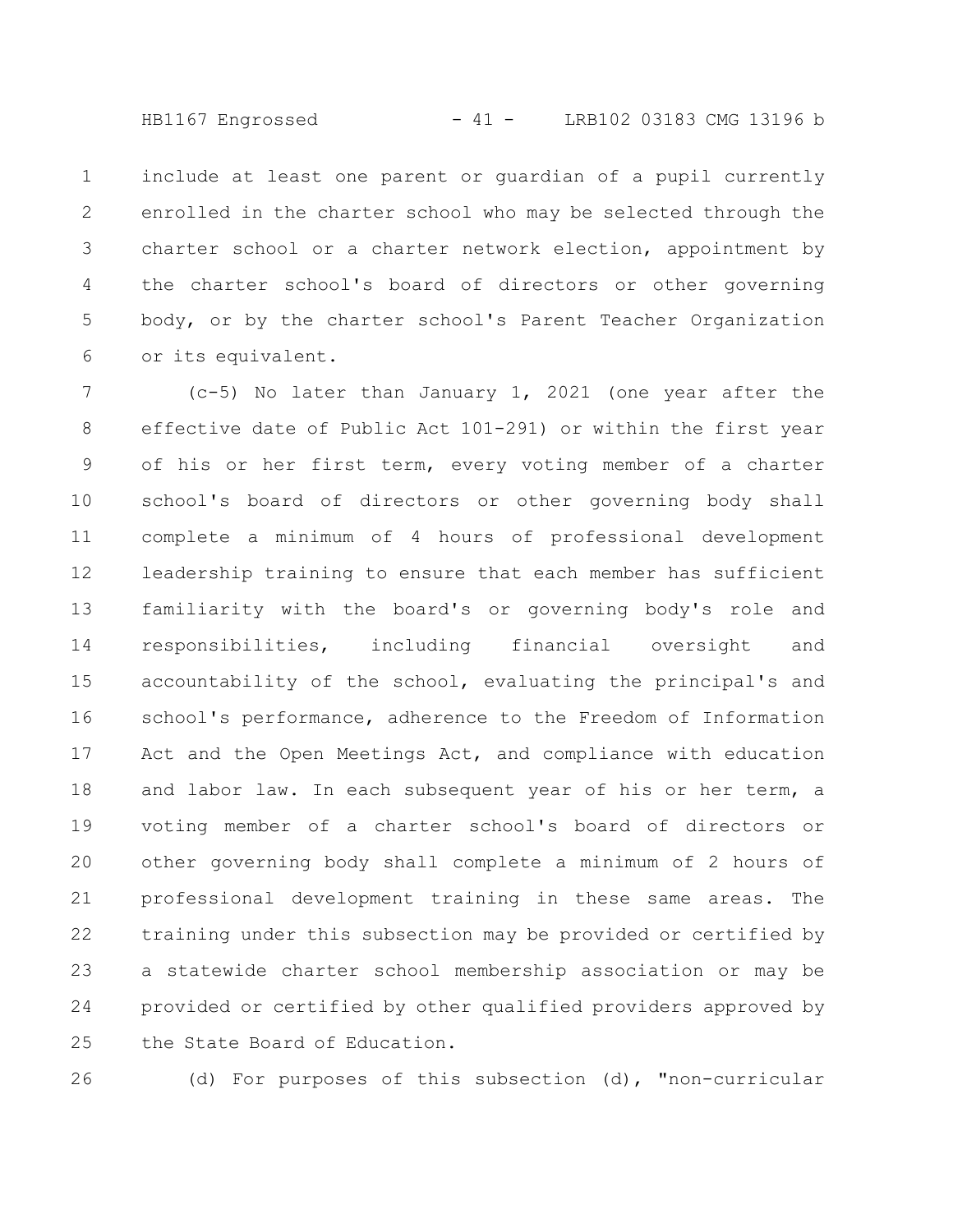HB1167 Engrossed - 41 - LRB102 03183 CMG 13196 b

include at least one parent or guardian of a pupil currently enrolled in the charter school who may be selected through the charter school or a charter network election, appointment by the charter school's board of directors or other governing body, or by the charter school's Parent Teacher Organization or its equivalent. 1 2 3 4 5 6

(c-5) No later than January 1, 2021 (one year after the effective date of Public Act 101-291) or within the first year of his or her first term, every voting member of a charter school's board of directors or other governing body shall complete a minimum of 4 hours of professional development leadership training to ensure that each member has sufficient familiarity with the board's or governing body's role and responsibilities, including financial oversight and accountability of the school, evaluating the principal's and school's performance, adherence to the Freedom of Information Act and the Open Meetings Act, and compliance with education and labor law. In each subsequent year of his or her term, a voting member of a charter school's board of directors or other governing body shall complete a minimum of 2 hours of professional development training in these same areas. The training under this subsection may be provided or certified by a statewide charter school membership association or may be provided or certified by other qualified providers approved by the State Board of Education. 7 8 9 10 11 12 13 14 15 16 17 18 19 20 21 22 23 24 25

26

(d) For purposes of this subsection (d), "non-curricular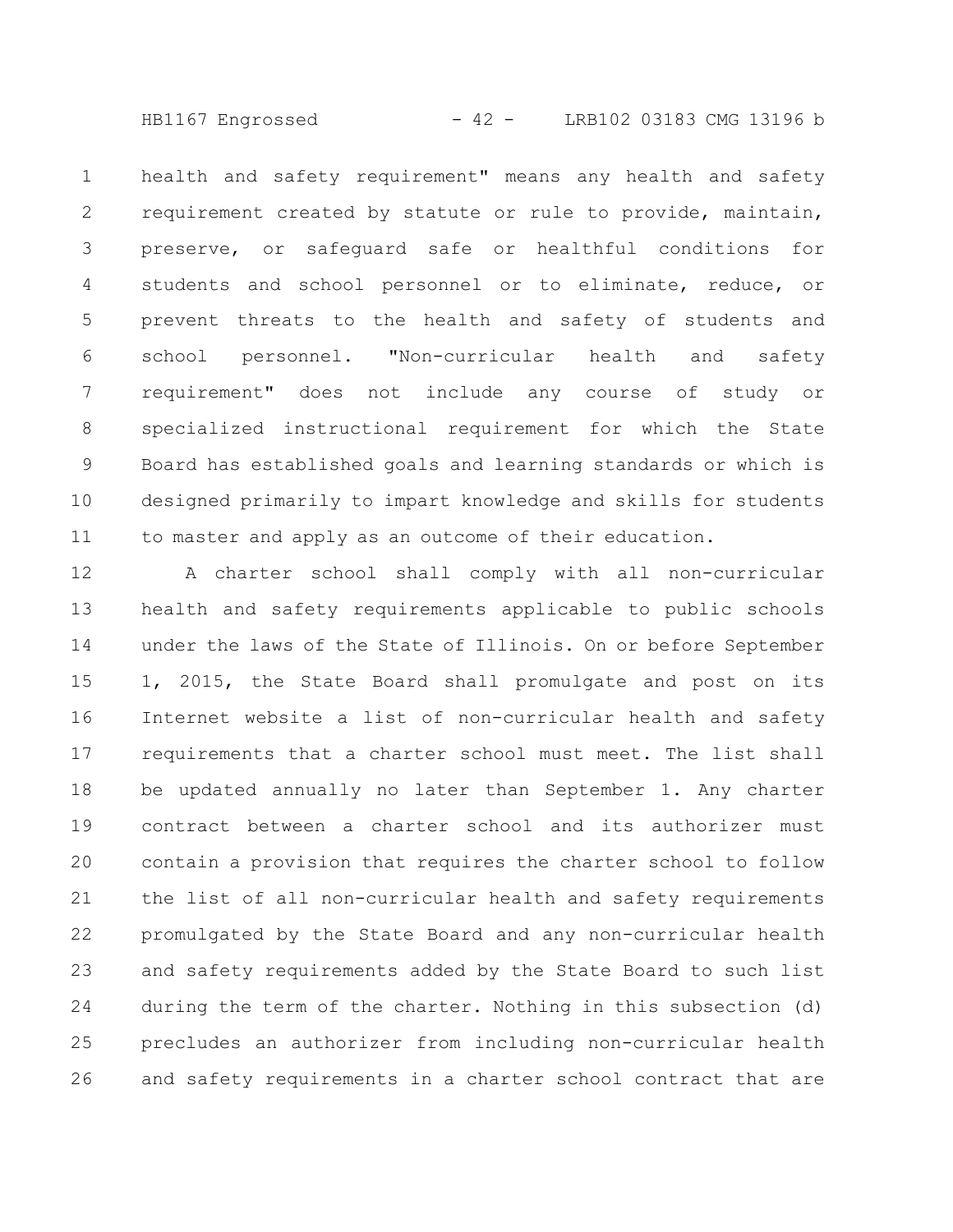HB1167 Engrossed - 42 - LRB102 03183 CMG 13196 b

health and safety requirement" means any health and safety requirement created by statute or rule to provide, maintain, preserve, or safeguard safe or healthful conditions for students and school personnel or to eliminate, reduce, or prevent threats to the health and safety of students and school personnel. "Non-curricular health and safety requirement" does not include any course of study or specialized instructional requirement for which the State Board has established goals and learning standards or which is designed primarily to impart knowledge and skills for students to master and apply as an outcome of their education. 1 2 3 4 5 6 7 8 9 10 11

A charter school shall comply with all non-curricular health and safety requirements applicable to public schools under the laws of the State of Illinois. On or before September 1, 2015, the State Board shall promulgate and post on its Internet website a list of non-curricular health and safety requirements that a charter school must meet. The list shall be updated annually no later than September 1. Any charter contract between a charter school and its authorizer must contain a provision that requires the charter school to follow the list of all non-curricular health and safety requirements promulgated by the State Board and any non-curricular health and safety requirements added by the State Board to such list during the term of the charter. Nothing in this subsection (d) precludes an authorizer from including non-curricular health and safety requirements in a charter school contract that are 12 13 14 15 16 17 18 19 20 21 22 23 24 25 26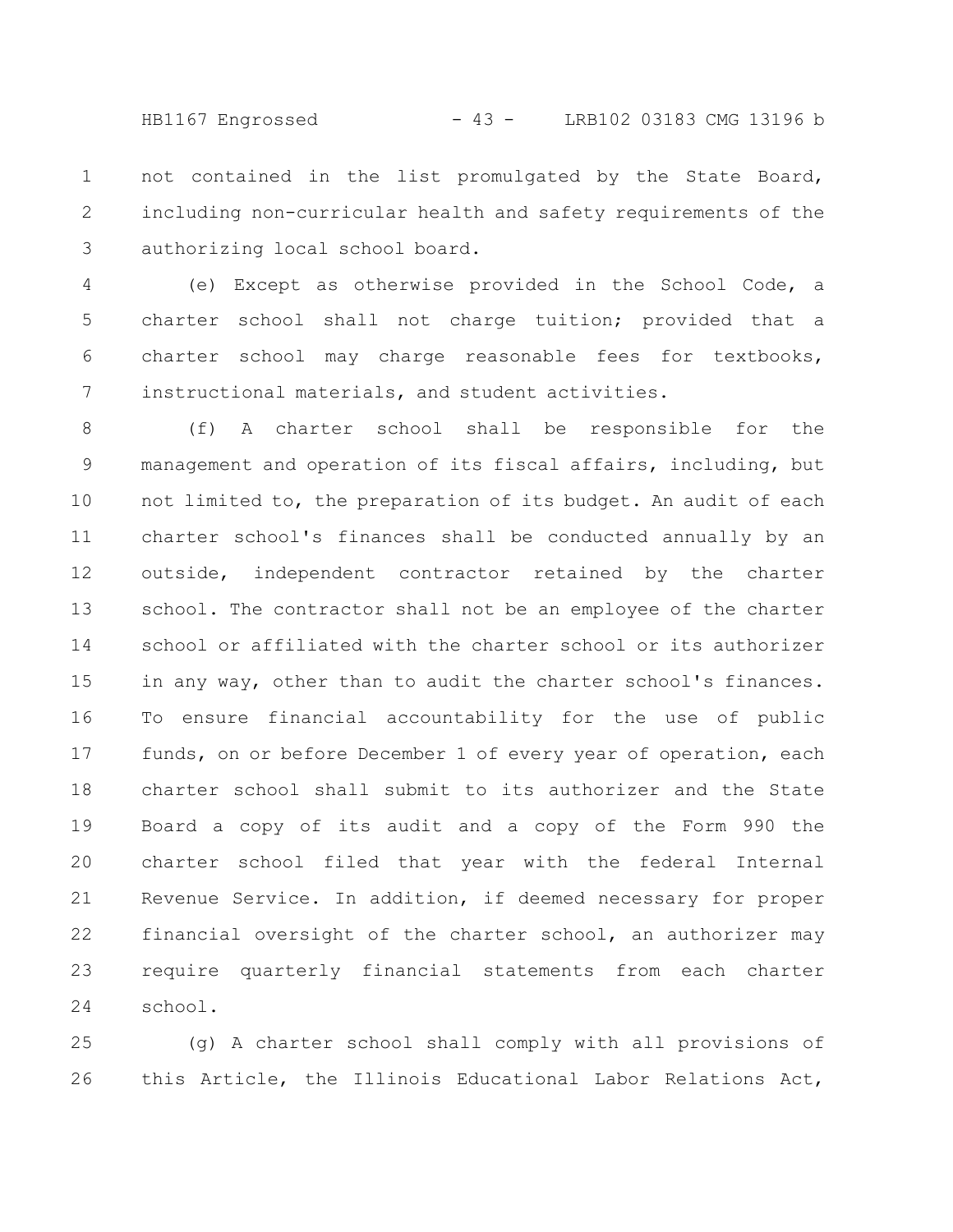HB1167 Engrossed - 43 - LRB102 03183 CMG 13196 b

not contained in the list promulgated by the State Board, including non-curricular health and safety requirements of the authorizing local school board. 1 2 3

(e) Except as otherwise provided in the School Code, a charter school shall not charge tuition; provided that a charter school may charge reasonable fees for textbooks, instructional materials, and student activities. 4 5 6 7

(f) A charter school shall be responsible for the management and operation of its fiscal affairs, including, but not limited to, the preparation of its budget. An audit of each charter school's finances shall be conducted annually by an outside, independent contractor retained by the charter school. The contractor shall not be an employee of the charter school or affiliated with the charter school or its authorizer in any way, other than to audit the charter school's finances. To ensure financial accountability for the use of public funds, on or before December 1 of every year of operation, each charter school shall submit to its authorizer and the State Board a copy of its audit and a copy of the Form 990 the charter school filed that year with the federal Internal Revenue Service. In addition, if deemed necessary for proper financial oversight of the charter school, an authorizer may require quarterly financial statements from each charter school. 8 9 10 11 12 13 14 15 16 17 18 19 20 21 22 23 24

(g) A charter school shall comply with all provisions of this Article, the Illinois Educational Labor Relations Act, 25 26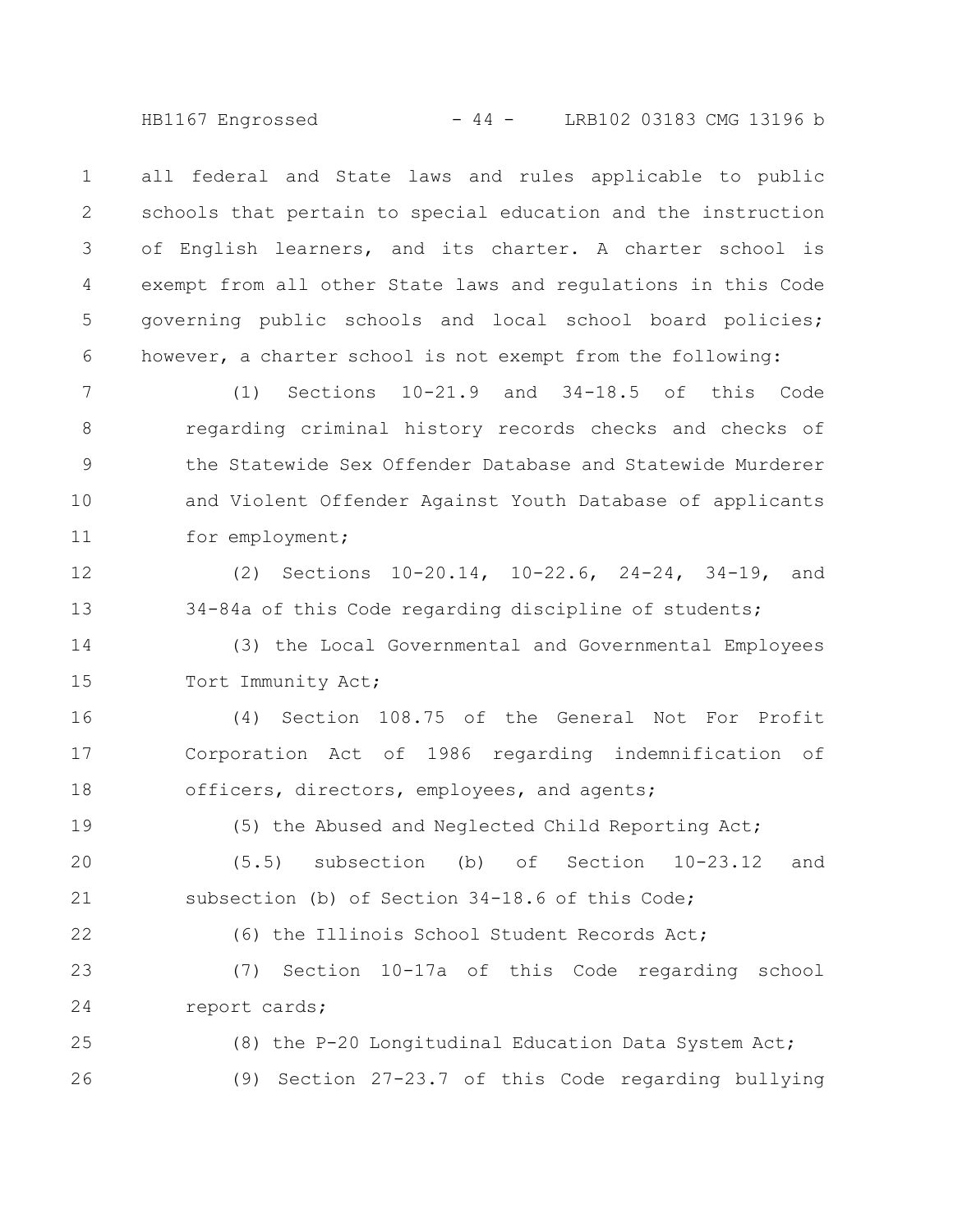HB1167 Engrossed - 44 - LRB102 03183 CMG 13196 b

all federal and State laws and rules applicable to public schools that pertain to special education and the instruction of English learners, and its charter. A charter school is exempt from all other State laws and regulations in this Code governing public schools and local school board policies; however, a charter school is not exempt from the following: 1 2 3 4 5 6

(1) Sections 10-21.9 and 34-18.5 of this Code regarding criminal history records checks and checks of the Statewide Sex Offender Database and Statewide Murderer and Violent Offender Against Youth Database of applicants for employment; 7 8 9 10 11

(2) Sections 10-20.14, 10-22.6, 24-24, 34-19, and 34-84a of this Code regarding discipline of students; 12 13

(3) the Local Governmental and Governmental Employees Tort Immunity Act; 14 15

(4) Section 108.75 of the General Not For Profit Corporation Act of 1986 regarding indemnification of officers, directors, employees, and agents; 16 17 18

(5) the Abused and Neglected Child Reporting Act; (5.5) subsection (b) of Section 10-23.12 and subsection (b) of Section 34-18.6 of this Code; 19 20 21

22

(6) the Illinois School Student Records Act;

(7) Section 10-17a of this Code regarding school report cards; 23 24

(8) the P-20 Longitudinal Education Data System Act; (9) Section 27-23.7 of this Code regarding bullying 25 26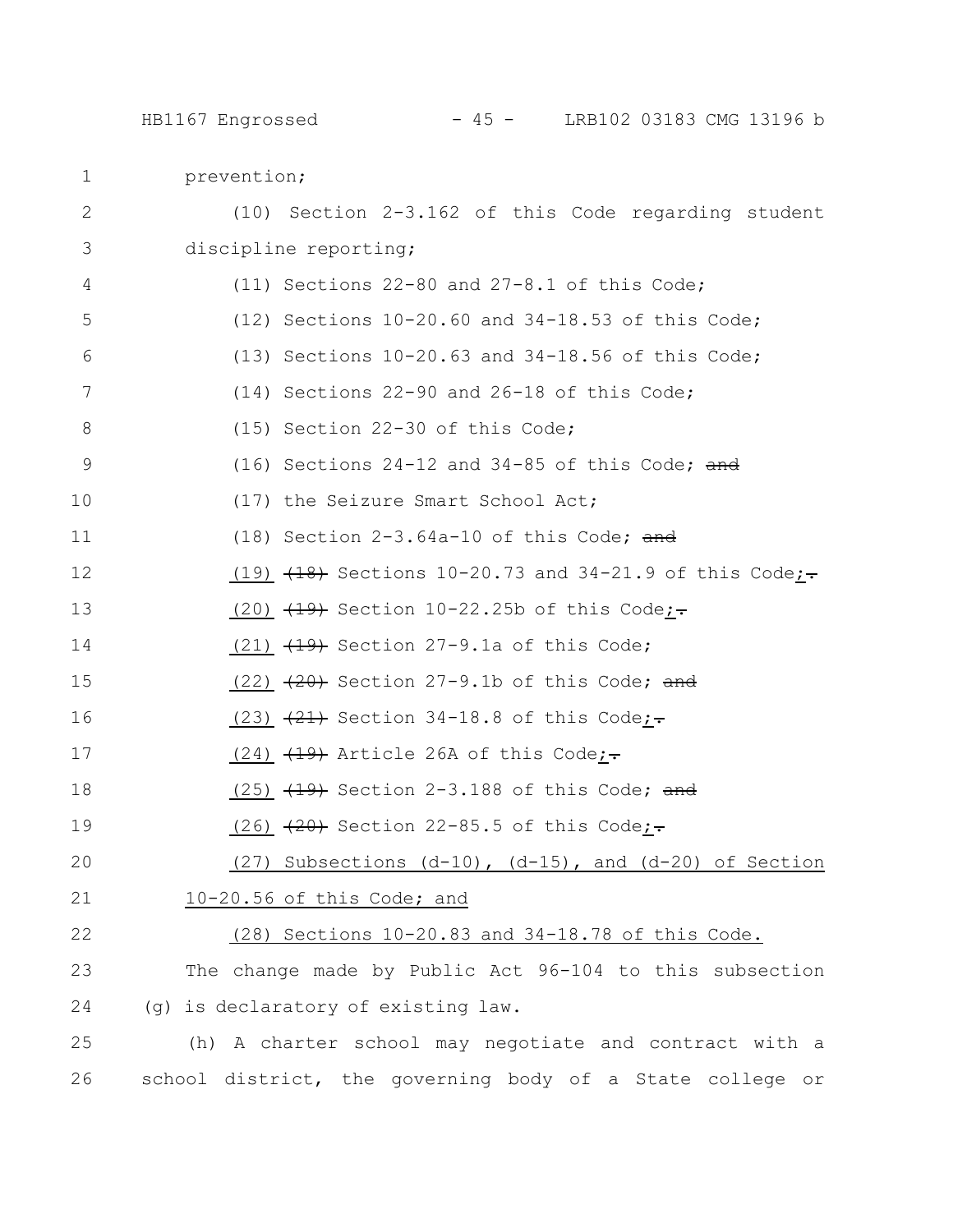HB1167 Engrossed - 45 - LRB102 03183 CMG 13196 b

prevention; (10) Section 2-3.162 of this Code regarding student discipline reporting; (11) Sections 22-80 and 27-8.1 of this Code; (12) Sections 10-20.60 and 34-18.53 of this Code; (13) Sections 10-20.63 and 34-18.56 of this Code; (14) Sections 22-90 and 26-18 of this Code; (15) Section 22-30 of this Code; (16) Sections  $24-12$  and  $34-85$  of this Code; and (17) the Seizure Smart School Act; (18) Section  $2-3.64a-10$  of this Code; and (19)  $(18)$  Sections 10-20.73 and 34-21.9 of this Code;-(20)  $(19)$  Section 10-22.25b of this Code;-(21)  $(19)$  Section 27-9.1a of this Code; (22)  $(22)$  Section 27-9.1b of this Code; and (23)  $(23)$  Section 34-18.8 of this Code;-(24)  $(19)$  Article 26A of this Code;-(25)  $\overline{(19)}$  Section 2-3.188 of this Code; and (26)  $\left( \frac{20}{2} \right)$  Section 22-85.5 of this Code;-(27) Subsections (d-10), (d-15), and (d-20) of Section 10-20.56 of this Code; and (28) Sections 10-20.83 and 34-18.78 of this Code. The change made by Public Act 96-104 to this subsection (g) is declaratory of existing law. (h) A charter school may negotiate and contract with a school district, the governing body of a State college or 1 2 3 4 5 6 7 8 9 10 11 12 13 14 15 16 17 18 19 20 21 22 23 24 25 26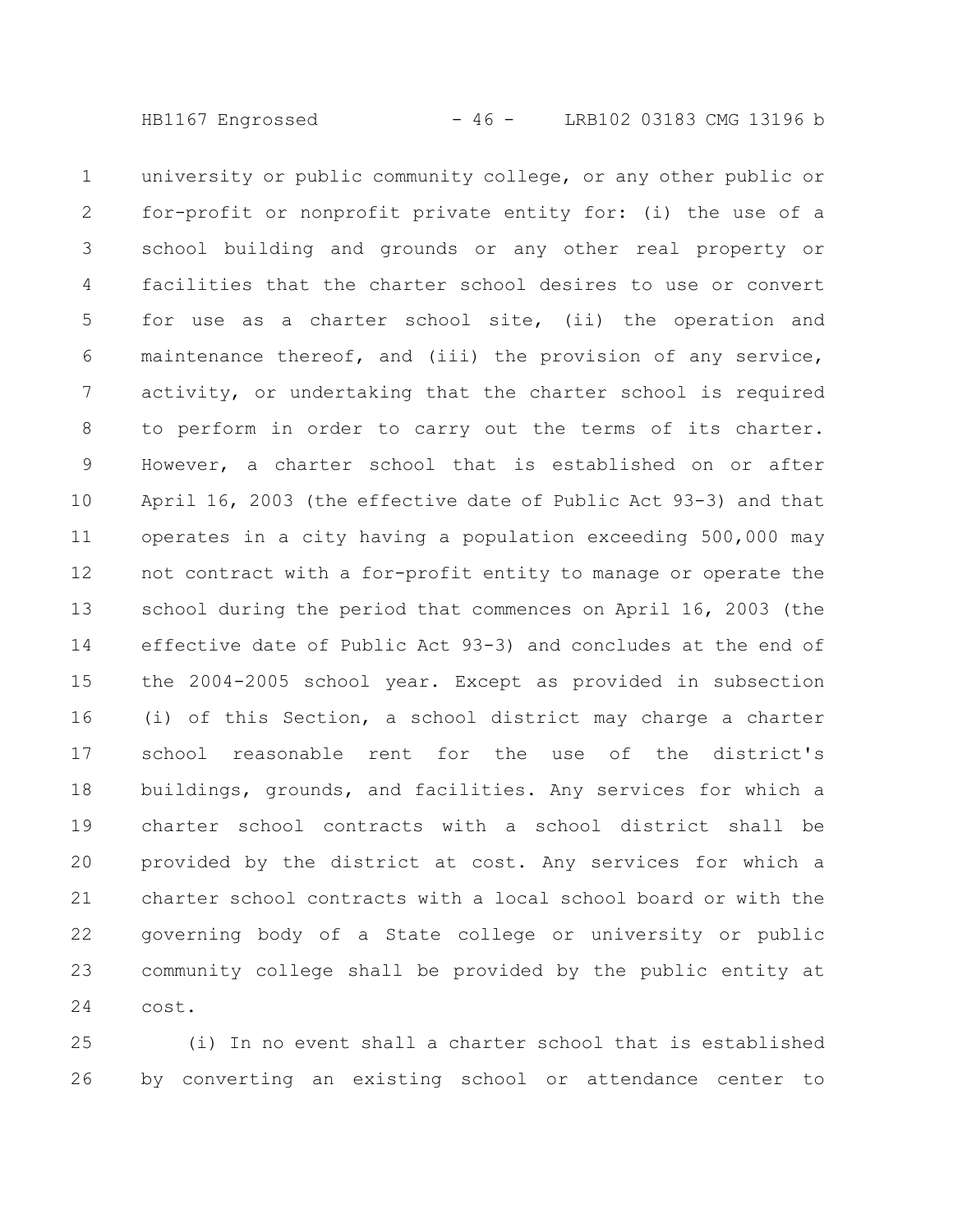university or public community college, or any other public or for-profit or nonprofit private entity for: (i) the use of a school building and grounds or any other real property or facilities that the charter school desires to use or convert for use as a charter school site, (ii) the operation and maintenance thereof, and (iii) the provision of any service, activity, or undertaking that the charter school is required to perform in order to carry out the terms of its charter. However, a charter school that is established on or after April 16, 2003 (the effective date of Public Act 93-3) and that operates in a city having a population exceeding 500,000 may not contract with a for-profit entity to manage or operate the school during the period that commences on April 16, 2003 (the effective date of Public Act 93-3) and concludes at the end of the 2004-2005 school year. Except as provided in subsection (i) of this Section, a school district may charge a charter school reasonable rent for the use of the district's buildings, grounds, and facilities. Any services for which a charter school contracts with a school district shall be provided by the district at cost. Any services for which a charter school contracts with a local school board or with the governing body of a State college or university or public community college shall be provided by the public entity at cost. 1 2 3 4 5 6 7 8 9 10 11 12 13 14 15 16 17 18 19 20 21 22 23 24

(i) In no event shall a charter school that is established by converting an existing school or attendance center to 25 26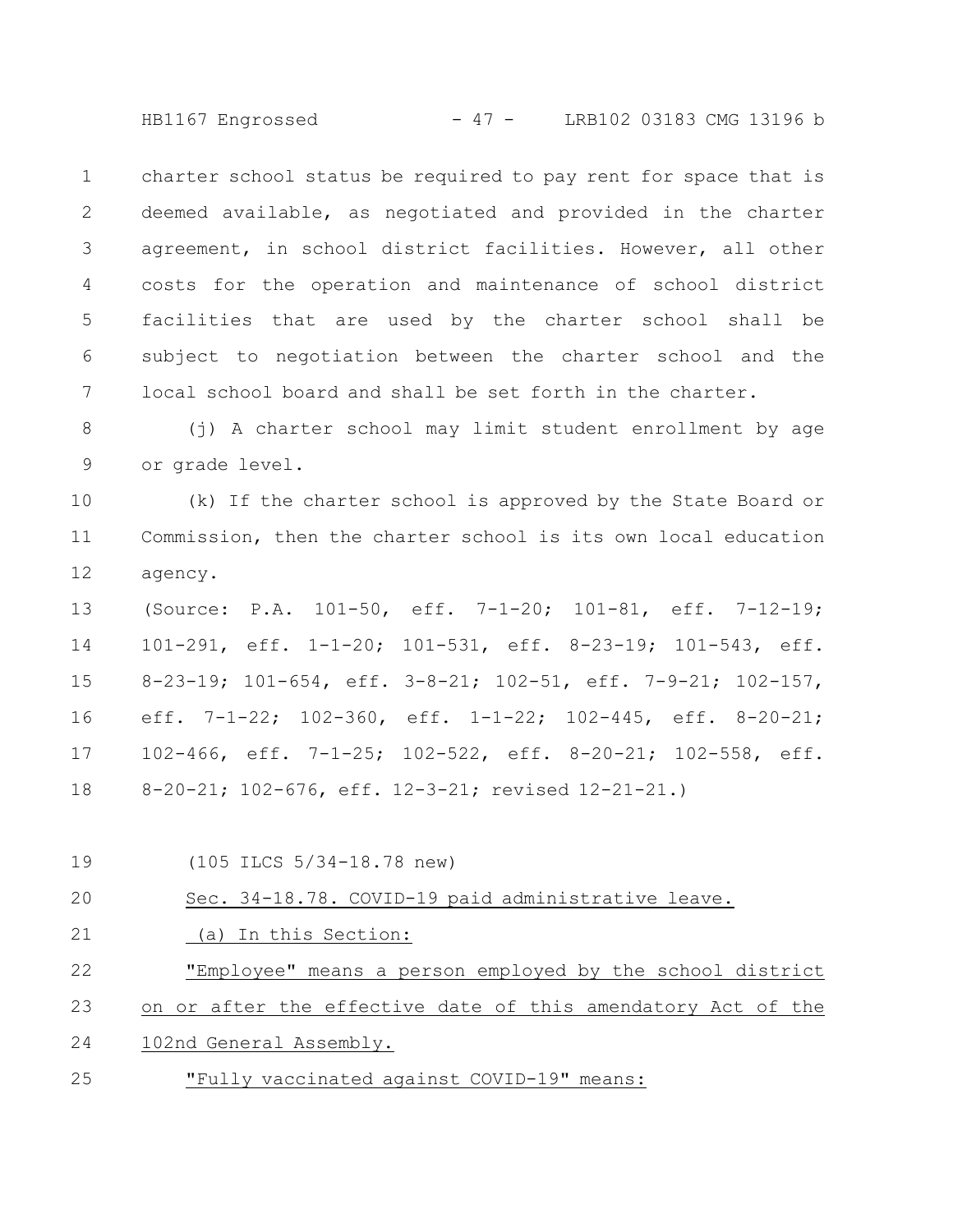HB1167 Engrossed - 47 - LRB102 03183 CMG 13196 b

charter school status be required to pay rent for space that is deemed available, as negotiated and provided in the charter agreement, in school district facilities. However, all other costs for the operation and maintenance of school district facilities that are used by the charter school shall be subject to negotiation between the charter school and the local school board and shall be set forth in the charter. 1 2 3 4 5 6 7

(j) A charter school may limit student enrollment by age or grade level. 8 9

(k) If the charter school is approved by the State Board or Commission, then the charter school is its own local education agency. 10 11 12

(Source: P.A. 101-50, eff. 7-1-20; 101-81, eff. 7-12-19; 101-291, eff. 1-1-20; 101-531, eff. 8-23-19; 101-543, eff. 8-23-19; 101-654, eff. 3-8-21; 102-51, eff. 7-9-21; 102-157, eff. 7-1-22; 102-360, eff. 1-1-22; 102-445, eff. 8-20-21; 102-466, eff. 7-1-25; 102-522, eff. 8-20-21; 102-558, eff. 8-20-21; 102-676, eff. 12-3-21; revised 12-21-21.) 13 14 15 16 17 18

(105 ILCS 5/34-18.78 new) Sec. 34-18.78. COVID-19 paid administrative leave. (a) In this Section: "Employee" means a person employed by the school district on or after the effective date of this amendatory Act of the 102nd General Assembly. "Fully vaccinated against COVID-19" means: 19 20 21 22 23 24 25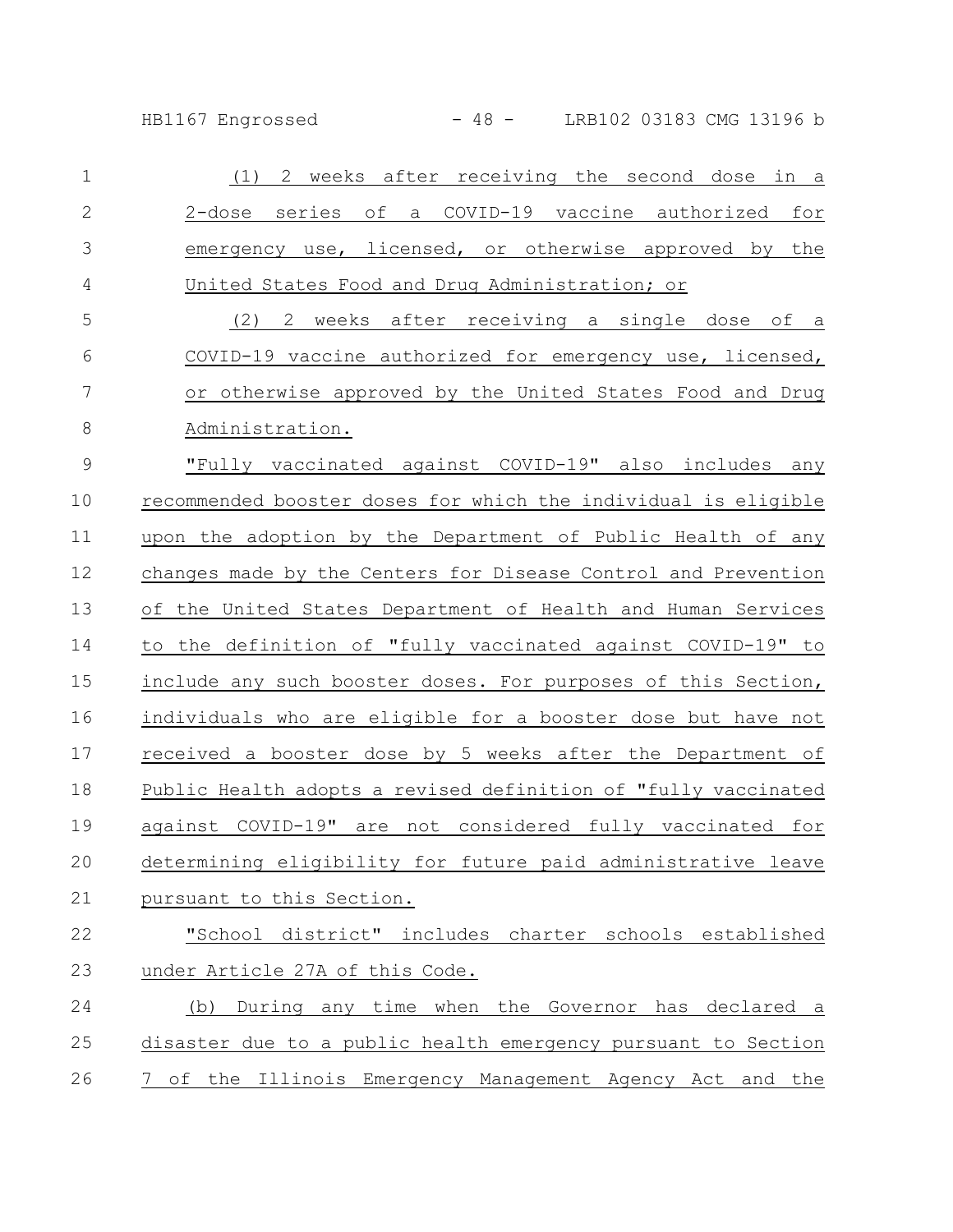HB1167 Engrossed - 48 - LRB102 03183 CMG 13196 b

| $\mathbf 1$    | (1) 2 weeks after receiving the second dose in a               |
|----------------|----------------------------------------------------------------|
| $\overline{2}$ | 2-dose series of a COVID-19 vaccine authorized for             |
| 3              | emergency use, licensed, or otherwise approved by the          |
| $\overline{4}$ | United States Food and Drug Administration; or                 |
| 5              | (2) 2 weeks after receiving a single dose of a                 |
| 6              | COVID-19 vaccine authorized for emergency use, licensed,       |
| $\overline{7}$ | or otherwise approved by the United States Food and Drug       |
| 8              | Administration.                                                |
| 9              | "Fully vaccinated against COVID-19" also includes any          |
| 10             | recommended booster doses for which the individual is eligible |
| 11             | upon the adoption by the Department of Public Health of any    |
| 12             | changes made by the Centers for Disease Control and Prevention |
| 13             | of the United States Department of Health and Human Services   |
| 14             | to the definition of "fully vaccinated against COVID-19" to    |
| 15             | include any such booster doses. For purposes of this Section,  |
| 16             | individuals who are eligible for a booster dose but have not   |
| 17             | received a booster dose by 5 weeks after the Department of     |
| 18             | Public Health adopts a revised definition of "fully vaccinated |
| 19             | against COVID-19" are not considered fully vaccinated for      |
| 20             | determining eligibility for future paid administrative leave   |
| 21             | pursuant to this Section.                                      |
| 22             | "School district" includes charter schools established         |
| 23             | under Article 27A of this Code.                                |
| 24             | During any time when the Governor has declared a<br>(b)        |
| 25             | disaster due to a public health emergency pursuant to Section  |
| 26             | 7 of the Illinois Emergency Management Agency Act and the      |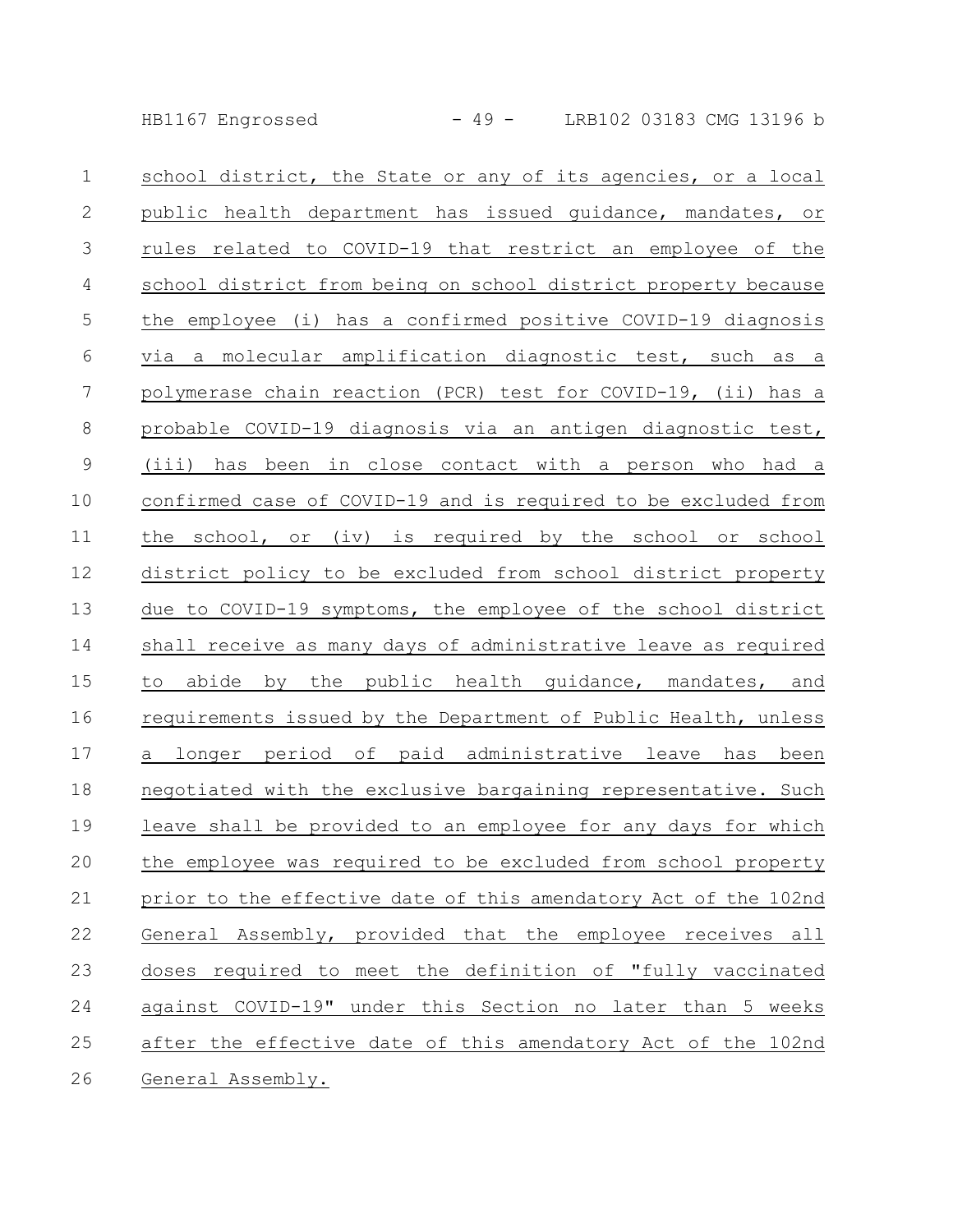HB1167 Engrossed - 49 - LRB102 03183 CMG 13196 b

| $\mathbf 1$    | school district, the State or any of its agencies, or a local   |
|----------------|-----------------------------------------------------------------|
| $\mathbf{2}$   | public health department has issued guidance, mandates, or      |
| $\mathfrak{Z}$ | rules related to COVID-19 that restrict an employee of the      |
| $\overline{4}$ | school district from being on school district property because  |
| 5              | the employee (i) has a confirmed positive COVID-19 diagnosis    |
| 6              | via a molecular amplification diagnostic test, such as a        |
| $\overline{7}$ | polymerase chain reaction (PCR) test for COVID-19, (ii) has a   |
| $\,8\,$        | probable COVID-19 diagnosis via an antigen diagnostic test,     |
| $\mathcal{G}$  | (iii) has been in close contact with a person who had a         |
| 10             | confirmed case of COVID-19 and is required to be excluded from  |
| 11             | the school, or (iv) is required by the school or school         |
| 12             | district policy to be excluded from school district property    |
| 13             | due to COVID-19 symptoms, the employee of the school district   |
| 14             | shall receive as many days of administrative leave as required  |
| 15             | to abide by the public health quidance, mandates, and           |
| 16             | requirements issued by the Department of Public Health, unless  |
| 17             | a longer period of paid administrative leave has been           |
| 18             | negotiated with the exclusive bargaining representative. Such   |
| 19             | leave shall be provided to an employee for any days for which   |
| 20             | the employee was required to be excluded from school property   |
| 21             | prior to the effective date of this amendatory Act of the 102nd |
| 22             | General Assembly, provided that the employee receives all       |
| 23             | doses required to meet the definition of "fully vaccinated      |
| 24             | against COVID-19" under this Section no later than 5 weeks      |
| 25             | after the effective date of this amendatory Act of the 102nd    |
| 26             | General Assembly.                                               |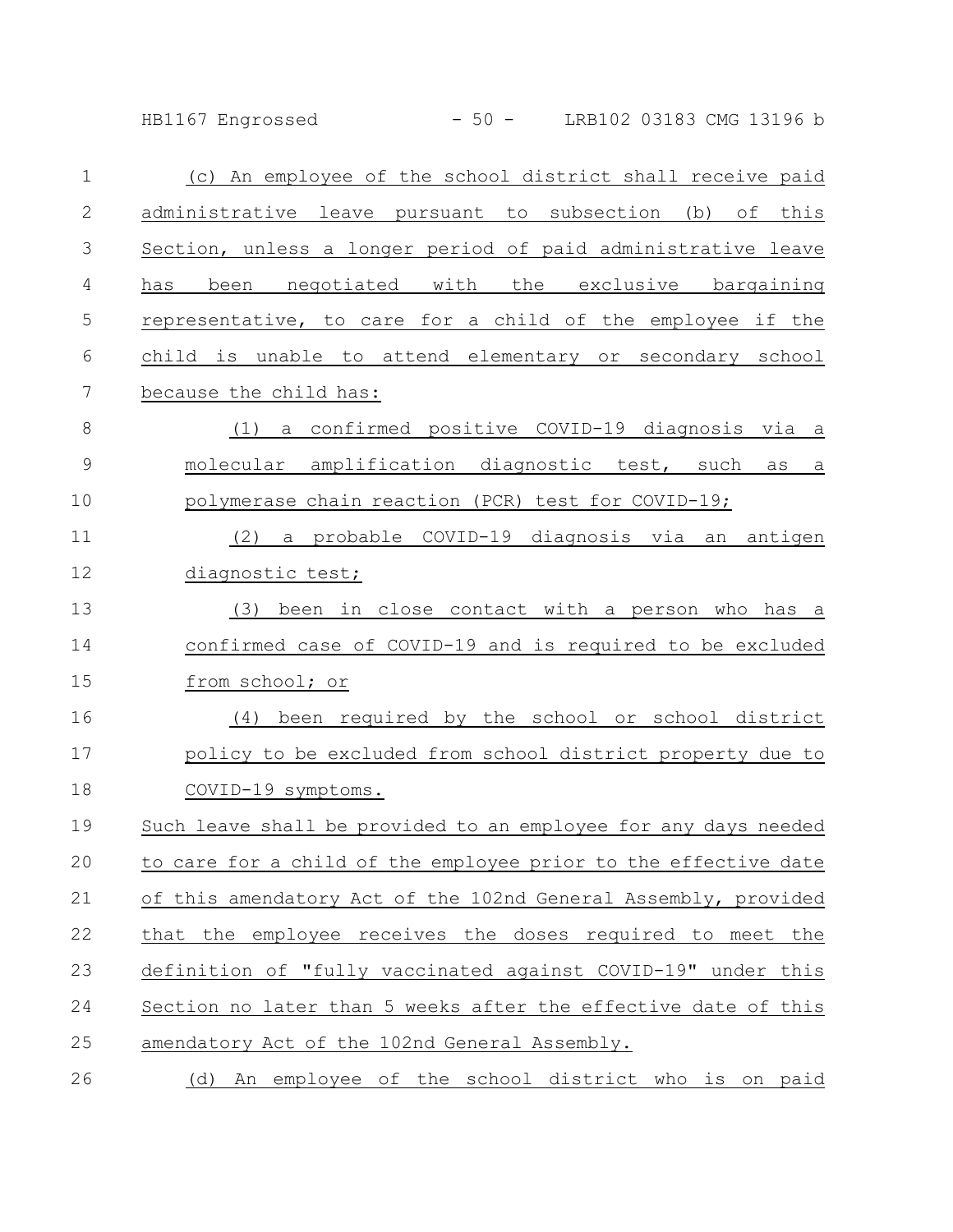HB1167 Engrossed - 50 - LRB102 03183 CMG 13196 b

| $\mathbf 1$    | (c) An employee of the school district shall receive paid           |
|----------------|---------------------------------------------------------------------|
| $\mathbf{2}$   | administrative leave pursuant to subsection (b) of this             |
| 3              | Section, unless a longer period of paid administrative leave        |
| $\overline{4}$ | been negotiated with the exclusive bargaining<br>has                |
| 5              | representative, to care for a child of the employee if the          |
| 6              | child is unable to attend elementary or secondary school            |
| $\overline{7}$ | because the child has:                                              |
| $8\,$          | (1) a confirmed positive COVID-19 diagnosis via a                   |
| $\mathcal{G}$  | molecular amplification diagnostic test, such as<br>$\underline{a}$ |
| 10             | polymerase chain reaction (PCR) test for COVID-19;                  |
| 11             | a probable COVID-19 diagnosis via an antigen<br>(2)                 |
| 12             | diagnostic test;                                                    |
| 13             | (3) been in close contact with a person who has a                   |
| 14             | confirmed case of COVID-19 and is required to be excluded           |
| 15             | from school; or                                                     |
| 16             | (4) been required by the school or school district                  |
| 17             | policy to be excluded from school district property due to          |
| 18             | COVID-19 symptoms.                                                  |
| 19             | Such leave shall be provided to an employee for any days needed     |
| 20             | to care for a child of the employee prior to the effective date     |
| 21             | of this amendatory Act of the 102nd General Assembly, provided      |
| 22             | that the employee receives the doses required to meet the           |
| 23             | definition of "fully vaccinated against COVID-19" under this        |
| 24             | Section no later than 5 weeks after the effective date of this      |
| 25             | amendatory Act of the 102nd General Assembly.                       |
| 26             | (d) An employee of the school district who is on paid               |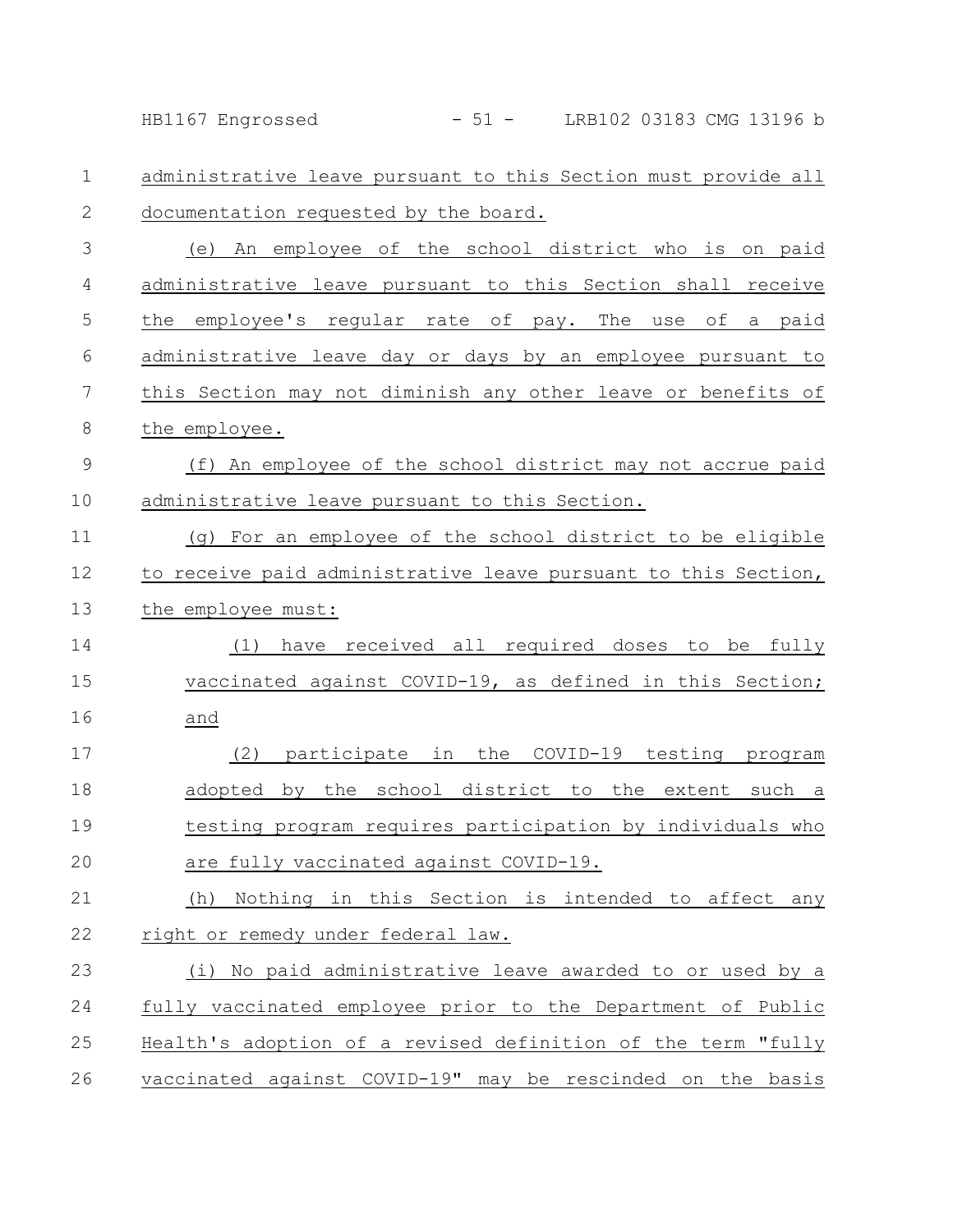HB1167 Engrossed - 51 - LRB102 03183 CMG 13196 b

administrative leave pursuant to this Section must provide all documentation requested by the board. (e) An employee of the school district who is on paid administrative leave pursuant to this Section shall receive the employee's regular rate of pay. The use of a paid administrative leave day or days by an employee pursuant to this Section may not diminish any other leave or benefits of the employee. (f) An employee of the school district may not accrue paid administrative leave pursuant to this Section. (g) For an employee of the school district to be eligible to receive paid administrative leave pursuant to this Section, the employee must: (1) have received all required doses to be fully vaccinated against COVID-19, as defined in this Section; and (2) participate in the COVID-19 testing program adopted by the school district to the extent such a testing program requires participation by individuals who are fully vaccinated against COVID-19. (h) Nothing in this Section is intended to affect any right or remedy under federal law. (i) No paid administrative leave awarded to or used by a fully vaccinated employee prior to the Department of Public Health's adoption of a revised definition of the term "fully vaccinated against COVID-19" may be rescinded on the basis 1 2 3 4 5 6 7 8 9 10 11 12 13 14 15 16 17 18 19 20 21 22 23 24 25 26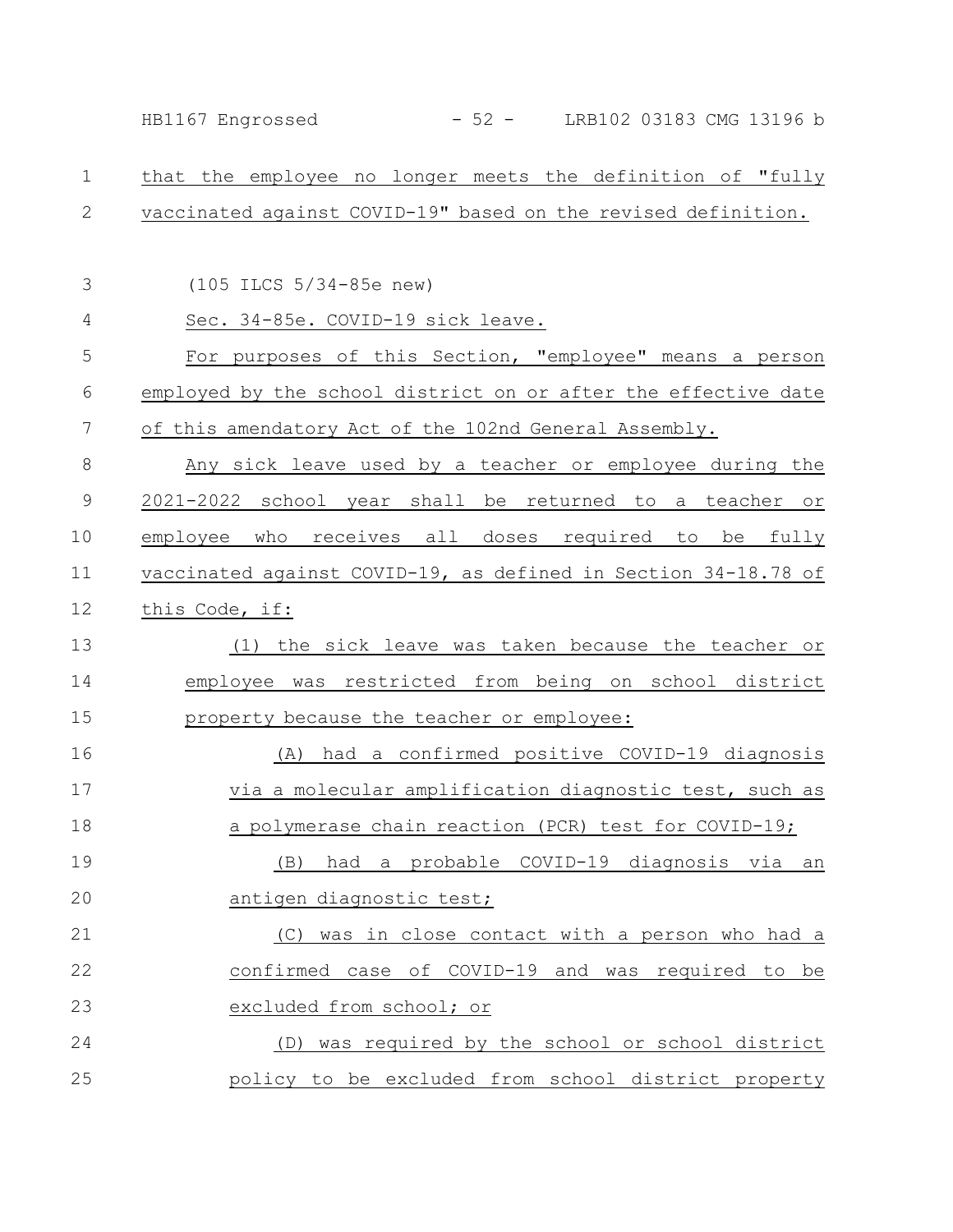that the employee no longer meets the definition of "fully vaccinated against COVID-19" based on the revised definition. (105 ILCS 5/34-85e new) Sec. 34-85e. COVID-19 sick leave. For purposes of this Section, "employee" means a person employed by the school district on or after the effective date of this amendatory Act of the 102nd General Assembly. Any sick leave used by a teacher or employee during the 2021-2022 school year shall be returned to a teacher or employee who receives all doses required to be fully vaccinated against COVID-19, as defined in Section 34-18.78 of this Code, if: (1) the sick leave was taken because the teacher or employee was restricted from being on school district property because the teacher or employee: (A) had a confirmed positive COVID-19 diagnosis via a molecular amplification diagnostic test, such as a polymerase chain reaction (PCR) test for COVID-19; (B) had a probable COVID-19 diagnosis via an antigen diagnostic test; (C) was in close contact with a person who had a confirmed case of COVID-19 and was required to be excluded from school; or (D) was required by the school or school district policy to be excluded from school district property 1 2 3 4 5 6 7 8 9 10 11 12 13 14 15 16 17 18 19 20 21 22 23 24 25 HB1167 Engrossed - 52 - LRB102 03183 CMG 13196 b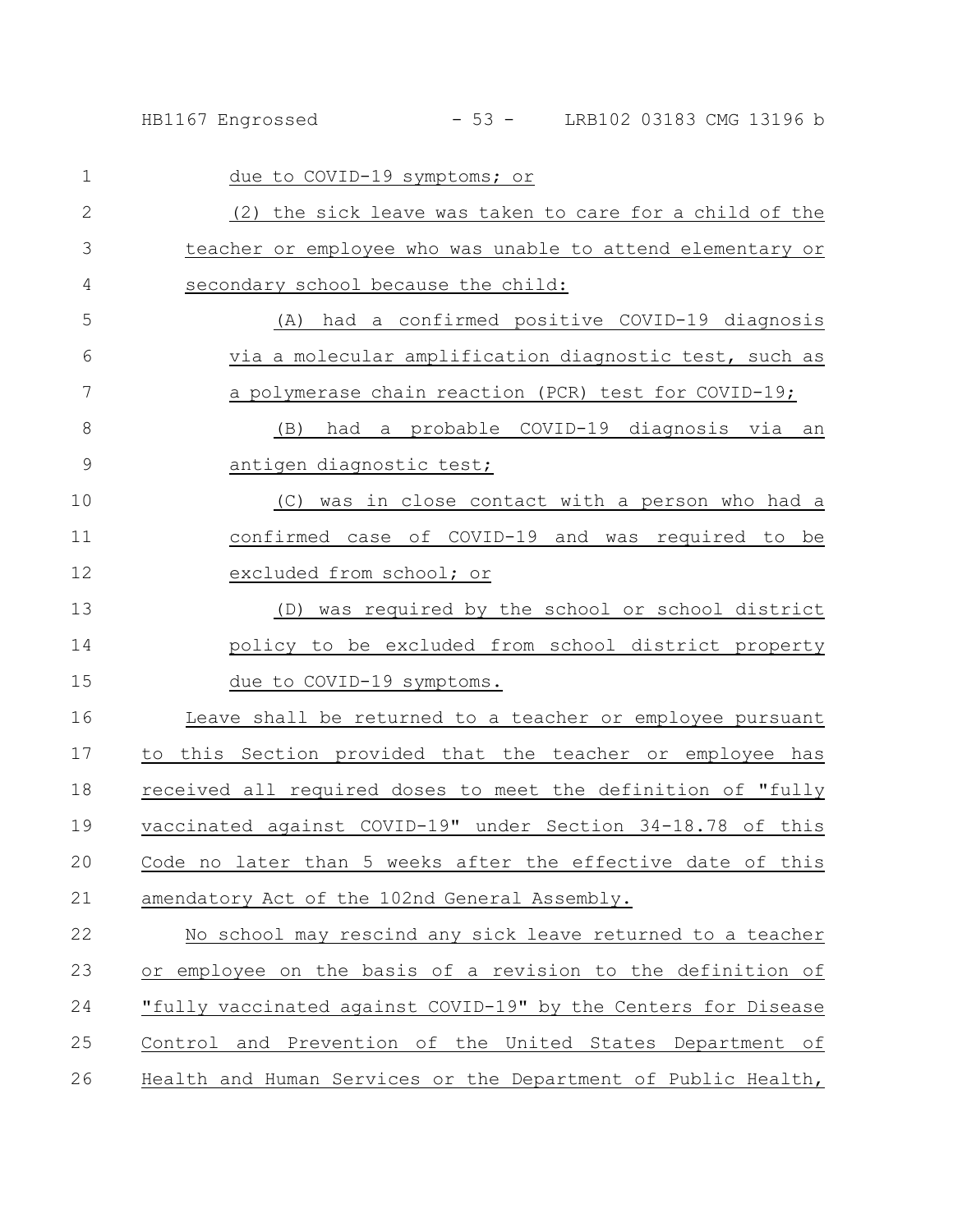| 1             | due to COVID-19 symptoms; or                                   |
|---------------|----------------------------------------------------------------|
| $\mathbf{2}$  | (2) the sick leave was taken to care for a child of the        |
| 3             | teacher or employee who was unable to attend elementary or     |
| 4             | secondary school because the child:                            |
| 5             | had a confirmed positive COVID-19 diagnosis<br>(A)             |
| 6             | via a molecular amplification diagnostic test, such as         |
| 7             | a polymerase chain reaction (PCR) test for COVID-19;           |
| 8             | had a probable COVID-19 diagnosis via an<br>(B)                |
| $\mathcal{G}$ | antigen diagnostic test;                                       |
| 10            | was in close contact with a person who had a<br>(C)            |
| 11            | confirmed case of COVID-19 and was required to be              |
| 12            | excluded from school; or                                       |
| 13            | was required by the school or school district<br>(D)           |
| 14            | policy to be excluded from school district property            |
| 15            | due to COVID-19 symptoms.                                      |
| 16            | Leave shall be returned to a teacher or employee pursuant      |
| 17            | this Section provided that the teacher or employee has<br>to   |
| 18            | received all required doses to meet the definition of "fully   |
| 19            | vaccinated against COVID-19" under Section 34-18.78 of this    |
| 20            | Code no later than 5 weeks after the effective date of this    |
| 21            | amendatory Act of the 102nd General Assembly.                  |
| 22            | No school may rescind any sick leave returned to a teacher     |
| 23            | or employee on the basis of a revision to the definition of    |
| 24            | "fully vaccinated against COVID-19" by the Centers for Disease |
| 25            | Control and Prevention of the United States Department of      |
| 26            | Health and Human Services or the Department of Public Health,  |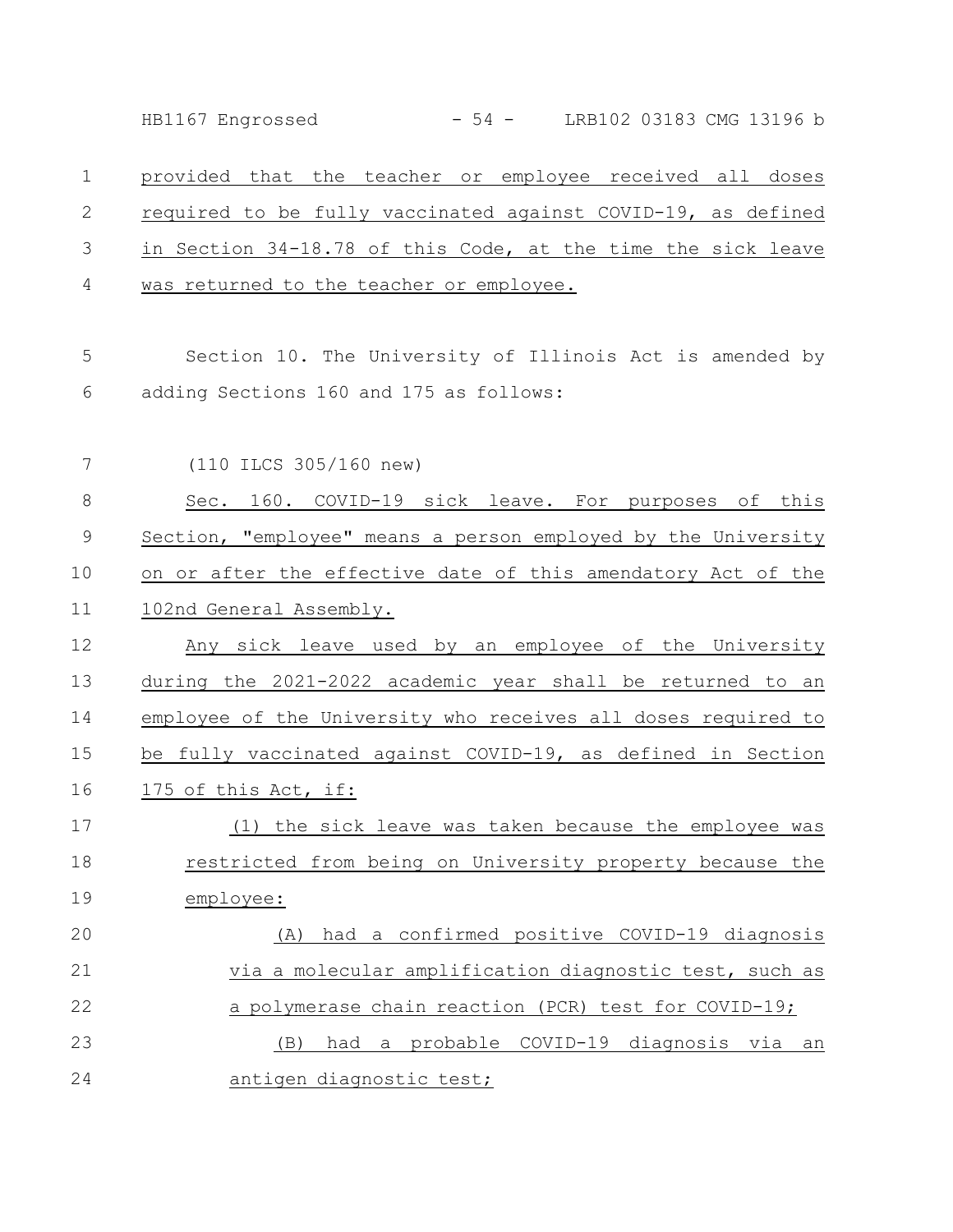HB1167 Engrossed - 54 - LRB102 03183 CMG 13196 b

provided that the teacher or employee received all doses required to be fully vaccinated against COVID-19, as defined in Section 34-18.78 of this Code, at the time the sick leave was returned to the teacher or employee. 1 2 3 4

Section 10. The University of Illinois Act is amended by adding Sections 160 and 175 as follows: 5 6

(110 ILCS 305/160 new) 7

Sec. 160. COVID-19 sick leave. For purposes of this Section, "employee" means a person employed by the University on or after the effective date of this amendatory Act of the 102nd General Assembly. 8 9 10 11

Any sick leave used by an employee of the University during the 2021-2022 academic year shall be returned to an employee of the University who receives all doses required to be fully vaccinated against COVID-19, as defined in Section 175 of this Act, if: 12 13 14 15 16

(1) the sick leave was taken because the employee was restricted from being on University property because the employee: 17 18 19

| -20 | (A) had a confirmed positive COVID-19 diagnosis        |
|-----|--------------------------------------------------------|
| -21 | via a molecular amplification diagnostic test, such as |
| 22  | a polymerase chain reaction (PCR) test for COVID-19;   |
| 23  | had a probable COVID-19 diagnosis via an<br>(B)        |
| 2.4 | antigen diagnostic test;                               |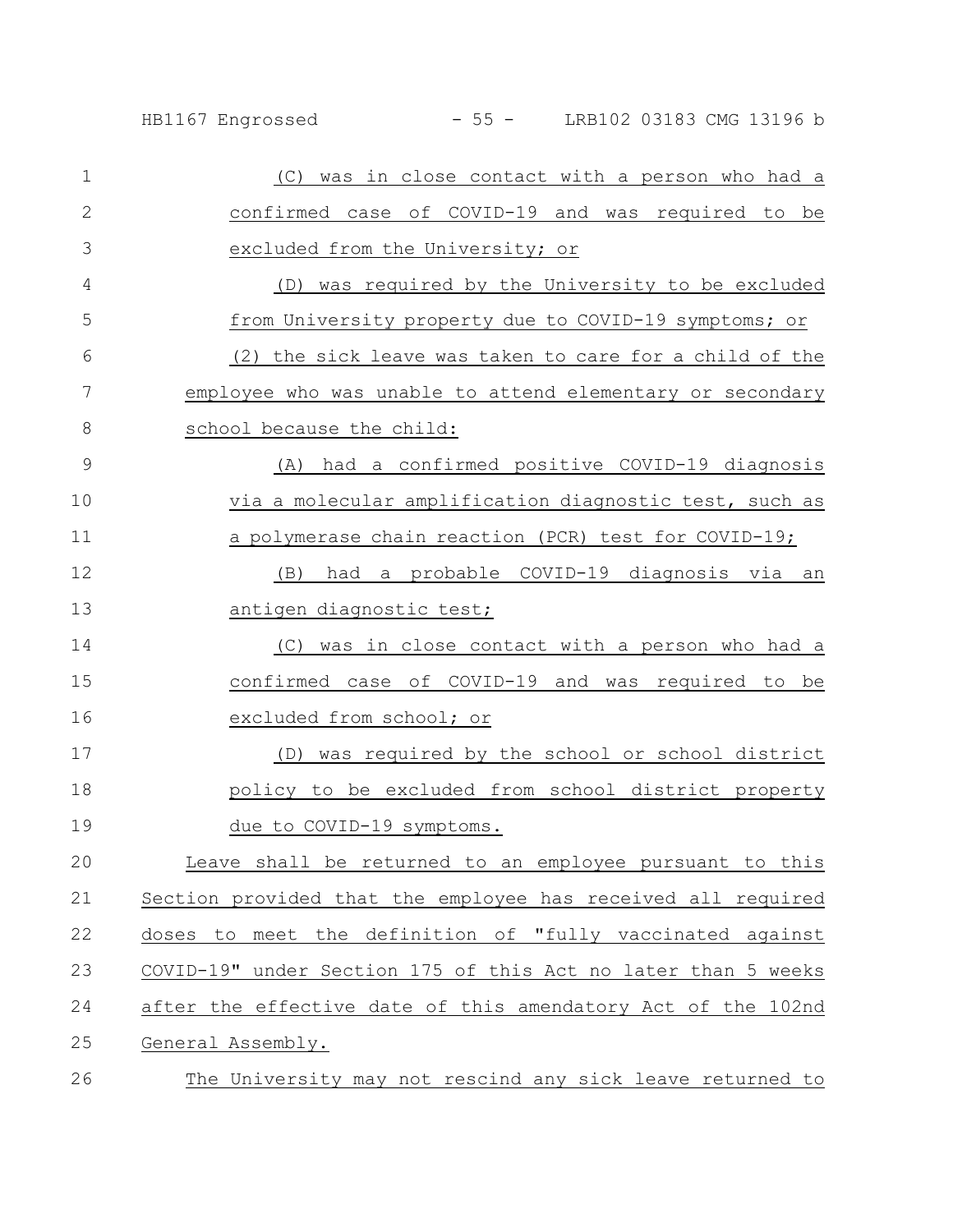| $\mathbf{1}$ | (C)<br>was in close contact with a person who had a           |
|--------------|---------------------------------------------------------------|
| $\mathbf{2}$ | confirmed case of COVID-19 and was required to be             |
| 3            | excluded from the University; or                              |
| 4            | (D) was required by the University to be excluded             |
| 5            | from University property due to COVID-19 symptoms; or         |
| 6            | (2) the sick leave was taken to care for a child of the       |
| 7            | employee who was unable to attend elementary or secondary     |
| 8            | school because the child:                                     |
| 9            | had a confirmed positive COVID-19 diagnosis<br>(A)            |
| 10           | via a molecular amplification diagnostic test, such as        |
| 11           | a polymerase chain reaction (PCR) test for COVID-19;          |
| 12           | had a probable COVID-19 diagnosis via<br>(B)<br>an            |
| 13           | antigen diagnostic test;                                      |
| 14           | was in close contact with a person who had a<br>(C)           |
| 15           | confirmed case of COVID-19 and was required to be             |
| 16           | excluded from school; or                                      |
| 17           | was required by the school or school district<br>(D)          |
| 18           | policy to be excluded from school district property           |
| 19           | due to COVID-19 symptoms.                                     |
| 20           | Leave shall be returned to an employee pursuant to this       |
| 21           | Section provided that the employee has received all required  |
| 22           | doses to meet the definition of "fully vaccinated against     |
| 23           | COVID-19" under Section 175 of this Act no later than 5 weeks |
| 24           | after the effective date of this amendatory Act of the 102nd  |
| 25           | General Assembly.                                             |
| 26           | The University may not rescind any sick leave returned to     |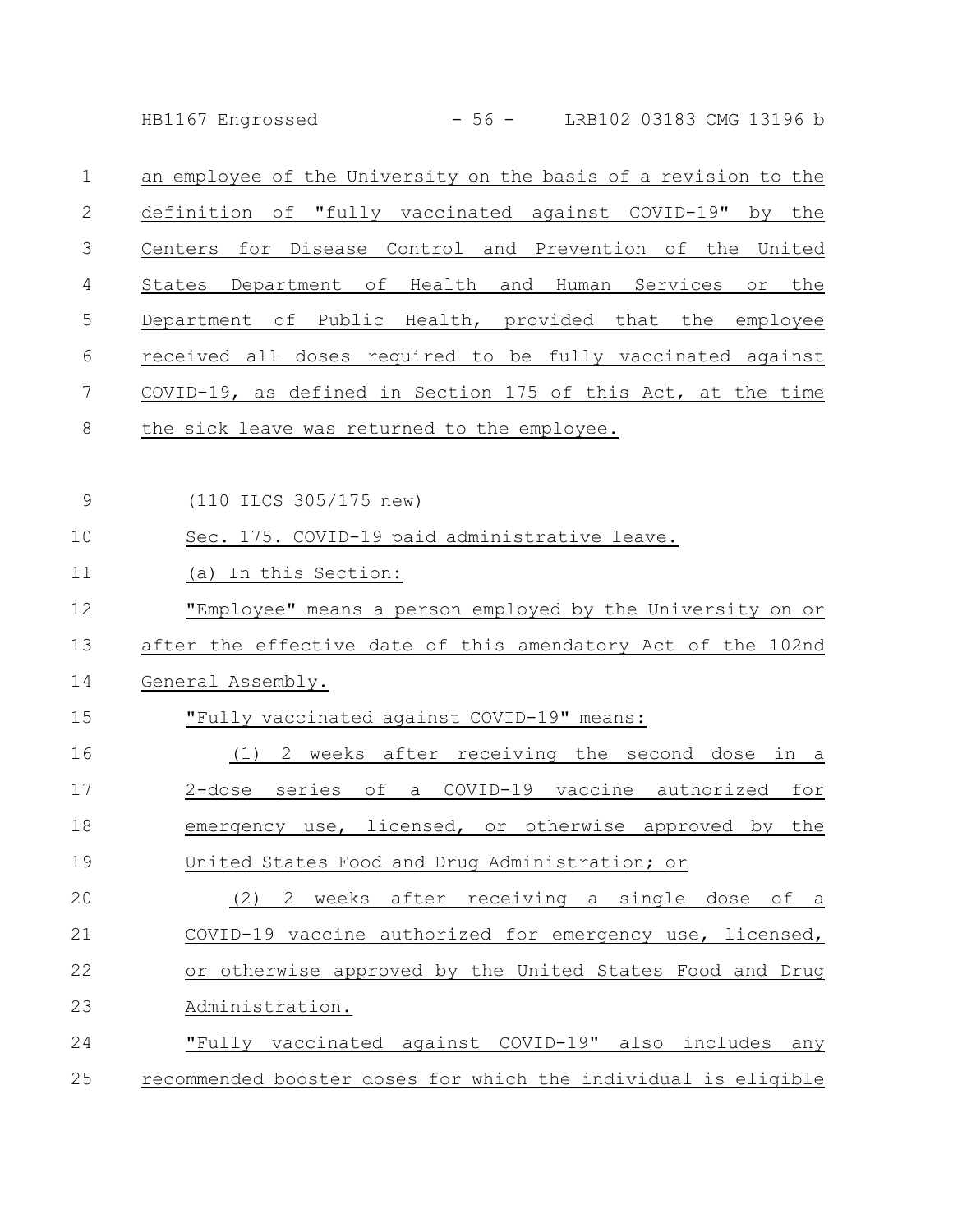HB1167 Engrossed - 56 - LRB102 03183 CMG 13196 b

an employee of the University on the basis of a revision to the definition of "fully vaccinated against COVID-19" by the Centers for Disease Control and Prevention of the United States Department of Health and Human Services or the Department of Public Health, provided that the employee received all doses required to be fully vaccinated against COVID-19, as defined in Section 175 of this Act, at the time the sick leave was returned to the employee. (110 ILCS 305/175 new) Sec. 175. COVID-19 paid administrative leave. 1 2 3 4 5 6 7 8 9 10

## (a) In this Section: 11

"Employee" means a person employed by the University on or after the effective date of this amendatory Act of the 102nd 12 13

General Assembly. 14

## "Fully vaccinated against COVID-19" means: 15

(1) 2 weeks after receiving the second dose in a 2-dose series of a COVID-19 vaccine authorized for emergency use, licensed, or otherwise approved by the United States Food and Drug Administration; or 16 17 18 19

(2) 2 weeks after receiving a single dose of a COVID-19 vaccine authorized for emergency use, licensed, or otherwise approved by the United States Food and Drug Administration. 20 21 22 23

## "Fully vaccinated against COVID-19" also includes any recommended booster doses for which the individual is eligible 24 25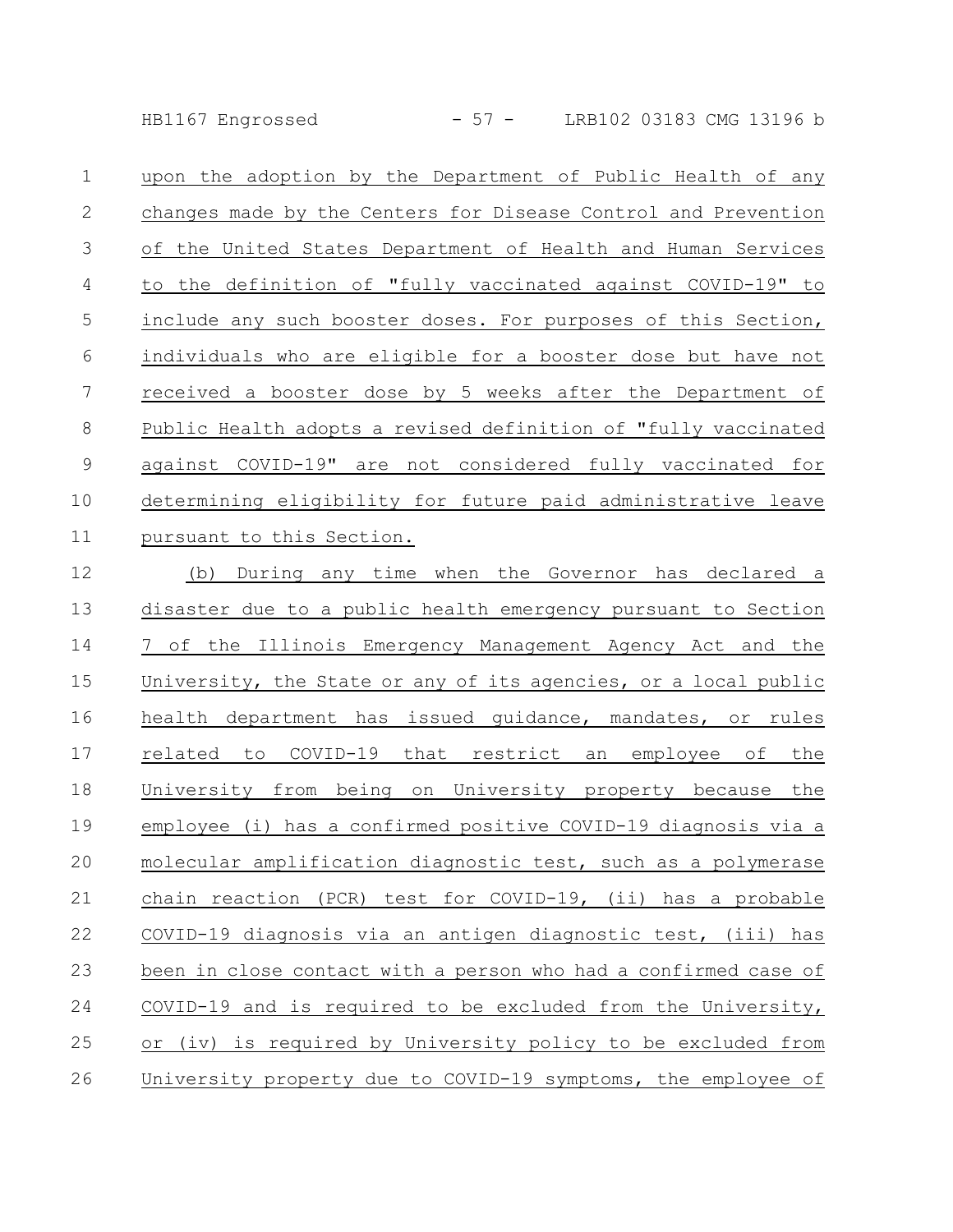HB1167 Engrossed - 57 - LRB102 03183 CMG 13196 b

| $\mathbf{1}$ | upon the adoption by the Department of Public Health of any    |
|--------------|----------------------------------------------------------------|
| 2            | changes made by the Centers for Disease Control and Prevention |
| 3            | of the United States Department of Health and Human Services   |
| 4            | to the definition of "fully vaccinated against COVID-19" to    |
| 5            | include any such booster doses. For purposes of this Section,  |
| 6            | individuals who are eligible for a booster dose but have not   |
| 7            | received a booster dose by 5 weeks after the Department of     |
| 8            | Public Health adopts a revised definition of "fully vaccinated |
| 9            | against COVID-19" are not considered fully vaccinated for      |
| 10           | determining eligibility for future paid administrative leave   |
| 11           | pursuant to this Section.                                      |
|              |                                                                |

(b) During any time when the Governor has declared a disaster due to a public health emergency pursuant to Section 7 of the Illinois Emergency Management Agency Act and the University, the State or any of its agencies, or a local public health department has issued guidance, mandates, or rules related to COVID-19 that restrict an employee of the University from being on University property because the employee (i) has a confirmed positive COVID-19 diagnosis via a molecular amplification diagnostic test, such as a polymerase chain reaction (PCR) test for COVID-19, (ii) has a probable COVID-19 diagnosis via an antigen diagnostic test, (iii) has been in close contact with a person who had a confirmed case of COVID-19 and is required to be excluded from the University, or (iv) is required by University policy to be excluded from University property due to COVID-19 symptoms, the employee of 12 13 14 15 16 17 18 19 20 21 22 23 24 25 26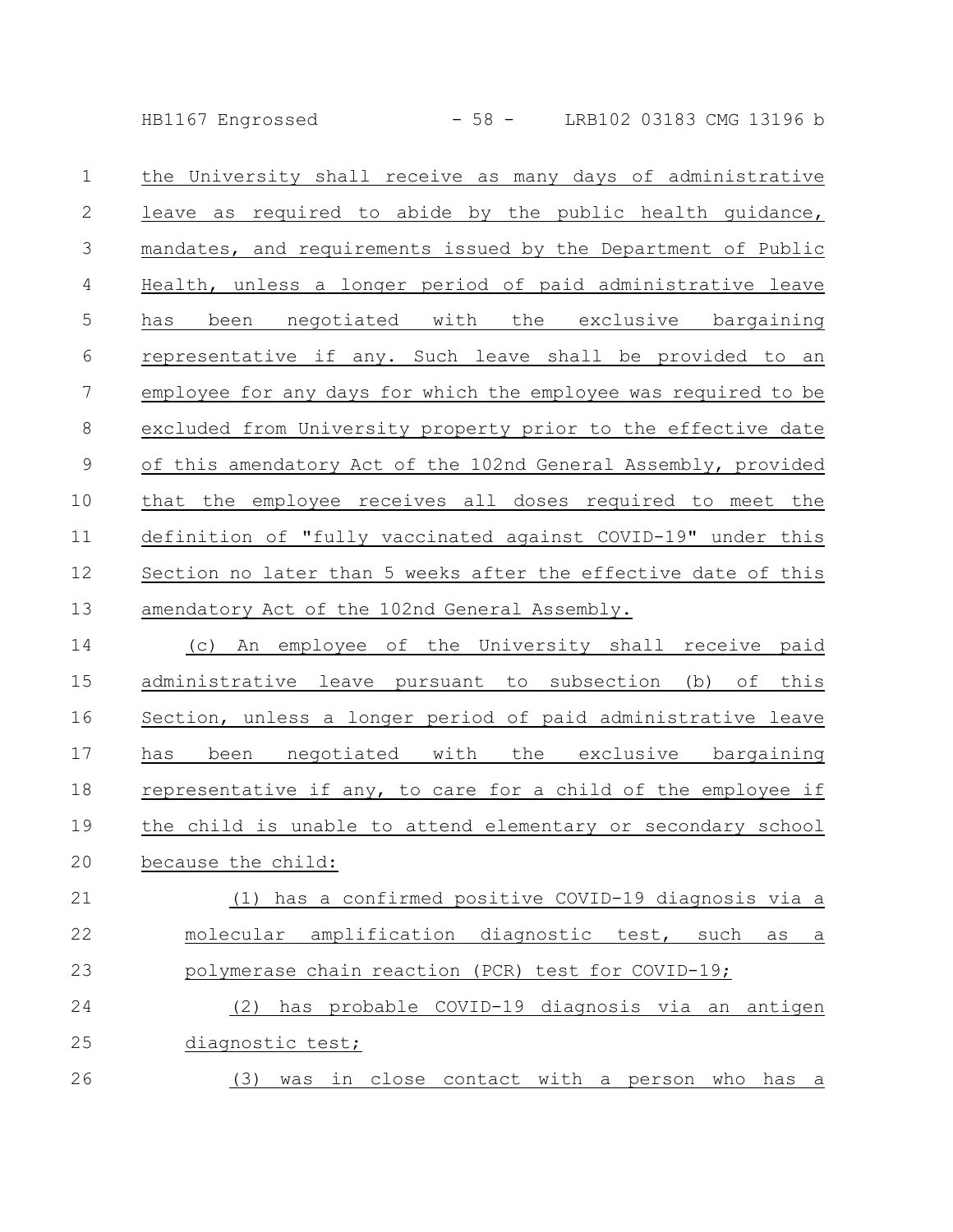HB1167 Engrossed - 58 - LRB102 03183 CMG 13196 b

| $\mathbf{1}$ | the University shall receive as many days of administrative     |
|--------------|-----------------------------------------------------------------|
| 2            | leave as required to abide by the public health quidance,       |
| 3            | mandates, and requirements issued by the Department of Public   |
| 4            | Health, unless a longer period of paid administrative leave     |
| 5            | been negotiated with the exclusive bargaining<br>has            |
| 6            | representative if any. Such leave shall be provided to an       |
| 7            | employee for any days for which the employee was required to be |
| $8\,$        | excluded from University property prior to the effective date   |
| 9            | of this amendatory Act of the 102nd General Assembly, provided  |
|              |                                                                 |
| 10           | that the employee receives all doses required to meet the       |
| 11           | definition of "fully vaccinated against COVID-19" under this    |
| 12           | Section no later than 5 weeks after the effective date of this  |
| 13           | amendatory Act of the 102nd General Assembly.                   |

(c) An employee of the University shall receive paid administrative leave pursuant to subsection (b) of this Section, unless a longer period of paid administrative leave has been negotiated with the exclusive bargaining representative if any, to care for a child of the employee if the child is unable to attend elementary or secondary school because the child: 14 15 16 17 18 19 20

(1) has a confirmed positive COVID-19 diagnosis via a molecular amplification diagnostic test, such as a polymerase chain reaction (PCR) test for COVID-19; 21 22 23

(2) has probable COVID-19 diagnosis via an antigen diagnostic test; 24 25

(3) was in close contact with a person who has a 26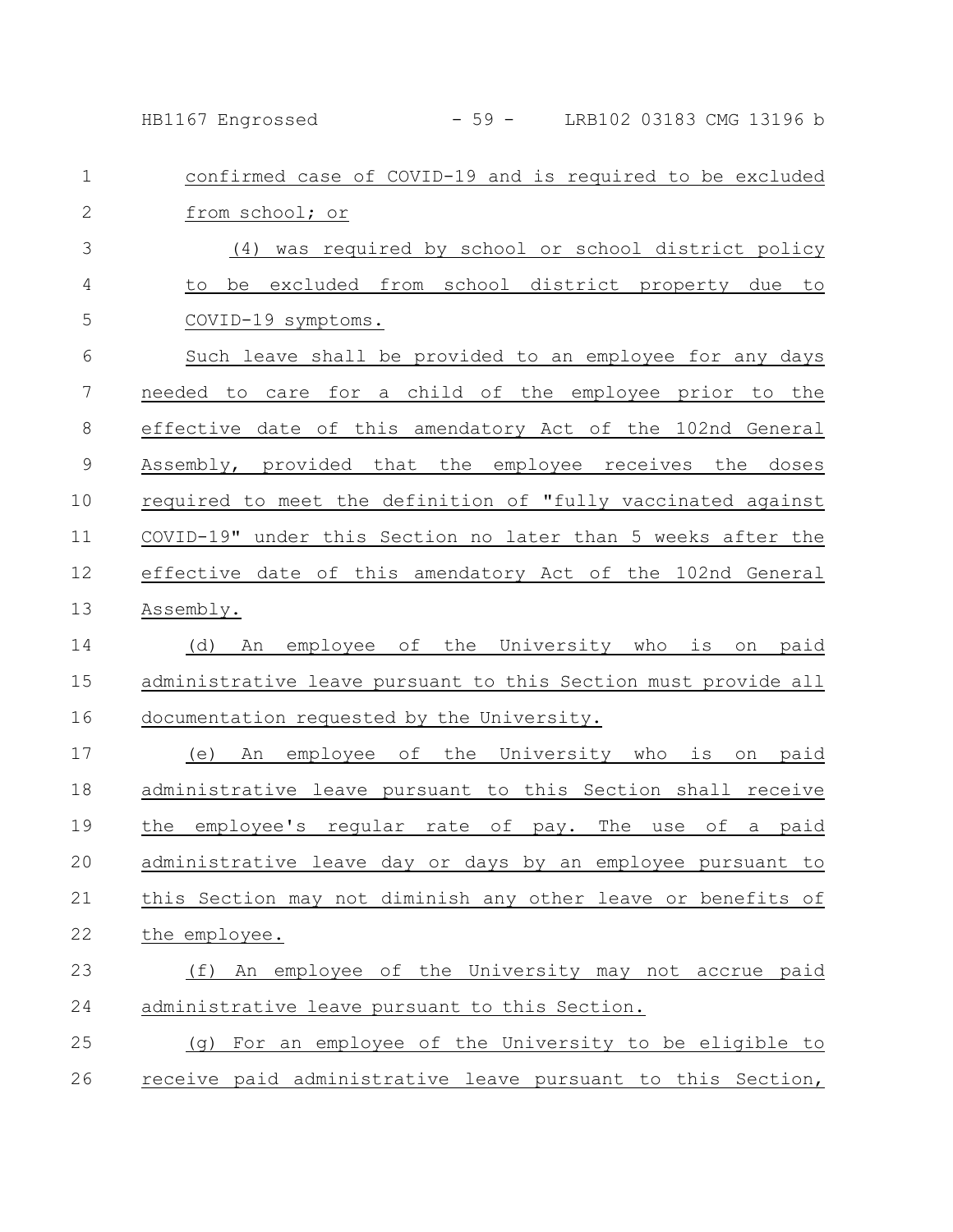HB1167 Engrossed - 59 - LRB102 03183 CMG 13196 b

| $\mathbf 1$    | confirmed case of COVID-19 and is required to be excluded      |
|----------------|----------------------------------------------------------------|
| $\mathbf{2}$   | from school; or                                                |
| 3              | was required by school or school district policy<br>(4)        |
| 4              | be excluded from school district property due<br>to<br>to      |
| 5              | COVID-19 symptoms.                                             |
| 6              | Such leave shall be provided to an employee for any days       |
| $\overline{7}$ | needed to care for a child of the employee prior to the        |
| 8              | effective date of this amendatory Act of the 102nd General     |
| $\mathsf 9$    | Assembly, provided that the employee receives the doses        |
| 10             | required to meet the definition of "fully vaccinated against   |
| 11             | COVID-19" under this Section no later than 5 weeks after the   |
| 12             | effective date of this amendatory Act of the 102nd General     |
| 13             | Assembly.                                                      |
| 14             | employee of the University who<br>(d)<br>is<br>on paid<br>An   |
| 15             | administrative leave pursuant to this Section must provide all |
| 16             | documentation requested by the University.                     |
| 17             | An employee of the University who is<br>on paid<br>(e)         |
| 18             | administrative leave pursuant to this Section shall receive    |
| 19             | the employee's regular rate of pay. The use of a paid          |
| 20             | administrative leave day or days by an employee pursuant to    |
| 21             | this Section may not diminish any other leave or benefits of   |
| 22             | the employee.                                                  |
| 23             | (f) An employee of the University may not accrue paid          |
| 24             | administrative leave pursuant to this Section.                 |
| 25             | (g) For an employee of the University to be eligible to        |
| 26             | receive paid administrative leave pursuant to this Section,    |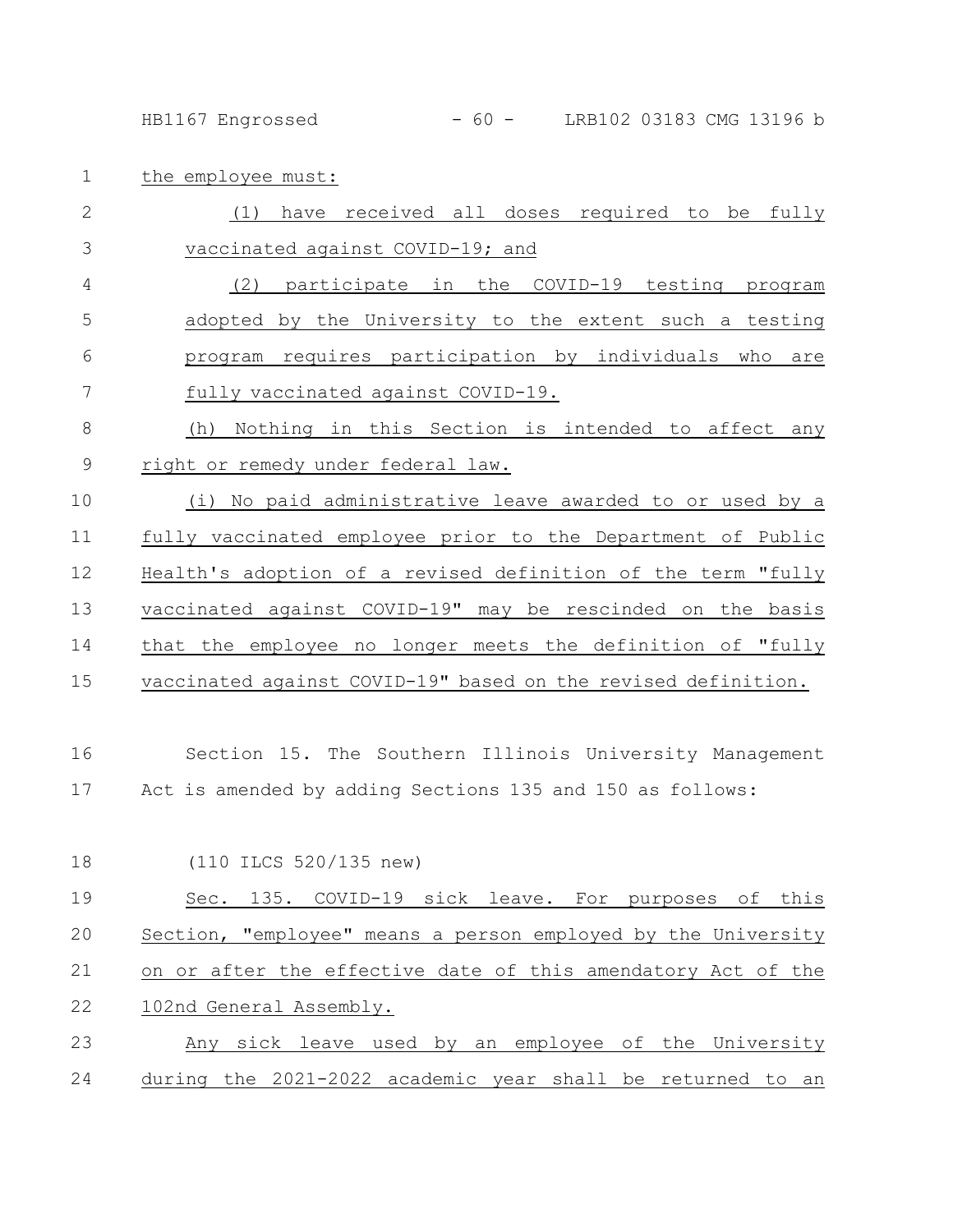HB1167 Engrossed - 60 - LRB102 03183 CMG 13196 b

1 the employee must:

| $\overline{2}$ | (1) have received all doses required to be fully              |
|----------------|---------------------------------------------------------------|
| 3              | vaccinated against COVID-19; and                              |
| 4              | (2) participate in the COVID-19 testing program               |
| 5              | adopted by the University to the extent such a testing        |
| 6              | program requires participation by individuals who are         |
| 7              | fully vaccinated against COVID-19.                            |
| $8\,$          | (h) Nothing in this Section is intended to affect any         |
| $\mathsf 9$    | right or remedy under federal law.                            |
| 10             | (i) No paid administrative leave awarded to or used by a      |
| 11             | fully vaccinated employee prior to the Department of Public   |
| 12             | Health's adoption of a revised definition of the term "fully  |
| 13             | vaccinated against COVID-19" may be rescinded on the basis    |
| 14             | that the employee no longer meets the definition of "fully    |
| 15             | vaccinated against COVID-19" based on the revised definition. |
| 16             | Section 15. The Southern Illinois University Management       |
| 17             | Act is amended by adding Sections 135 and 150 as follows:     |
| 18             | (110 ILCS 520/135 new)                                        |
| 19             | Sec. 135. COVID-19 sick leave. For purposes of<br>this        |
| 20             | Section, "employee" means a person employed by the University |
| 21             | on or after the effective date of this amendatory Act of the  |
| 22             | 102nd General Assembly.                                       |
| 23             | Any sick leave used by an employee of the University          |
| 24             | during the 2021-2022 academic year shall be returned to an    |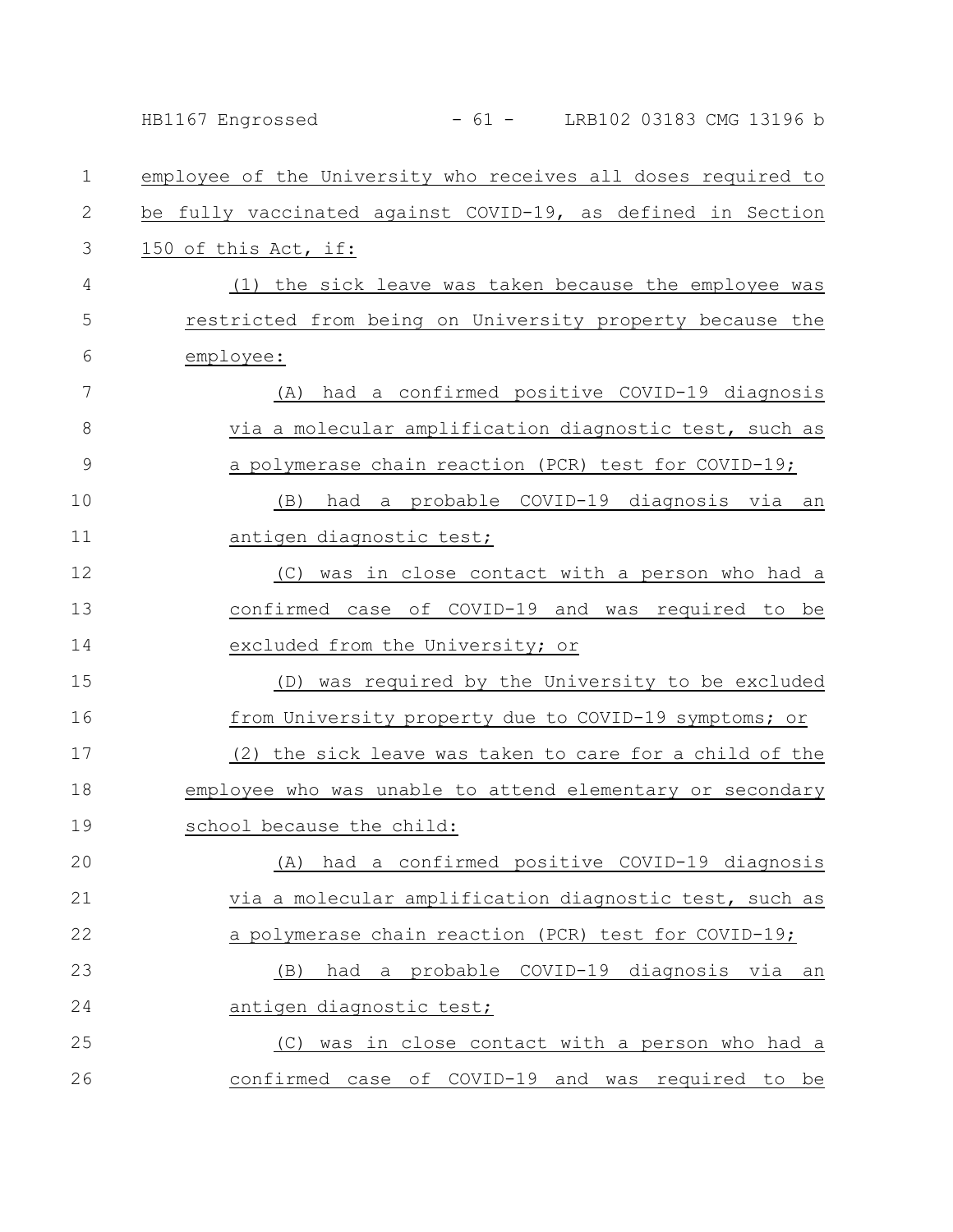|              | - 61 - LRB102 03183 CMG 13196 b<br>HB1167 Engrossed           |
|--------------|---------------------------------------------------------------|
| $\mathbf{1}$ | employee of the University who receives all doses required to |
| $\mathbf{2}$ | be fully vaccinated against COVID-19, as defined in Section   |
| 3            | 150 of this Act, if:                                          |
| 4            | (1) the sick leave was taken because the employee was         |
| 5            | restricted from being on University property because the      |
| 6            | employee:                                                     |
| 7            | (A) had a confirmed positive COVID-19 diagnosis               |
| 8            | via a molecular amplification diagnostic test, such as        |
| 9            | a polymerase chain reaction (PCR) test for COVID-19;          |
| 10           | had a probable COVID-19 diagnosis via an<br>(B)               |
| 11           | antigen diagnostic test;                                      |
| 12           | was in close contact with a person who had a<br>(C)           |
| 13           | confirmed case of COVID-19 and was required to be             |
| 14           | excluded from the University; or                              |
| 15           | (D) was required by the University to be excluded             |
| 16           | from University property due to COVID-19 symptoms; or         |
| 17           | (2) the sick leave was taken to care for a child of the       |
| 18           | employee who was unable to attend elementary or secondary     |
| 19           | school because the child:                                     |
| 20           | (A) had a confirmed positive COVID-19 diagnosis               |
| 21           | via a molecular amplification diagnostic test, such as        |
| 22           | a polymerase chain reaction (PCR) test for COVID-19;          |
| 23           | had a probable COVID-19 diagnosis via an<br>(B)               |
| 24           | antigen diagnostic test;                                      |
| 25           | (C) was in close contact with a person who had a              |
| 26           | confirmed case of COVID-19 and was required to be             |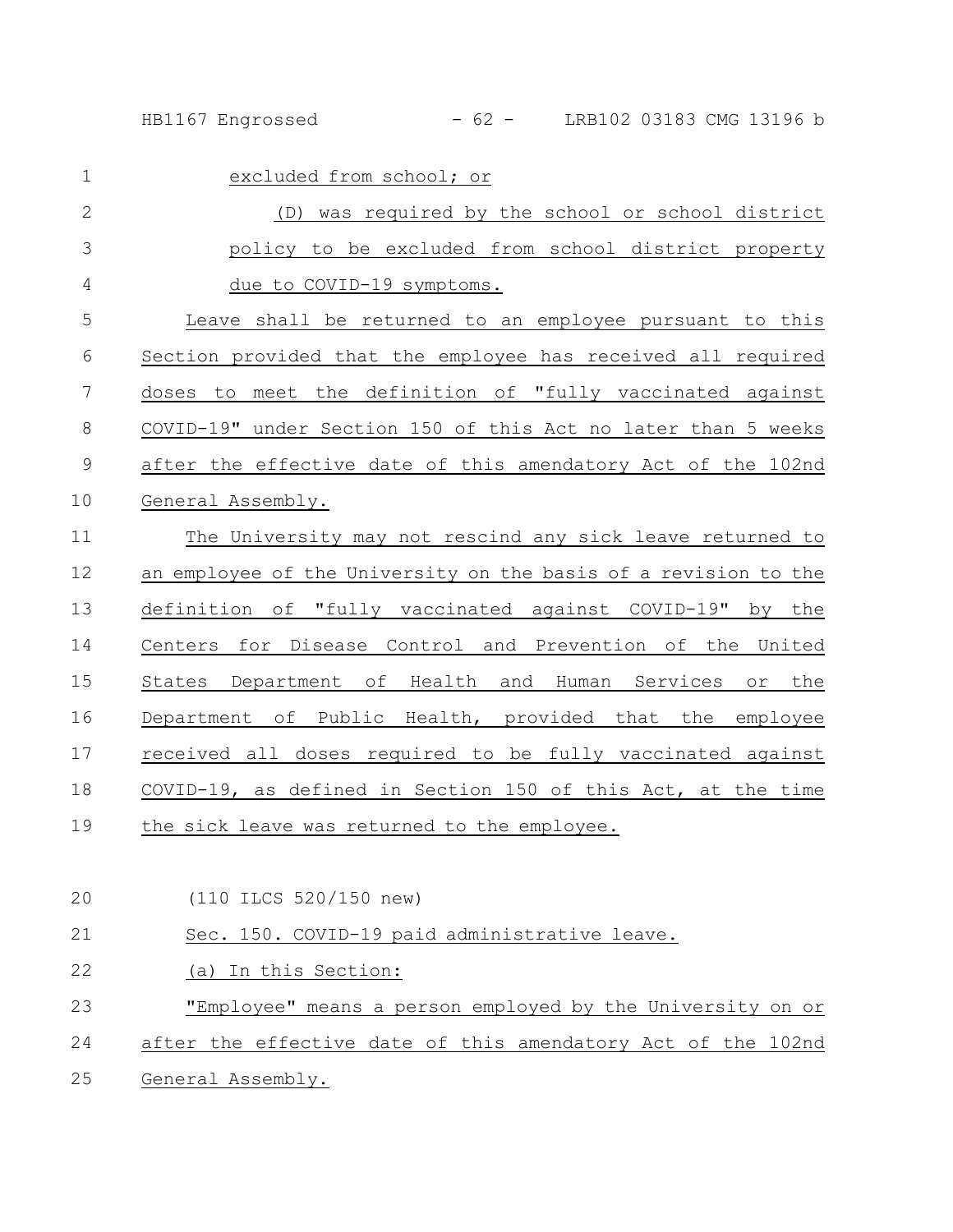HB1167 Engrossed - 62 - LRB102 03183 CMG 13196 b

| $\mathbf 1$  | excluded from school; or                                        |
|--------------|-----------------------------------------------------------------|
| $\mathbf{2}$ | (D) was required by the school or school district               |
| 3            | policy to be excluded from school district property             |
| 4            | due to COVID-19 symptoms.                                       |
| 5            | Leave shall be returned to an employee pursuant to this         |
| $6\,$        | Section provided that the employee has received all required    |
| 7            | doses to meet the definition of "fully vaccinated against       |
| $8\,$        | COVID-19" under Section 150 of this Act no later than 5 weeks   |
| $\mathsf 9$  | after the effective date of this amendatory Act of the 102nd    |
| 10           | General Assembly.                                               |
| 11           | The University may not rescind any sick leave returned to       |
| 12           | an employee of the University on the basis of a revision to the |
| 13           | definition of "fully vaccinated against COVID-19" by the        |
| 14           | Centers for Disease Control and Prevention of the United        |
| 15           | States Department of Health and Human Services<br>or the        |
| 16           | Department of Public Health, provided that the employee         |
| 17           | received all doses required to be fully vaccinated against      |
| 18           | COVID-19, as defined in Section 150 of this Act, at the time    |
| 19           | the sick leave was returned to the employee.                    |
|              |                                                                 |
| 20           | (110 ILCS 520/150 new)                                          |
| 21           | Sec. 150. COVID-19 paid administrative leave.                   |
| 22           | (a) In this Section:                                            |
| 23           | "Employee" means a person employed by the University on or      |
| 24           | after the effective date of this amendatory Act of the 102nd    |
| 25           | General Assembly.                                               |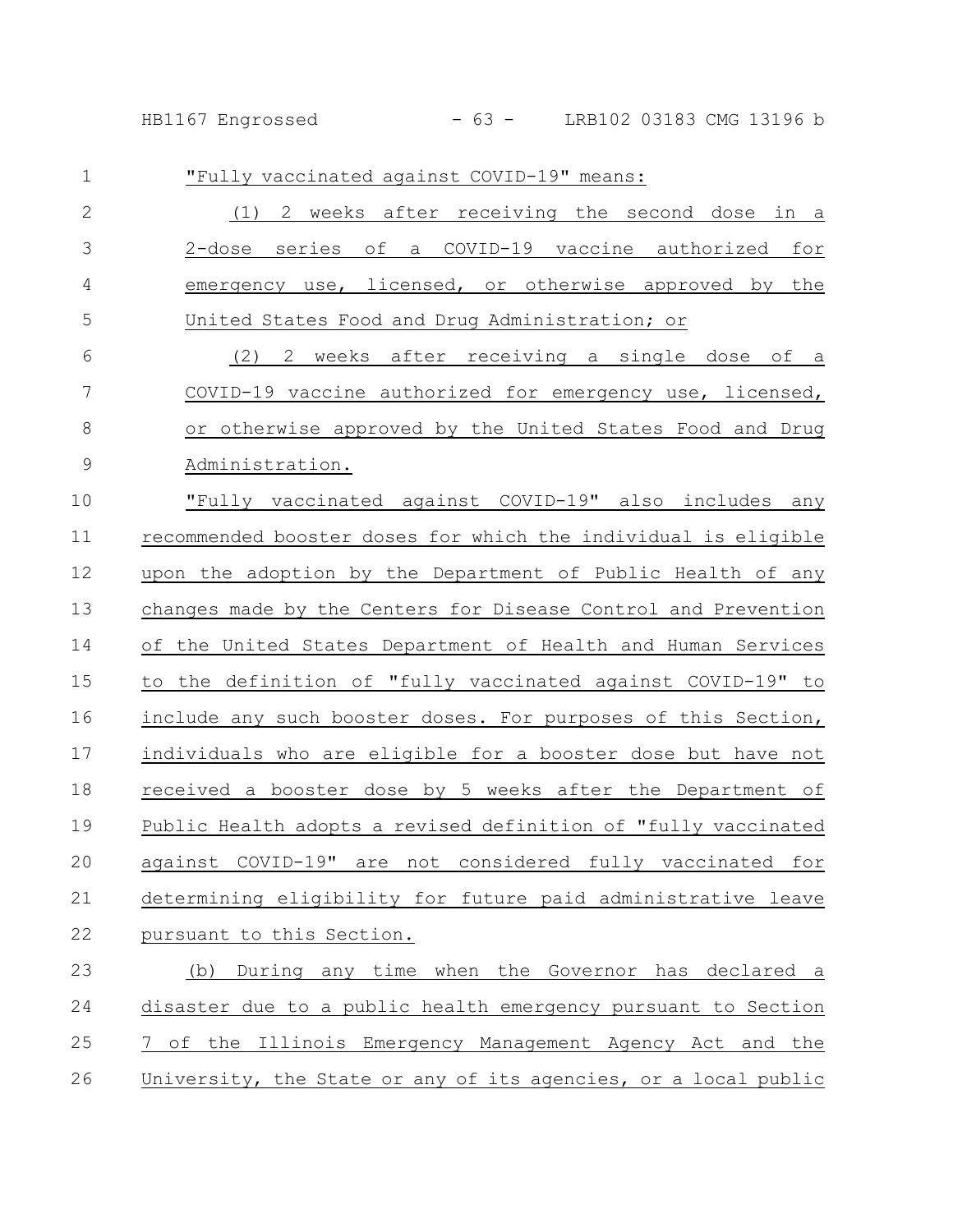HB1167 Engrossed - 63 - LRB102 03183 CMG 13196 b

| $\mathbf{1}$   | "Fully vaccinated against COVID-19" means:                      |
|----------------|-----------------------------------------------------------------|
| $\mathbf{2}$   | (1) 2 weeks after receiving the second dose in a                |
| 3              | 2-dose series of a COVID-19 vaccine authorized for              |
| 4              | emergency use, licensed, or otherwise approved by the           |
| 5              | United States Food and Drug Administration; or                  |
| 6              | (2) 2 weeks after receiving a single dose of a                  |
| $\overline{7}$ | COVID-19 vaccine authorized for emergency use, licensed,        |
| 8              | or otherwise approved by the United States Food and Drug        |
| $\overline{9}$ | Administration.                                                 |
| 10             | "Fully vaccinated against COVID-19" also includes any           |
| 11             | recommended booster doses for which the individual is eligible  |
| 12             | upon the adoption by the Department of Public Health of any     |
| 13             | changes made by the Centers for Disease Control and Prevention  |
| 14             | of the United States Department of Health and Human Services    |
| 15             | to the definition of "fully vaccinated against COVID-19" to     |
| 16             | include any such booster doses. For purposes of this Section,   |
| 17             | individuals who are eligible for a booster dose but have not    |
| 18             | received a booster dose by 5 weeks after the Department of      |
| 19             | Public Health adopts a revised definition of "fully vaccinated  |
| 20             | against COVID-19" are not considered fully vaccinated for       |
| 21             | determining eligibility for future paid administrative leave    |
| 22             | pursuant to this Section.                                       |
| 23             | (b) During any time when the Governor has declared a            |
| 24             | disaster due to a public health emergency pursuant to Section   |
| 25             | 7 of the Illinois Emergency Management Agency Act and the       |
| 26             | University, the State or any of its agencies, or a local public |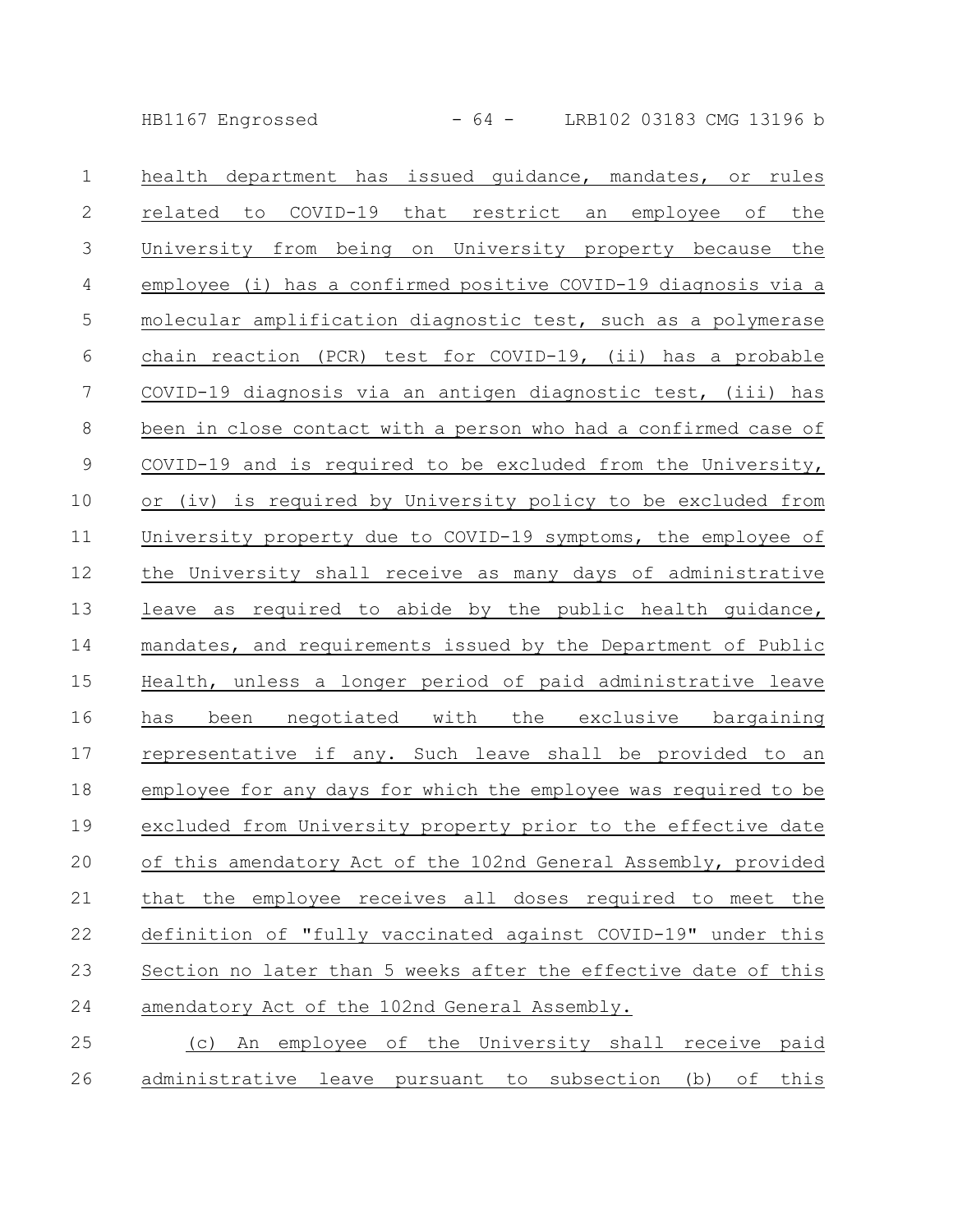HB1167 Engrossed - 64 - LRB102 03183 CMG 13196 b

| $\mathbf 1$    | health department has issued guidance, mandates, or rules       |
|----------------|-----------------------------------------------------------------|
| $\mathbf{2}$   | related to<br>COVID-19 that restrict an employee of<br>the      |
| $\mathfrak{Z}$ | University from being on University property because the        |
| 4              | employee (i) has a confirmed positive COVID-19 diagnosis via a  |
| 5              | molecular amplification diagnostic test, such as a polymerase   |
| 6              | chain reaction (PCR) test for COVID-19, (ii) has a probable     |
| 7              | COVID-19 diagnosis via an antigen diagnostic test, (iii) has    |
| $8\,$          | been in close contact with a person who had a confirmed case of |
| $\mathcal{G}$  | COVID-19 and is required to be excluded from the University,    |
| 10             | or (iv) is required by University policy to be excluded from    |
| 11             | University property due to COVID-19 symptoms, the employee of   |
| 12             | the University shall receive as many days of administrative     |
| 13             | leave as required to abide by the public health guidance,       |
| 14             | mandates, and requirements issued by the Department of Public   |
| 15             | Health, unless a longer period of paid administrative leave     |
| 16             | has been negotiated with the exclusive bargaining               |
| 17             | representative if any. Such leave shall be provided to an       |
| 18             | employee for any days for which the employee was required to be |
| 19             | excluded from University property prior to the effective date   |
| 20             | of this amendatory Act of the 102nd General Assembly, provided  |
| 21             | that the employee receives all doses required to meet the       |
| 22             | definition of "fully vaccinated against COVID-19" under this    |
| 23             | Section no later than 5 weeks after the effective date of this  |
| 24             | amendatory Act of the 102nd General Assembly.                   |
| 25             | (c) An employee of the University shall receive paid            |

26 administrative leave pursuant to subsection (b) of this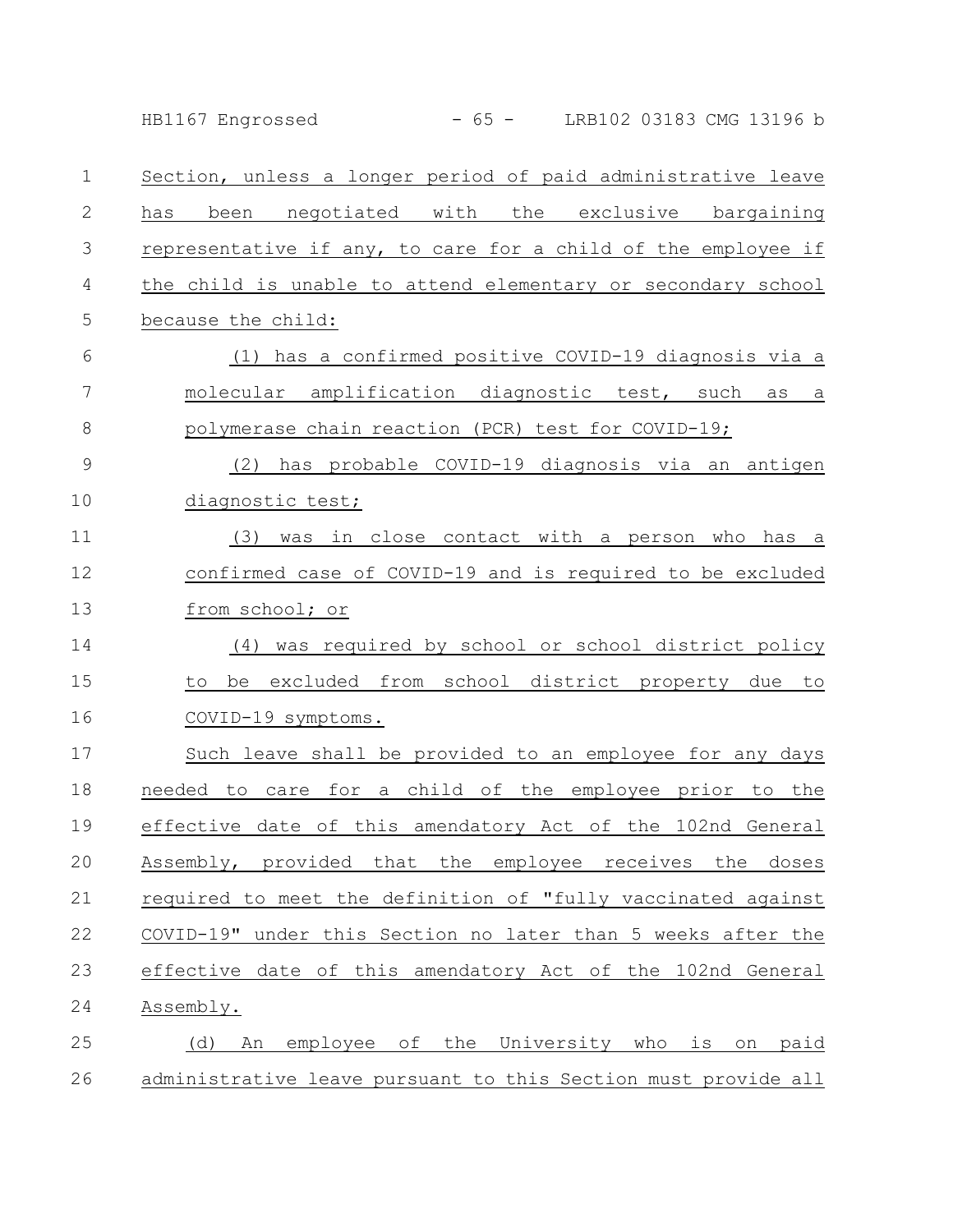|              | $-65 -$<br>LRB102 03183 CMG 13196 b<br>HB1167 Engrossed        |
|--------------|----------------------------------------------------------------|
| 1            | Section, unless a longer period of paid administrative leave   |
| $\mathbf{2}$ | been negotiated with the exclusive bargaining<br>has           |
| 3            | representative if any, to care for a child of the employee if  |
| 4            | the child is unable to attend elementary or secondary school   |
| 5            | because the child:                                             |
| 6            | (1) has a confirmed positive COVID-19 diagnosis via a          |
| 7            | molecular_amplification diagnostic test, such as<br>$\alpha$   |
| 8            | polymerase chain reaction (PCR) test for COVID-19;             |
| 9            | has probable COVID-19 diagnosis via an antigen<br>(2)          |
| 10           | diagnostic test;                                               |
| 11           | in close contact with a<br>(3)<br>person who has a<br>was      |
| 12           | confirmed case of COVID-19 and is required to be excluded      |
| 13           | from school; or                                                |
| 14           | was required by school or school district policy<br>(4)        |
| 15           | be excluded from school district property due to<br>to         |
| 16           | COVID-19 symptoms.                                             |
| 17           | Such leave shall be provided to an employee for any days       |
| 18           | needed to care for a child of the employee prior to the        |
| 19           | effective date of this amendatory Act of the 102nd General     |
| 20           | Assembly, provided that the employee receives the doses        |
| 21           | required to meet the definition of "fully vaccinated against   |
| 22           | COVID-19" under this Section no later than 5 weeks after the   |
| 23           | effective date of this amendatory Act of the 102nd General     |
| 24           | Assembly.                                                      |
| 25           | An employee of the University who is on paid<br>(d)            |
| 26           | administrative leave pursuant to this Section must provide all |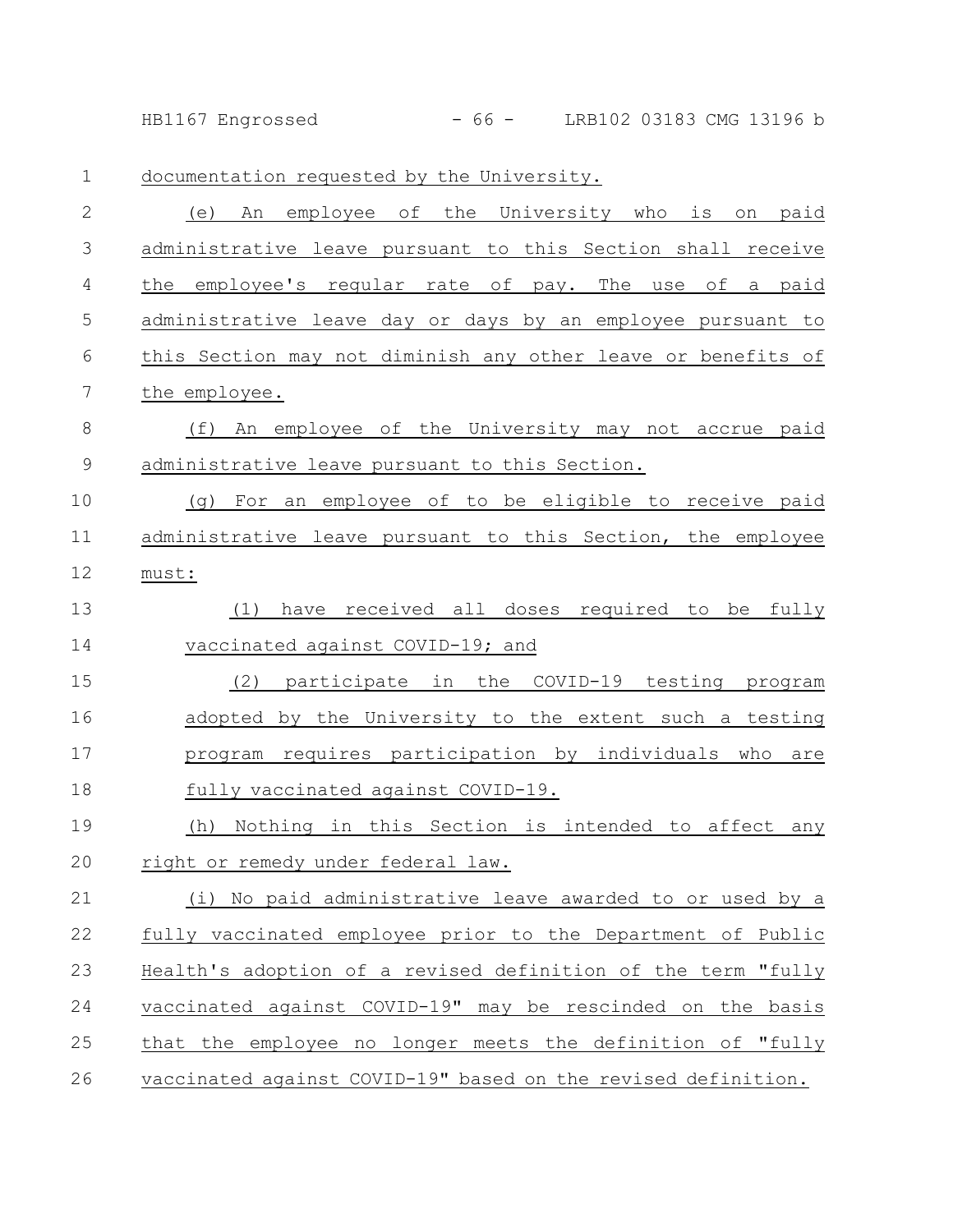HB1167 Engrossed - 66 - LRB102 03183 CMG 13196 b

documentation requested by the University. 1

| $\overline{2}$ | employee of the University who<br>is<br>An<br>paid<br>(e)<br>on |
|----------------|-----------------------------------------------------------------|
| 3              | administrative leave pursuant to this Section shall receive     |
| 4              | employee's regular rate of pay. The<br>the<br>of a paid<br>use  |
| 5              | administrative leave day or days by an employee pursuant to     |
| 6              | this Section may not diminish any other leave or benefits of    |
| 7              | the employee.                                                   |
| $\,8\,$        | An employee of the University may not accrue paid<br>(f)        |
| $\mathcal{G}$  | administrative leave pursuant to this Section.                  |
| 10             | an employee of to be eligible to receive paid<br>(a)<br>For     |
| 11             | administrative leave pursuant to this Section, the employee     |
| 12             | must:                                                           |
| 13             | have received all doses required to be fully<br>(1)             |
| 14             | vaccinated against COVID-19; and                                |
| 15             | COVID-19 testing<br>(2)<br>participate in the<br>program        |
| 16             | adopted by the University to the extent such a testing          |
| 17             | program requires participation by individuals who are           |
| 18             | fully vaccinated against COVID-19.                              |
| 19             | Nothing in this Section is intended to affect any<br>(h)        |
| 20             | right or remedy under federal law.                              |
| 21             | (i) No paid administrative leave awarded to or used by a        |
| 22             | fully vaccinated employee prior to the Department of Public     |
| 23             | Health's adoption of a revised definition of the term "fully    |
| 24             | vaccinated against COVID-19" may be rescinded on the basis      |
| 25             | that the employee no longer meets the definition of "fully      |
| 26             | vaccinated against COVID-19" based on the revised definition.   |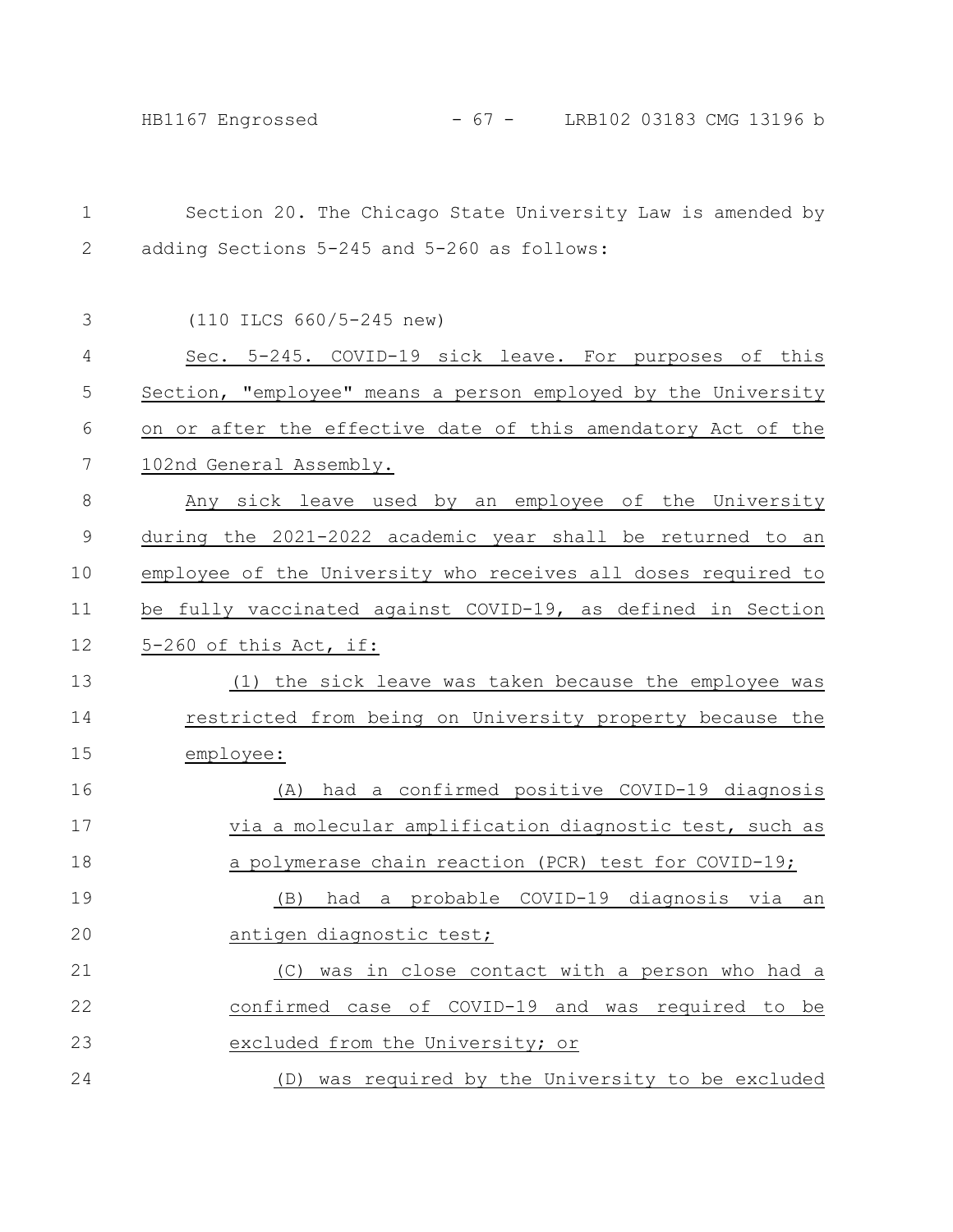| $\mathbf 1$      | Section 20. The Chicago State University Law is amended by    |
|------------------|---------------------------------------------------------------|
| 2                | adding Sections 5-245 and 5-260 as follows:                   |
|                  |                                                               |
| 3                | (110 ILCS 660/5-245 new)                                      |
| 4                | Sec. 5-245. COVID-19 sick leave. For purposes of this         |
| 5                | Section, "employee" means a person employed by the University |
| 6                | on or after the effective date of this amendatory Act of the  |
| $\boldsymbol{7}$ | 102nd General Assembly.                                       |
| $\,8\,$          | Any sick leave used by an employee of the University          |
| $\mathsf 9$      | during the 2021-2022 academic year shall be returned to an    |
| 10               | employee of the University who receives all doses required to |
| 11               | be fully vaccinated against COVID-19, as defined in Section   |
| 12               | $5-260$ of this Act, if:                                      |
| 13               | (1) the sick leave was taken because the employee was         |
| 14               | restricted from being on University property because the      |
| 15               | employee:                                                     |
| 16               | (A) had a confirmed positive COVID-19 diagnosis               |
| 17               | via a molecular amplification diagnostic test, such as        |
| 18               | a polymerase chain reaction (PCR) test for COVID-19;          |
| 19               | (B) had a probable COVID-19 diagnosis<br>via<br>an            |
| 20               | antigen diagnostic test;                                      |
| 21               | was in close contact with a person who had a<br>(C)           |
| 22               | confirmed case of COVID-19 and was required to be             |
| 23               | excluded from the University; or                              |
| 24               | (D) was required by the University to be excluded             |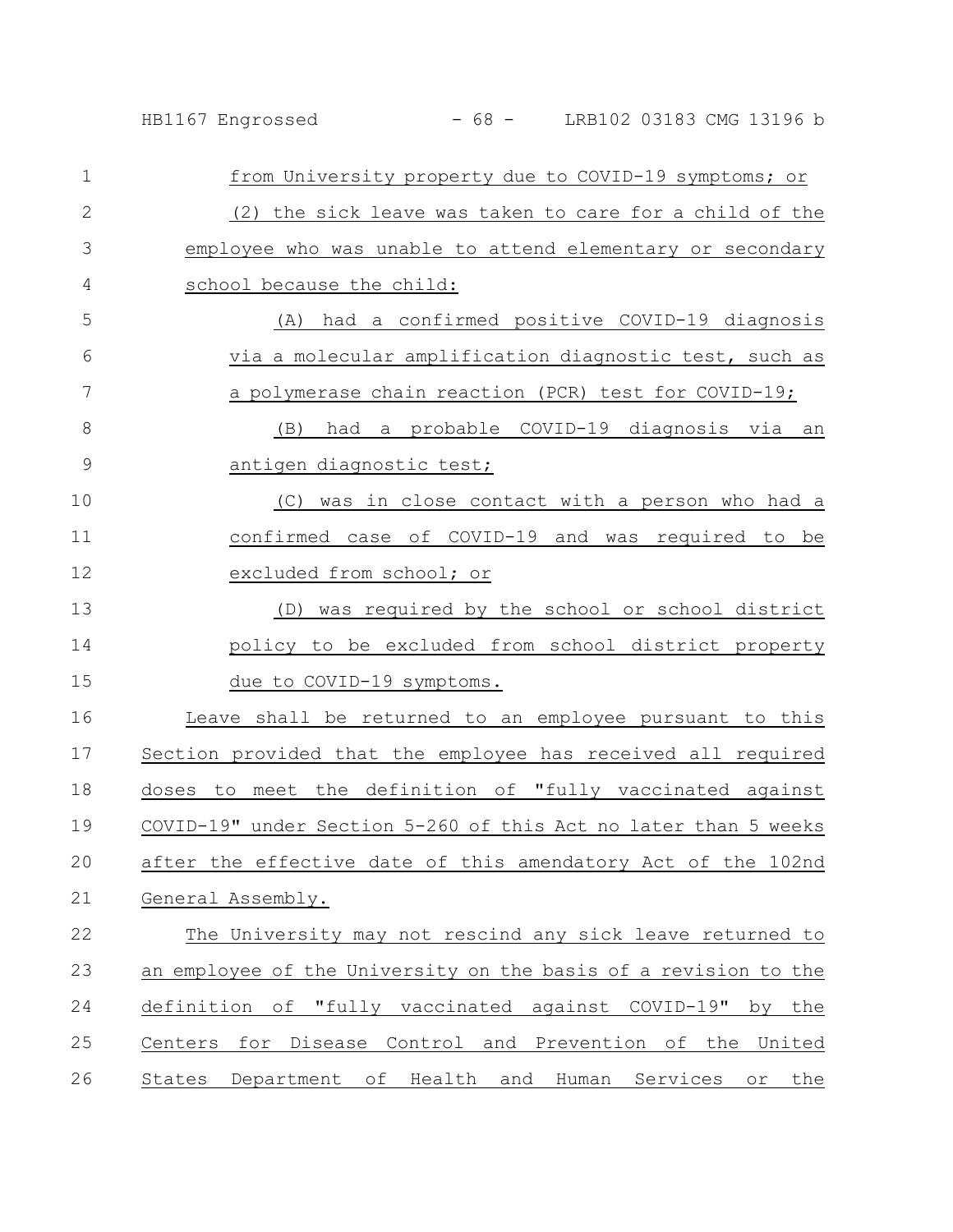HB1167 Engrossed - 68 - LRB102 03183 CMG 13196 b

| $\mathbf{1}$   | from University property due to COVID-19 symptoms; or           |
|----------------|-----------------------------------------------------------------|
| $\mathbf{2}$   | (2) the sick leave was taken to care for a child of the         |
| 3              | employee who was unable to attend elementary or secondary       |
| 4              | school because the child:                                       |
| 5              | (A) had a confirmed positive COVID-19 diagnosis                 |
| 6              | via a molecular amplification diagnostic test, such as          |
| $\overline{7}$ | a polymerase chain reaction (PCR) test for COVID-19;            |
| $8\,$          | a probable COVID-19 diagnosis via an<br>(B)<br>had              |
| $\mathsf 9$    | antigen diagnostic test;                                        |
| 10             | (C) was in close contact with a person who had a                |
| 11             | confirmed case of COVID-19 and was required to be               |
| 12             | excluded from school; or                                        |
| 13             | was required by the school or school district<br>(D)            |
| 14             | policy to be excluded from school district property             |
| 15             | due to COVID-19 symptoms.                                       |
| 16             | Leave shall be returned to an employee pursuant to this         |
| 17             | Section provided that the employee has received all required    |
| 18             | doses to meet the definition of "fully vaccinated against       |
| 19             | COVID-19" under Section 5-260 of this Act no later than 5 weeks |
| 20             | after the effective date of this amendatory Act of the 102nd    |
| 21             | General Assembly.                                               |
| 22             | The University may not rescind any sick leave returned to       |
| 23             | an employee of the University on the basis of a revision to the |
| 24             | definition of "fully vaccinated against COVID-19" by the        |
| 25             | Centers for Disease Control and Prevention of the United        |
| 26             | States Department of Health and Human Services or<br>the        |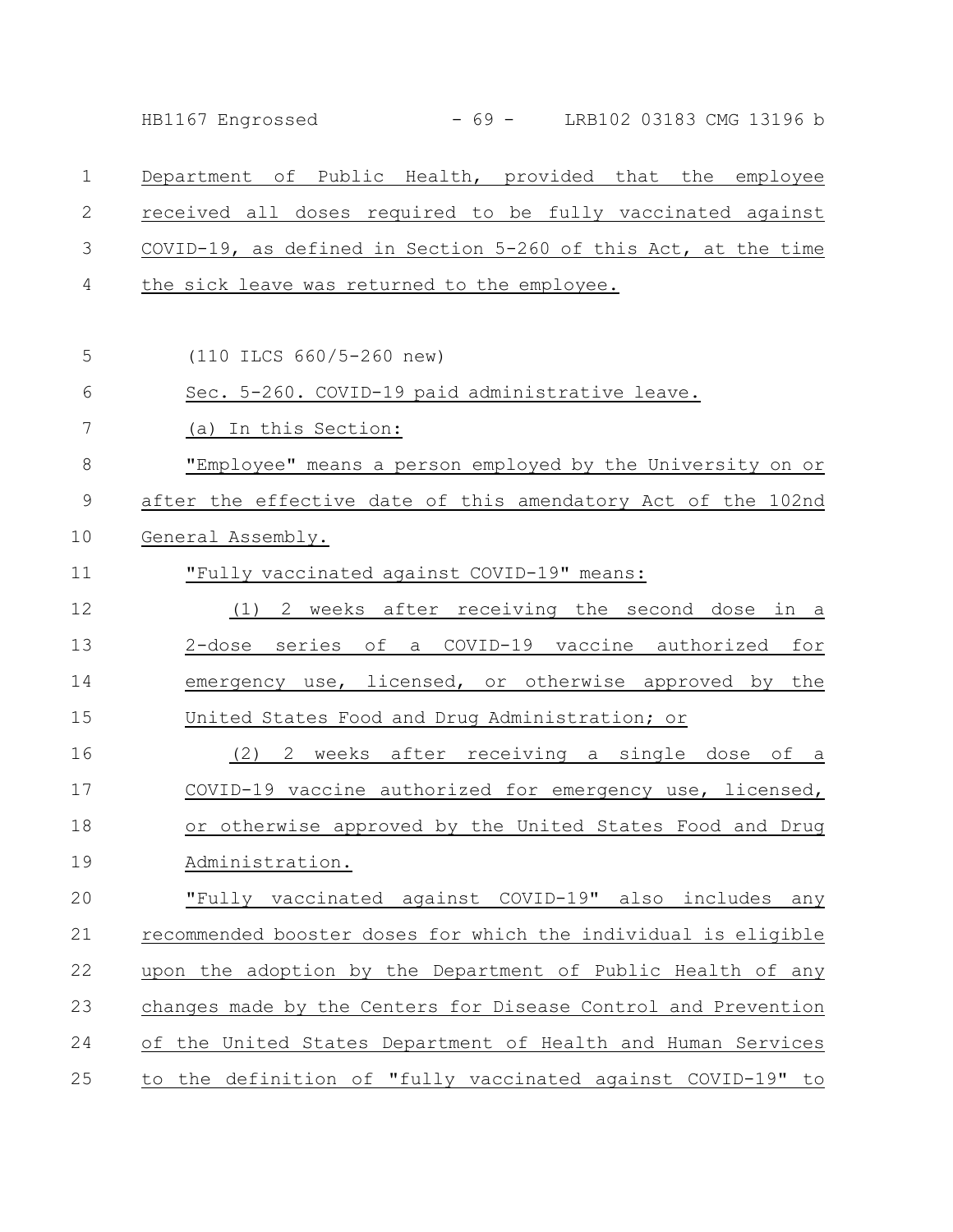HB1167 Engrossed - 69 - LRB102 03183 CMG 13196 b

| $\mathbf{1}$   | Department of Public Health, provided that the employee        |
|----------------|----------------------------------------------------------------|
| $\mathbf{2}$   | received all doses required to be fully vaccinated against     |
| 3              | COVID-19, as defined in Section 5-260 of this Act, at the time |
| $\overline{4}$ | the sick leave was returned to the employee.                   |
|                |                                                                |
| 5              | $(110$ ILCS 660/5-260 new)                                     |
| $6\,$          | Sec. 5-260. COVID-19 paid administrative leave.                |
| $\overline{7}$ | (a) In this Section:                                           |
| 8              | "Employee" means a person employed by the University on or     |
| 9              | after the effective date of this amendatory Act of the 102nd   |
| 10             | General Assembly.                                              |
| 11             | "Fully vaccinated against COVID-19" means:                     |
| 12             | 2 weeks after receiving the second dose in a<br>(1)            |
| 13             | 2-dose series of a COVID-19 vaccine authorized for             |
| 14             | emergency use, licensed, or otherwise approved by the          |
| 15             | United States Food and Drug Administration; or                 |
| 16             | (2) 2 weeks after receiving a single dose of a                 |
| 17             | COVID-19 vaccine authorized for emergency use, licensed,       |
| 18             | or otherwise approved by the United States Food and Drug       |
| 19             | Administration.                                                |
| 20             | "Fully vaccinated against COVID-19" also includes any          |
| 21             | recommended booster doses for which the individual is eligible |
| 22             | upon the adoption by the Department of Public Health of any    |
| 23             | changes made by the Centers for Disease Control and Prevention |
| 24             | of the United States Department of Health and Human Services   |
| 25             | to the definition of "fully vaccinated against COVID-19" to    |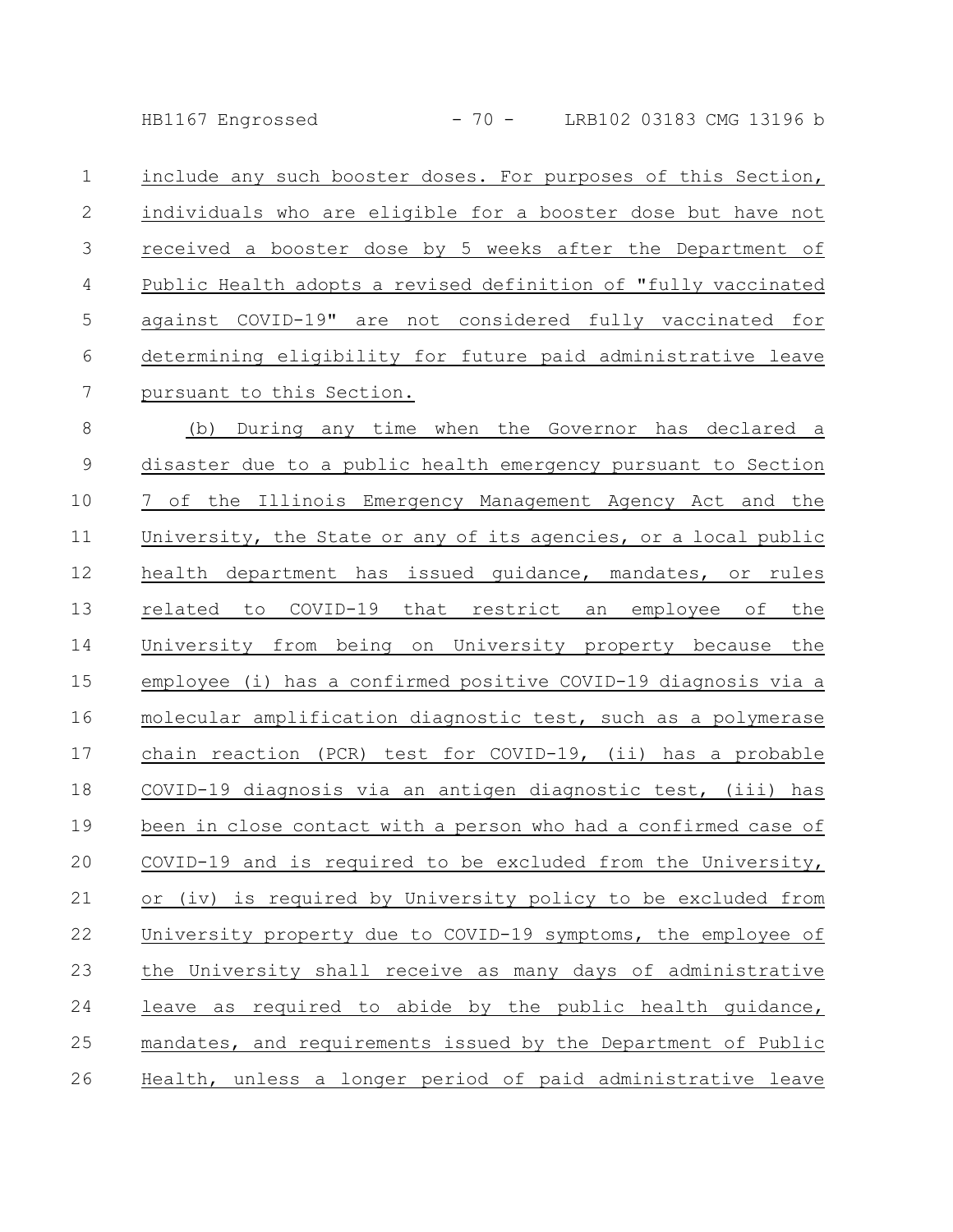HB1167 Engrossed - 70 - LRB102 03183 CMG 13196 b

include any such booster doses. For purposes of this Section, individuals who are eligible for a booster dose but have not received a booster dose by 5 weeks after the Department of Public Health adopts a revised definition of "fully vaccinated against COVID-19" are not considered fully vaccinated for determining eligibility for future paid administrative leave pursuant to this Section. 1 2 3 4 5 6 7

(b) During any time when the Governor has declared a disaster due to a public health emergency pursuant to Section 7 of the Illinois Emergency Management Agency Act and the University, the State or any of its agencies, or a local public health department has issued guidance, mandates, or rules related to COVID-19 that restrict an employee of the University from being on University property because the employee (i) has a confirmed positive COVID-19 diagnosis via a molecular amplification diagnostic test, such as a polymerase chain reaction (PCR) test for COVID-19, (ii) has a probable COVID-19 diagnosis via an antigen diagnostic test, (iii) has been in close contact with a person who had a confirmed case of COVID-19 and is required to be excluded from the University, or (iv) is required by University policy to be excluded from University property due to COVID-19 symptoms, the employee of the University shall receive as many days of administrative leave as required to abide by the public health guidance, mandates, and requirements issued by the Department of Public Health, unless a longer period of paid administrative leave 8 9 10 11 12 13 14 15 16 17 18 19 20 21 22 23 24 25 26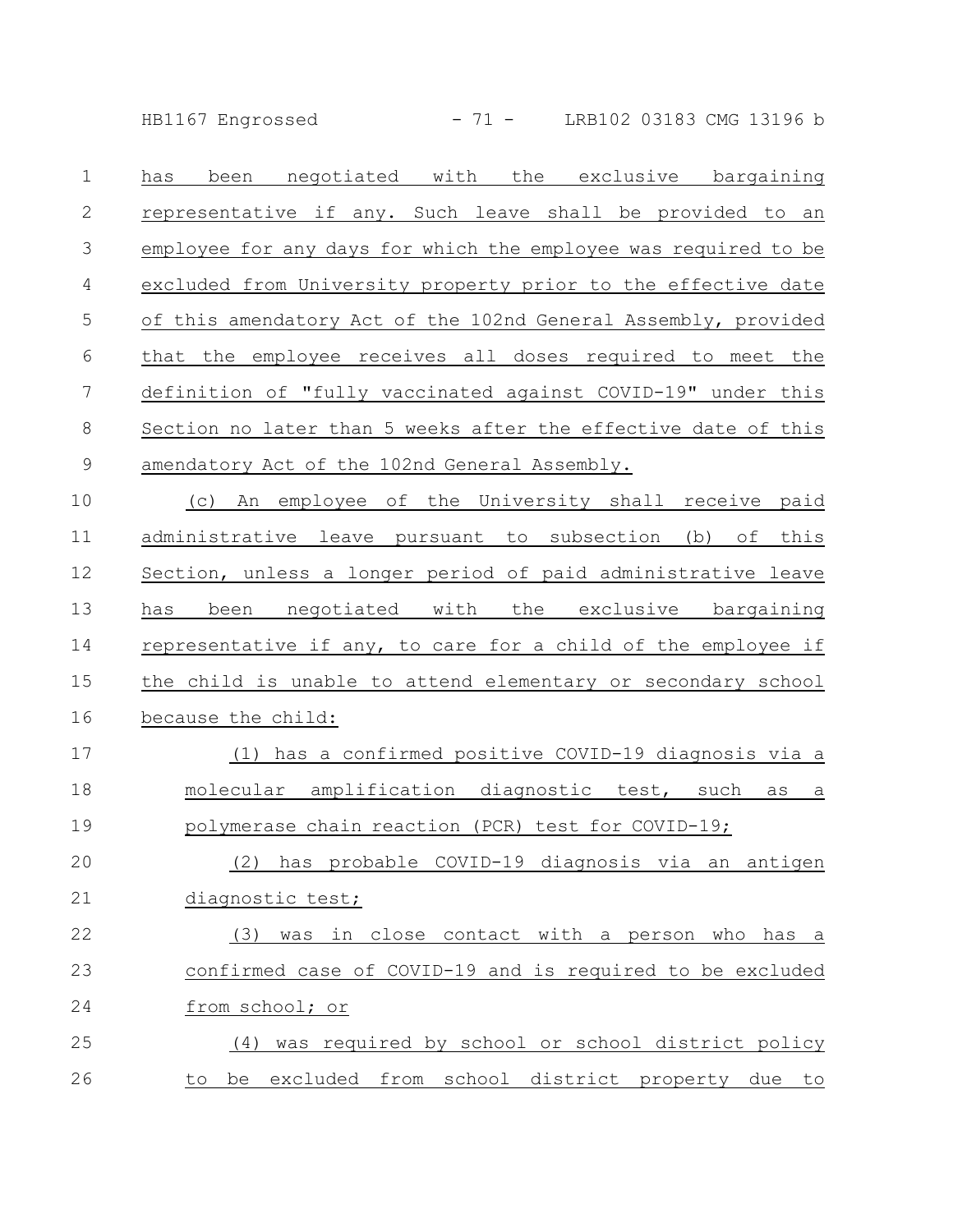HB1167 Engrossed - 71 - LRB102 03183 CMG 13196 b

| $\mathbf 1$   | negotiated with the exclusive bargaining<br>been<br>has         |
|---------------|-----------------------------------------------------------------|
| $\mathbf{2}$  | representative if any. Such leave shall be provided to an       |
| 3             | employee for any days for which the employee was required to be |
| 4             | excluded from University property prior to the effective date   |
| 5             | of this amendatory Act of the 102nd General Assembly, provided  |
| 6             | that the employee receives all doses required to meet the       |
| 7             | definition of "fully vaccinated against COVID-19" under this    |
| 8             | Section no later than 5 weeks after the effective date of this  |
| $\mathcal{G}$ | amendatory Act of the 102nd General Assembly.                   |
| 10            | An employee of the University shall receive paid<br>(C)         |
| 11            | administrative leave pursuant to subsection (b) of this         |
| 12            | Section, unless a longer period of paid administrative leave    |
| 13            | been negotiated with the exclusive bargaining<br>has            |
| 14            | representative if any, to care for a child of the employee if   |
| 15            | the child is unable to attend elementary or secondary school    |
| 16            | because the child:                                              |
| 17            | (1) has a confirmed positive COVID-19 diagnosis via a           |
| 18            | molecular_amplification diagnostic test, such as a              |
| 19            | polymerase chain reaction (PCR) test for COVID-19;              |
| 20            | (2) has probable COVID-19 diagnosis via an antigen              |
| 21            | diagnostic test;                                                |
| 22            | (3) was in close contact with a person who has a                |
| 23            | confirmed case of COVID-19 and is required to be excluded       |
| 24            | from school; or                                                 |
| 25            | (4) was required by school or school district policy            |
| 26            | be excluded from school district property due to<br>to          |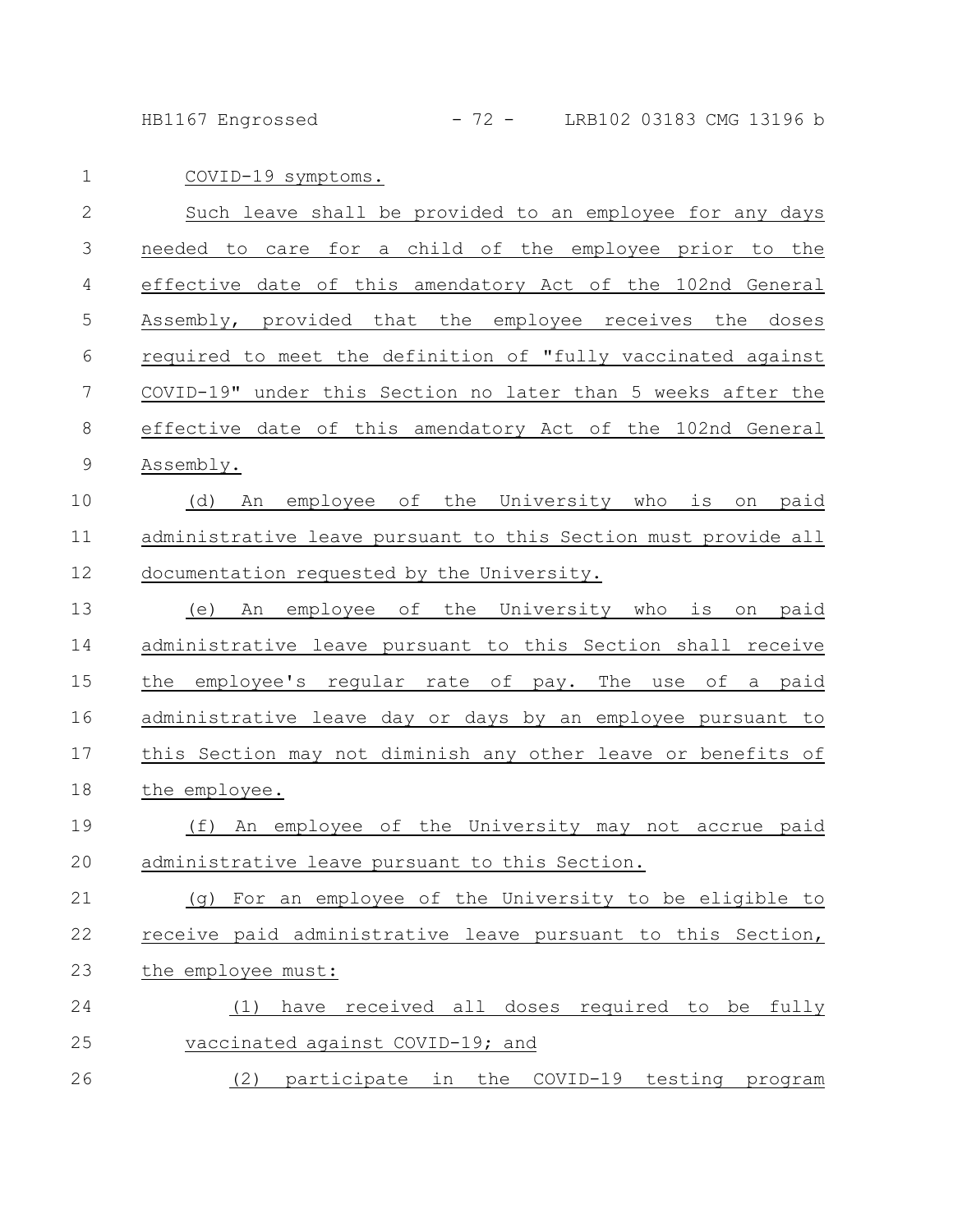HB1167 Engrossed - 72 - LRB102 03183 CMG 13196 b

## COVID-19 symptoms. 1

| $\mathbf{2}$ | Such leave shall be provided to an employee for any days           |
|--------------|--------------------------------------------------------------------|
| 3            | for a child of the employee prior to the<br>needed to care         |
| 4            | effective date of this amendatory Act of the 102nd General         |
| 5            | Assembly, provided that the employee receives<br>the<br>doses      |
| 6            | required to meet the definition of "fully vaccinated against       |
| 7            | COVID-19" under this Section no later than 5 weeks after the       |
| 8            | effective date of this amendatory Act of the 102nd General         |
| $\mathsf 9$  | Assembly.                                                          |
| 10           | the University who<br>employee of<br>is<br>paid<br>(d)<br>An<br>on |
| 11           | administrative leave pursuant to this Section must provide all     |
| 12           | documentation requested by the University.                         |
| 13           | employee of the University who<br>is<br>paid<br>(e)<br>An<br>on    |
| 14           | administrative leave pursuant to this Section shall receive        |
| 15           | employee's regular rate of pay. The use<br>the<br>of a paid        |
| 16           | administrative leave day or days by an employee pursuant to        |
| 17           | this Section may not diminish any other leave or benefits of       |
| 18           | the employee.                                                      |
| 19           | An employee of the University may not<br>(f)<br>accrue paid        |
| 20           | administrative leave pursuant to this Section.                     |
| 21           | (g) For an employee of the University to be eligible to            |
| 22           | receive paid administrative leave pursuant to this Section,        |
| 23           | the employee must:                                                 |
| 24           | have received all doses required to be fully<br>(1)                |
| 25           | vaccinated against COVID-19; and                                   |
| 26           | (2) participate in the COVID-19 testing program                    |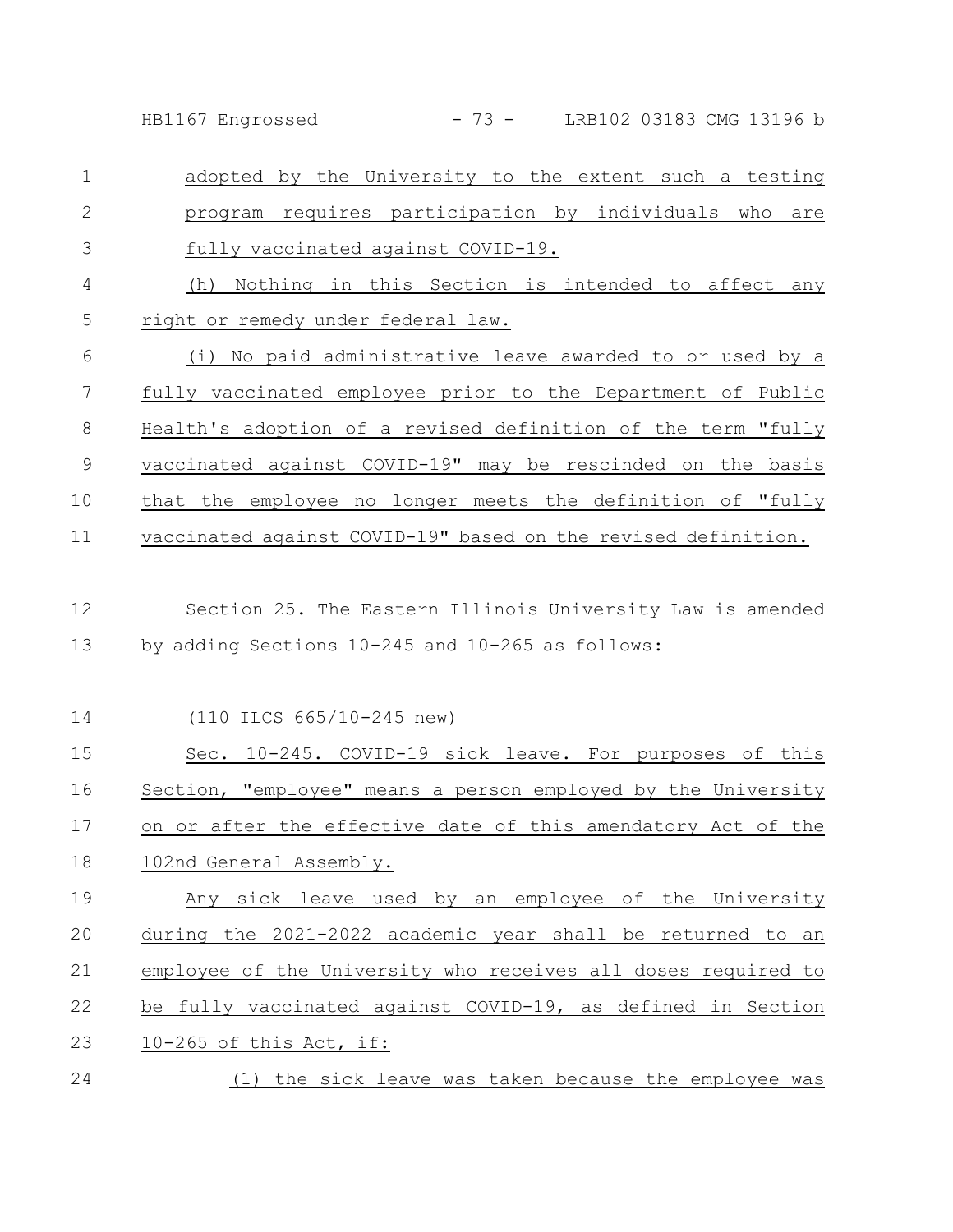HB1167 Engrossed - 73 - LRB102 03183 CMG 13196 b

adopted by the University to the extent such a testing program requires participation by individuals who are fully vaccinated against COVID-19. (h) Nothing in this Section is intended to affect any right or remedy under federal law. (i) No paid administrative leave awarded to or used by a fully vaccinated employee prior to the Department of Public Health's adoption of a revised definition of the term "fully vaccinated against COVID-19" may be rescinded on the basis that the employee no longer meets the definition of "fully vaccinated against COVID-19" based on the revised definition. Section 25. The Eastern Illinois University Law is amended by adding Sections 10-245 and 10-265 as follows: (110 ILCS 665/10-245 new) 1 2 3 4 5 6 7 8 9 10 11 12 13 14

Sec. 10-245. COVID-19 sick leave. For purposes of this Section, "employee" means a person employed by the University on or after the effective date of this amendatory Act of the 102nd General Assembly. Any sick leave used by an employee of the University during the 2021-2022 academic year shall be returned to an employee of the University who receives all doses required to be fully vaccinated against COVID-19, as defined in Section 10-265 of this Act, if: (1) the sick leave was taken because the employee was 15 16 17 18 19 20 21 22 23 24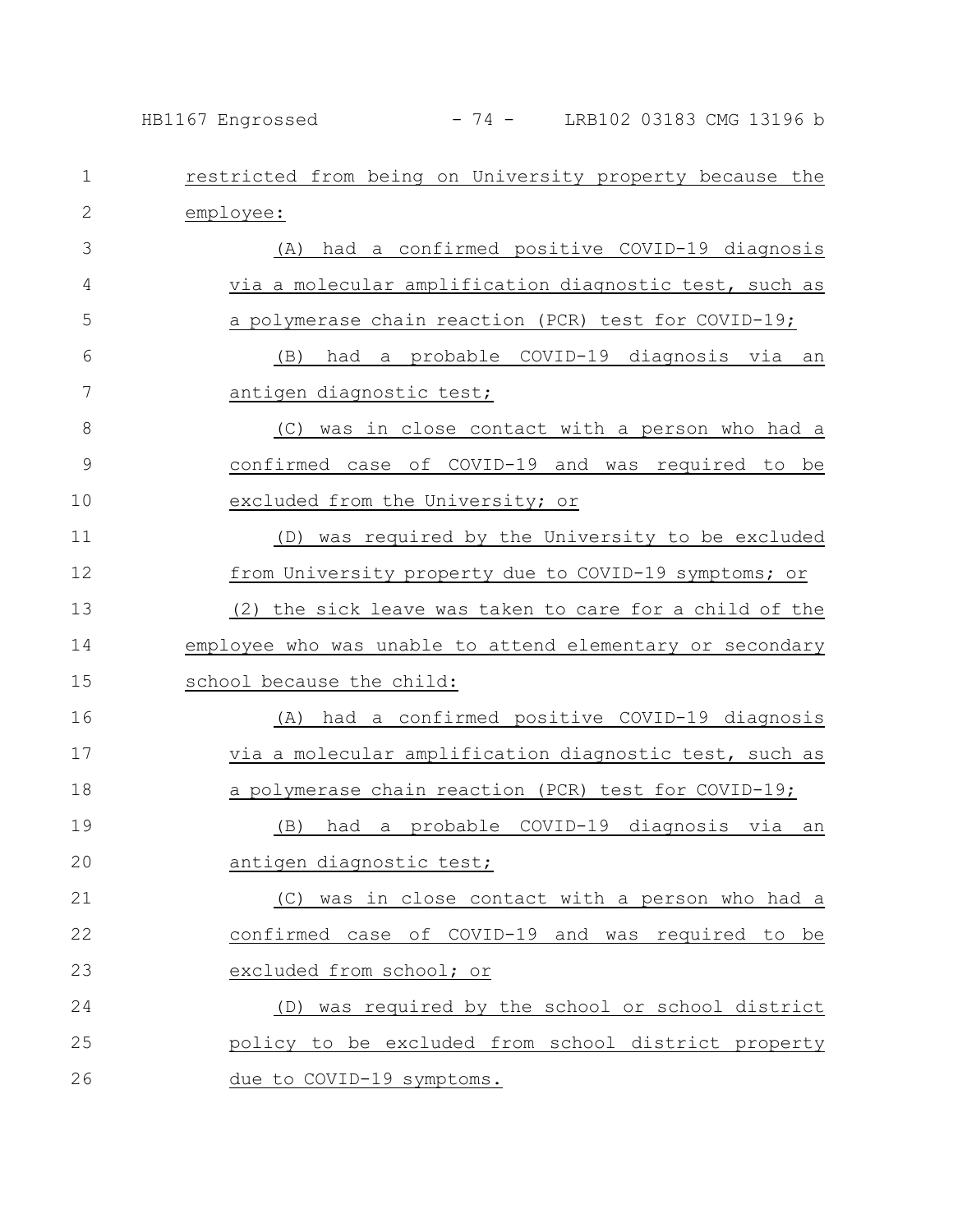| 1            | restricted from being on University property because the  |
|--------------|-----------------------------------------------------------|
| $\mathbf{2}$ | employee:                                                 |
| 3            | had a confirmed positive COVID-19 diagnosis<br>(A)        |
| 4            | via a molecular amplification diagnostic test, such as    |
| 5            | a polymerase chain reaction (PCR) test for COVID-19;      |
| 6            | had a probable COVID-19 diagnosis via an<br>(B)           |
| 7            | antigen diagnostic test;                                  |
| 8            | was in close contact with a person who had a<br>(C)       |
| 9            | confirmed case of COVID-19 and was required to be         |
| 10           | excluded from the University; or                          |
| 11           | was required by the University to be excluded<br>(D)      |
| 12           | from University property due to COVID-19 symptoms; or     |
| 13           | (2) the sick leave was taken to care for a child of the   |
| 14           | employee who was unable to attend elementary or secondary |
| 15           | school because the child:                                 |
| 16           | had a confirmed positive COVID-19 diagnosis<br>(A)        |
|              |                                                           |
| 17           | via a molecular amplification diagnostic test, such as    |
| 18           | a polymerase chain reaction (PCR) test for COVID-19;      |
| 19           | a probable COVID-19 diagnosis via an<br>(B)<br>had        |
| 20           | antigen diagnostic test;                                  |
| 21           | (C) was in close contact with a person who had a          |
| 22           | confirmed case of COVID-19 and was required to be         |
| 23           | excluded from school; or                                  |
| 24           | (D) was required by the school or school district         |
| 25           | policy to be excluded from school district property       |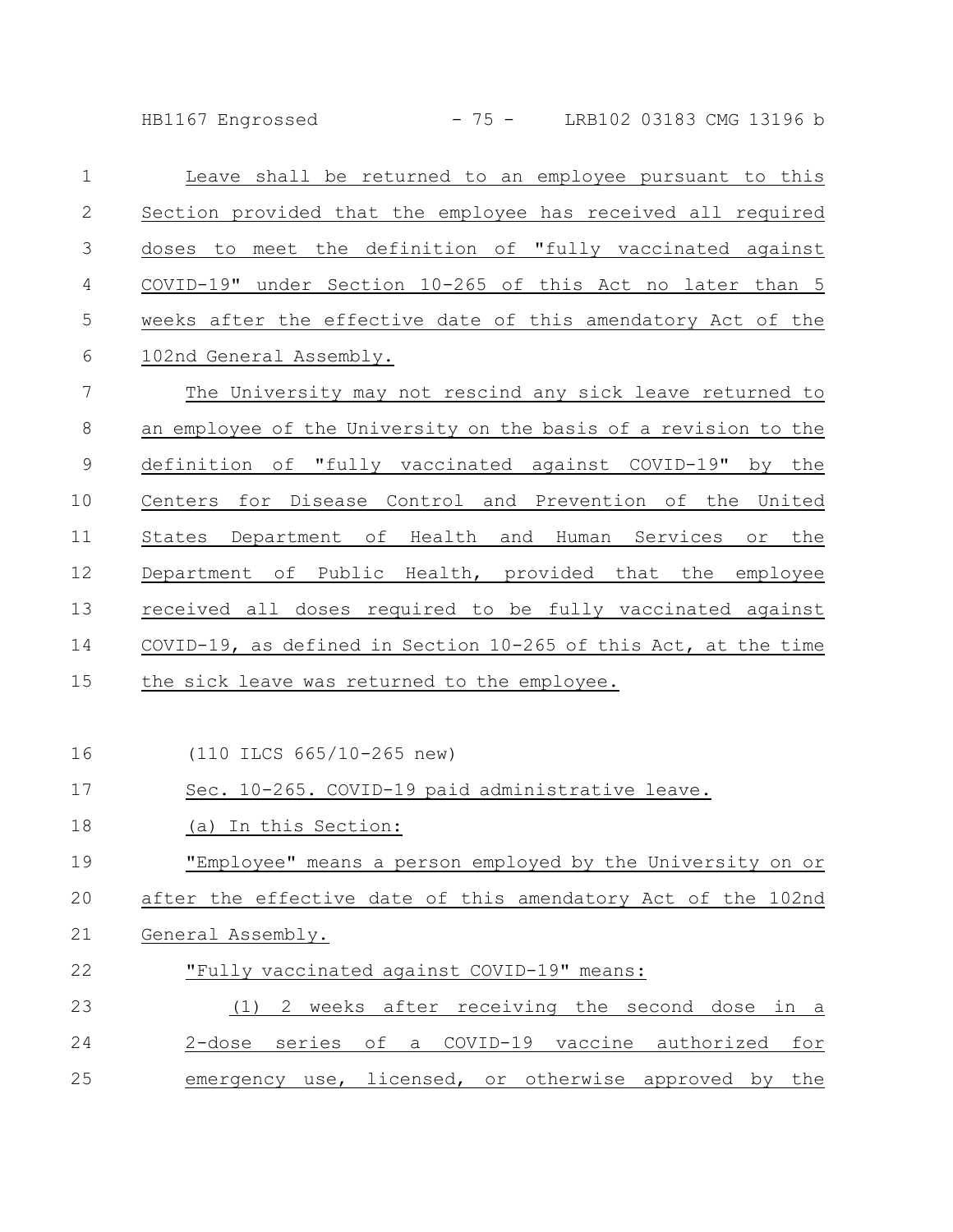HB1167 Engrossed - 75 - LRB102 03183 CMG 13196 b

| 1           | Leave shall be returned to an employee pursuant to this         |
|-------------|-----------------------------------------------------------------|
| 2           | Section provided that the employee has received all required    |
| 3           | doses to meet the definition of "fully vaccinated against       |
| 4           | COVID-19" under Section 10-265 of this Act no later than 5      |
| 5           | weeks after the effective date of this amendatory Act of the    |
| $6\,$       | 102nd General Assembly.                                         |
| 7           | The University may not rescind any sick leave returned to       |
| 8           | an employee of the University on the basis of a revision to the |
| $\mathsf 9$ | definition of "fully vaccinated against COVID-19" by the        |
| 10          | Centers for Disease Control and Prevention of the United        |
| 11          | States Department of Health and Human Services<br>or the        |
| 12          | Department of Public Health, provided that the employee         |
| 13          | received all doses required to be fully vaccinated against      |
| 14          | COVID-19, as defined in Section 10-265 of this Act, at the time |
| 15          | the sick leave was returned to the employee.                    |
|             |                                                                 |
| 16          | $(110$ ILCS 665/10-265 new)                                     |
| 17          | Sec. 10-265. COVID-19 paid administrative leave.                |
| 18          | (a) In this Section:                                            |
| 19          | "Employee" means a person employed by the University on or      |
| 20          | after the effective date of this amendatory Act of the 102nd    |
| 21          | General Assembly.                                               |
| 22          | "Fully vaccinated against COVID-19" means:                      |
| 23          | 2 weeks after receiving the second dose in a<br>(1)             |
| 24          | 2-dose series of a COVID-19 vaccine authorized<br>for           |

emergency use, licensed, or otherwise approved by the 25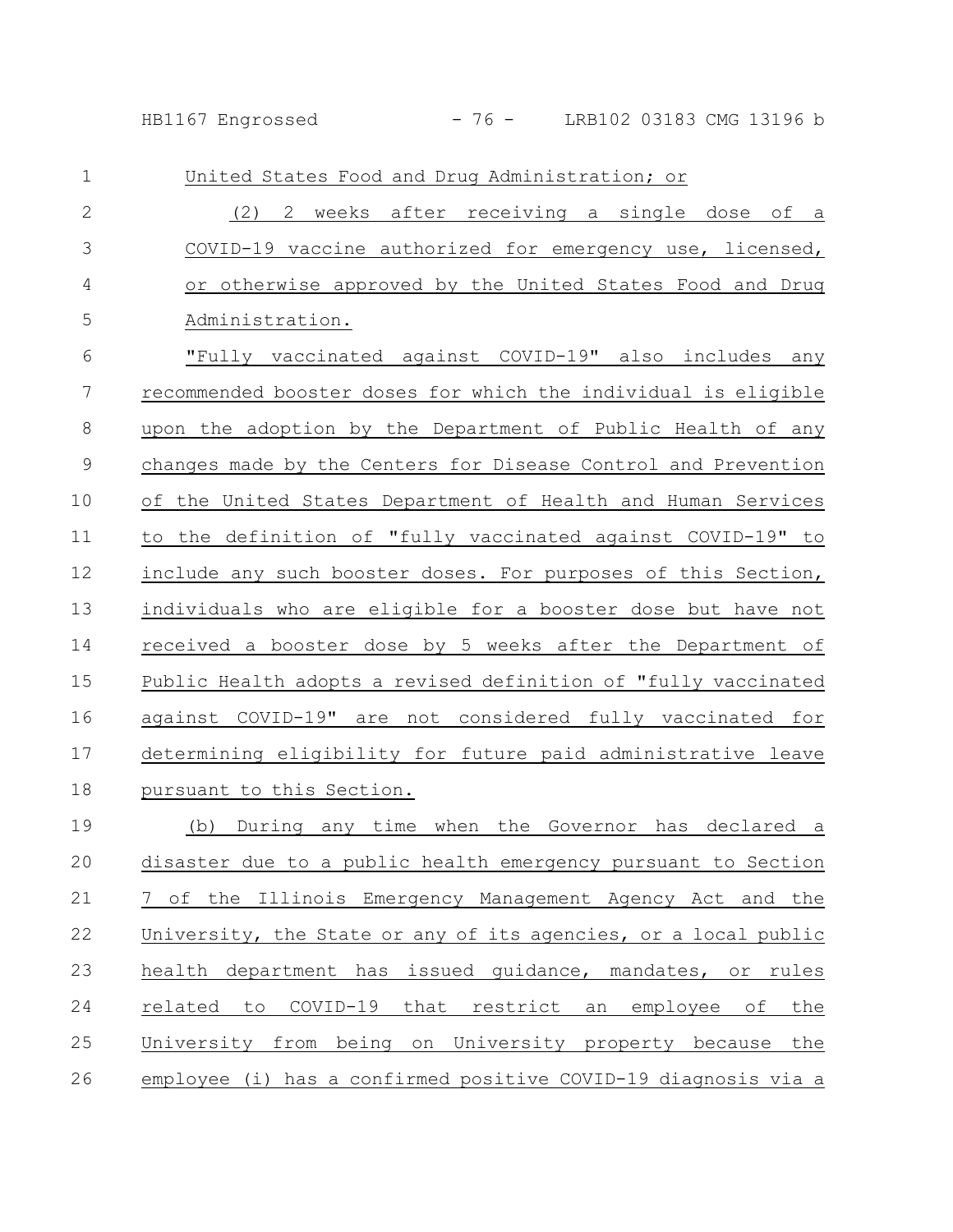HB1167 Engrossed - 76 - LRB102 03183 CMG 13196 b

| $\mathbf 1$  | United States Food and Drug Administration; or                  |
|--------------|-----------------------------------------------------------------|
| $\mathbf{2}$ | 2 weeks after receiving a single dose of a<br>(2)               |
| 3            | COVID-19 vaccine authorized for emergency use, licensed,        |
| 4            | or otherwise approved by the United States Food and Drug        |
| 5            | Administration.                                                 |
| 6            | "Fully vaccinated against COVID-19" also includes any           |
| 7            | recommended booster doses for which the individual is eligible  |
| 8            | upon the adoption by the Department of Public Health of any     |
| $\mathsf 9$  | changes made by the Centers for Disease Control and Prevention  |
| 10           | of the United States Department of Health and Human Services    |
| 11           | to the definition of "fully vaccinated against COVID-19" to     |
| 12           | include any such booster doses. For purposes of this Section,   |
| 13           | individuals who are eligible for a booster dose but have not    |
| 14           | received a booster dose by 5 weeks after the Department of      |
| 15           | Public Health adopts a revised definition of "fully vaccinated  |
| 16           | against COVID-19" are not considered fully vaccinated for       |
| 17           | determining eligibility for future paid administrative leave    |
| 18           | pursuant to this Section.                                       |
| 19           | (b) During any time when the Governor has declared a            |
| 20           | disaster due to a public health emergency pursuant to Section   |
| 21           | 7 of the Illinois Emergency Management Agency Act and the       |
| 22           | University, the State or any of its agencies, or a local public |
| 23           | health department has issued guidance, mandates, or rules       |
| 24           | related to COVID-19 that restrict an employee of the            |
| 25           | University from being on University property because the        |
| 26           | employee (i) has a confirmed positive COVID-19 diagnosis via a  |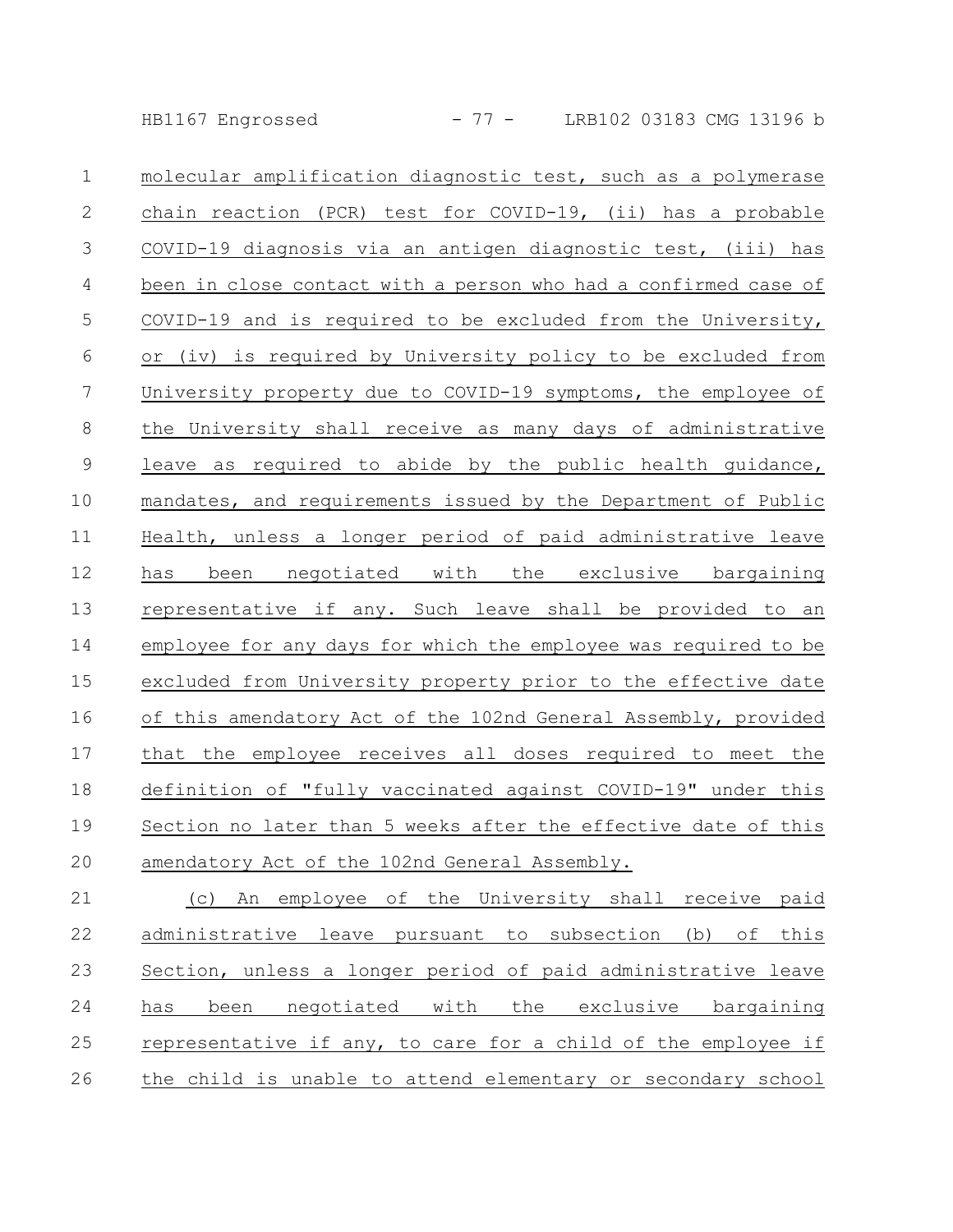HB1167 Engrossed - 77 - LRB102 03183 CMG 13196 b

molecular amplification diagnostic test, such as a polymerase chain reaction (PCR) test for COVID-19, (ii) has a probable COVID-19 diagnosis via an antigen diagnostic test, (iii) has been in close contact with a person who had a confirmed case of COVID-19 and is required to be excluded from the University, or (iv) is required by University policy to be excluded from University property due to COVID-19 symptoms, the employee of the University shall receive as many days of administrative leave as required to abide by the public health guidance, mandates, and requirements issued by the Department of Public Health, unless a longer period of paid administrative leave has been negotiated with the exclusive bargaining representative if any. Such leave shall be provided to an employee for any days for which the employee was required to be excluded from University property prior to the effective date of this amendatory Act of the 102nd General Assembly, provided that the employee receives all doses required to meet the definition of "fully vaccinated against COVID-19" under this Section no later than 5 weeks after the effective date of this amendatory Act of the 102nd General Assembly. 1 2 3 4 5 6 7 8 9 10 11 12 13 14 15 16 17 18 19 20

(c) An employee of the University shall receive paid administrative leave pursuant to subsection (b) of this Section, unless a longer period of paid administrative leave has been negotiated with the exclusive bargaining representative if any, to care for a child of the employee if the child is unable to attend elementary or secondary school 21 22 23 24 25 26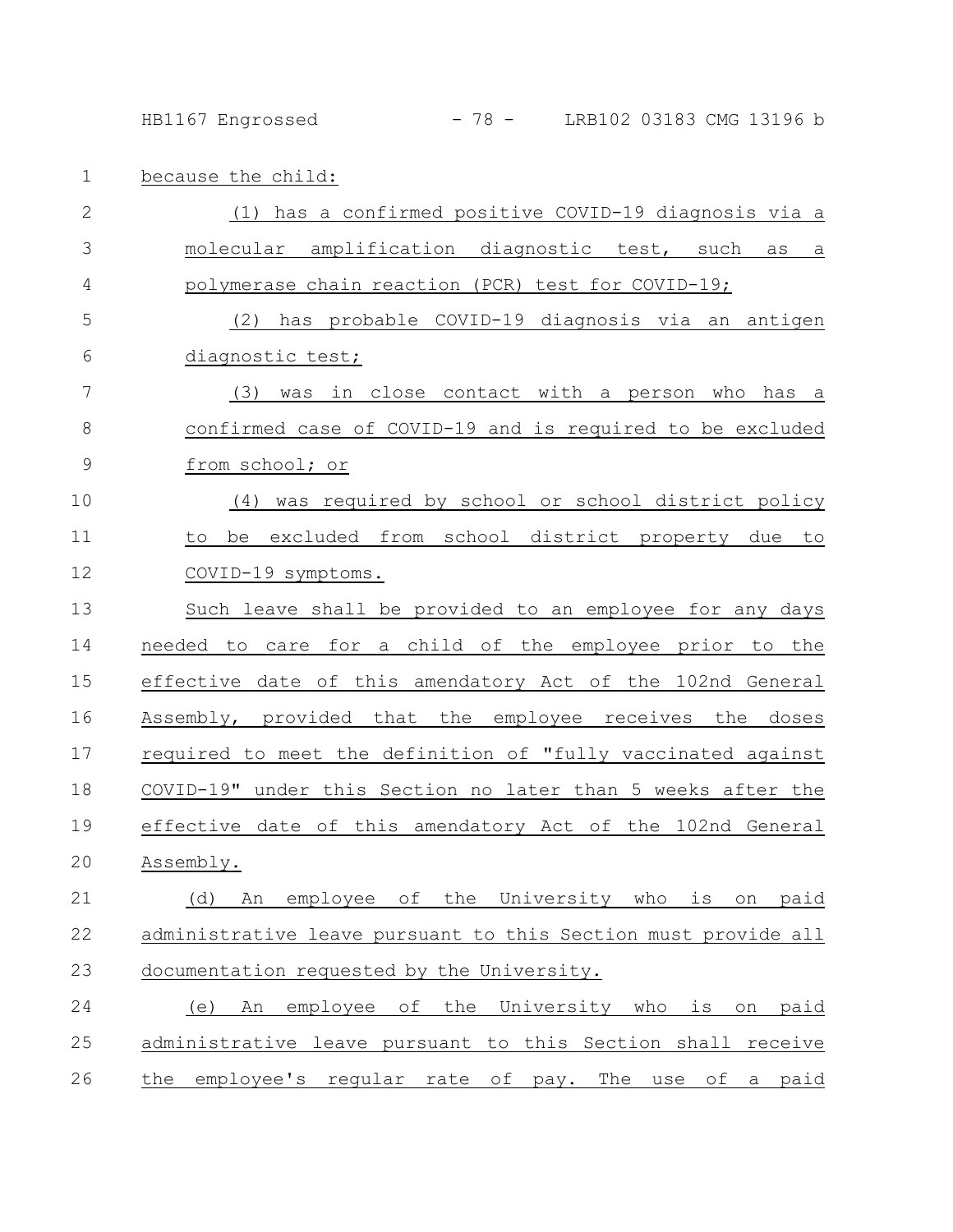HB1167 Engrossed - 78 - LRB102 03183 CMG 13196 b

1 because the child:

| $\mathbf{2}$  | (1) has a confirmed positive COVID-19 diagnosis via a          |
|---------------|----------------------------------------------------------------|
| 3             | molecular amplification diagnostic test, such as<br>a          |
| 4             | polymerase chain reaction (PCR) test for COVID-19;             |
| 5             | has probable COVID-19 diagnosis via an antigen<br>(2)          |
| 6             | diagnostic test;                                               |
| 7             | was in close contact with a person who<br>(3)<br><u>has a</u>  |
| 8             | confirmed case of COVID-19 and is required to be excluded      |
| $\mathcal{G}$ | from school; or                                                |
| 10            | was required by school or school district policy<br>(4)        |
| 11            | be excluded from school district property due<br>to<br>to      |
| 12            | COVID-19 symptoms.                                             |
| 13            | Such leave shall be provided to an employee for any days       |
| 14            | needed to care for a child of the employee prior to the        |
| 15            | effective date of this amendatory Act of the 102nd General     |
| 16            | Assembly, provided that the employee receives the doses        |
| 17            | required to meet the definition of "fully vaccinated against   |
| 18            | COVID-19" under this Section no later than 5 weeks after the   |
| 19            | effective date of this amendatory Act of the 102nd General     |
| 20            | Assembly.                                                      |
| 21            | (d) An employee of the University who is on paid               |
| 22            | administrative leave pursuant to this Section must provide all |
| 23            | documentation requested by the University.                     |
| 24            | employee of the University who<br>is<br>on paid<br>(e)<br>An   |
| 25            | administrative leave pursuant to this Section shall receive    |
| 26            | the employee's regular rate of pay. The use of a paid          |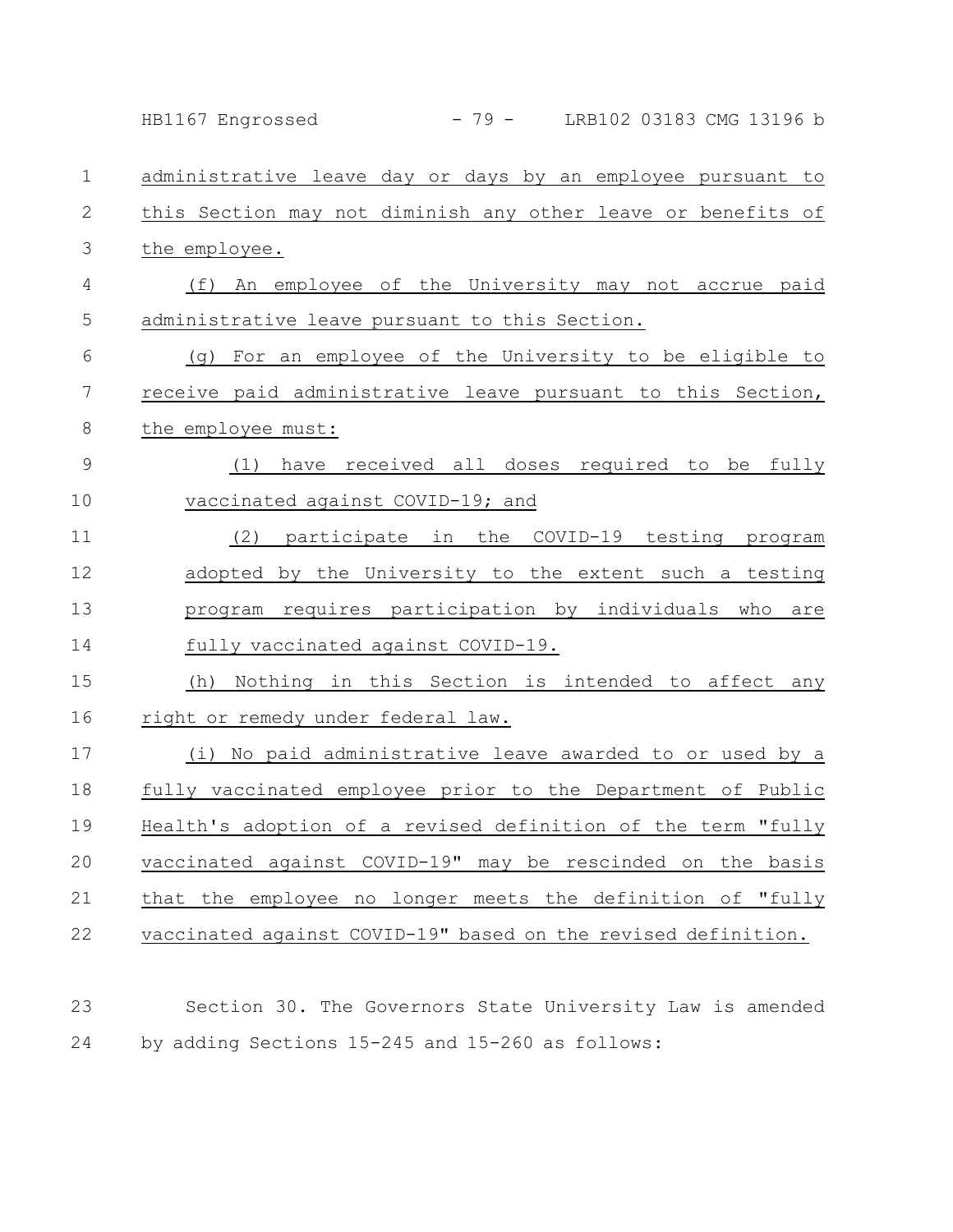|                 | $-79-$<br>LRB102 03183 CMG 13196 b<br>HB1167 Engrossed        |
|-----------------|---------------------------------------------------------------|
| $\mathbf 1$     | administrative leave day or days by an employee pursuant to   |
| $\mathbf{2}$    | this Section may not diminish any other leave or benefits of  |
| 3               | the employee.                                                 |
| 4               | An employee of the University may not accrue paid<br>(f)      |
| 5               | administrative leave pursuant to this Section.                |
| 6               | For an employee of the University to be eligible to<br>(q)    |
| $7\phantom{.0}$ | receive paid administrative leave pursuant to this Section,   |
| $\,8\,$         | the employee must:                                            |
| $\mathsf 9$     | have received all doses required to be fully<br>(1)           |
| 10              | vaccinated against COVID-19; and                              |
| 11              | participate in the COVID-19 testing program<br>(2)            |
| 12              | adopted by the University to the extent such a testing        |
| 13              | program requires participation by individuals who are         |
| 14              | fully vaccinated against COVID-19.                            |
| 15              | Nothing in this Section is intended to affect any<br>(h)      |
| 16              | right or remedy under federal law.                            |
| 17              | (i) No paid administrative leave awarded to or used by a      |
| 18              | fully vaccinated employee prior to the Department of Public   |
| 19              | Health's adoption of a revised definition of the term "fully  |
| 20              | vaccinated against COVID-19" may be rescinded on the basis    |
| 21              | that the employee no longer meets the definition of "fully    |
| 22              | vaccinated against COVID-19" based on the revised definition. |
| 23              | Section 30. The Governors State University Law is amended     |

by adding Sections 15-245 and 15-260 as follows: 24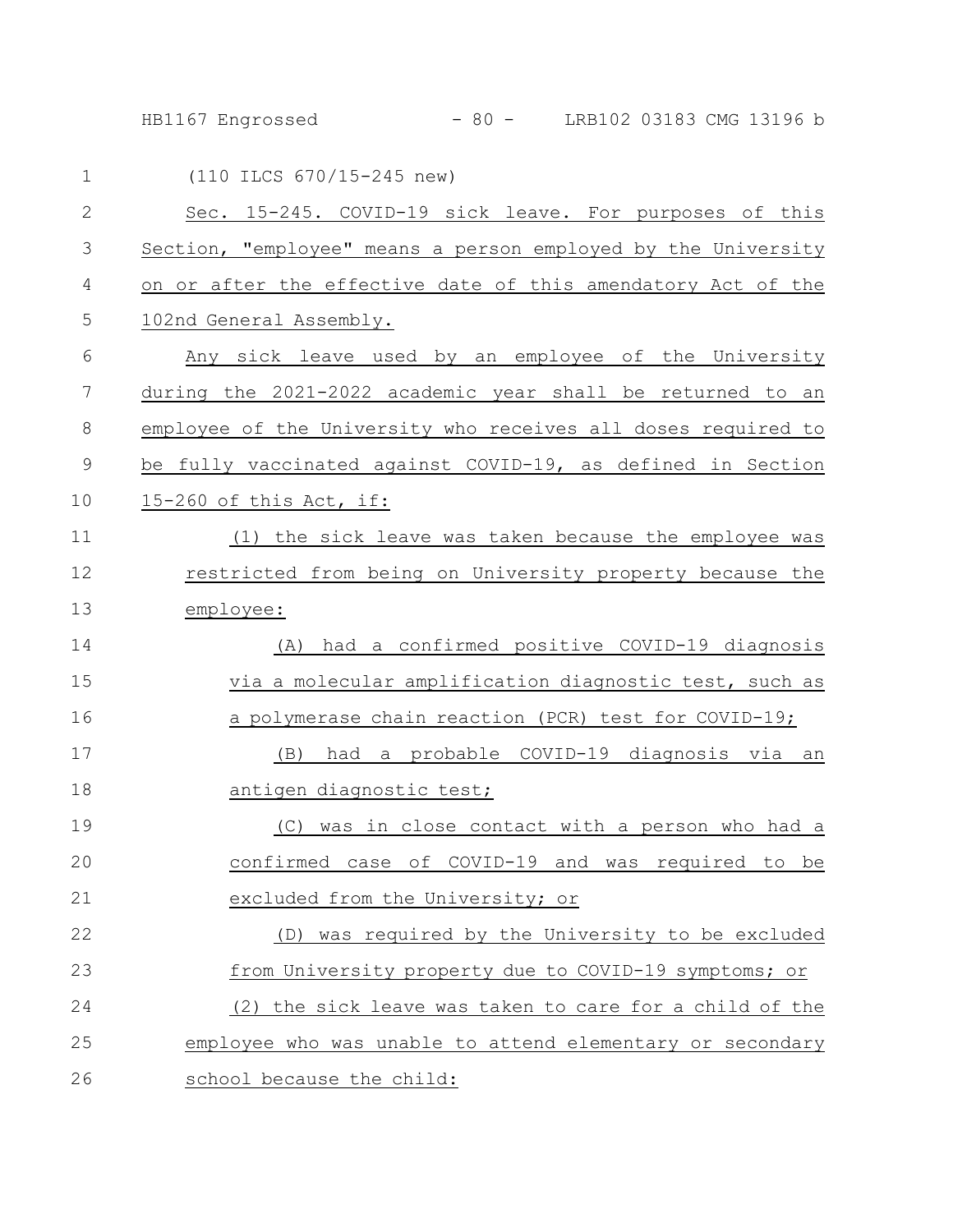HB1167 Engrossed - 80 - LRB102 03183 CMG 13196 b

| $\mathbf 1$    | (110 ILCS 670/15-245 new)                                     |
|----------------|---------------------------------------------------------------|
| $\mathbf{2}$   | Sec. 15-245. COVID-19 sick leave. For purposes of this        |
| 3              | Section, "employee" means a person employed by the University |
| 4              | on or after the effective date of this amendatory Act of the  |
| 5              | 102nd General Assembly.                                       |
| 6              | Any sick leave used by an employee of the University          |
| $\overline{7}$ | during the 2021-2022 academic year shall be returned to an    |
| $8\,$          | employee of the University who receives all doses required to |
| $\mathsf 9$    | be fully vaccinated against COVID-19, as defined in Section   |
| 10             | 15-260 of this Act, if:                                       |
| 11             | (1) the sick leave was taken because the employee was         |
| 12             | restricted from being on University property because the      |
| 13             | employee:                                                     |
| 14             | had a confirmed positive COVID-19 diagnosis<br>(A)            |
| 15             | via a molecular amplification diagnostic test, such as        |
| 16             | a polymerase chain reaction (PCR) test for COVID-19;          |
| 17             | had a probable COVID-19 diagnosis via an<br>(B)               |
| 18             | antigen diagnostic test;                                      |
| 19             | was in close contact with a person who had a<br>(C)           |
| 20             | confirmed_case_of_COVID-19_and_was<br>required to<br>be       |
| 21             | excluded from the University; or                              |
| 22             | (D) was required by the University to be excluded             |
| 23             | from University property due to COVID-19 symptoms; or         |
| 24             | (2) the sick leave was taken to care for a child of the       |
| 25             | employee who was unable to attend elementary or secondary     |
| 26             | school because the child:                                     |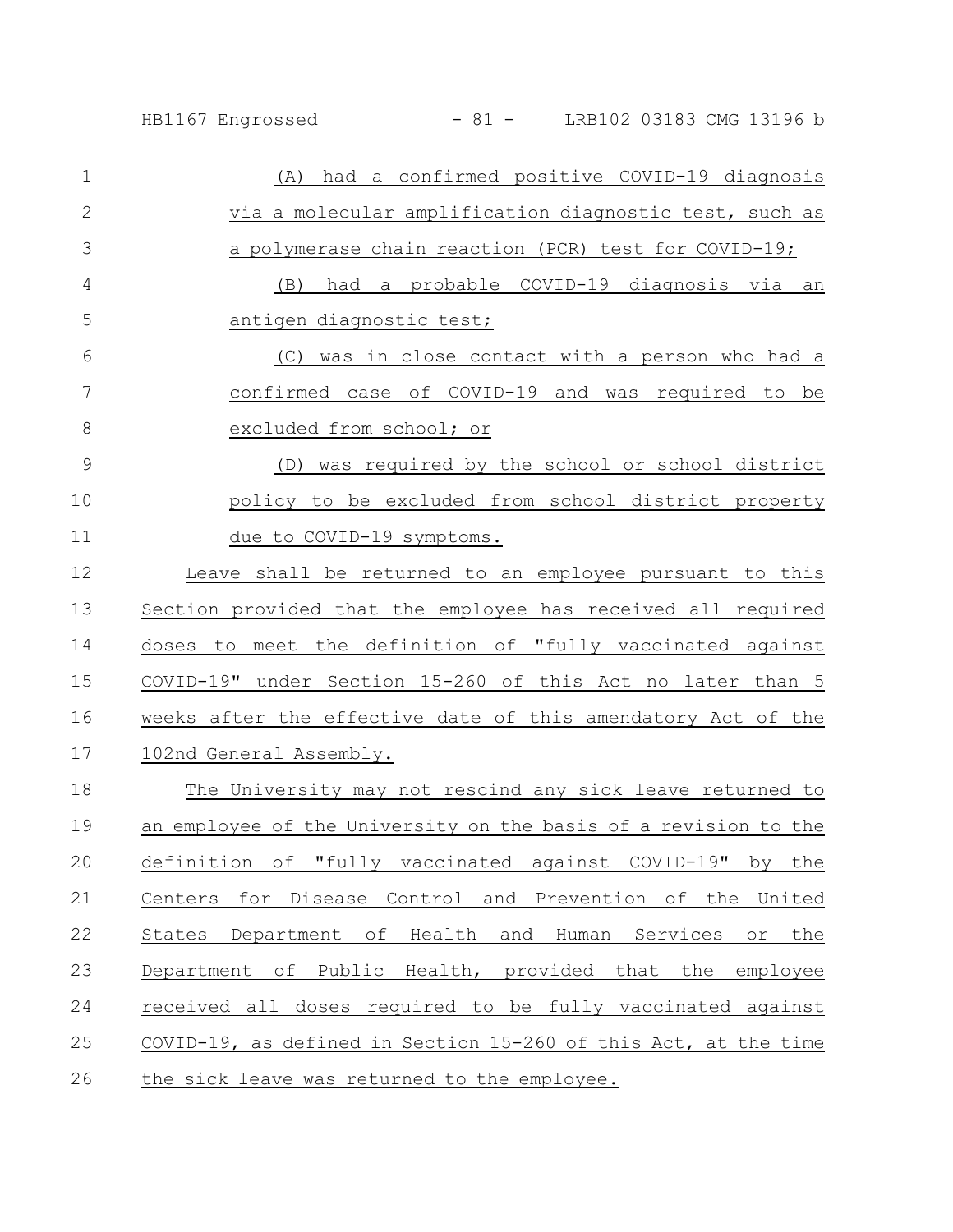| $\mathbf 1$  | had a confirmed positive COVID-19 diagnosis<br>(A)              |
|--------------|-----------------------------------------------------------------|
| $\mathbf{2}$ | via a molecular amplification diagnostic test, such as          |
| 3            | a polymerase chain reaction (PCR) test for COVID-19;            |
| 4            | a probable COVID-19 diagnosis via an<br>(B)<br>had              |
| 5            | antigen diagnostic test;                                        |
| 6            | was in close contact with a person who had a<br>(C)             |
| 7            | confirmed case of COVID-19 and was required to be               |
| 8            | excluded from school; or                                        |
| 9            | was required by the school or school district<br>(D)            |
| 10           | policy to be excluded from school district property             |
| 11           | due to COVID-19 symptoms.                                       |
| 12           | Leave shall be returned to an employee pursuant to this         |
| 13           | Section provided that the employee has received all required    |
| 14           | doses to meet the definition of "fully vaccinated against       |
| 15           | COVID-19" under Section 15-260 of this Act no later than 5      |
| 16           | weeks after the effective date of this amendatory Act of the    |
| 17           | 102nd General Assembly.                                         |
| 18           | The University may not rescind any sick leave returned to       |
| 19           | an employee of the University on the basis of a revision to the |
| 20           | definition of "fully vaccinated against COVID-19" by the        |
| 21           | Centers for Disease Control and Prevention of the United        |
| 22           | States Department of Health and Human Services or the           |
| 23           | Department of Public Health, provided that the employee         |
| 24           | received all doses required to be fully vaccinated against      |
| 25           | COVID-19, as defined in Section 15-260 of this Act, at the time |
| 26           | the sick leave was returned to the employee.                    |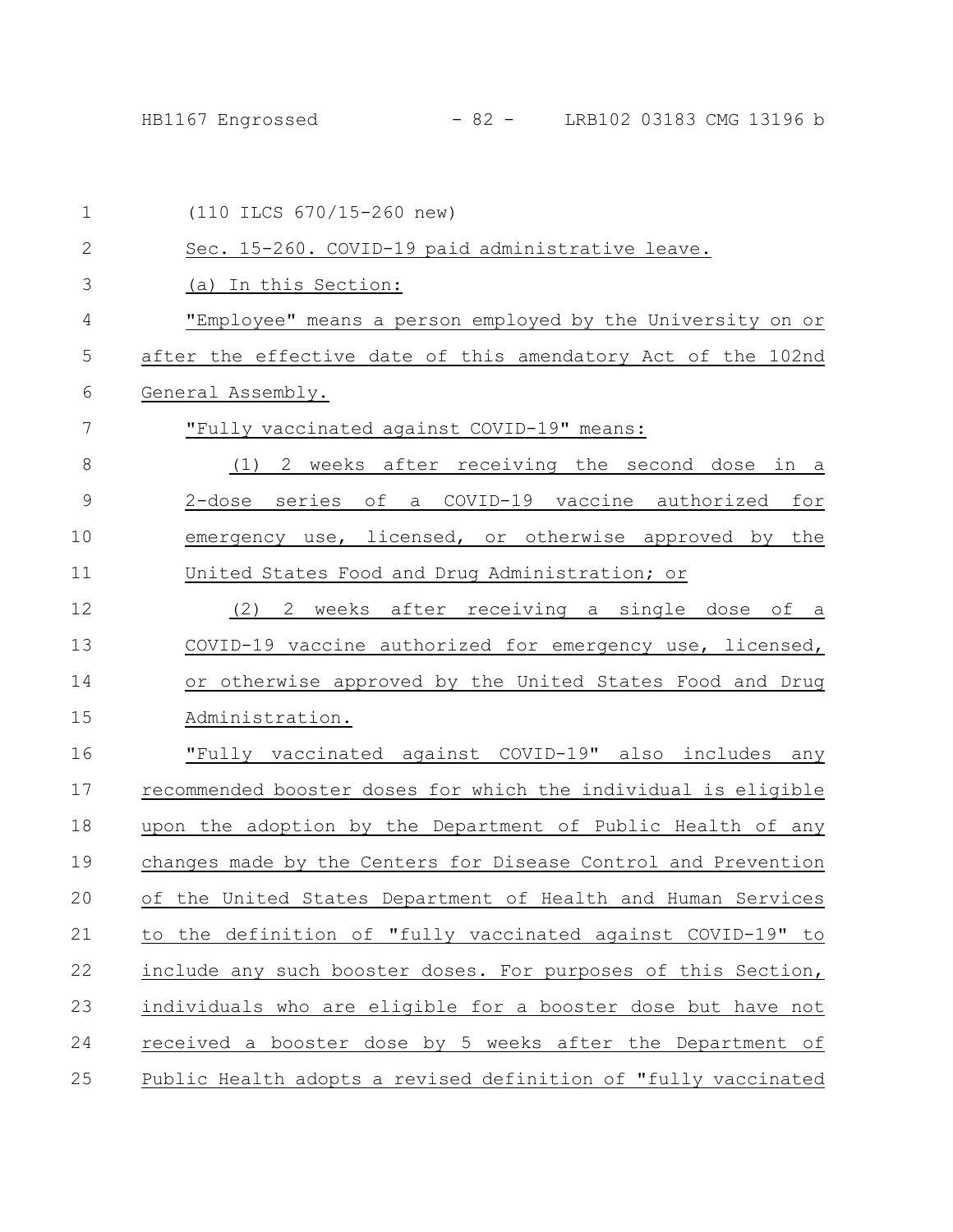| $\mathbf 1$  | (110 ILCS 670/15-260 new)                                      |
|--------------|----------------------------------------------------------------|
| $\mathbf{2}$ | Sec. 15-260. COVID-19 paid administrative leave.               |
| 3            | (a) In this Section:                                           |
| 4            | "Employee" means a person employed by the University on or     |
| 5            | after the effective date of this amendatory Act of the 102nd   |
| 6            | General Assembly.                                              |
| 7            | "Fully vaccinated against COVID-19" means:                     |
| 8            | (1) 2 weeks after receiving the second dose in a               |
| $\mathsf 9$  | 2-dose series of a COVID-19 vaccine authorized for             |
| 10           | emergency use, licensed, or otherwise approved by the          |
| 11           | United States Food and Drug Administration; or                 |
| 12           | (2)<br>2 weeks after receiving a single dose of a              |
| 13           | COVID-19 vaccine authorized for emergency use, licensed,       |
| 14           | or otherwise approved by the United States Food and Drug       |
| 15           | Administration.                                                |
| 16           | "Fully vaccinated against COVID-19" also includes any          |
| 17           | recommended booster doses for which the individual is eligible |
| 18           | upon the adoption by the Department of Public Health of any    |
| 19           | changes made by the Centers for Disease Control and Prevention |
| 20           | of the United States Department of Health and Human Services   |
| 21           | to the definition of "fully vaccinated against COVID-19" to    |
| 22           | include any such booster doses. For purposes of this Section,  |
| 23           | individuals who are eligible for a booster dose but have not   |
| 24           | received a booster dose by 5 weeks after the Department of     |
| 25           | Public Health adopts a revised definition of "fully vaccinated |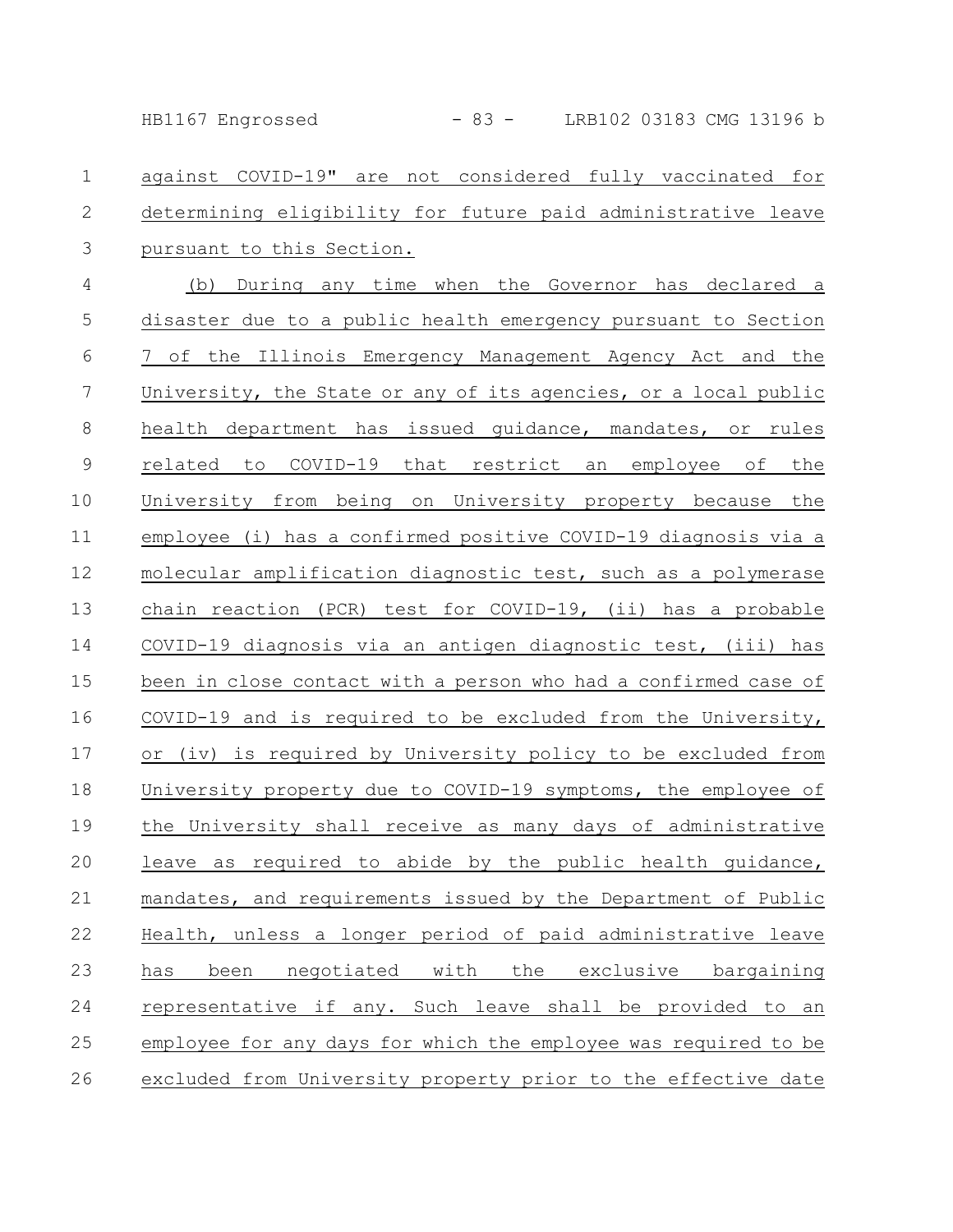HB1167 Engrossed - 83 - LRB102 03183 CMG 13196 b

against COVID-19" are not considered fully vaccinated for determining eligibility for future paid administrative leave pursuant to this Section. 1 2 3

(b) During any time when the Governor has declared a disaster due to a public health emergency pursuant to Section 7 of the Illinois Emergency Management Agency Act and the University, the State or any of its agencies, or a local public health department has issued guidance, mandates, or rules related to COVID-19 that restrict an employee of the University from being on University property because the employee (i) has a confirmed positive COVID-19 diagnosis via a molecular amplification diagnostic test, such as a polymerase chain reaction (PCR) test for COVID-19, (ii) has a probable COVID-19 diagnosis via an antigen diagnostic test, (iii) has been in close contact with a person who had a confirmed case of COVID-19 and is required to be excluded from the University, or (iv) is required by University policy to be excluded from University property due to COVID-19 symptoms, the employee of the University shall receive as many days of administrative leave as required to abide by the public health guidance, mandates, and requirements issued by the Department of Public Health, unless a longer period of paid administrative leave has been negotiated with the exclusive bargaining representative if any. Such leave shall be provided to an employee for any days for which the employee was required to be excluded from University property prior to the effective date 4 5 6 7 8 9 10 11 12 13 14 15 16 17 18 19 20 21 22 23 24 25 26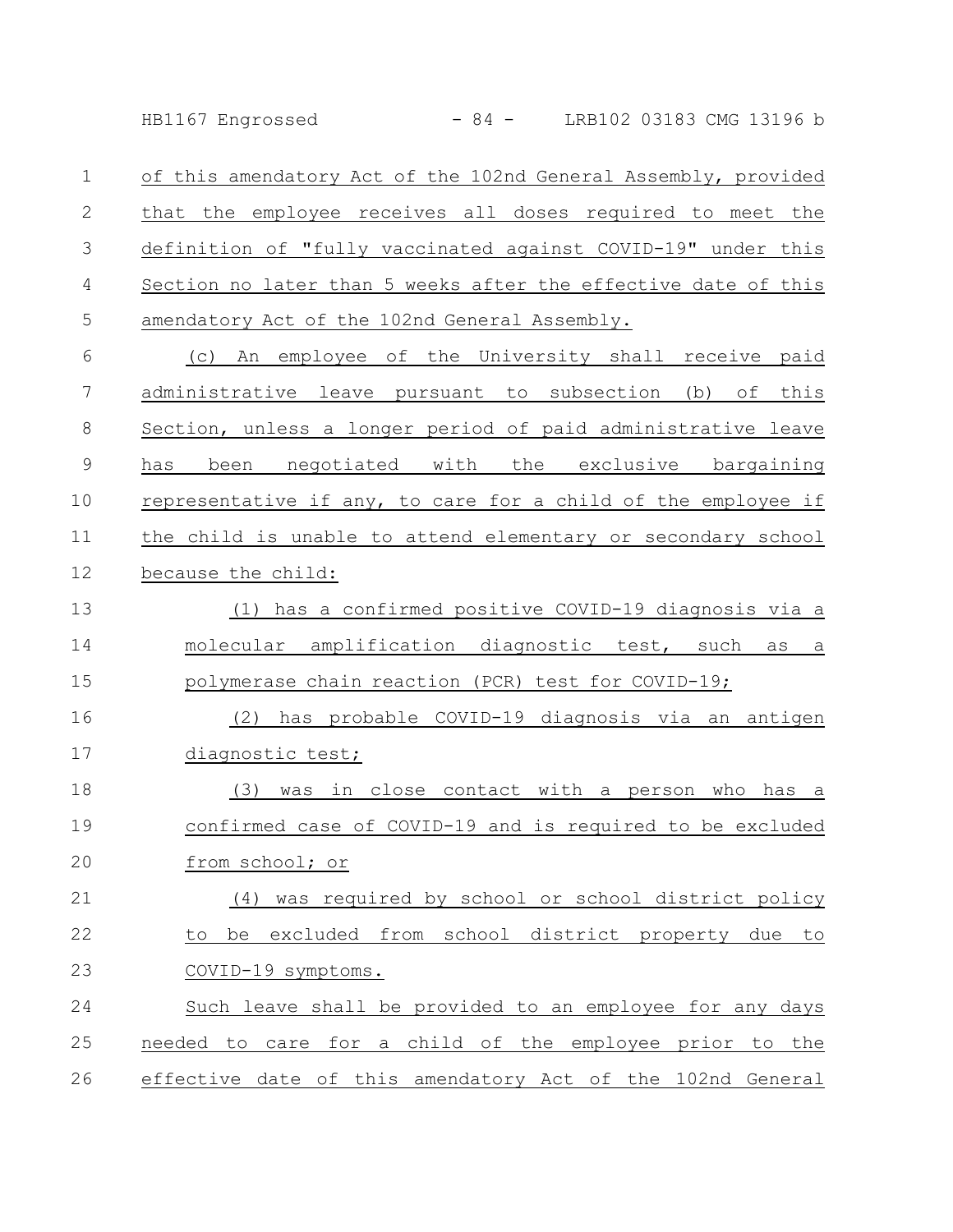HB1167 Engrossed - 84 - LRB102 03183 CMG 13196 b

of this amendatory Act of the 102nd General Assembly, provided that the employee receives all doses required to meet the definition of "fully vaccinated against COVID-19" under this Section no later than 5 weeks after the effective date of this amendatory Act of the 102nd General Assembly. 1 2 3 4 5

(c) An employee of the University shall receive paid administrative leave pursuant to subsection (b) of this Section, unless a longer period of paid administrative leave has been negotiated with the exclusive bargaining representative if any, to care for a child of the employee if the child is unable to attend elementary or secondary school because the child: 6 7 8 9 10 11 12

(1) has a confirmed positive COVID-19 diagnosis via a molecular amplification diagnostic test, such as a polymerase chain reaction (PCR) test for COVID-19; 13 14 15

(2) has probable COVID-19 diagnosis via an antigen diagnostic test; 16 17

(3) was in close contact with a person who has a confirmed case of COVID-19 and is required to be excluded from school; or 18 19 20

(4) was required by school or school district policy to be excluded from school district property due to COVID-19 symptoms. 21 22 23

Such leave shall be provided to an employee for any days needed to care for a child of the employee prior to the effective date of this amendatory Act of the 102nd General 24 25 26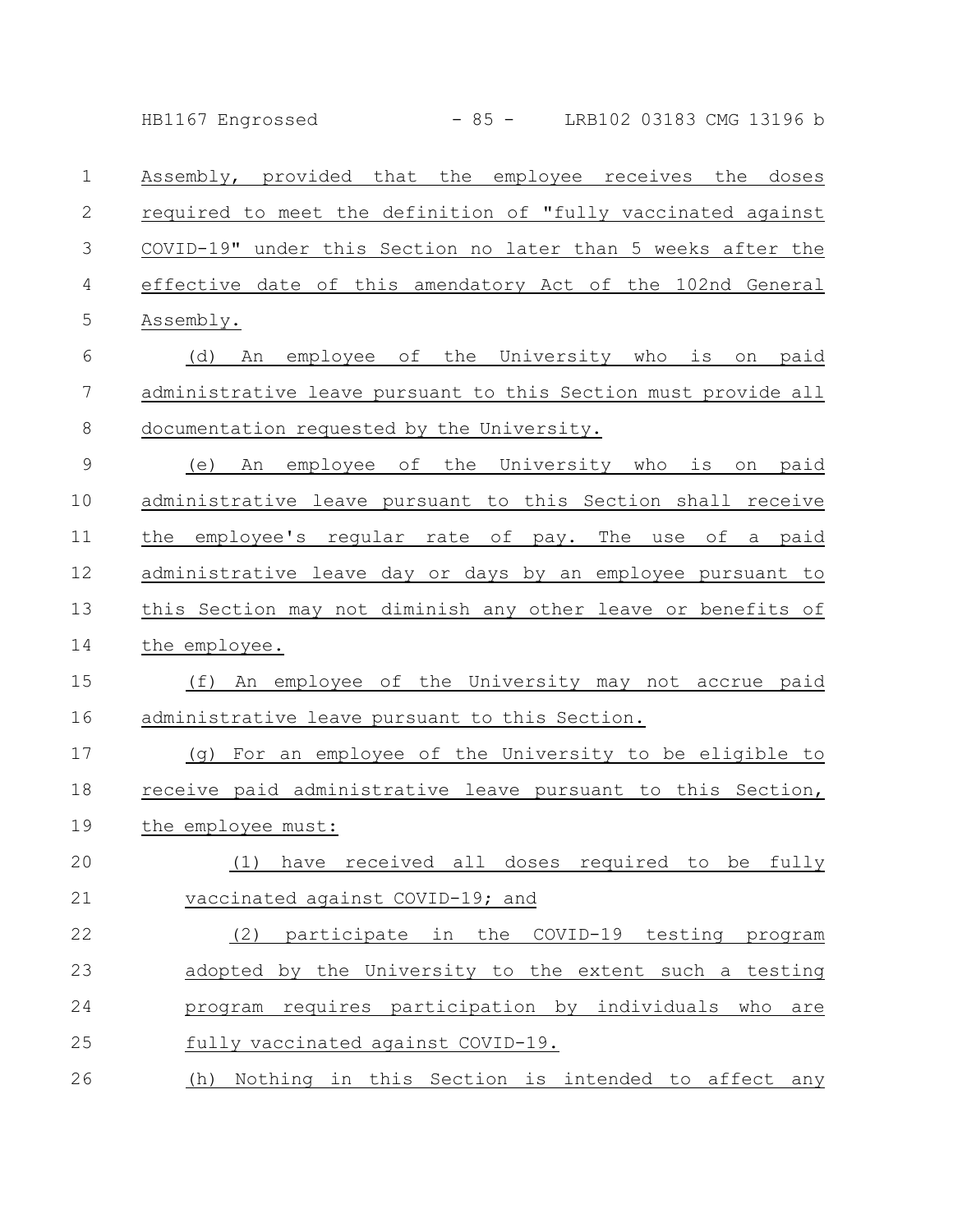HB1167 Engrossed - 85 - LRB102 03183 CMG 13196 b

| 1                | Assembly, provided that the employee receives the doses         |
|------------------|-----------------------------------------------------------------|
| $\mathbf{2}$     | required to meet the definition of "fully vaccinated against    |
| 3                | COVID-19" under this Section no later than 5 weeks after the    |
| $\overline{4}$   | effective date of this amendatory Act of the 102nd General      |
| 5                | Assembly.                                                       |
| $6\,$            | An employee of the University who is<br>on paid<br>(d)          |
| $\boldsymbol{7}$ | administrative leave pursuant to this Section must provide all  |
| $8\,$            | documentation requested by the University.                      |
| $\mathcal{G}$    | employee of the University who<br>paid<br>is<br>(e)<br>An<br>on |
| 10               | administrative leave pursuant to this Section shall receive     |
| 11               | the employee's regular rate of pay. The use of a paid           |
| 12               | administrative leave day or days by an employee pursuant to     |
| 13               | this Section may not diminish any other leave or benefits of    |
| 14               | the employee.                                                   |
| 15               | An employee of the University may not accrue paid<br>(f)        |
| 16               | administrative leave pursuant to this Section.                  |
| 17               | For an employee of the University to be eligible to<br>(q)      |
| 18               | receive paid administrative leave pursuant to this Section,     |
| 19               | the employee must:                                              |
| 20               | (1) have received all doses required to be fully                |
| 21               | vaccinated against COVID-19; and                                |
| 22               | participate in the COVID-19 testing program<br>(2)              |
| 23               | adopted by the University to the extent such a testing          |
| 24               | program requires participation by individuals who are           |
| 25               | fully vaccinated against COVID-19.                              |
| 26               | (h) Nothing in this Section is intended to affect any           |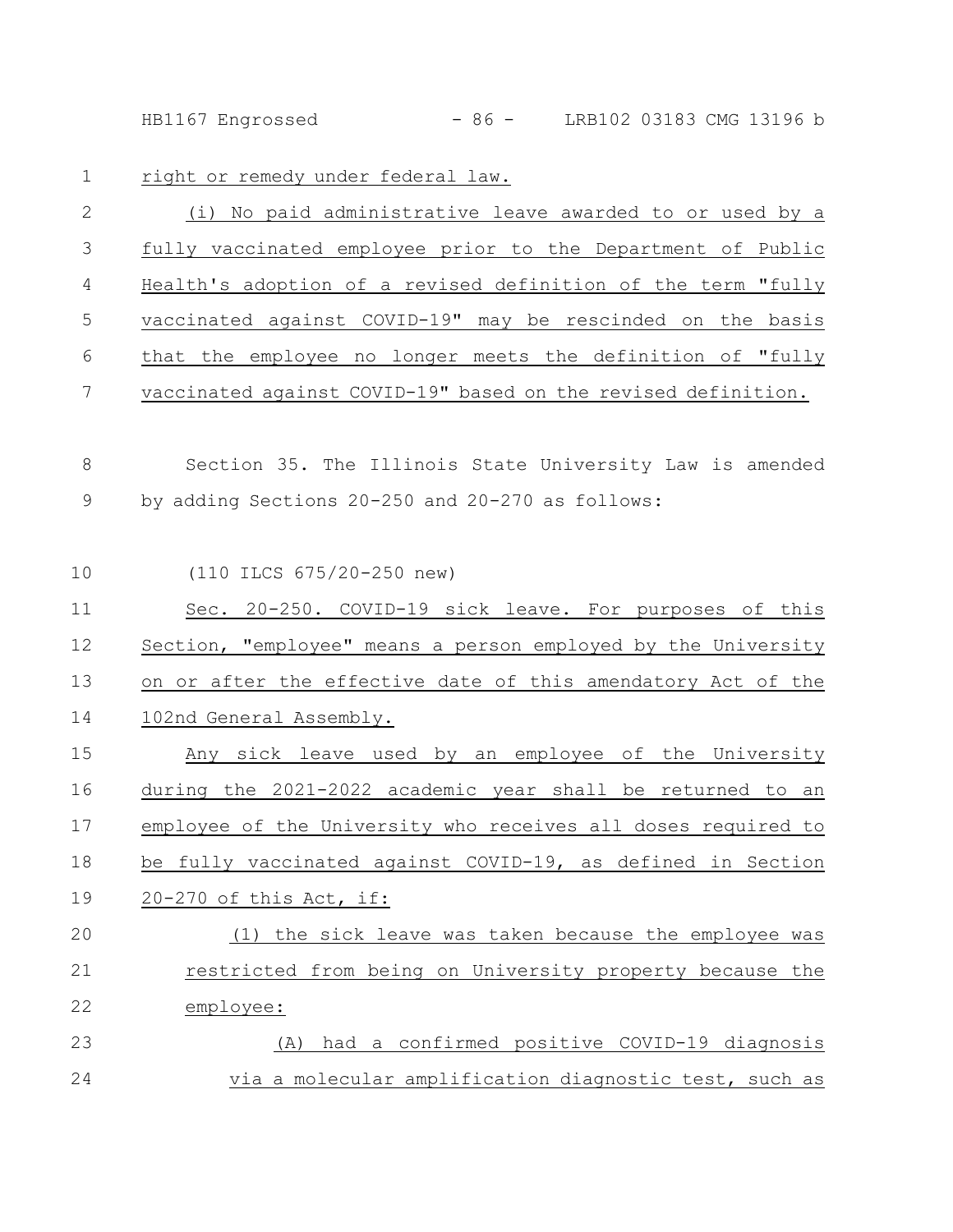HB1167 Engrossed - 86 - LRB102 03183 CMG 13196 b

| 1               | right or remedy under federal law.                            |
|-----------------|---------------------------------------------------------------|
| 2               | (i) No paid administrative leave awarded to or used by a      |
| 3               | fully vaccinated employee prior to the Department of Public   |
| 4               | Health's adoption of a revised definition of the term "fully  |
| 5               | vaccinated against COVID-19" may be rescinded on the basis    |
| 6               | that the employee no longer meets the definition of "fully    |
| $7\phantom{.0}$ | vaccinated against COVID-19" based on the revised definition. |
|                 |                                                               |
| 8               | Section 35. The Illinois State University Law is amended      |
| 9               | by adding Sections 20-250 and 20-270 as follows:              |
|                 |                                                               |
| 10              | (110 ILCS 675/20-250 new)                                     |
| 11              | Sec. 20-250. COVID-19 sick leave. For purposes of this        |
| 12              | Section, "employee" means a person employed by the University |
| 13              | on or after the effective date of this amendatory Act of the  |
| 14              | 102nd General Assembly.                                       |
| 15              | Any sick leave used by an employee of the University          |
| 16              | during the 2021-2022 academic year shall be returned to an    |
| 17              | employee of the University who receives all doses required to |
| 18              | be fully vaccinated against COVID-19, as defined in Section   |
| 19              | 20-270 of this Act, if:                                       |
| 20              | (1) the sick leave was taken because the employee was         |
| 21              | restricted from being on University property because the      |
| 22              | employee:                                                     |
| 23              | had a confirmed positive COVID-19 diagnosis<br>(A)            |
| 24              | via a molecular amplification diagnostic test, such as        |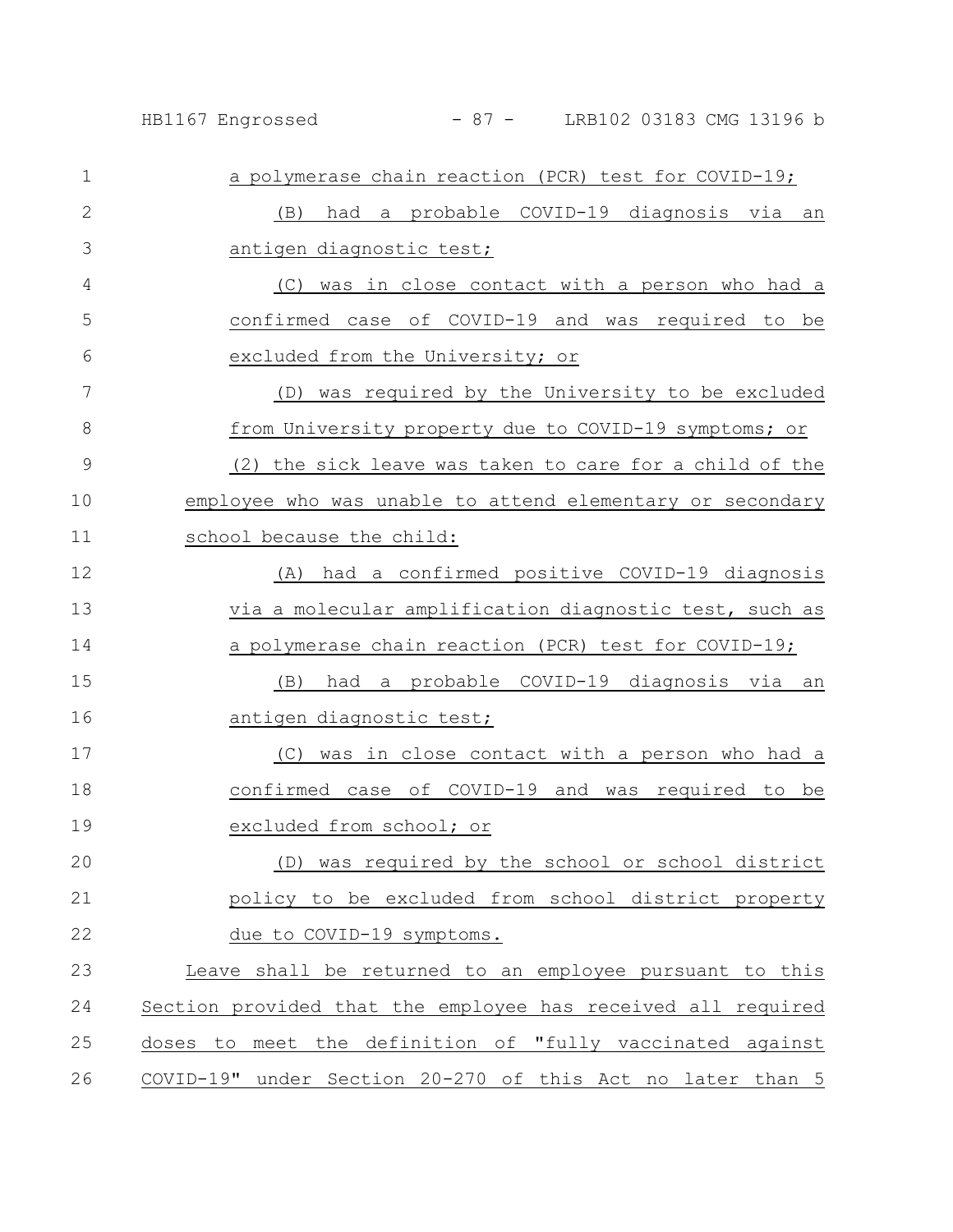HB1167 Engrossed - 87 - LRB102 03183 CMG 13196 b

| $\mathbf{1}$  | a polymerase chain reaction (PCR) test for COVID-19;         |
|---------------|--------------------------------------------------------------|
| $\mathbf{2}$  | had a probable COVID-19 diagnosis via an<br>(B)              |
| 3             | antigen diagnostic test;                                     |
| 4             | (C) was in close contact with a person who had a             |
| 5             | confirmed case of COVID-19 and was required to be            |
| 6             | excluded from the University; or                             |
| 7             | (D) was required by the University to be excluded            |
| 8             | from University property due to COVID-19 symptoms; or        |
| $\mathcal{G}$ | (2) the sick leave was taken to care for a child of the      |
| 10            | employee who was unable to attend elementary or secondary    |
| 11            | school_because_the_child:                                    |
| 12            | had a confirmed positive COVID-19 diagnosis<br>(A)           |
| 13            | via a molecular amplification diagnostic test, such as       |
| 14            | a polymerase chain reaction (PCR) test for COVID-19;         |
| 15            | a probable COVID-19 diagnosis via an<br>(B)<br>had           |
| 16            | antigen diagnostic test;                                     |
| 17            | was in close contact with a person who had a<br>(C)          |
| 18            | confirmed case of COVID-19 and was required to be            |
| 19            | excluded from school; or                                     |
| 20            | was required by the school or school district<br>(D)         |
| 21            | policy to be excluded from school district property          |
| 22            | due to COVID-19 symptoms.                                    |
| 23            | Leave shall be returned to an employee pursuant to this      |
| 24            | Section provided that the employee has received all required |
| 25            | doses to meet the definition of "fully vaccinated against    |
| 26            | COVID-19" under Section 20-270 of this Act no later than 5   |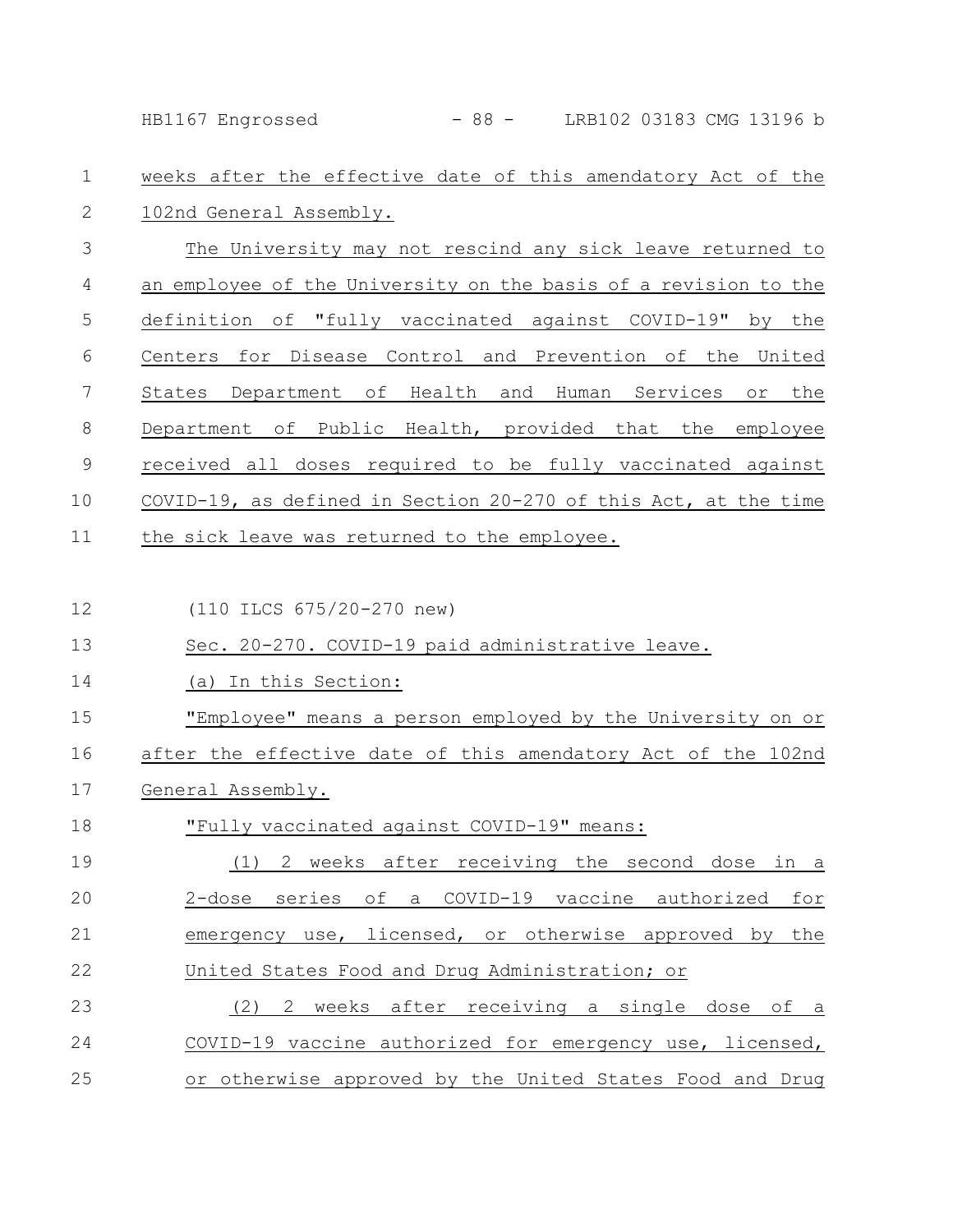HB1167 Engrossed - 88 - LRB102 03183 CMG 13196 b

## weeks after the effective date of this amendatory Act of the 102nd General Assembly. 1 2

The University may not rescind any sick leave returned to an employee of the University on the basis of a revision to the definition of "fully vaccinated against COVID-19" by the Centers for Disease Control and Prevention of the United States Department of Health and Human Services or the Department of Public Health, provided that the employee received all doses required to be fully vaccinated against COVID-19, as defined in Section 20-270 of this Act, at the time the sick leave was returned to the employee. 3 4 5 6 7 8 9 10 11

(110 ILCS 675/20-270 new) 12

## Sec. 20-270. COVID-19 paid administrative leave. 13

(a) In this Section: 14

"Employee" means a person employed by the University on or after the effective date of this amendatory Act of the 102nd General Assembly. 15 16 17

"Fully vaccinated against COVID-19" means: 18

(1) 2 weeks after receiving the second dose in a 2-dose series of a COVID-19 vaccine authorized for emergency use, licensed, or otherwise approved by the United States Food and Drug Administration; or 19 20 21 22

(2) 2 weeks after receiving a single dose of a COVID-19 vaccine authorized for emergency use, licensed, or otherwise approved by the United States Food and Drug 23 24 25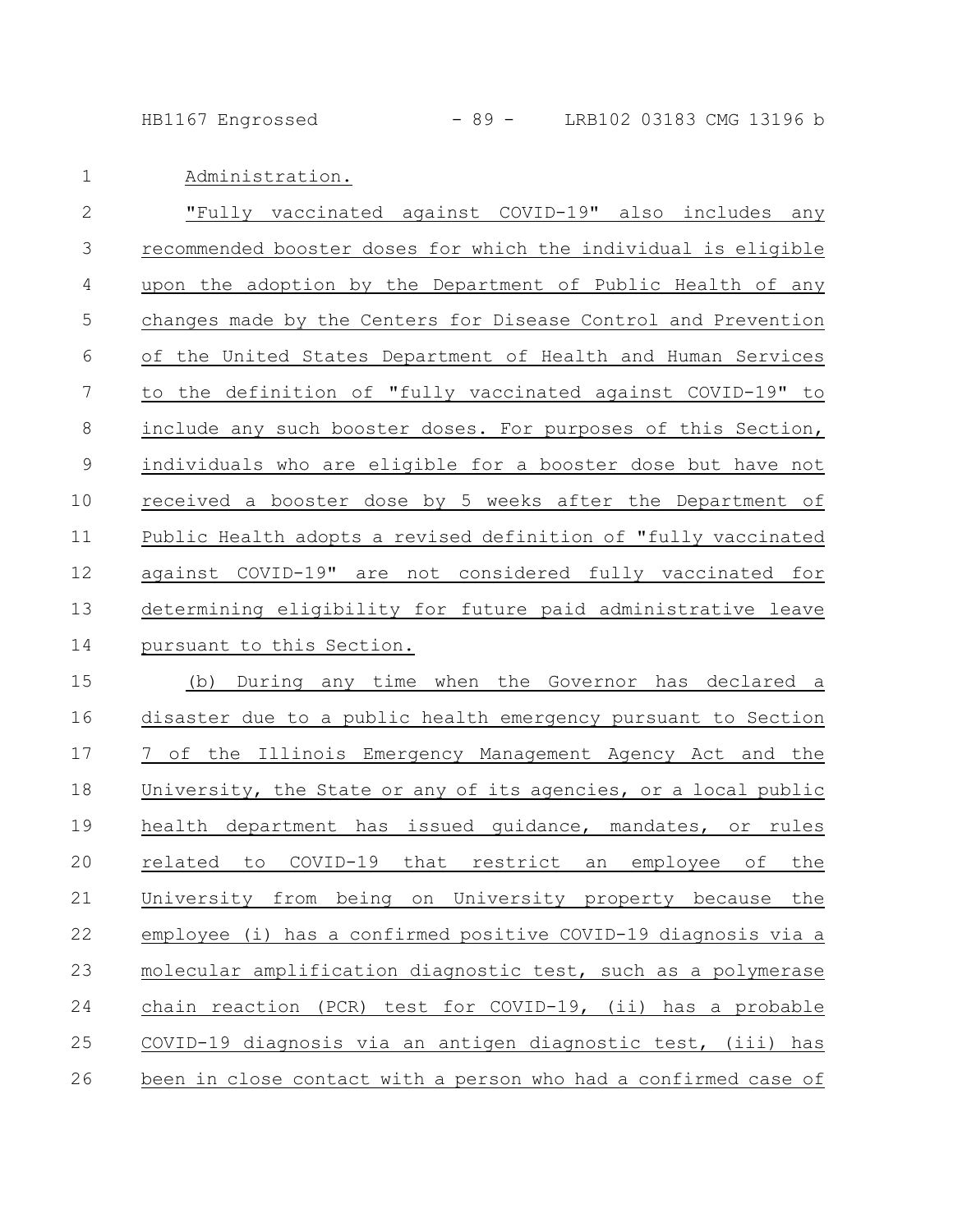HB1167 Engrossed - 89 - LRB102 03183 CMG 13196 b

Administration. 1

"Fully vaccinated against COVID-19" also includes any recommended booster doses for which the individual is eligible upon the adoption by the Department of Public Health of any changes made by the Centers for Disease Control and Prevention of the United States Department of Health and Human Services to the definition of "fully vaccinated against COVID-19" to include any such booster doses. For purposes of this Section, individuals who are eligible for a booster dose but have not received a booster dose by 5 weeks after the Department of Public Health adopts a revised definition of "fully vaccinated against COVID-19" are not considered fully vaccinated for determining eligibility for future paid administrative leave pursuant to this Section. 2 3 4 5 6 7 8 9 10 11 12 13 14

(b) During any time when the Governor has declared a disaster due to a public health emergency pursuant to Section 7 of the Illinois Emergency Management Agency Act and the University, the State or any of its agencies, or a local public health department has issued guidance, mandates, or rules related to COVID-19 that restrict an employee of the University from being on University property because the employee (i) has a confirmed positive COVID-19 diagnosis via a molecular amplification diagnostic test, such as a polymerase chain reaction (PCR) test for COVID-19, (ii) has a probable COVID-19 diagnosis via an antigen diagnostic test, (iii) has been in close contact with a person who had a confirmed case of 15 16 17 18 19 20 21 22 23 24 25 26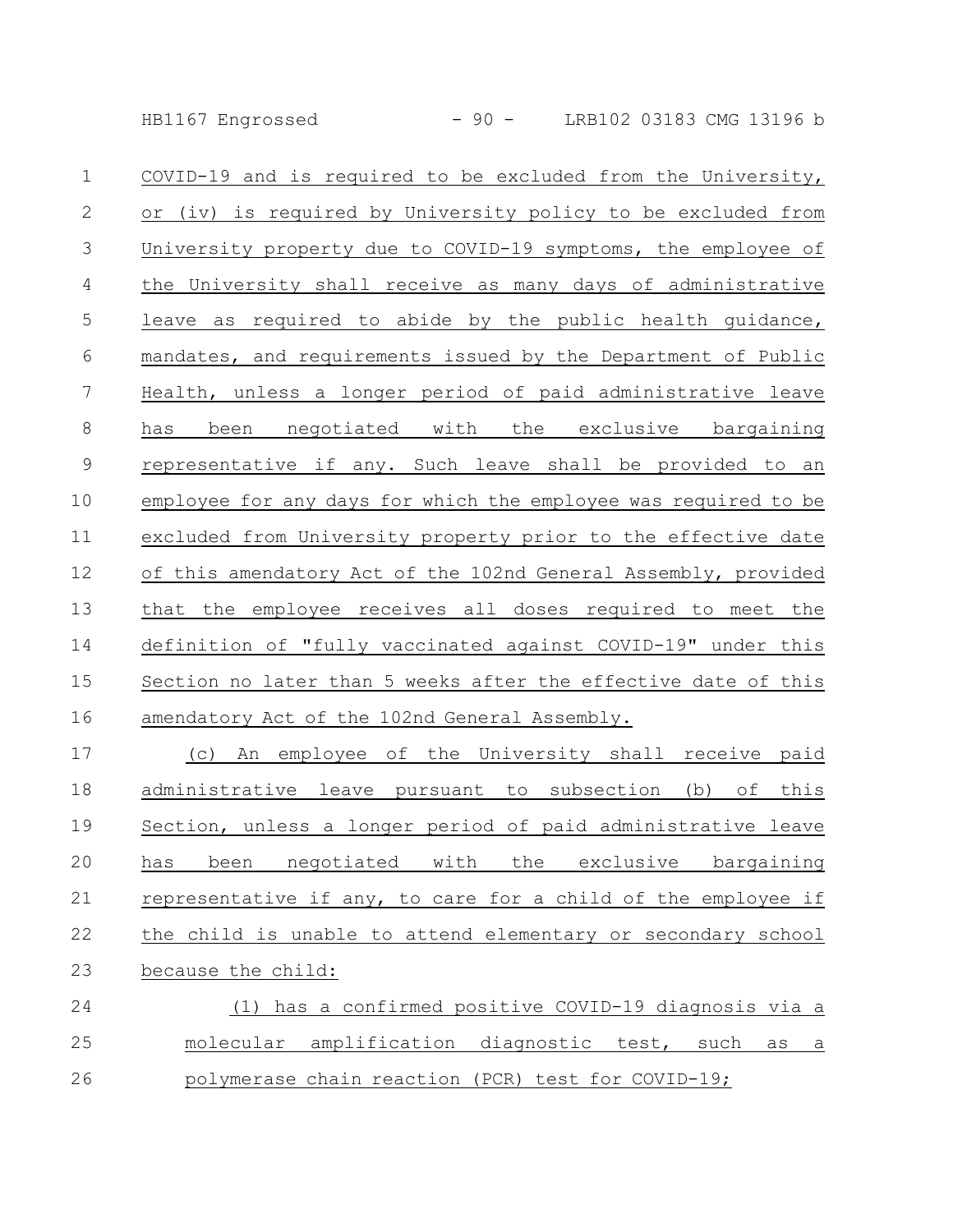HB1167 Engrossed - 90 - LRB102 03183 CMG 13196 b

| $\mathbf{1}$   | COVID-19 and is required to be excluded from the University,    |
|----------------|-----------------------------------------------------------------|
| 2              | or (iv) is required by University policy to be excluded from    |
| 3              | University property due to COVID-19 symptoms, the employee of   |
| $\overline{4}$ | the University shall receive as many days of administrative     |
| 5              | leave as required to abide by the public health guidance,       |
| $6\,$          | mandates, and requirements issued by the Department of Public   |
| 7              | Health, unless a longer period of paid administrative leave     |
| $\,8\,$        | been negotiated with the exclusive bargaining<br>has            |
| $\mathcal{G}$  | representative if any. Such leave shall be provided to an       |
| 10             | employee for any days for which the employee was required to be |
| 11             | excluded from University property prior to the effective date   |
| 12             | of this amendatory Act of the 102nd General Assembly, provided  |
| 13             | that the employee receives all doses required to meet the       |
| 14             | definition of "fully vaccinated against COVID-19" under this    |
| 15             | Section no later than 5 weeks after the effective date of this  |
| 16             | amendatory Act of the 102nd General Assembly.                   |

(c) An employee of the University shall receive paid administrative leave pursuant to subsection (b) of this Section, unless a longer period of paid administrative leave has been negotiated with the exclusive bargaining representative if any, to care for a child of the employee if the child is unable to attend elementary or secondary school because the child: 17 18 19 20 21 22 23

## (1) has a confirmed positive COVID-19 diagnosis via a molecular amplification diagnostic test, such as a polymerase chain reaction (PCR) test for COVID-19; 24 25 26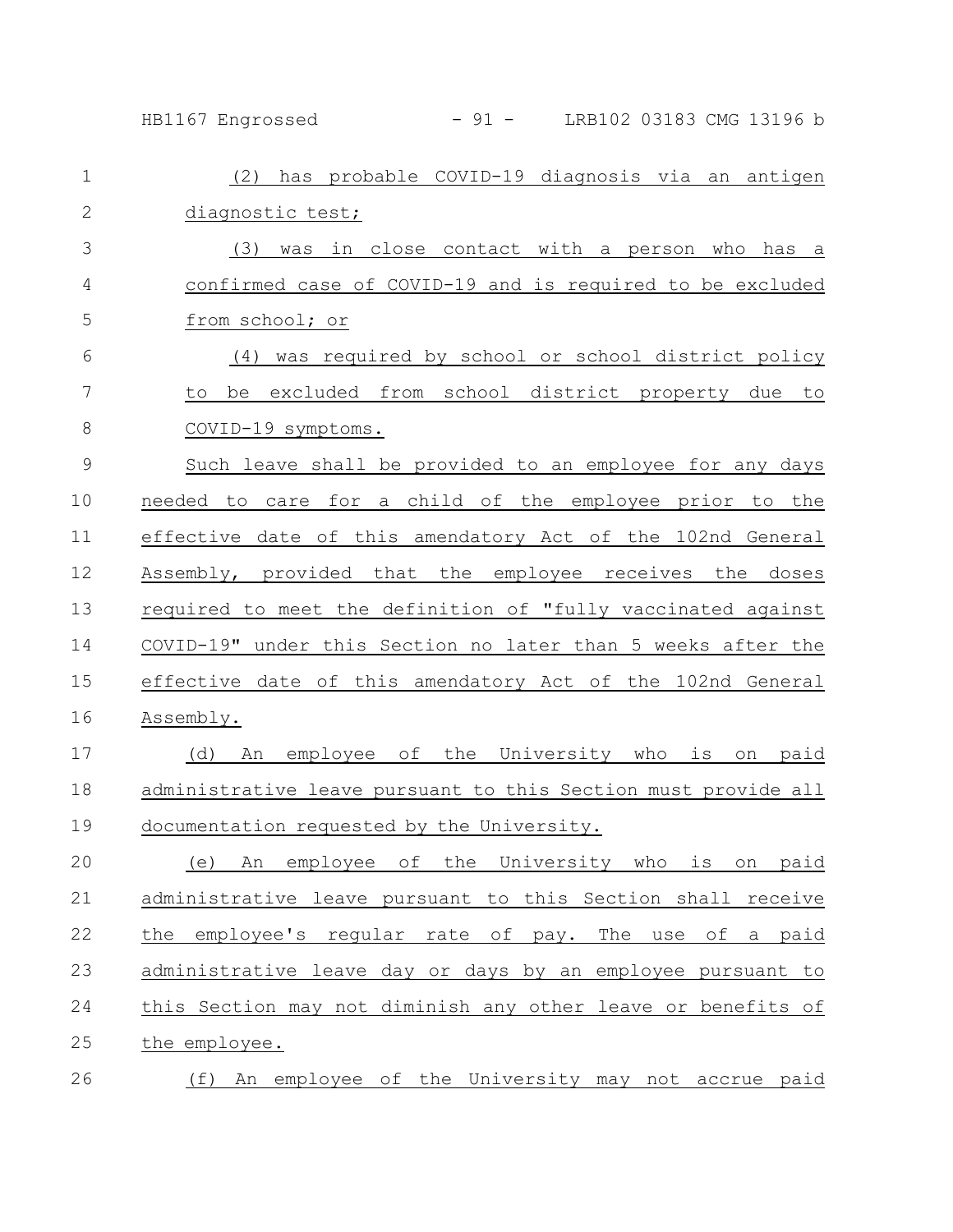| $\mathbf 1$   | has probable COVID-19 diagnosis via an antigen<br>(2)          |
|---------------|----------------------------------------------------------------|
| $\mathbf{2}$  | diagnostic test;                                               |
| 3             | was in close contact with a person who has a<br>(3)            |
| 4             | confirmed case of COVID-19 and is required to be excluded      |
| 5             | from school; or                                                |
| 6             | was required by school or school district policy<br>(4)        |
| 7             | be excluded from school district property due to<br>to         |
| 8             | COVID-19 symptoms.                                             |
| $\mathcal{G}$ | Such leave shall be provided to an employee for any days       |
| 10            | needed to care for a child of the employee prior to the        |
| 11            | effective date of this amendatory Act of the 102nd General     |
| 12            | Assembly, provided that the employee receives the<br>doses     |
| 13            | required to meet the definition of "fully vaccinated against   |
| 14            | COVID-19" under this Section no later than 5 weeks after the   |
| 15            | effective date of this amendatory Act of the 102nd General     |
| 16            | Assembly.                                                      |
| 17            | An employee of the University who is<br>on paid<br>(d)         |
| 18            | administrative leave pursuant to this Section must provide all |
| 19            | documentation requested by the University.                     |
| 20            | (e) An employee of the University who is on paid               |
| 21            | administrative leave pursuant to this Section shall receive    |
| 22            | the employee's regular rate of pay. The use of a paid          |
| 23            | administrative leave day or days by an employee pursuant to    |
| 24            | this Section may not diminish any other leave or benefits of   |
| 25            | the employee.                                                  |
| 26            | (f) An employee of the University may not accrue paid          |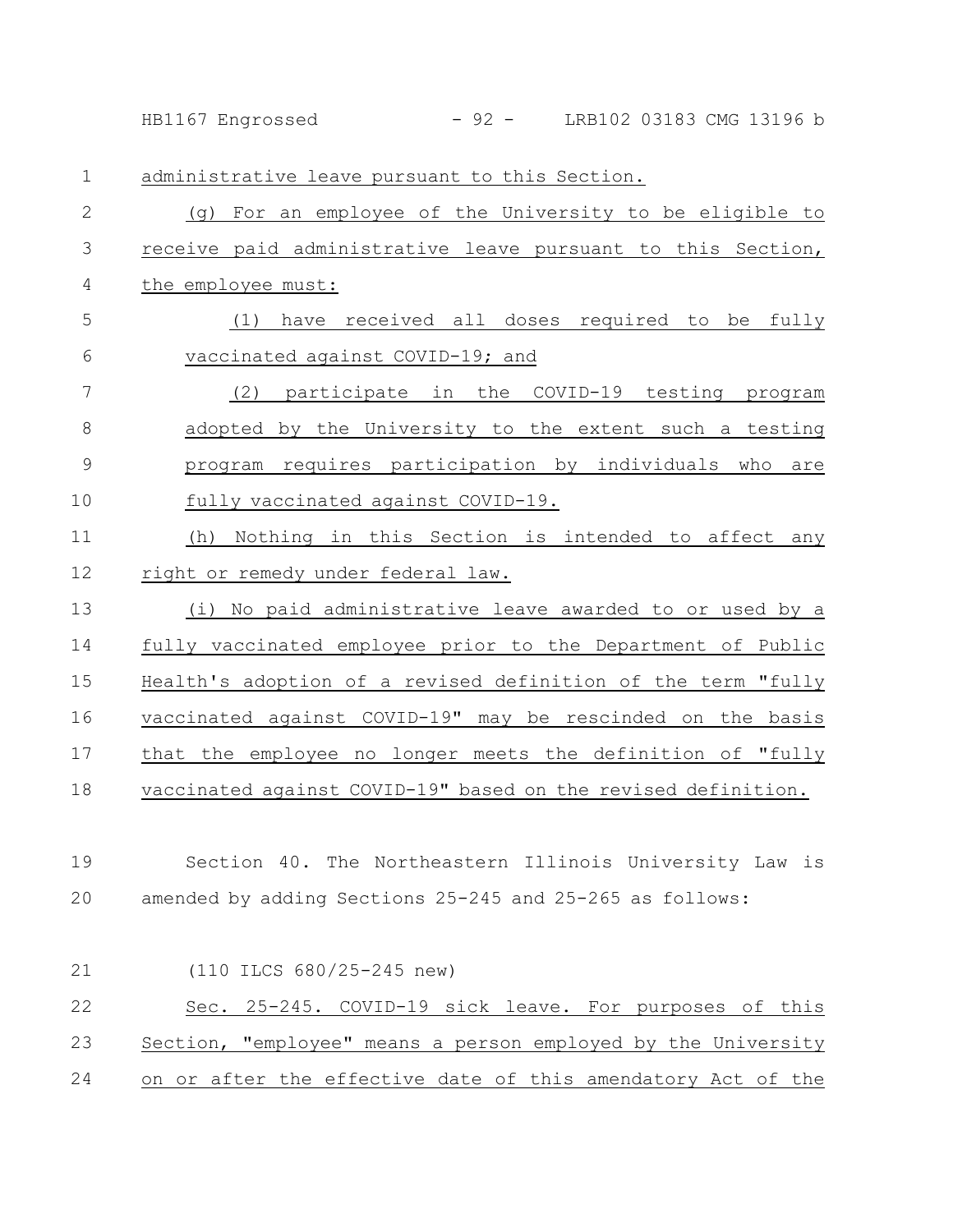HB1167 Engrossed - 92 - LRB102 03183 CMG 13196 b

administrative leave pursuant to this Section. 1

(g) For an employee of the University to be eligible to receive paid administrative leave pursuant to this Section, the employee must: 2 3 4

(1) have received all doses required to be fully vaccinated against COVID-19; and 5 6

(2) participate in the COVID-19 testing program adopted by the University to the extent such a testing program requires participation by individuals who are fully vaccinated against COVID-19. 7 8 9 10

(h) Nothing in this Section is intended to affect any right or remedy under federal law. 11 12

(i) No paid administrative leave awarded to or used by a fully vaccinated employee prior to the Department of Public Health's adoption of a revised definition of the term "fully vaccinated against COVID-19" may be rescinded on the basis that the employee no longer meets the definition of "fully vaccinated against COVID-19" based on the revised definition. 13 14 15 16 17 18

Section 40. The Northeastern Illinois University Law is amended by adding Sections 25-245 and 25-265 as follows: 19 20

(110 ILCS 680/25-245 new) Sec. 25-245. COVID-19 sick leave. For purposes of this Section, "employee" means a person employed by the University on or after the effective date of this amendatory Act of the 21 22 23 24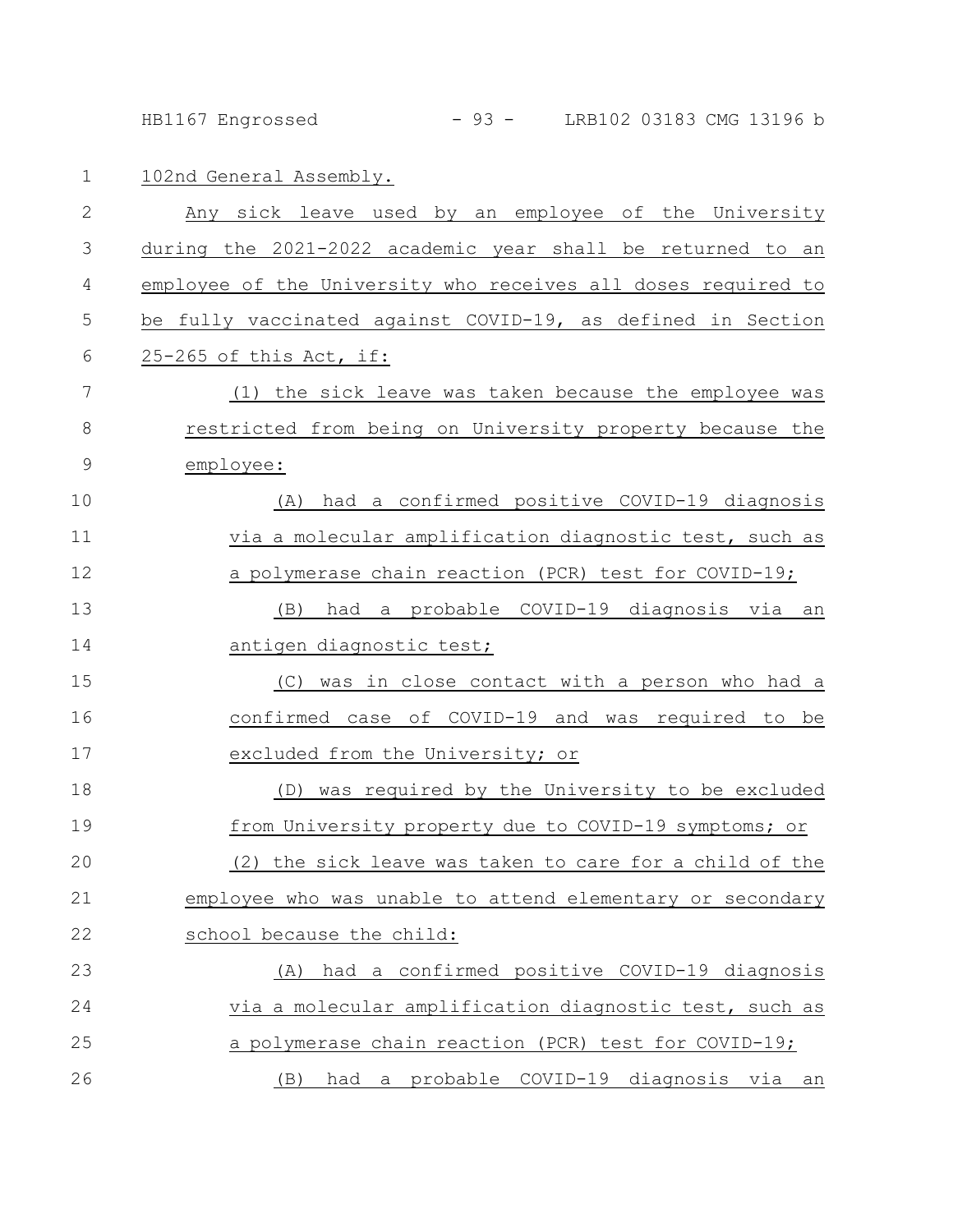HB1167 Engrossed - 93 - LRB102 03183 CMG 13196 b

102nd General Assembly. 1

| $\mathbf{2}$ | Any sick leave used by an employee of the University          |
|--------------|---------------------------------------------------------------|
| 3            | during the 2021-2022 academic year shall be returned to an    |
| 4            | employee of the University who receives all doses required to |
| 5            | be fully vaccinated against COVID-19, as defined in Section   |
| 6            | $25 - 265$ of this Act, if:                                   |
| 7            | (1) the sick leave was taken because the employee was         |
| 8            | restricted from being on University property because the      |
| 9            | employee:                                                     |
| 10           | had a confirmed positive COVID-19 diagnosis<br>(A)            |
| 11           | via a molecular amplification diagnostic test, such as        |
| 12           | a polymerase chain reaction (PCR) test for COVID-19;          |
| 13           | had a probable COVID-19 diagnosis via an<br>(B)               |
| 14           | antigen diagnostic test;                                      |
| 15           | (C)<br>was in close contact with a person who had a           |
| 16           | confirmed case of COVID-19 and was required to be             |
| 17           | excluded from the University; or                              |
| 18           | (D) was required by the University to be excluded             |
| 19           | from University property due to COVID-19 symptoms; or         |
| 20           | (2) the sick leave was taken to care for a child of the       |
| 21           | employee who was unable to attend elementary or secondary     |
| 22           | school because the child:                                     |
| 23           | had a confirmed positive COVID-19 diagnosis<br>(A)            |
| 24           | via a molecular amplification diagnostic test, such as        |
| 25           | a polymerase chain reaction (PCR) test for COVID-19;          |
| 26           | (B) had a probable COVID-19 diagnosis via an                  |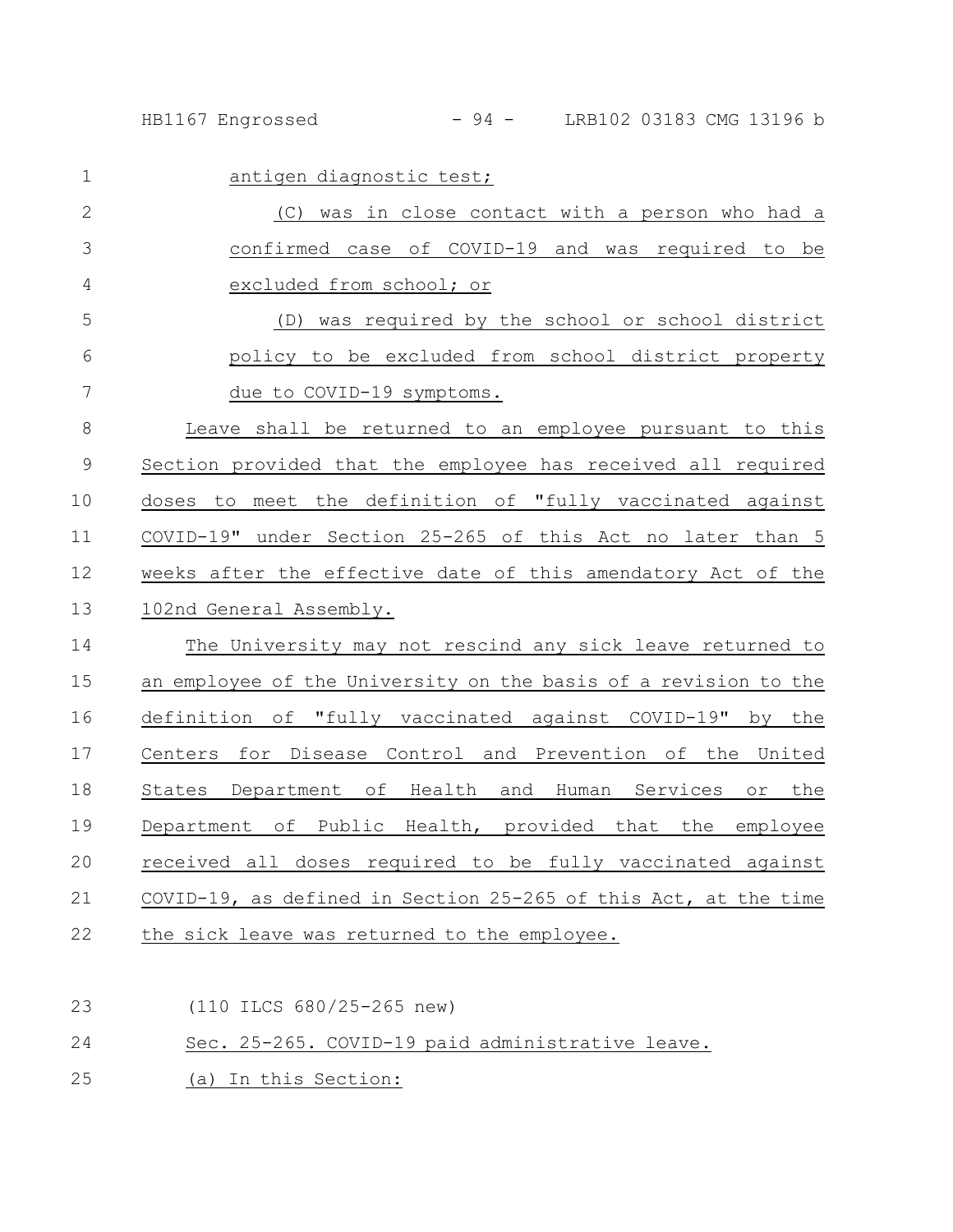HB1167 Engrossed - 94 - LRB102 03183 CMG 13196 b

| $\mathbf{1}$    | antigen diagnostic test;                                        |
|-----------------|-----------------------------------------------------------------|
| $\mathbf{2}$    | (C) was in close contact with a person who had a                |
| 3               | confirmed case of COVID-19 and was required to be               |
| 4               | excluded from school; or                                        |
| 5               | (D) was required by the school or school district               |
| 6               | policy to be excluded from school district property             |
| $7\phantom{.0}$ | due to COVID-19 symptoms.                                       |
| 8               | Leave shall be returned to an employee pursuant to this         |
| $\mathcal{G}$   | Section provided that the employee has received all required    |
| 10              | doses to meet the definition of "fully vaccinated against       |
| 11              | COVID-19" under Section 25-265 of this Act no later than 5      |
| 12              | weeks after the effective date of this amendatory Act of the    |
| 13              | 102nd General Assembly.                                         |
| 14              | The University may not rescind any sick leave returned to       |
| 15              | an employee of the University on the basis of a revision to the |
| 16              | definition of "fully vaccinated against COVID-19" by the        |
| 17              | Centers for Disease Control and Prevention of the United        |
| 18              | States Department of Health and Human Services or the           |
| 19              | Department of Public Health, provided that the employee         |
| 20              | received all doses required to be fully vaccinated against      |
| 21              | COVID-19, as defined in Section 25-265 of this Act, at the time |
| 22              | the sick leave was returned to the employee.                    |

(110 ILCS 680/25-265 new) 23

Sec. 25-265. COVID-19 paid administrative leave. 24

(a) In this Section: 25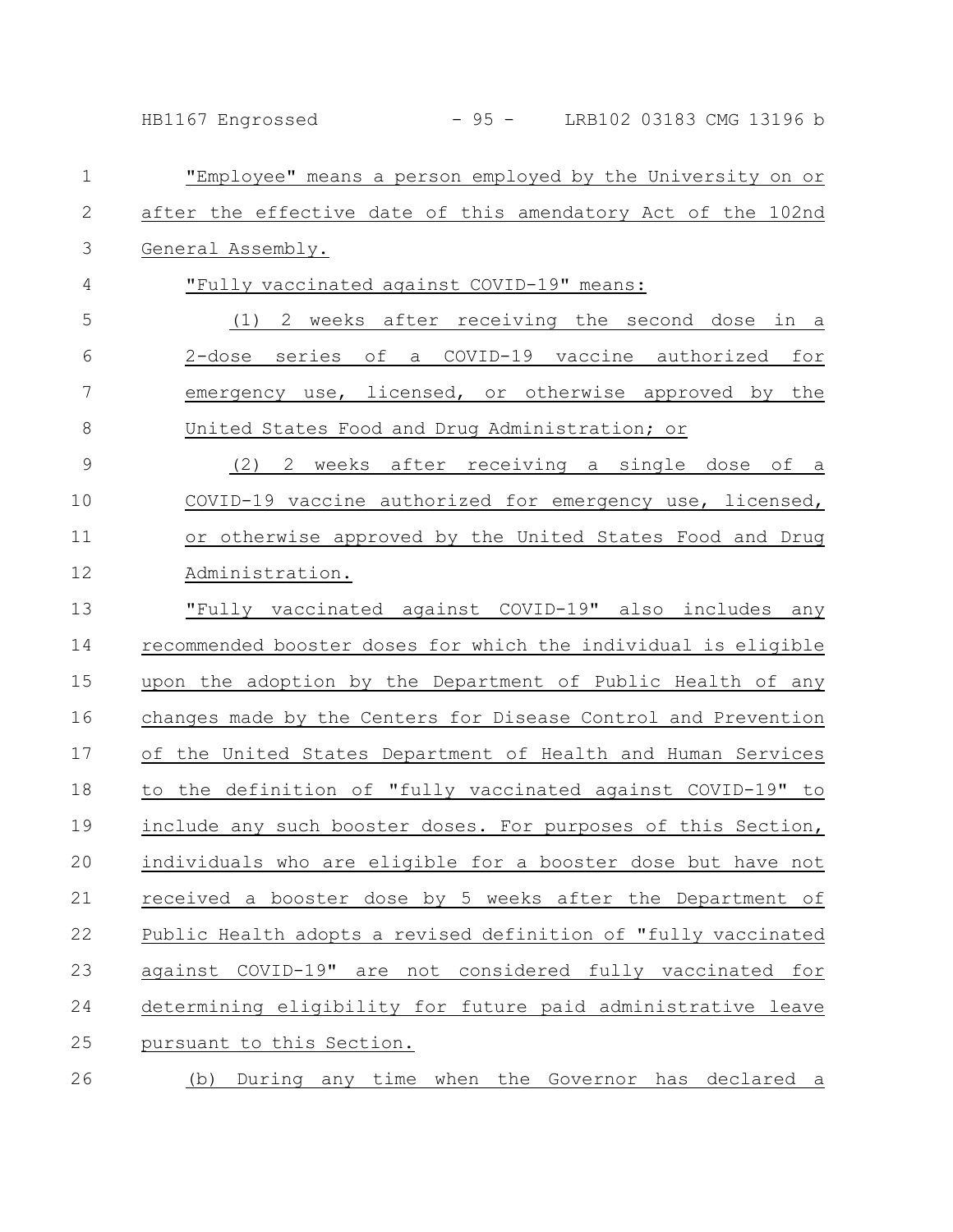HB1167 Engrossed - 95 - LRB102 03183 CMG 13196 b

| $\mathbf 1$    | "Employee" means a person employed by the University on or     |
|----------------|----------------------------------------------------------------|
| $\mathbf{2}$   | after the effective date of this amendatory Act of the 102nd   |
| $\mathfrak{Z}$ | General Assembly.                                              |
| 4              | "Fully vaccinated against COVID-19" means:                     |
| 5              | (1) 2 weeks after receiving the second dose in a               |
| 6              | 2-dose series of a COVID-19 vaccine authorized for             |
| 7              | emergency use, licensed, or otherwise approved by the          |
| $8\,$          | United States Food and Drug Administration; or                 |
| $\mathcal{G}$  | (2) 2 weeks after receiving a single dose of a                 |
| 10             | COVID-19 vaccine authorized for emergency use, licensed,       |
| 11             | or otherwise approved by the United States Food and Drug       |
| 12             | Administration.                                                |
| 13             | "Fully vaccinated against COVID-19" also includes any          |
| 14             | recommended booster doses for which the individual is eligible |
| 15             | upon the adoption by the Department of Public Health of any    |
| 16             | changes made by the Centers for Disease Control and Prevention |
| 17             | of the United States Department of Health and Human Services   |
| 18             | to the definition of "fully vaccinated against COVID-19" to    |
| 19             | include any such booster doses. For purposes of this Section,  |
| 20             | individuals who are eligible for a booster dose but have not   |
| 21             | received a booster dose by 5 weeks after the Department of     |
| 22             | Public Health adopts a revised definition of "fully vaccinated |
| 23             | COVID-19" are not considered fully vaccinated for<br>against   |
| 24             | determining eligibility for future paid administrative leave   |
| 25             | pursuant to this Section.                                      |
| 26             | During any time when the Governor has declared a<br>(b)        |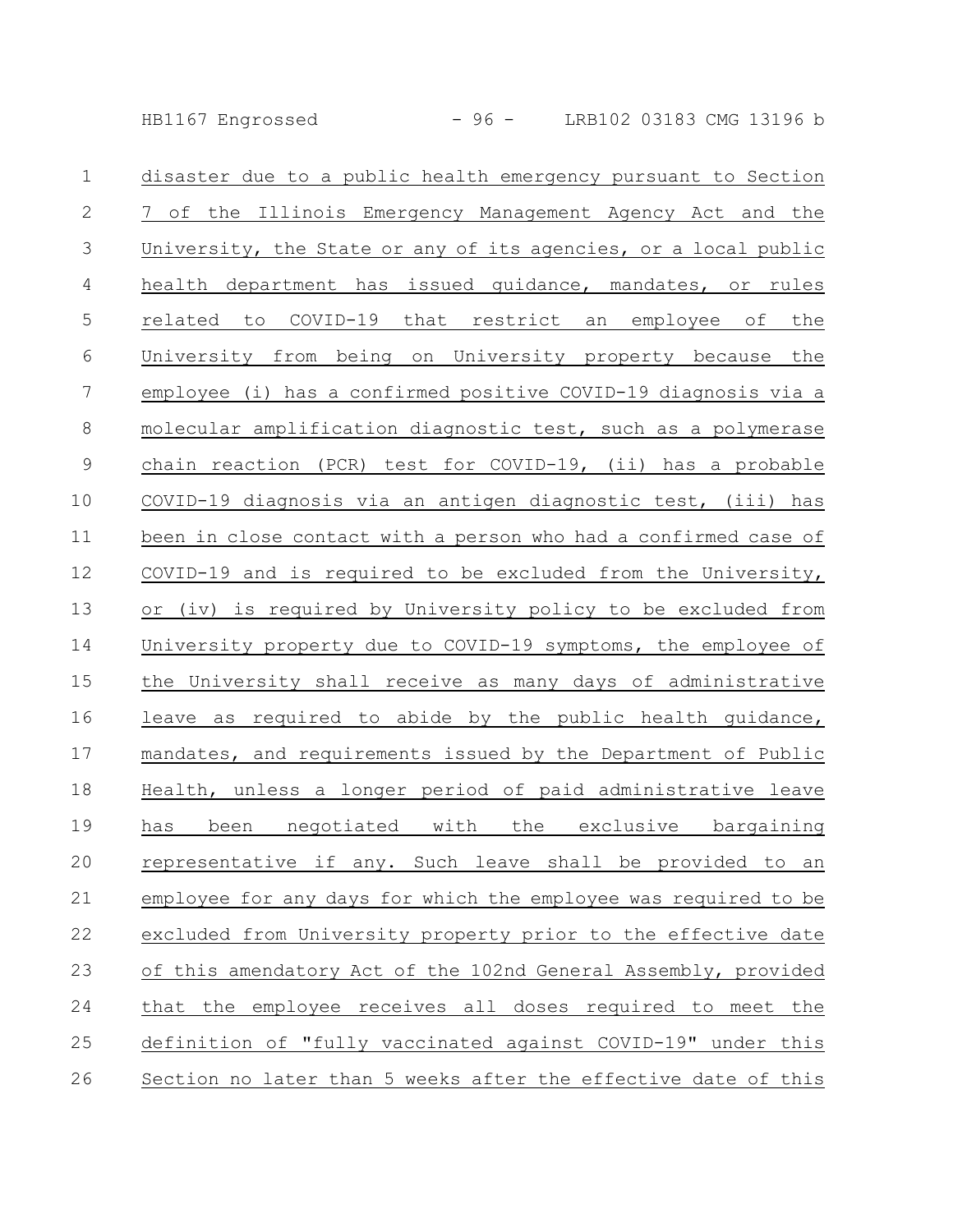HB1167 Engrossed - 96 - LRB102 03183 CMG 13196 b

| $\mathbf 1$    | disaster due to a public health emergency pursuant to Section   |
|----------------|-----------------------------------------------------------------|
| $\mathbf{2}$   | 7 of the Illinois Emergency Management Agency Act and the       |
| $\mathfrak{Z}$ | University, the State or any of its agencies, or a local public |
| 4              | health department has issued guidance, mandates, or rules       |
| 5              | related to COVID-19 that restrict an employee of<br>the         |
| 6              | University from being on University property because the        |
| $\overline{7}$ | employee (i) has a confirmed positive COVID-19 diagnosis via a  |
| $\,8\,$        | molecular amplification diagnostic test, such as a polymerase   |
| $\mathcal{G}$  | chain reaction (PCR) test for COVID-19, (ii) has a probable     |
| 10             | COVID-19 diagnosis via an antigen diagnostic test, (iii) has    |
| 11             | been in close contact with a person who had a confirmed case of |
| 12             | COVID-19 and is required to be excluded from the University,    |
| 13             | or (iv) is required by University policy to be excluded from    |
| 14             | University property due to COVID-19 symptoms, the employee of   |
| 15             | the University shall receive as many days of administrative     |
| 16             | leave as required to abide by the public health quidance,       |
| 17             | mandates, and requirements issued by the Department of Public   |
| 18             | Health, unless a longer period of paid administrative leave     |
| 19             | been negotiated with the exclusive bargaining<br>has            |
| 20             | representative if any. Such leave shall be provided to an       |
| 21             | employee for any days for which the employee was required to be |
| 22             | excluded from University property prior to the effective date   |
| 23             | of this amendatory Act of the 102nd General Assembly, provided  |
| 24             | that the employee receives all doses required to meet the       |
| 25             | definition of "fully vaccinated against COVID-19" under this    |
| 26             | Section no later than 5 weeks after the effective date of this  |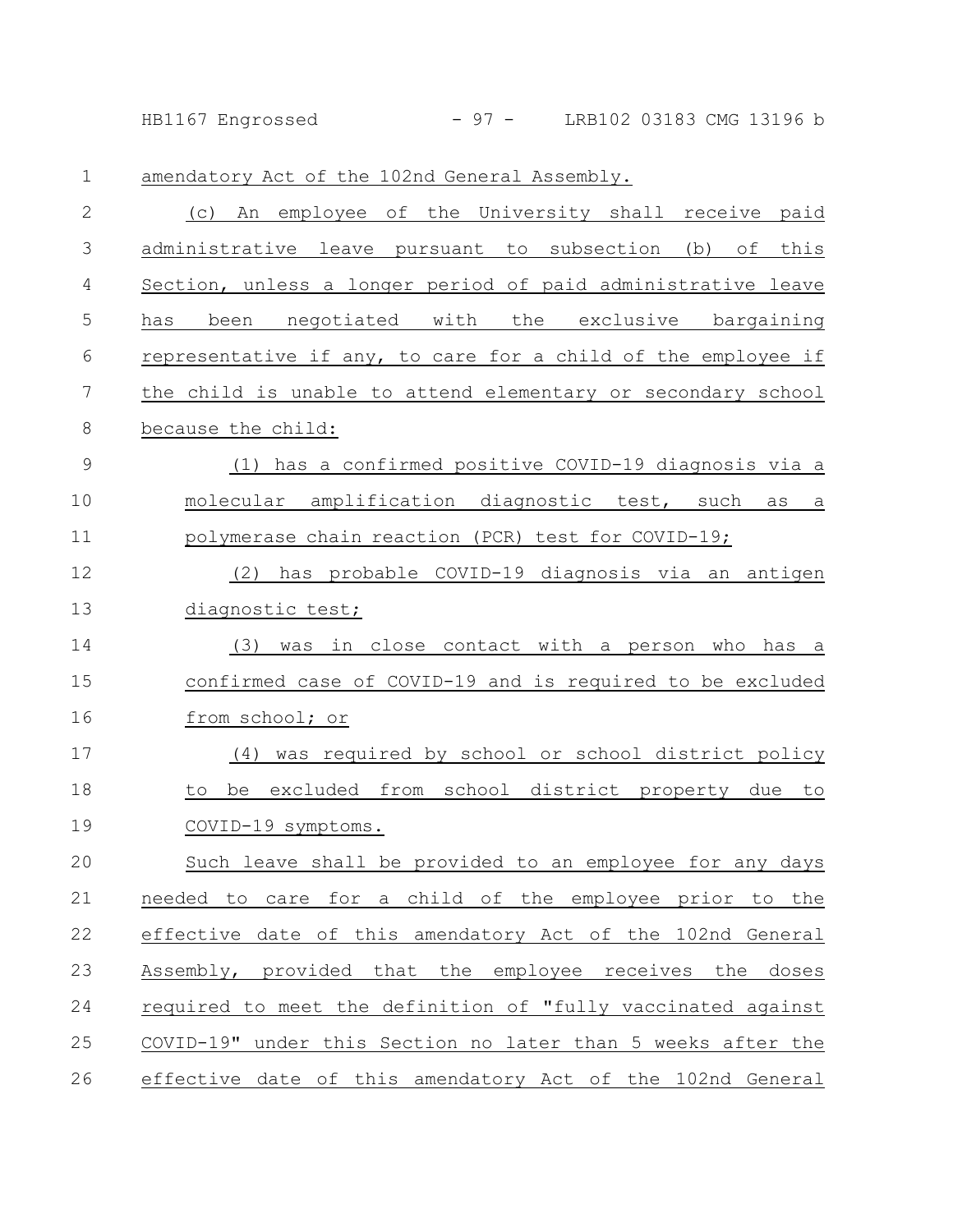HB1167 Engrossed - 97 - LRB102 03183 CMG 13196 b

amendatory Act of the 102nd General Assembly. 1

| $\mathbf{2}$  | An employee of the University shall receive paid<br>(C)       |
|---------------|---------------------------------------------------------------|
| 3             | administrative leave pursuant to subsection (b) of this       |
| 4             | Section, unless a longer period of paid administrative leave  |
| 5             | been negotiated with the exclusive bargaining<br>has          |
| 6             | representative if any, to care for a child of the employee if |
| 7             | the child is unable to attend elementary or secondary school  |
| 8             | because the child:                                            |
| $\mathcal{G}$ | (1) has a confirmed positive COVID-19 diagnosis via a         |
| 10            | molecular amplification diagnostic test, such as a            |
| 11            | polymerase chain reaction (PCR) test for COVID-19;            |
| 12            | has probable COVID-19 diagnosis via an antigen<br>(2)         |
| 13            | diagnostic test;                                              |
| 14            | was in close contact with a person who has a<br>(3)           |
| 15            | confirmed case of COVID-19 and is required to be excluded     |
| 16            | from school; or                                               |
| 17            | was required by school or school district policy<br>(4)       |
| 18            | be excluded from school district property due to<br>to        |
| 19            | COVID-19 symptoms.                                            |
| 20            | Such leave shall be provided to an employee for any days      |
| 21            | for a child of the employee prior<br>needed to care<br>to the |
| 22            | effective date of this amendatory Act of the 102nd General    |
| 23            | Assembly, provided that the employee receives the<br>doses    |
| 24            | required to meet the definition of "fully vaccinated against  |
| 25            | COVID-19" under this Section no later than 5 weeks after the  |
| 26            | effective date of this amendatory Act of the 102nd General    |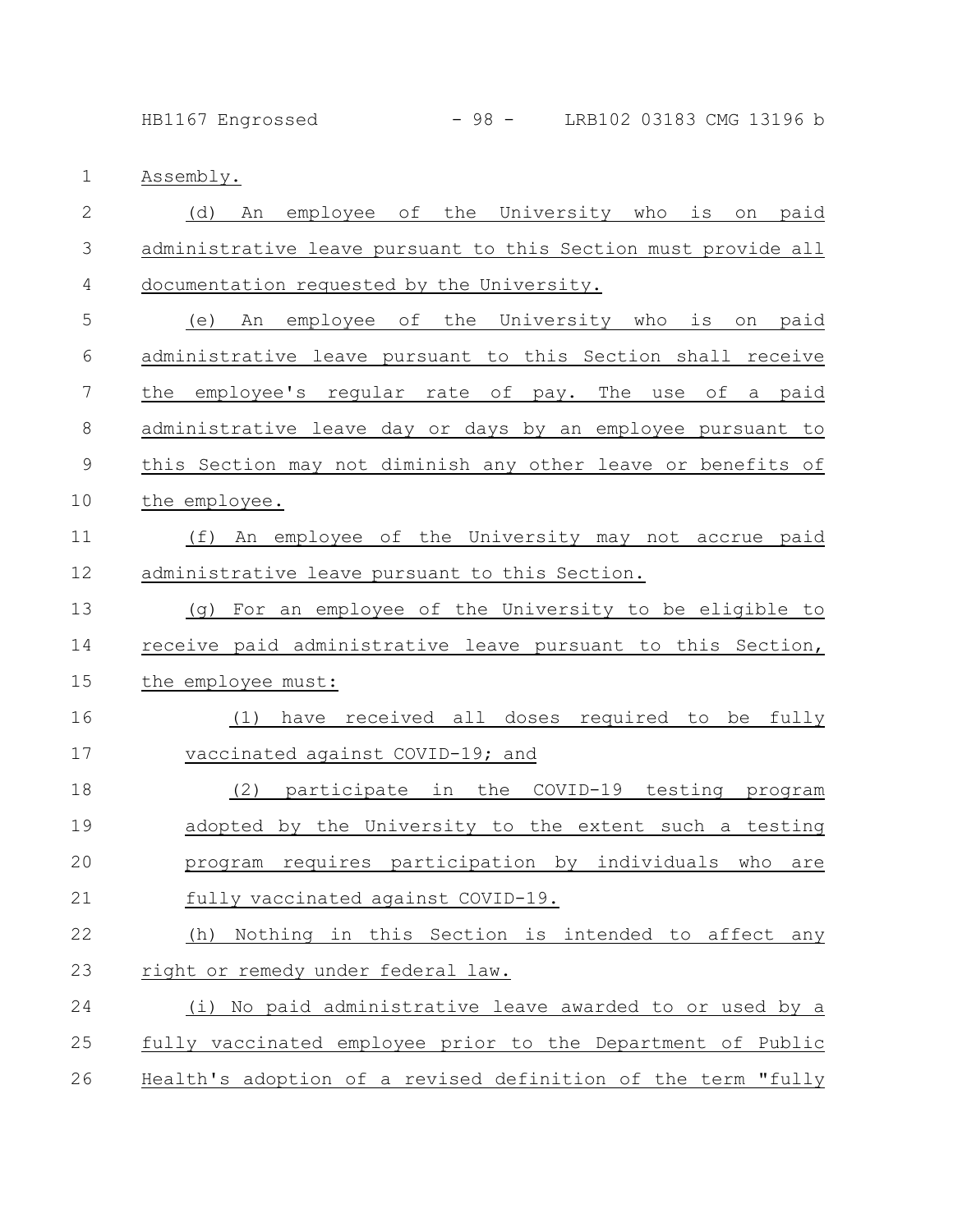HB1167 Engrossed - 98 - LRB102 03183 CMG 13196 b

Assembly. 1

| $\mathbf{2}$ | the University who<br>(d)<br>employee<br>is<br>paid<br>An<br>оf<br>on |
|--------------|-----------------------------------------------------------------------|
| 3            | administrative leave pursuant to this Section must provide all        |
| 4            | documentation requested by the University.                            |
| 5            | the University who<br>An<br>employee<br>оf<br>is<br>paid<br>(e)<br>on |
| 6            | administrative leave pursuant to this Section shall receive           |
| 7            | employee's regular rate of pay. The use of a<br>the<br>paid           |
| 8            | administrative leave day or days by an employee pursuant to           |
| $\mathsf 9$  | this Section may not diminish any other leave or benefits of          |
| 10           | the employee.                                                         |
| 11           | An employee of the University may not accrue paid<br>(f)              |
| 12           | administrative leave pursuant to this Section.                        |
| 13           | For an employee of the University to be eligible to<br>(q)            |
| 14           | receive paid administrative leave pursuant to this Section,           |
| 15           | the employee must:                                                    |
| 16           | (1)<br>have received all doses required to be fully                   |
| 17           | vaccinated against COVID-19; and                                      |
| 18           | participate in the COVID-19 testing<br>(2)<br>program                 |
| 19           | adopted by the University to the extent such a testing                |
| 20           | program requires participation by individuals<br>who<br>are           |
| 21           | fully vaccinated against COVID-19.                                    |
| 22           | Nothing in this Section is intended to affect any<br>(h)              |
| 23           | right or remedy under federal law.                                    |
| 24           | (i) No paid administrative leave awarded to or used by a              |
| 25           | fully vaccinated employee prior to the Department of Public           |
| 26           | Health's adoption of a revised definition of the term "fully          |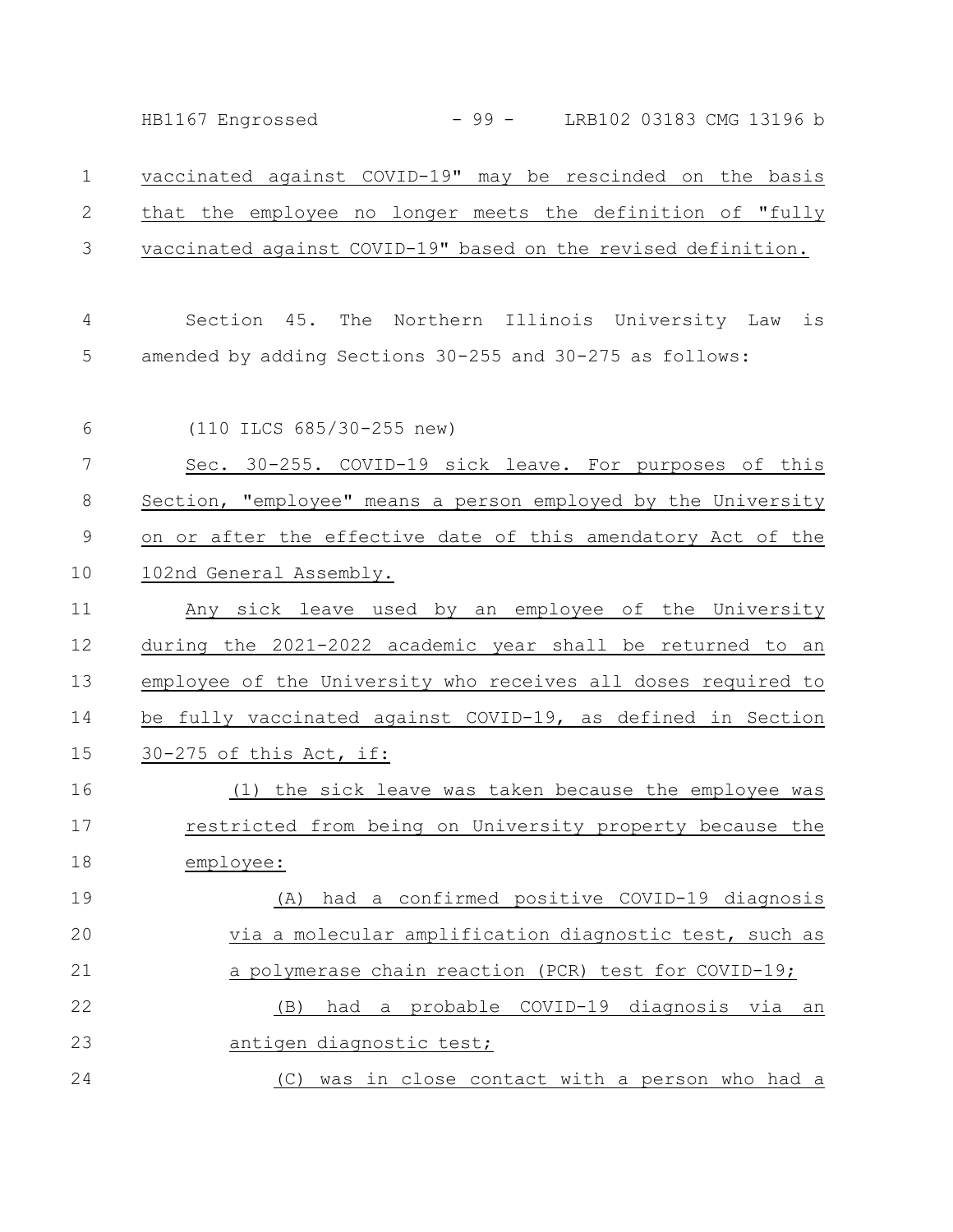vaccinated against COVID-19" may be rescinded on the basis that the employee no longer meets the definition of "fully vaccinated against COVID-19" based on the revised definition. Section 45. The Northern Illinois University Law is amended by adding Sections 30-255 and 30-275 as follows: (110 ILCS 685/30-255 new) Sec. 30-255. COVID-19 sick leave. For purposes of this Section, "employee" means a person employed by the University on or after the effective date of this amendatory Act of the 102nd General Assembly. Any sick leave used by an employee of the University during the 2021-2022 academic year shall be returned to an employee of the University who receives all doses required to be fully vaccinated against COVID-19, as defined in Section 30-275 of this Act, if: (1) the sick leave was taken because the employee was restricted from being on University property because the employee: (A) had a confirmed positive COVID-19 diagnosis via a molecular amplification diagnostic test, such as a polymerase chain reaction (PCR) test for COVID-19; (B) had a probable COVID-19 diagnosis via an antigen diagnostic test; (C) was in close contact with a person who had a 1 2 3 4 5 6 7 8 9 10 11 12 13 14 15 16 17 18 19 20 21 22 23 24 HB1167 Engrossed - 99 - LRB102 03183 CMG 13196 b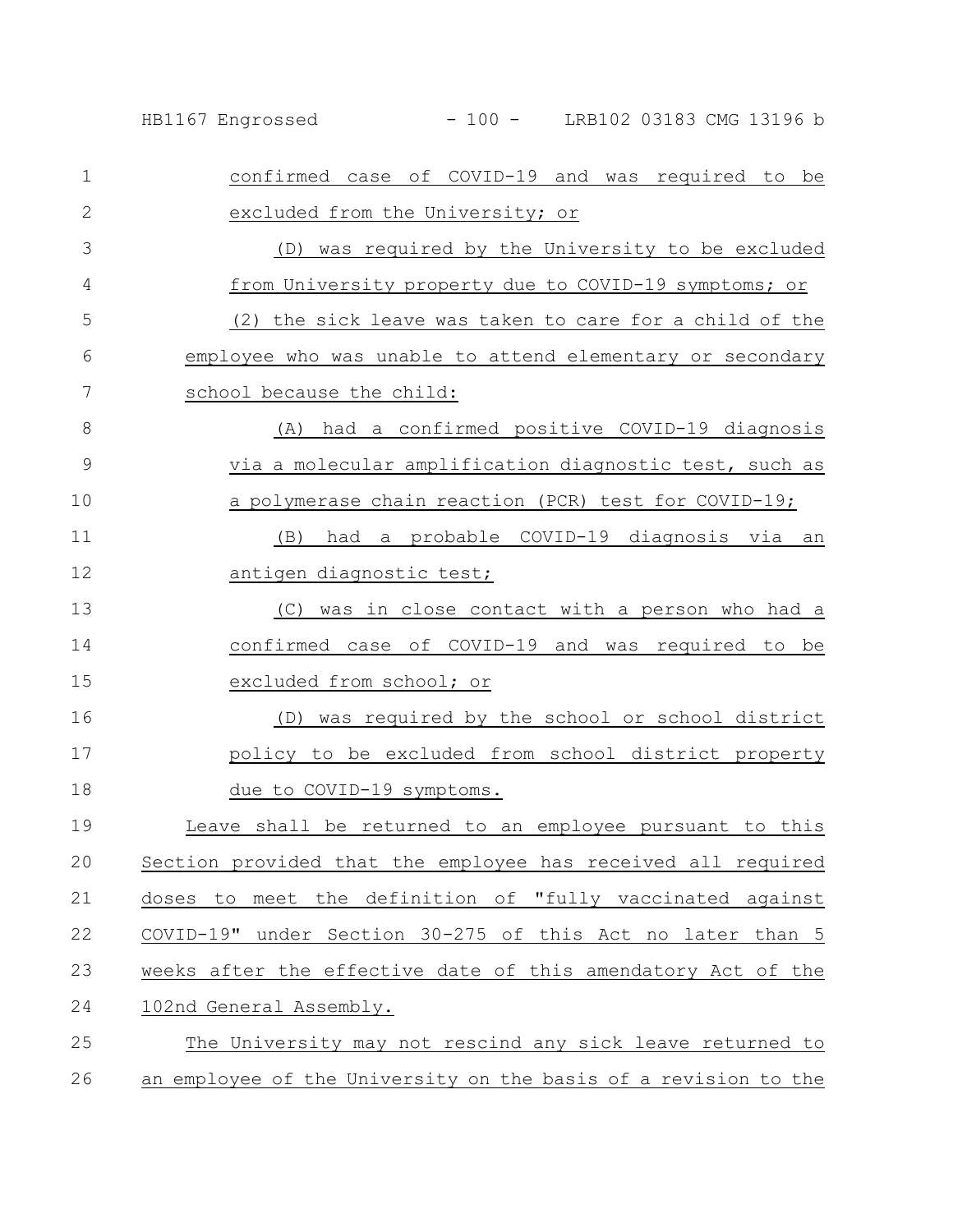HB1167 Engrossed - 100 - LRB102 03183 CMG 13196 b

| $\mathbf{1}$  | confirmed case of COVID-19 and was required to be               |
|---------------|-----------------------------------------------------------------|
| $\mathbf{2}$  | excluded from the University; or                                |
| 3             | (D) was required by the University to be excluded               |
| 4             | from University property due to COVID-19 symptoms; or           |
| 5             | (2) the sick leave was taken to care for a child of the         |
| 6             | employee who was unable to attend elementary or secondary       |
| 7             | school because the child:                                       |
| 8             | (A) had a confirmed positive COVID-19 diagnosis                 |
| $\mathcal{G}$ | via a molecular amplification diagnostic test, such as          |
| 10            | a polymerase chain reaction (PCR) test for COVID-19;            |
| 11            | had a probable COVID-19 diagnosis via an<br>(B)                 |
| 12            | antigen diagnostic test;                                        |
| 13            | was in close contact with a person who had a<br>(C)             |
| 14            | confirmed case of COVID-19 and was required to be               |
| 15            | excluded from school; or                                        |
| 16            | was required by the school or school district<br>(D)            |
| 17            | policy to be excluded from school district property             |
| 18            | due to COVID-19 symptoms.                                       |
| 19            | Leave shall be returned to an employee pursuant to this         |
| 20            | Section provided that the employee has received all required    |
| 21            | doses to meet the definition of "fully vaccinated against       |
| 22            | COVID-19" under Section 30-275 of this Act no later than 5      |
| 23            | weeks after the effective date of this amendatory Act of the    |
| 24            | 102nd General Assembly.                                         |
| 25            | The University may not rescind any sick leave returned to       |
| 26            | an employee of the University on the basis of a revision to the |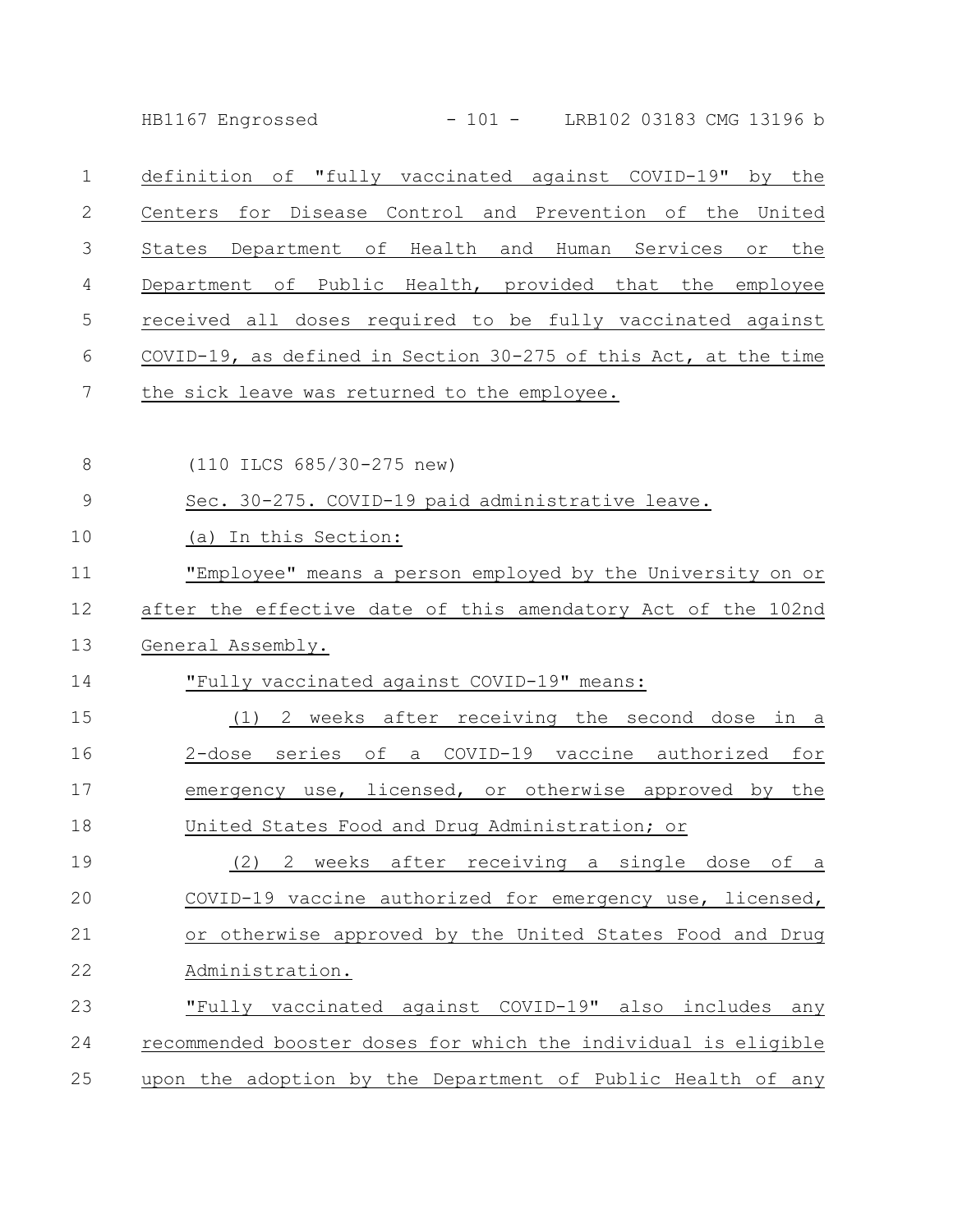HB1167 Engrossed - 101 - LRB102 03183 CMG 13196 b

definition of "fully vaccinated against COVID-19" by the Centers for Disease Control and Prevention of the United States Department of Health and Human Services or the Department of Public Health, provided that the employee received all doses required to be fully vaccinated against COVID-19, as defined in Section 30-275 of this Act, at the time the sick leave was returned to the employee. 1 2 3 4 5 6 7

(110 ILCS 685/30-275 new) 8

Sec. 30-275. COVID-19 paid administrative leave. 9

(a) In this Section: 10

"Employee" means a person employed by the University on or 11

after the effective date of this amendatory Act of the 102nd 12

General Assembly. 13

"Fully vaccinated against COVID-19" means: 14

(1) 2 weeks after receiving the second dose in a 2-dose series of a COVID-19 vaccine authorized for emergency use, licensed, or otherwise approved by the United States Food and Drug Administration; or 15 16 17 18

(2) 2 weeks after receiving a single dose of a COVID-19 vaccine authorized for emergency use, licensed, or otherwise approved by the United States Food and Drug Administration. 19 20 21 22

"Fully vaccinated against COVID-19" also includes any recommended booster doses for which the individual is eligible upon the adoption by the Department of Public Health of any 23 24 25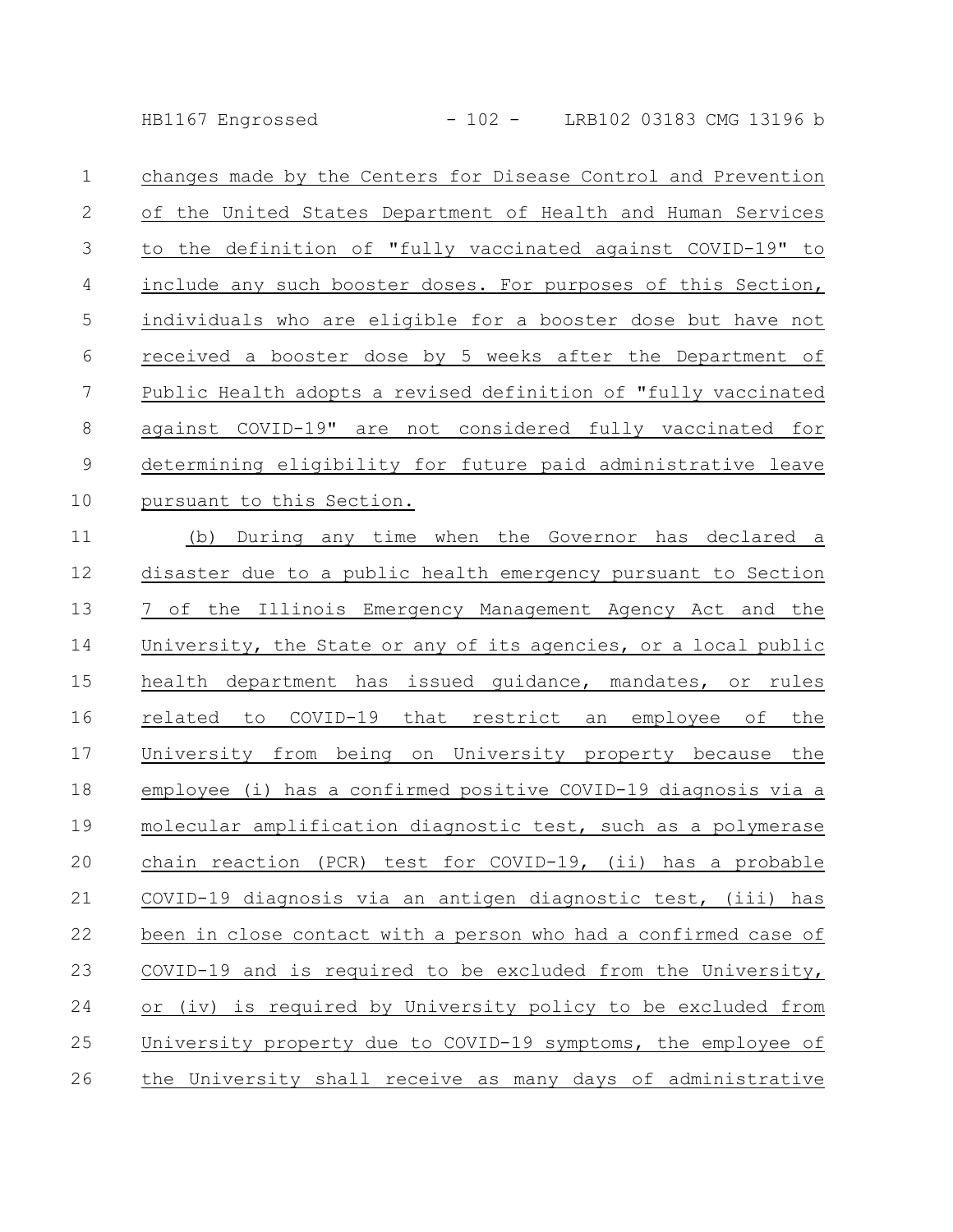HB1167 Engrossed - 102 - LRB102 03183 CMG 13196 b

changes made by the Centers for Disease Control and Prevention of the United States Department of Health and Human Services to the definition of "fully vaccinated against COVID-19" to include any such booster doses. For purposes of this Section, individuals who are eligible for a booster dose but have not received a booster dose by 5 weeks after the Department of Public Health adopts a revised definition of "fully vaccinated against COVID-19" are not considered fully vaccinated for determining eligibility for future paid administrative leave pursuant to this Section. 1 2 3 4 5 6 7 8 9 10

(b) During any time when the Governor has declared a disaster due to a public health emergency pursuant to Section 7 of the Illinois Emergency Management Agency Act and the University, the State or any of its agencies, or a local public health department has issued guidance, mandates, or rules related to COVID-19 that restrict an employee of the University from being on University property because the employee (i) has a confirmed positive COVID-19 diagnosis via a molecular amplification diagnostic test, such as a polymerase chain reaction (PCR) test for COVID-19, (ii) has a probable COVID-19 diagnosis via an antigen diagnostic test, (iii) has been in close contact with a person who had a confirmed case of COVID-19 and is required to be excluded from the University, or (iv) is required by University policy to be excluded from University property due to COVID-19 symptoms, the employee of the University shall receive as many days of administrative 11 12 13 14 15 16 17 18 19 20 21 22 23 24 25 26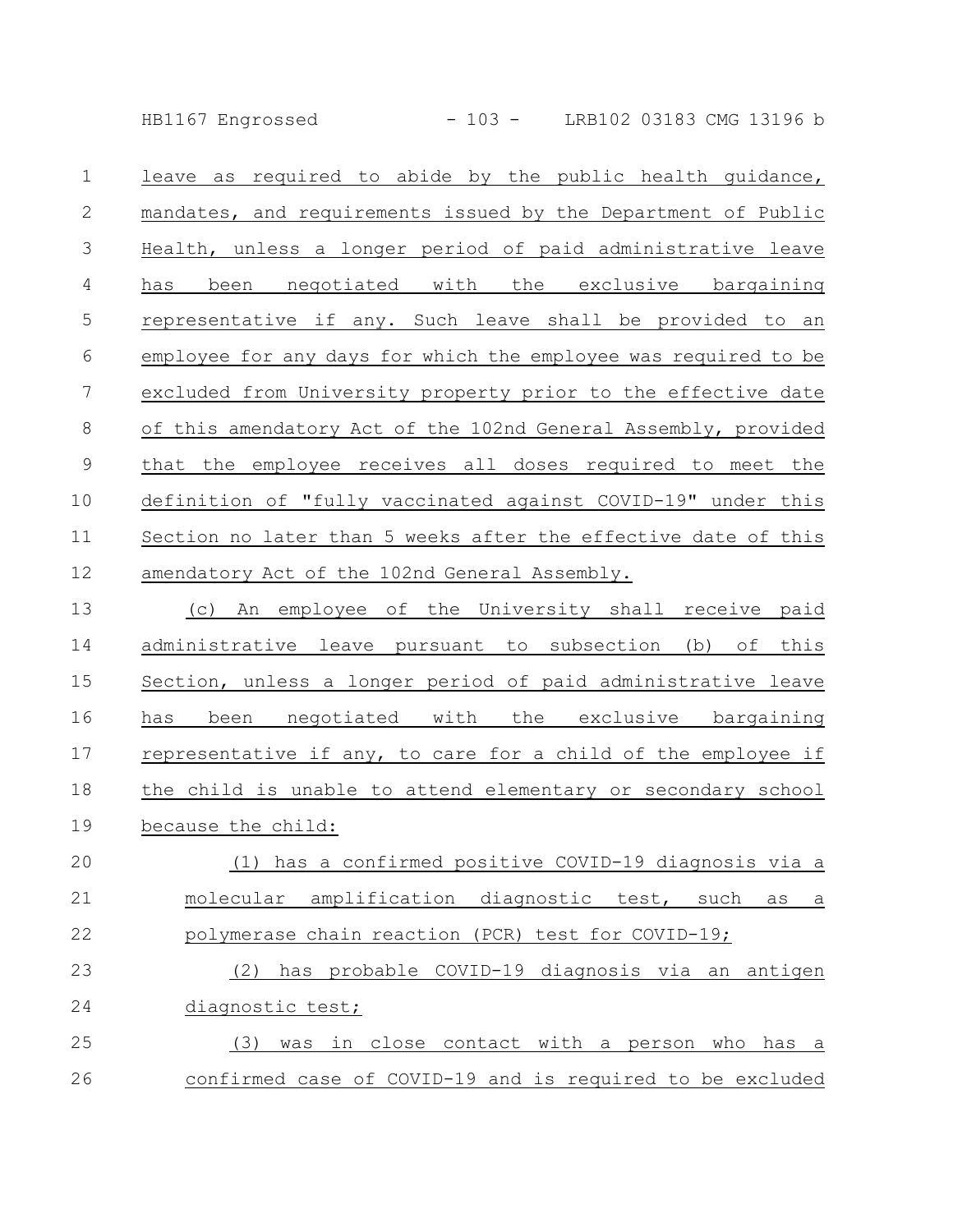HB1167 Engrossed - 103 - LRB102 03183 CMG 13196 b

| $\mathbf{1}$   | leave as required to abide by the public health quidance,                                                                                                                                                                     |
|----------------|-------------------------------------------------------------------------------------------------------------------------------------------------------------------------------------------------------------------------------|
| $\mathbf{2}$   | mandates, and requirements issued by the Department of Public                                                                                                                                                                 |
| 3              | Health, unless a longer period of paid administrative leave                                                                                                                                                                   |
| 4              | been negotiated with the exclusive bargaining<br>has                                                                                                                                                                          |
| 5              | representative if any. Such leave shall be provided to an                                                                                                                                                                     |
| 6              | employee for any days for which the employee was required to be                                                                                                                                                               |
| 7              | excluded from University property prior to the effective date                                                                                                                                                                 |
| 8              | of this amendatory Act of the 102nd General Assembly, provided                                                                                                                                                                |
| 9              | that the employee receives all doses required to meet the                                                                                                                                                                     |
| 10             | definition of "fully vaccinated against COVID-19" under this                                                                                                                                                                  |
| 11             | Section no later than 5 weeks after the effective date of this                                                                                                                                                                |
| 12             | amendatory Act of the 102nd General Assembly.                                                                                                                                                                                 |
| 1 <sub>2</sub> | الموالي بين المستقل المواطن المستقل المستقل المستقل المستقل المستقل المستقل المستقل المستقل المستقل المستقل المستقل المستقل المستقل المستقل المستقل المستقل المستقل المستقل المستقل المستقل المستقل المستقل المستقل المستقل ا |

(c) An employee of the University shall receive paid administrative leave pursuant to subsection (b) of this Section, unless a longer period of paid administrative leave has been negotiated with the exclusive bargaining representative if any, to care for a child of the employee if the child is unable to attend elementary or secondary school because the child: 13 14 15 16 17 18 19

(1) has a confirmed positive COVID-19 diagnosis via a molecular amplification diagnostic test, such as a polymerase chain reaction (PCR) test for COVID-19; 20 21 22

(2) has probable COVID-19 diagnosis via an antigen diagnostic test; 23 24

## (3) was in close contact with a person who has a confirmed case of COVID-19 and is required to be excluded 25 26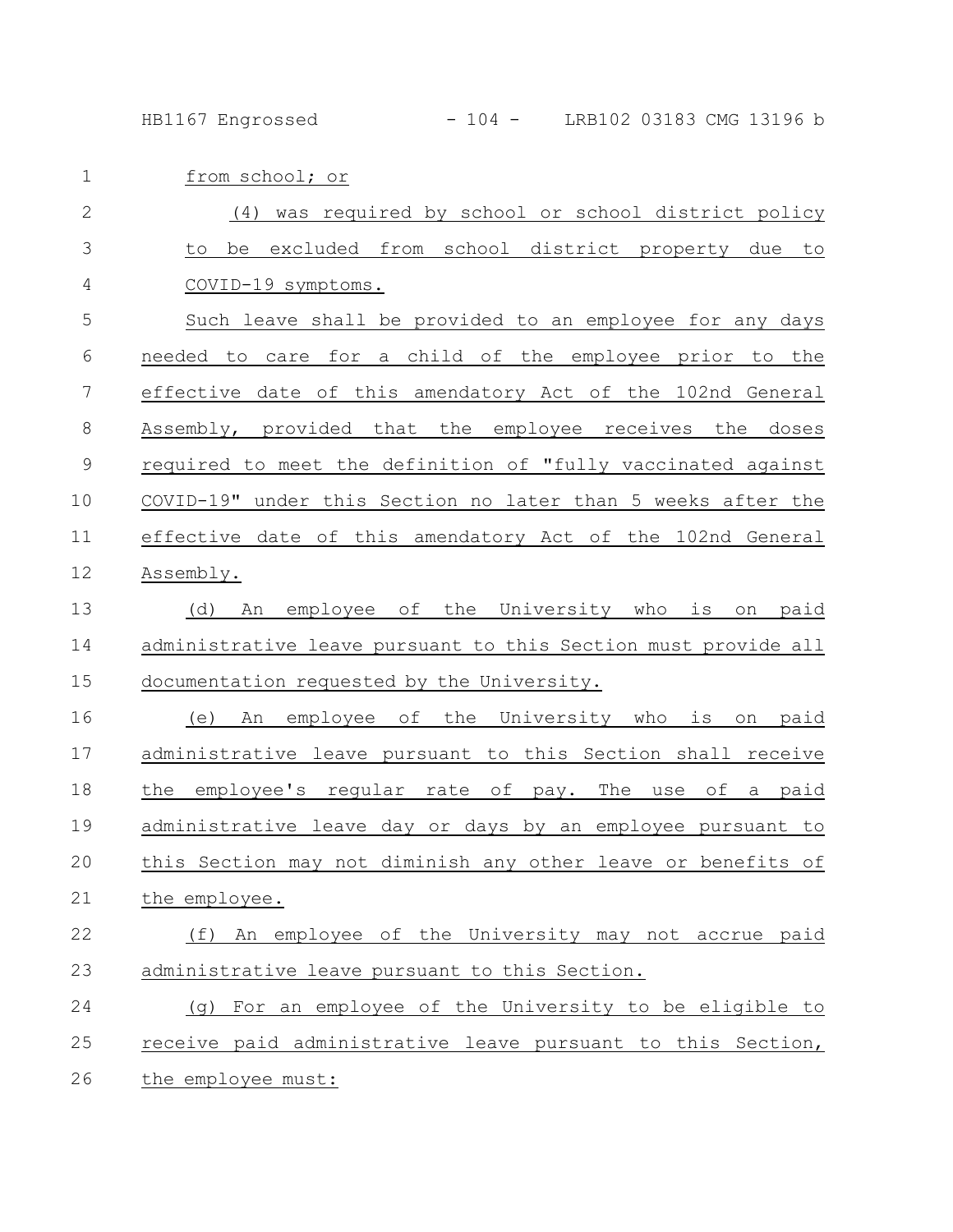HB1167 Engrossed - 104 - LRB102 03183 CMG 13196 b

from school; or (4) was required by school or school district policy to be excluded from school district property due to COVID-19 symptoms. Such leave shall be provided to an employee for any days needed to care for a child of the employee prior to the effective date of this amendatory Act of the 102nd General Assembly, provided that the employee receives the doses required to meet the definition of "fully vaccinated against COVID-19" under this Section no later than 5 weeks after the effective date of this amendatory Act of the 102nd General Assembly. (d) An employee of the University who is on paid administrative leave pursuant to this Section must provide all documentation requested by the University. (e) An employee of the University who is on paid administrative leave pursuant to this Section shall receive the employee's regular rate of pay. The use of a paid administrative leave day or days by an employee pursuant to this Section may not diminish any other leave or benefits of the employee. (f) An employee of the University may not accrue paid administrative leave pursuant to this Section. (g) For an employee of the University to be eligible to receive paid administrative leave pursuant to this Section, the employee must: 1 2 3 4 5 6 7 8 9 10 11 12 13 14 15 16 17 18 19 20 21 22 23 24 25 26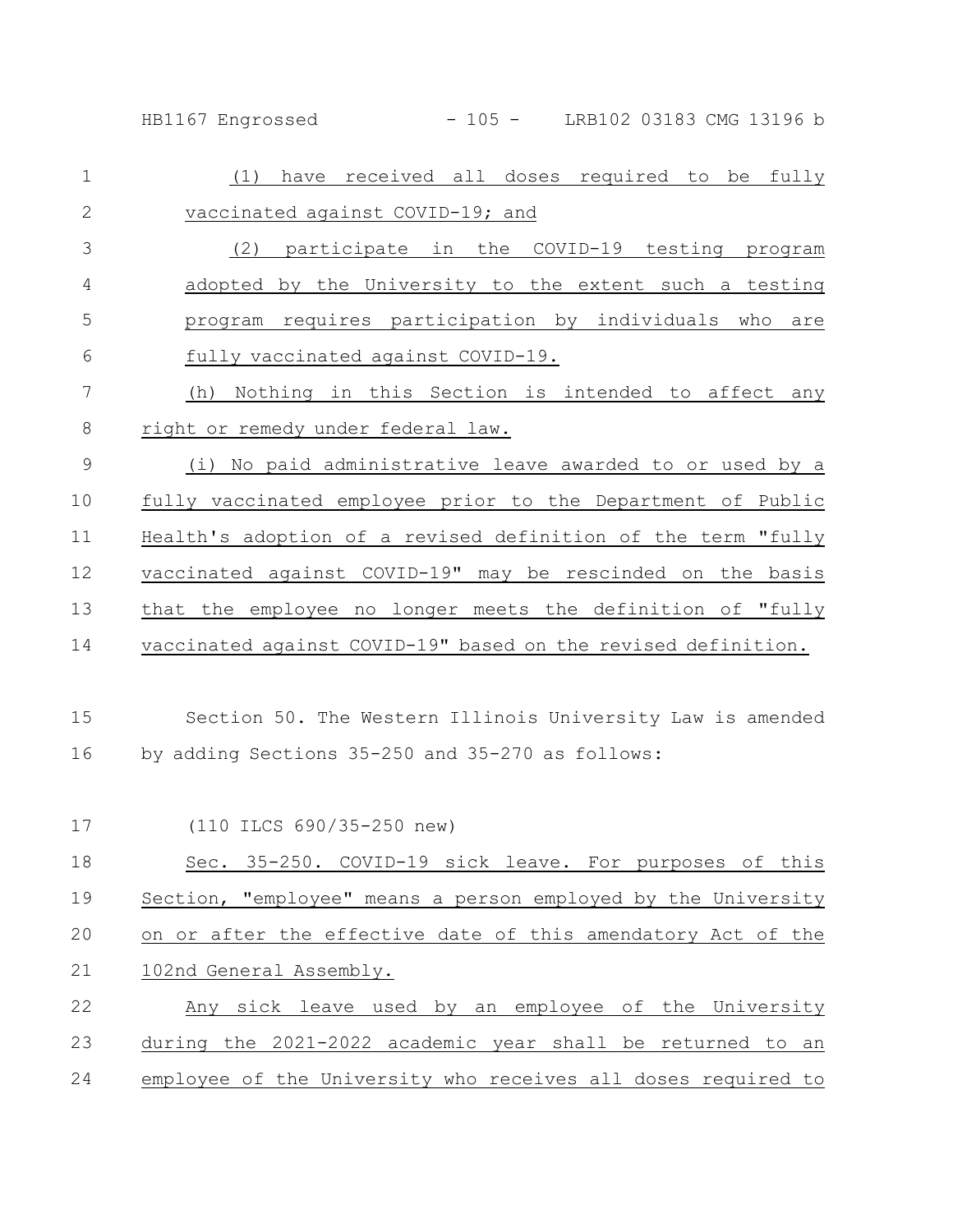HB1167 Engrossed - 105 - LRB102 03183 CMG 13196 b

| $\mathbf{1}$   | have received all doses required to be fully<br>(1)           |
|----------------|---------------------------------------------------------------|
| $\mathbf{2}$   | vaccinated against COVID-19; and                              |
| $\mathfrak{Z}$ | participate in the COVID-19 testing program<br>(2)            |
| 4              | adopted by the University to the extent such a testing        |
| 5              | program requires participation by individuals who are         |
| 6              | fully vaccinated against COVID-19.                            |
| 7              | Nothing in this Section is intended to affect any<br>(h)      |
| $\,8\,$        | right or remedy under federal law.                            |
| $\mathsf 9$    | (i) No paid administrative leave awarded to or used by a      |
| 10             | fully vaccinated employee prior to the Department of Public   |
| 11             | Health's adoption of a revised definition of the term "fully  |
| 12             | vaccinated against COVID-19" may be rescinded on the basis    |
| 13             | that the employee no longer meets the definition of "fully    |
| 14             | vaccinated against COVID-19" based on the revised definition. |
| 15             | Section 50. The Western Illinois University Law is amended    |
| 16             | by adding Sections 35-250 and 35-270 as follows:              |
| 17             | $(110$ ILCS 690/35-250 new)                                   |
| 18             | Sec. 35-250. COVID-19 sick leave. For purposes of this        |
| 19             | Section, "employee" means a person employed by the University |
| 20             | on or after the effective date of this amendatory Act of the  |
| 21             | 102nd General Assembly.                                       |
| 22             | Any sick leave used by an employee of the University          |
| 23             | during the 2021-2022 academic year shall be returned to an    |
| 24             | employee of the University who receives all doses required to |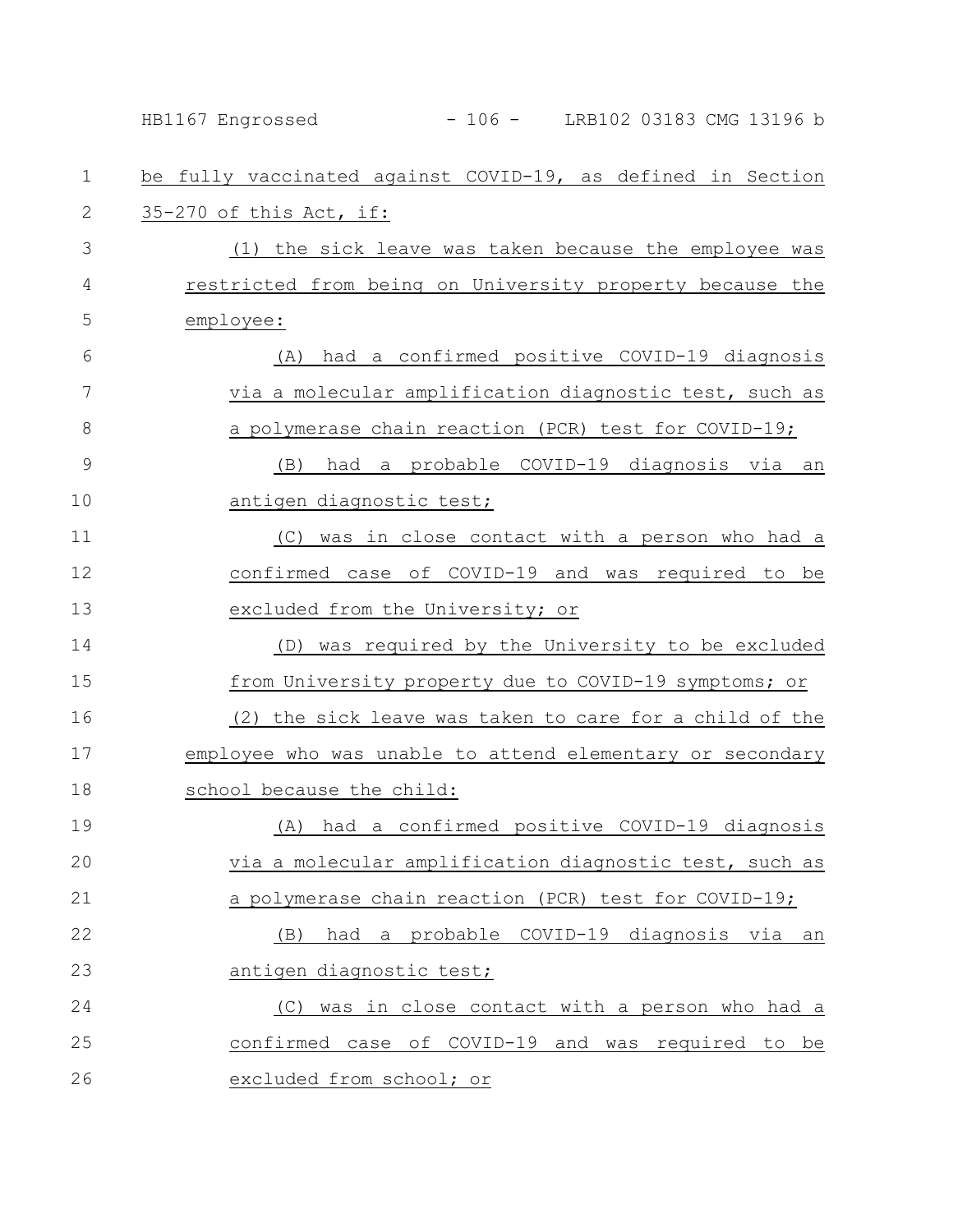|               | - 106 - LRB102 03183 CMG 13196 b<br>HB1167 Engrossed        |
|---------------|-------------------------------------------------------------|
| $\mathbf 1$   | be fully vaccinated against COVID-19, as defined in Section |
| 2             | 35-270 of this Act, if:                                     |
| 3             | (1) the sick leave was taken because the employee was       |
| 4             | restricted from being on University property because the    |
| 5             | employee:                                                   |
| 6             | (A) had a confirmed positive COVID-19 diagnosis             |
| 7             | via a molecular amplification diagnostic test, such as      |
| 8             | a polymerase chain reaction (PCR) test for COVID-19;        |
| $\mathcal{G}$ | had a probable COVID-19 diagnosis via an<br>(B)             |
| 10            | antigen diagnostic test;                                    |
| 11            | was in close contact with a person who had a<br>(C)         |
| 12            | confirmed case of COVID-19 and was required to be           |
| 13            | excluded from the University; or                            |
| 14            | (D) was required by the University to be excluded           |
| 15            | from University property due to COVID-19 symptoms; or       |
| 16            | (2) the sick leave was taken to care for a child of the     |
| 17            | employee who was unable to attend elementary or secondary   |
| 18            | school because the child:                                   |
| 19            | (A) had a confirmed positive COVID-19 diagnosis             |
| 20            | via a molecular amplification diagnostic test, such as      |
| 21            | a polymerase chain reaction (PCR) test for COVID-19;        |
| 22            | (B) had a probable COVID-19 diagnosis via an                |
| 23            | antigen diagnostic test;                                    |
| 24            | (C) was in close contact with a person who had a            |
| 25            | confirmed case of COVID-19 and was required to be           |
| 26            | excluded from school; or                                    |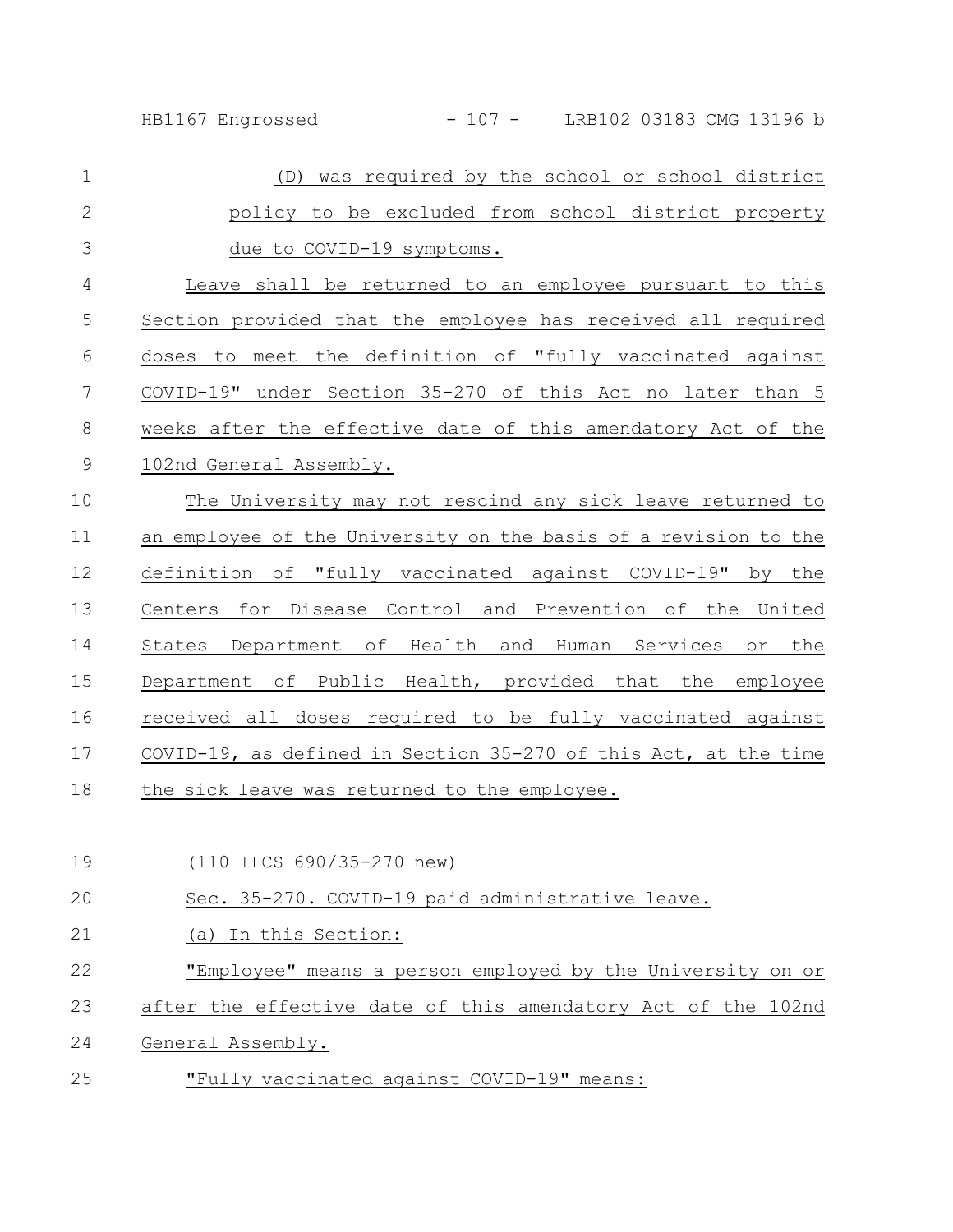| $\mathbf{1}$   | (D) was required by the school or school district               |
|----------------|-----------------------------------------------------------------|
| $\mathbf{2}$   | policy to be excluded from school district property             |
| 3              | due to COVID-19 symptoms.                                       |
| $\overline{4}$ | Leave shall be returned to an employee pursuant to this         |
| 5              | Section provided that the employee has received all required    |
| 6              | doses to meet the definition of "fully vaccinated against       |
| 7              | COVID-19" under Section 35-270 of this Act no later than 5      |
| 8              | weeks after the effective date of this amendatory Act of the    |
| $\mathsf 9$    | 102nd General Assembly.                                         |
| 10             | The University may not rescind any sick leave returned to       |
| 11             | an employee of the University on the basis of a revision to the |
| 12             | definition of "fully vaccinated against COVID-19" by the        |
| 13             | Centers for Disease Control and Prevention of the United        |
| 14             | States Department of Health and Human Services<br>or the        |
| 15             | Department of Public Health, provided that the employee         |
| 16             | received all doses required to be fully vaccinated against      |
| 17             | COVID-19, as defined in Section 35-270 of this Act, at the time |
| 18             | the sick leave was returned to the employee.                    |
|                |                                                                 |
| 19             | (110 ILCS 690/35-270 new)                                       |
| 20             | Sec. 35-270. COVID-19 paid administrative leave.                |
| 21             | (a) In this Section:                                            |

"Employee" means a person employed by the University on or 22

after the effective date of this amendatory Act of the 102nd 23

General Assembly. 24

"Fully vaccinated against COVID-19" means: 25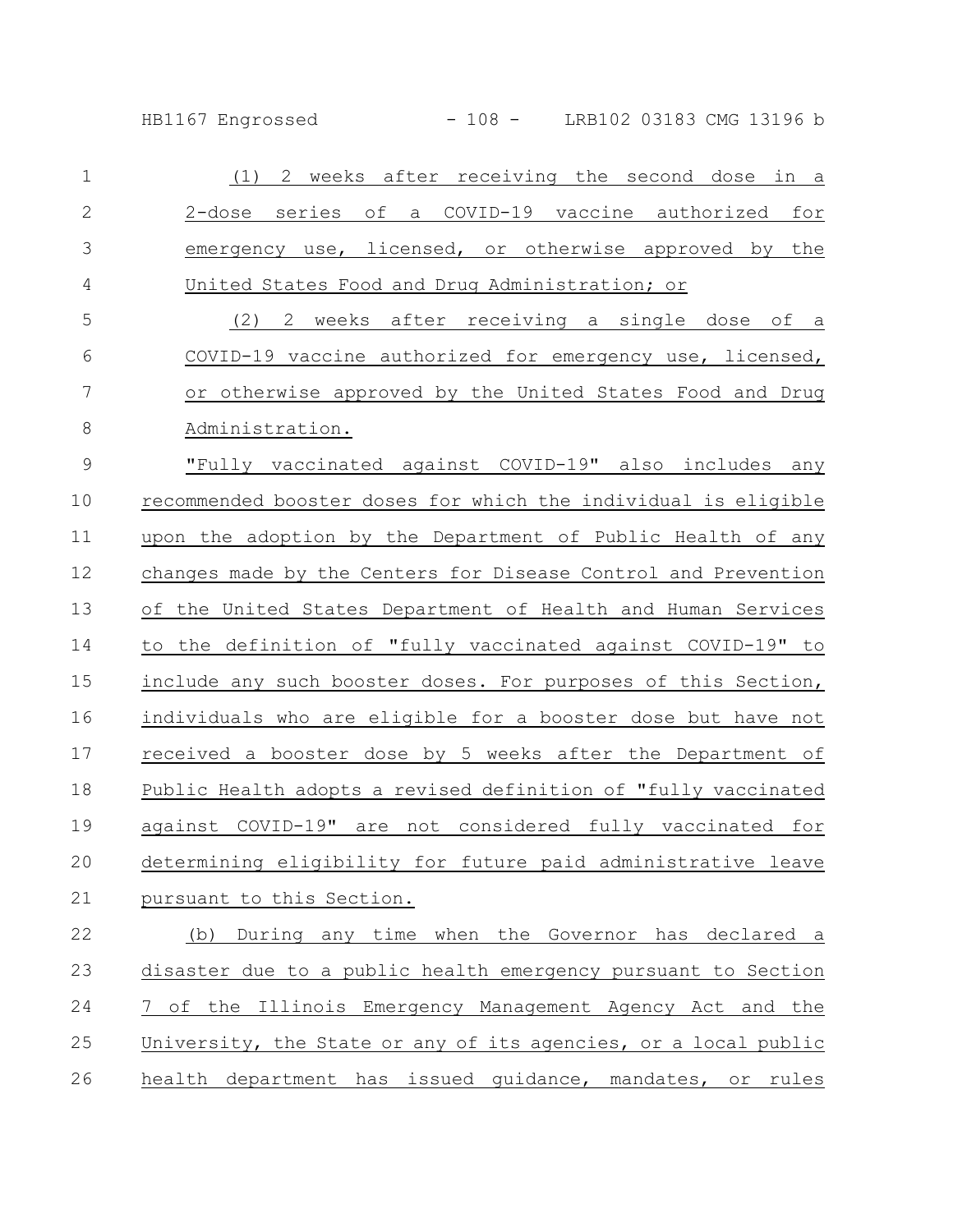HB1167 Engrossed - 108 - LRB102 03183 CMG 13196 b

| $\mathbf 1$    | 2 weeks after receiving the second dose in a<br>(1)             |
|----------------|-----------------------------------------------------------------|
| $\overline{2}$ | 2-dose series of a COVID-19 vaccine authorized for              |
| 3              | emergency use, licensed, or otherwise approved by the           |
| $\overline{4}$ | United States Food and Drug Administration; or                  |
| 5              | (2) 2 weeks after receiving a single dose of a                  |
| $6\,$          | COVID-19 vaccine authorized for emergency use, licensed,        |
| 7              | or otherwise approved by the United States Food and Drug        |
| 8              | Administration.                                                 |
| $\mathsf 9$    | "Fully vaccinated against COVID-19" also includes any           |
| 10             | recommended booster doses for which the individual is eligible  |
| 11             | upon the adoption by the Department of Public Health of any     |
| 12             | changes made by the Centers for Disease Control and Prevention  |
| 13             | of the United States Department of Health and Human Services    |
| 14             | to the definition of "fully vaccinated against COVID-19" to     |
| 15             | include any such booster doses. For purposes of this Section,   |
| 16             | individuals who are eligible for a booster dose but have not    |
| 17             | received a booster dose by 5 weeks after the Department of      |
| 18             | Public Health adopts a revised definition of "fully vaccinated  |
| 19             | against COVID-19" are not considered fully vaccinated for       |
| 20             | determining eligibility for future paid administrative leave    |
| 21             | pursuant to this Section.                                       |
| 22             | (b) During any time when the Governor has declared a            |
| 23             | disaster due to a public health emergency pursuant to Section   |
| 24             | 7 of the Illinois Emergency Management Agency Act and the       |
| 25             | University, the State or any of its agencies, or a local public |
|                |                                                                 |

26 health department has issued quidance, mandates, or rules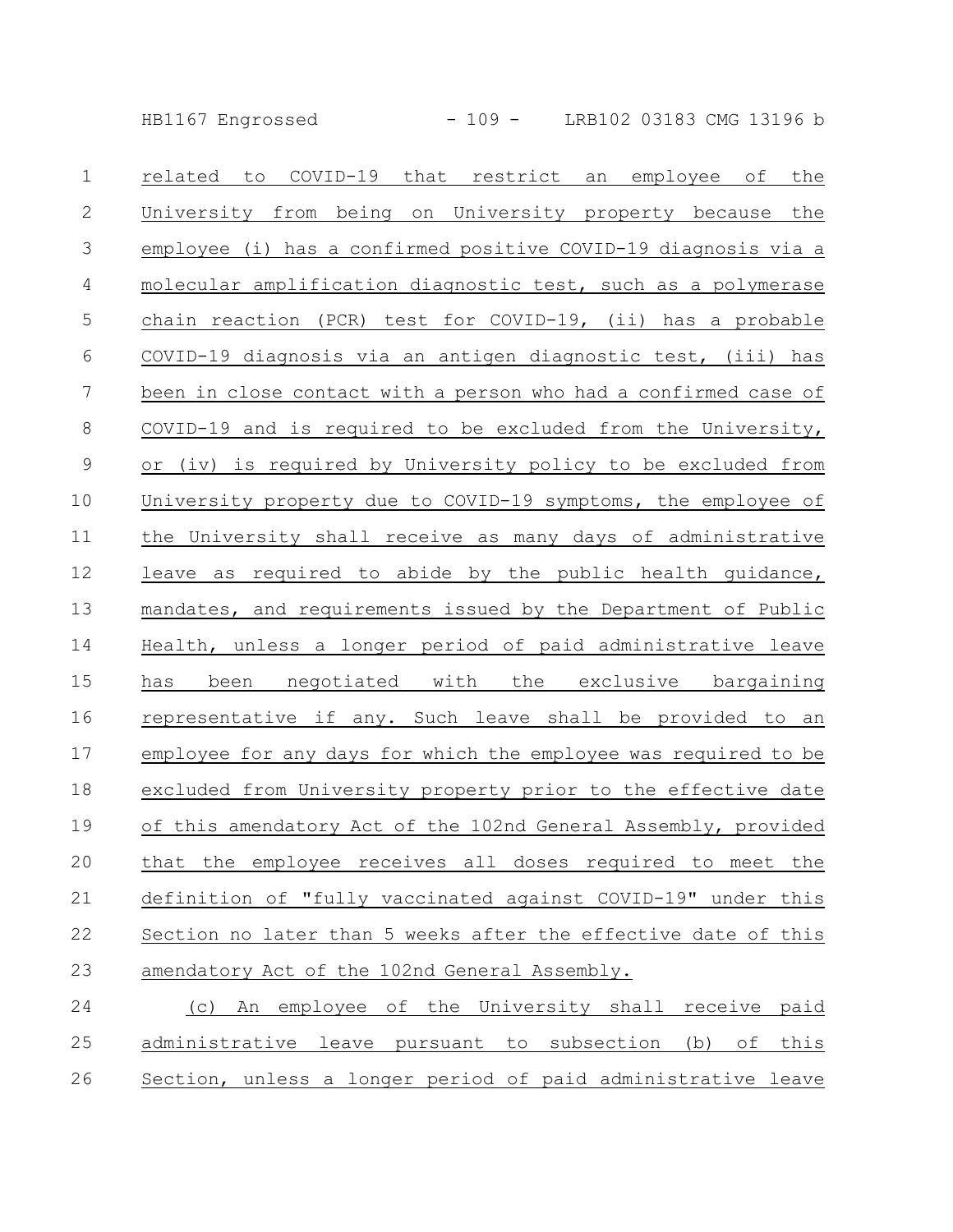HB1167 Engrossed - 109 - LRB102 03183 CMG 13196 b

| $\mathbf 1$    | COVID-19 that restrict an<br>employee<br>the<br>related<br>to<br>оf |
|----------------|---------------------------------------------------------------------|
| $\mathbf{2}$   | University from being on University property because the            |
| $\mathfrak{Z}$ | employee (i) has a confirmed positive COVID-19 diagnosis via a      |
| 4              | molecular amplification diagnostic test, such as a polymerase       |
| 5              | chain reaction (PCR) test for COVID-19, (ii) has a probable         |
| 6              | <u>COVID-19 diagnosis via an antigen diagnostic test, (iii) has</u> |
| $\overline{7}$ | been in close contact with a person who had a confirmed case of     |
| $\,8\,$        | COVID-19 and is required to be excluded from the University,        |
| $\mathcal{G}$  | or (iv) is required by University policy to be excluded from        |
| 10             | University property due to COVID-19 symptoms, the employee of       |
| 11             | the University shall receive as many days of administrative         |
| 12             | leave as required to abide by the public health guidance,           |
| 13             | mandates, and requirements issued by the Department of Public       |
| 14             | Health, unless a longer period of paid administrative leave         |
| 15             | negotiated with the exclusive bargaining<br>has been                |
| 16             | representative if any. Such leave shall be provided to an           |
| 17             | employee for any days for which the employee was required to be     |
| 18             | excluded from University property prior to the effective date       |
| 19             | of this amendatory Act of the 102nd General Assembly, provided      |
| 20             | that the employee receives all doses required to meet the           |
| 21             | definition of "fully vaccinated against COVID-19" under this        |
| 22             | Section no later than 5 weeks after the effective date of this      |
| 23             | amendatory Act of the 102nd General Assembly.                       |
| $\bigcap$      |                                                                     |

(c) An employee of the University shall receive paid administrative leave pursuant to subsection (b) of this Section, unless a longer period of paid administrative leave 24 25 26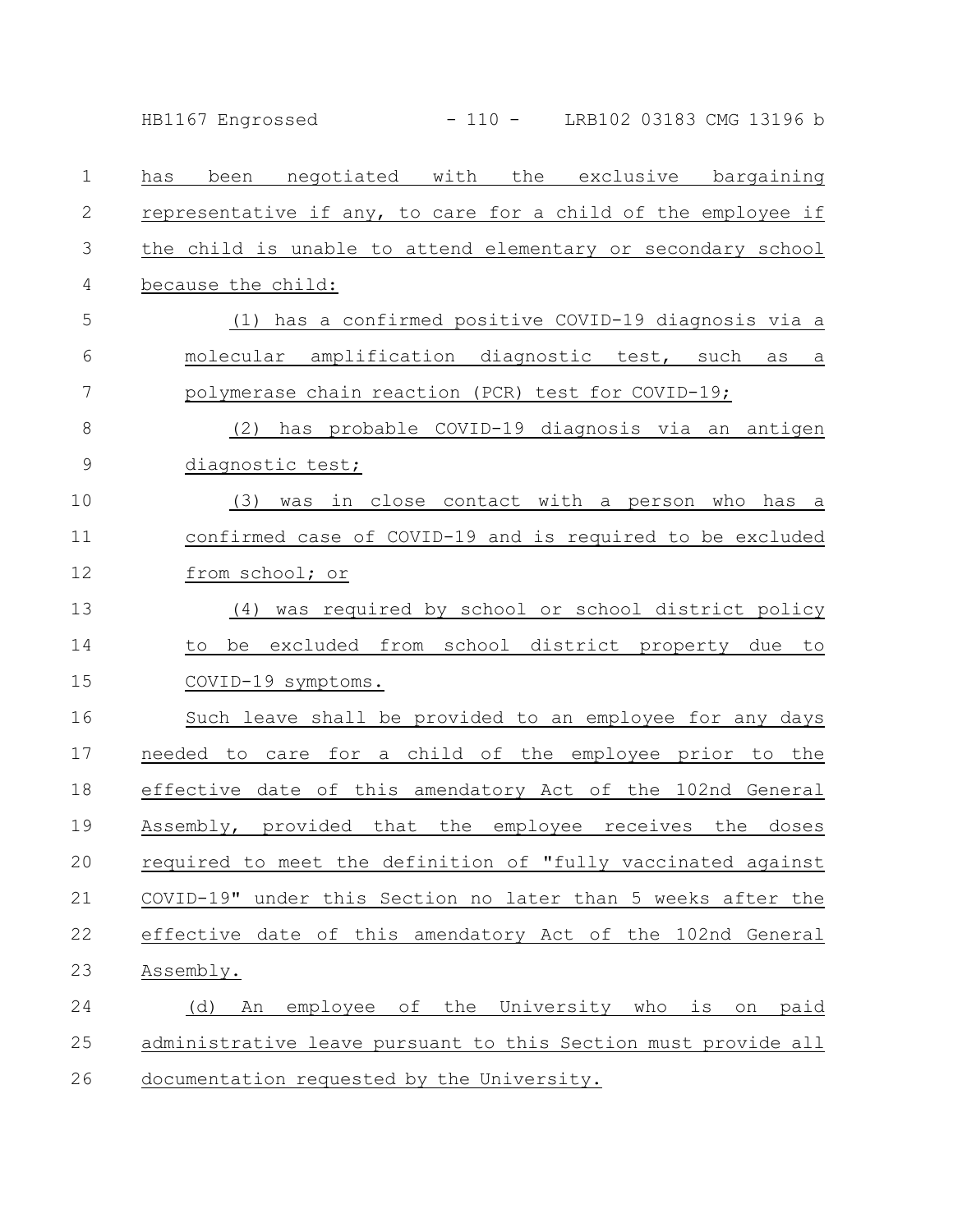has been negotiated with the exclusive bargaining representative if any, to care for a child of the employee if the child is unable to attend elementary or secondary school because the child: (1) has a confirmed positive COVID-19 diagnosis via a molecular amplification diagnostic test, such as a polymerase chain reaction (PCR) test for COVID-19; (2) has probable COVID-19 diagnosis via an antigen diagnostic test; (3) was in close contact with a person who has a confirmed case of COVID-19 and is required to be excluded from school; or (4) was required by school or school district policy to be excluded from school district property due to COVID-19 symptoms. Such leave shall be provided to an employee for any days needed to care for a child of the employee prior to the effective date of this amendatory Act of the 102nd General Assembly, provided that the employee receives the doses required to meet the definition of "fully vaccinated against COVID-19" under this Section no later than 5 weeks after the effective date of this amendatory Act of the 102nd General Assembly. (d) An employee of the University who is on paid administrative leave pursuant to this Section must provide all documentation requested by the University. 1 2 3 4 5 6 7 8 9 10 11 12 13 14 15 16 17 18 19 20 21 22 23 24 25 26 HB1167 Engrossed - 110 - LRB102 03183 CMG 13196 b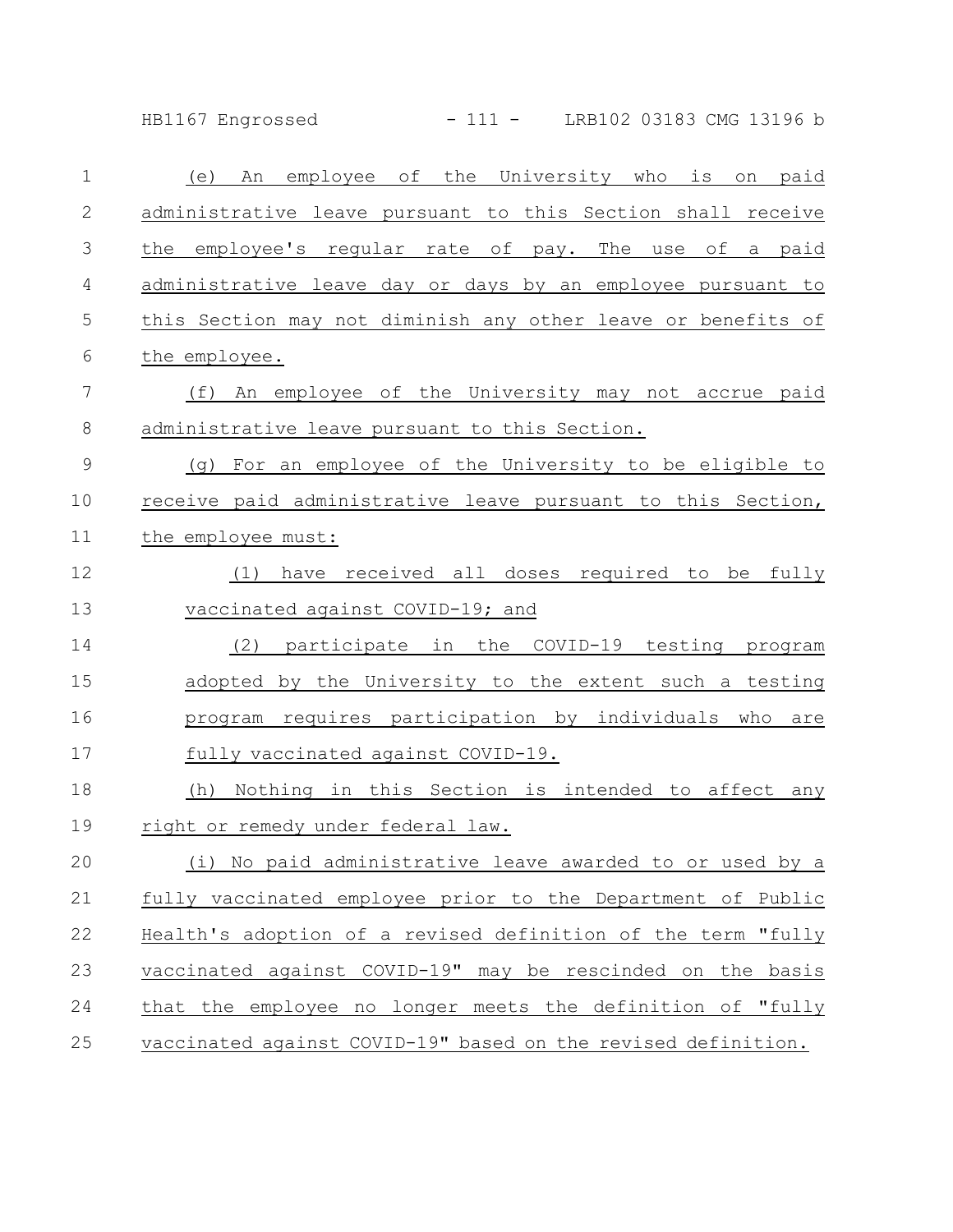HB1167 Engrossed - 111 - LRB102 03183 CMG 13196 b

| $\mathbf{1}$ | employee of the University who<br>paid<br>is<br>(e)<br>An<br>on |
|--------------|-----------------------------------------------------------------|
| 2            | administrative leave pursuant to this Section shall receive     |
| 3            | the employee's regular rate of pay. The use of a paid           |
| 4            | administrative leave day or days by an employee pursuant to     |
| 5            | this Section may not diminish any other leave or benefits of    |
| 6            | the employee.                                                   |
| 7            | (f)<br>An employee of the University may not accrue paid        |
| 8            | administrative leave pursuant to this Section.                  |
| 9            | For an employee of the University to be eligible to<br>(q)      |
| 10           | receive paid administrative leave pursuant to this Section,     |
| 11           | the employee must:                                              |
| 12           | have received all doses required to be fully<br>(1)             |
| 13           | vaccinated against COVID-19; and                                |
| 14           | (2)<br>participate in the COVID-19 testing program              |
| 15           | adopted by the University to the extent such a testing          |
| 16           | program requires participation by individuals who are           |
| 17           | fully vaccinated against COVID-19.                              |
| 18           | Nothing in this Section is intended to affect any<br>(h)        |
| 19           | right or remedy under federal law.                              |
| 20           | (i) No paid administrative leave awarded to or used by a        |
| 21           | fully vaccinated employee prior to the Department of Public     |
| 22           | Health's adoption of a revised definition of the term "fully    |
| 23           | vaccinated against COVID-19" may be rescinded on the basis      |
| 24           | that the employee no longer meets the definition of "fully      |
| 25           | vaccinated against COVID-19" based on the revised definition.   |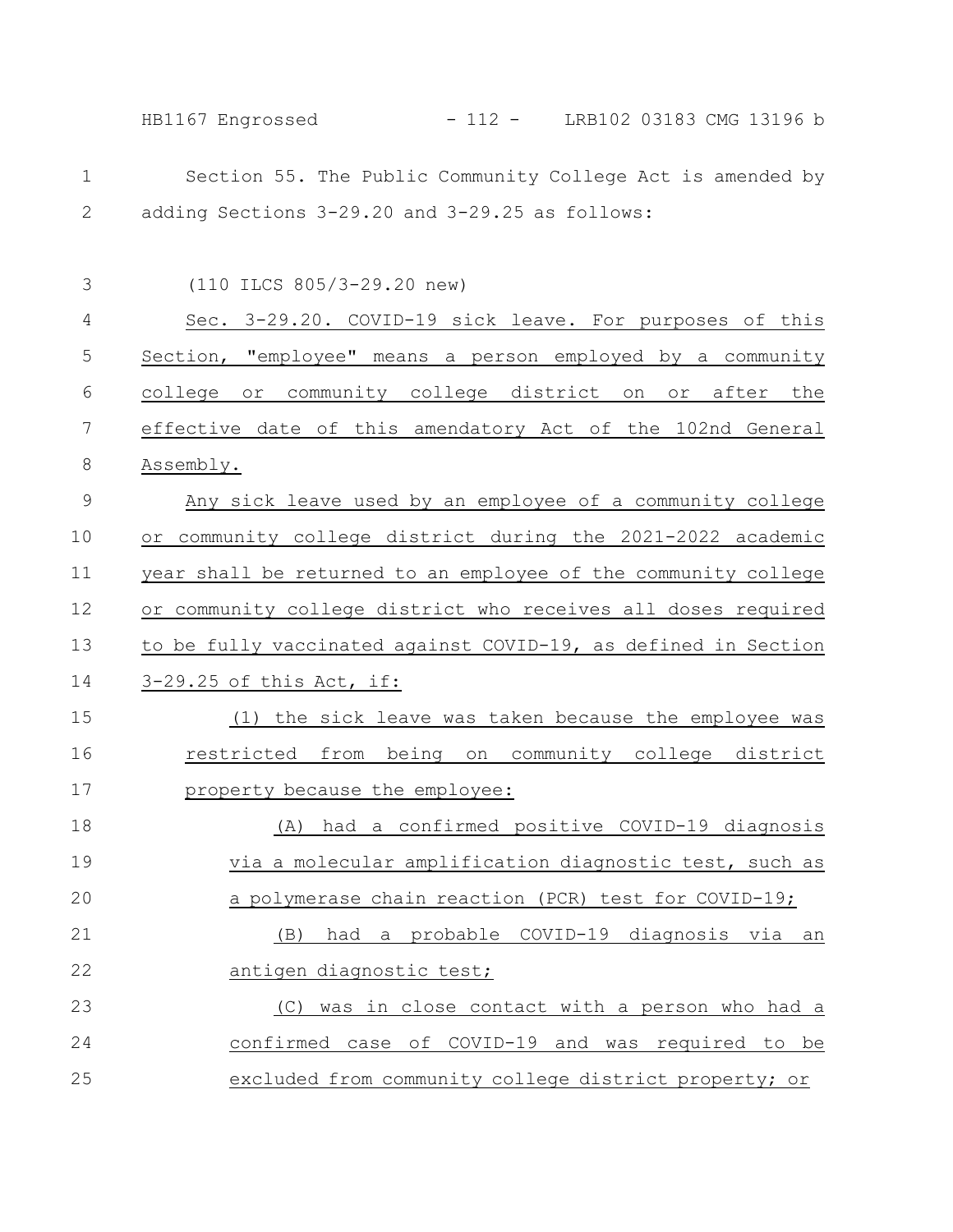HB1167 Engrossed - 112 - LRB102 03183 CMG 13196 b

| 1              | Section 55. The Public Community College Act is amended by     |
|----------------|----------------------------------------------------------------|
| $\mathbf{2}$   | adding Sections 3-29.20 and 3-29.25 as follows:                |
|                |                                                                |
| 3              | (110 ILCS 805/3-29.20 new)                                     |
| $\overline{4}$ | Sec. 3-29.20. COVID-19 sick leave. For purposes of this        |
| 5              | Section, "employee" means a person employed by a community     |
| 6              | college or community college district on or after the          |
| 7              | effective date of this amendatory Act of the 102nd General     |
| $8\,$          | Assembly.                                                      |
| $\mathcal{G}$  | Any sick leave used by an employee of a community college      |
| 10             | or community college district during the 2021-2022 academic    |
| 11             | year shall be returned to an employee of the community college |
| 12             | or community college district who receives all doses required  |
| 13             | to be fully vaccinated against COVID-19, as defined in Section |
| 14             | 3-29.25 of this Act, if:                                       |
| 15             | (1) the sick leave was taken because the employee was          |
| 16             | restricted from being on community college district            |
| 17             | property because the employee:                                 |
| 18             | had a confirmed positive COVID-19 diagnosis<br>(A)             |
| 19             | via a molecular amplification diagnostic test, such as         |
| 20             | a polymerase chain reaction (PCR) test for COVID-19;           |
| 21             | a probable COVID-19 diagnosis via an<br>(B)<br>had             |
| 22             | antigen diagnostic test;                                       |
| 23             | was in close contact with a person who had a<br>(C)            |
| 24             | confirmed case of COVID-19 and was required to be              |
| 25             | excluded from community college district property; or          |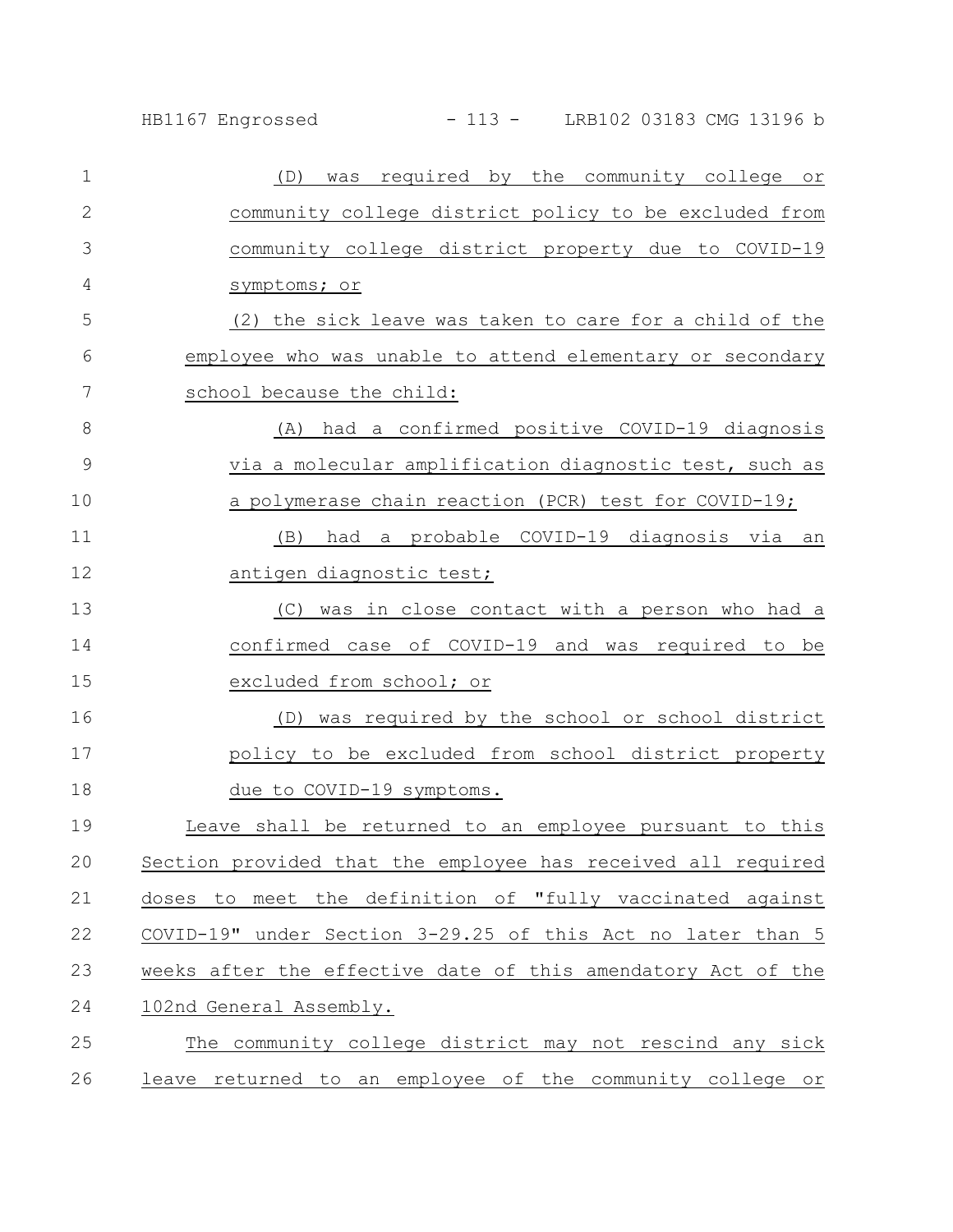| $\mathbf{1}$   | required by the community college or<br>(D)<br>was           |
|----------------|--------------------------------------------------------------|
| $\overline{2}$ | community college district policy to be excluded from        |
| 3              | community college district property due to COVID-19          |
| 4              | symptoms; or                                                 |
| 5              | (2) the sick leave was taken to care for a child of the      |
| 6              | employee who was unable to attend elementary or secondary    |
| 7              | school because the child:                                    |
| 8              | had a confirmed positive COVID-19 diagnosis<br>(A)           |
| $\mathcal{G}$  | via a molecular amplification diagnostic test, such as       |
| 10             | a polymerase chain reaction (PCR) test for COVID-19;         |
| 11             | had a probable COVID-19 diagnosis via an<br>(B)              |
| 12             | antigen diagnostic test;                                     |
| 13             | was in close contact with a person who had a<br>(C)          |
| 14             | confirmed case of COVID-19 and was required to be            |
| 15             | excluded from school; or                                     |
| 16             | was required by the school or school district<br>(D)         |
| 17             | policy to be excluded from school district property          |
| 18             | due to COVID-19 symptoms.                                    |
| 19             | Leave shall be returned to an employee pursuant to this      |
| 20             | Section provided that the employee has received all required |
| 21             | doses to meet the definition of "fully vaccinated against    |
| 22             | COVID-19" under Section 3-29.25 of this Act no later than 5  |
| 23             | weeks after the effective date of this amendatory Act of the |
| 24             | 102nd General Assembly.                                      |
| 25             | The community college district may not rescind any sick      |
| 26             | leave returned to an employee of the community college or    |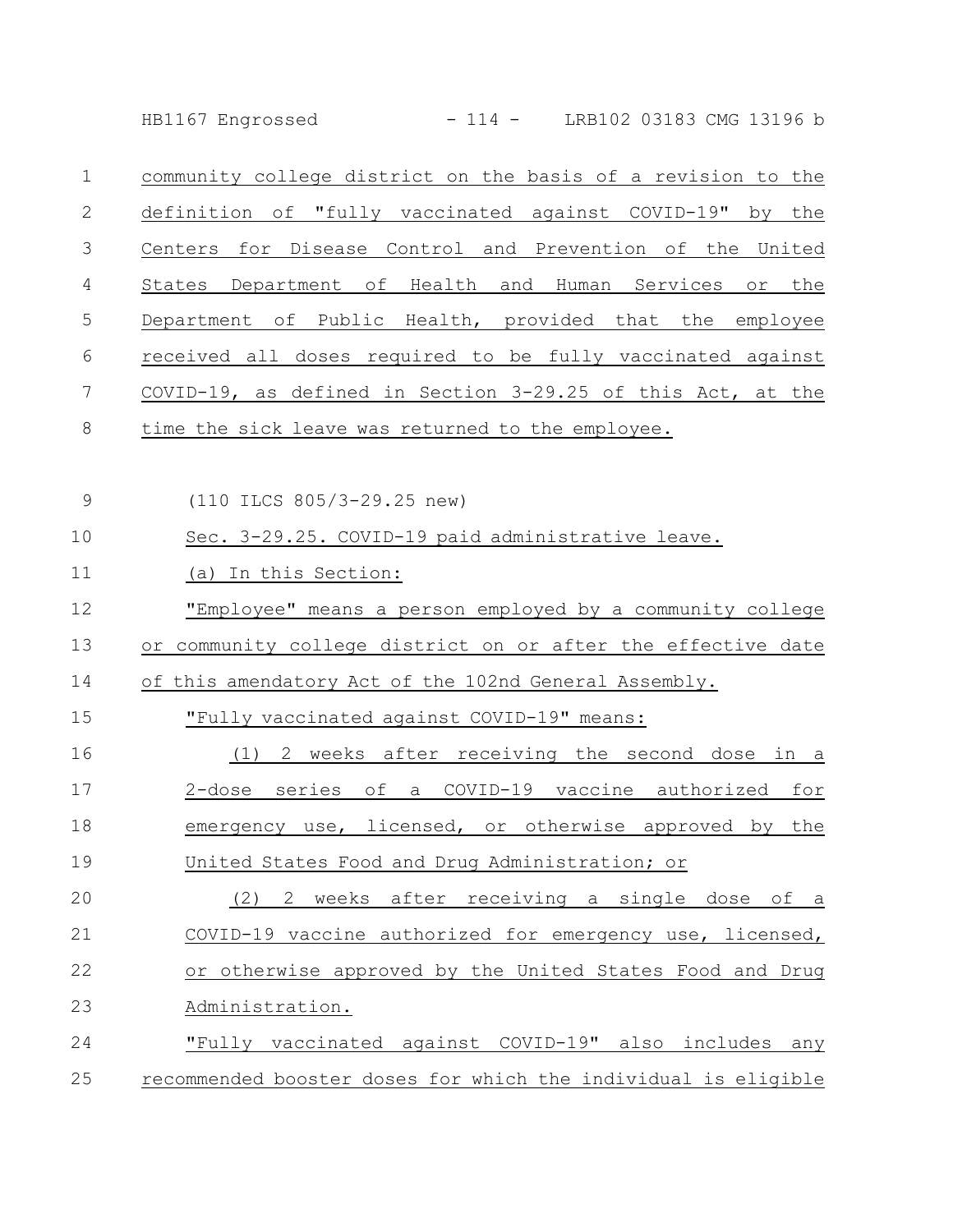| HB1167 Engrossed | $-114 -$ | LRB102 03183 CMG 13196 b |  |
|------------------|----------|--------------------------|--|
|                  |          |                          |  |

community college district on the basis of a revision to the definition of "fully vaccinated against COVID-19" by the Centers for Disease Control and Prevention of the United States Department of Health and Human Services or the Department of Public Health, provided that the employee received all doses required to be fully vaccinated against COVID-19, as defined in Section 3-29.25 of this Act, at the time the sick leave was returned to the employee. 1 2 3 4 5 6 7 8

| $\mathcal{G}$ | (110 ILCS 805/3-29.25 new)                                     |
|---------------|----------------------------------------------------------------|
| 10            | Sec. 3-29.25. COVID-19 paid administrative leave.              |
| 11            | (a) In this Section:                                           |
| 12            | "Employee" means a person employed by a community college      |
| 13            | or community college district on or after the effective date   |
| 14            | of this amendatory Act of the 102nd General Assembly.          |
| 15            | "Fully vaccinated against COVID-19" means:                     |
| 16            | (1) 2 weeks after receiving the second dose in a               |
| 17            | 2-dose series of a COVID-19 vaccine authorized for             |
| 18            | emergency use, licensed, or otherwise approved by the          |
| 19            | United States Food and Drug Administration; or                 |
| 20            | (2) 2 weeks after receiving a single dose of a                 |
| 21            | COVID-19 vaccine authorized for emergency use, licensed,       |
| 22            | or otherwise approved by the United States Food and Drug       |
| 23            | Administration.                                                |
| 24            | "Fully vaccinated against COVID-19" also includes any          |
| 25            | recommended booster doses for which the individual is eligible |
|               |                                                                |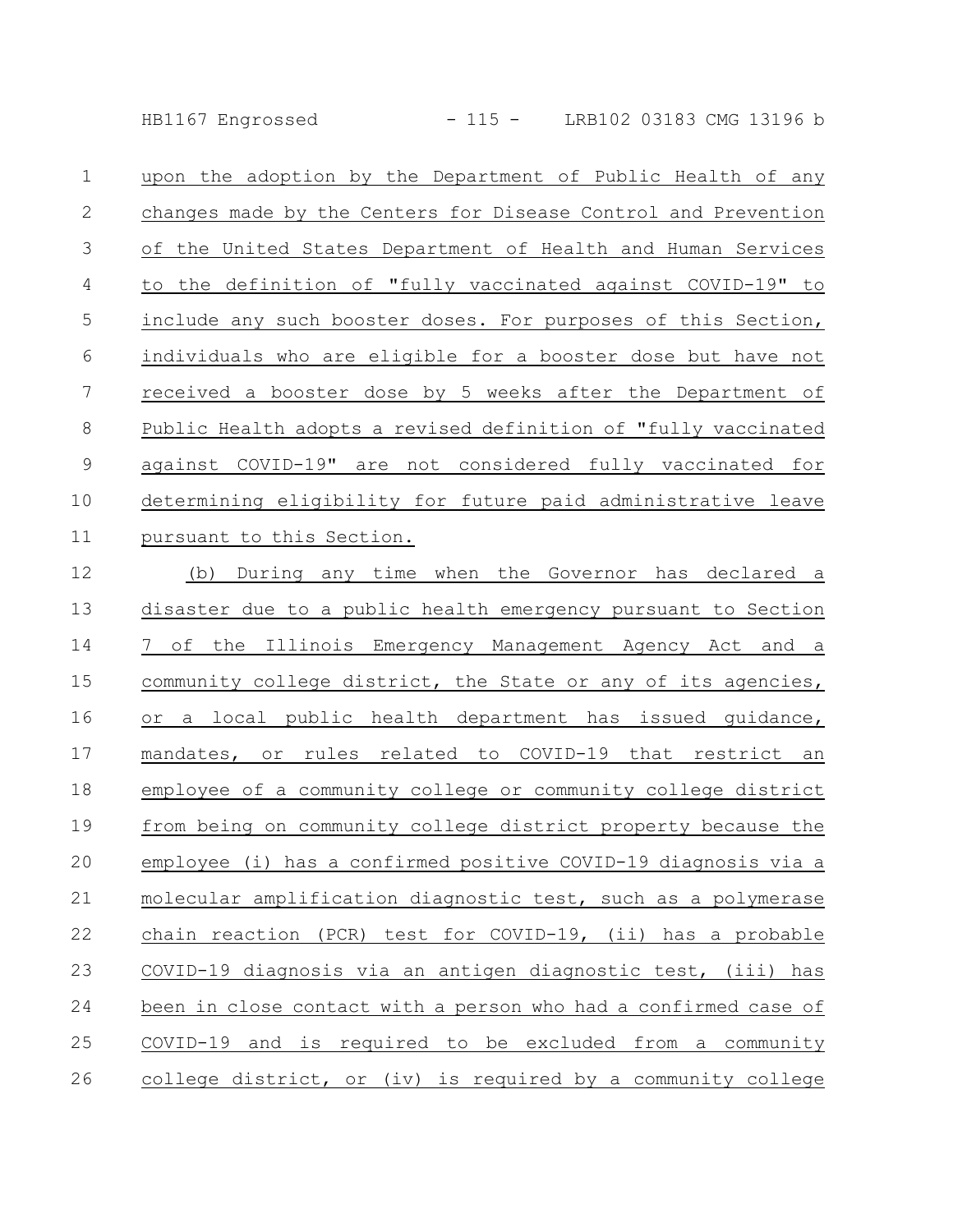HB1167 Engrossed - 115 - LRB102 03183 CMG 13196 b

| $\mathbf{1}$ | upon the adoption by the Department of Public Health of any    |
|--------------|----------------------------------------------------------------|
| 2            | changes made by the Centers for Disease Control and Prevention |
| 3            | of the United States Department of Health and Human Services   |
| 4            | to the definition of "fully vaccinated against COVID-19" to    |
| 5            | include any such booster doses. For purposes of this Section,  |
| 6            | individuals who are eligible for a booster dose but have not   |
| 7            | received a booster dose by 5 weeks after the Department of     |
| 8            | Public Health adopts a revised definition of "fully vaccinated |
| 9            | against COVID-19" are not considered fully vaccinated for      |
| 10           | determining eligibility for future paid administrative leave   |
| 11           | pursuant to this Section.                                      |

(b) During any time when the Governor has declared a disaster due to a public health emergency pursuant to Section 7 of the Illinois Emergency Management Agency Act and a community college district, the State or any of its agencies, or a local public health department has issued guidance, mandates, or rules related to COVID-19 that restrict an employee of a community college or community college district from being on community college district property because the employee (i) has a confirmed positive COVID-19 diagnosis via a molecular amplification diagnostic test, such as a polymerase chain reaction (PCR) test for COVID-19, (ii) has a probable COVID-19 diagnosis via an antigen diagnostic test, (iii) has been in close contact with a person who had a confirmed case of COVID-19 and is required to be excluded from a community college district, or (iv) is required by a community college 12 13 14 15 16 17 18 19 20 21 22 23 24 25 26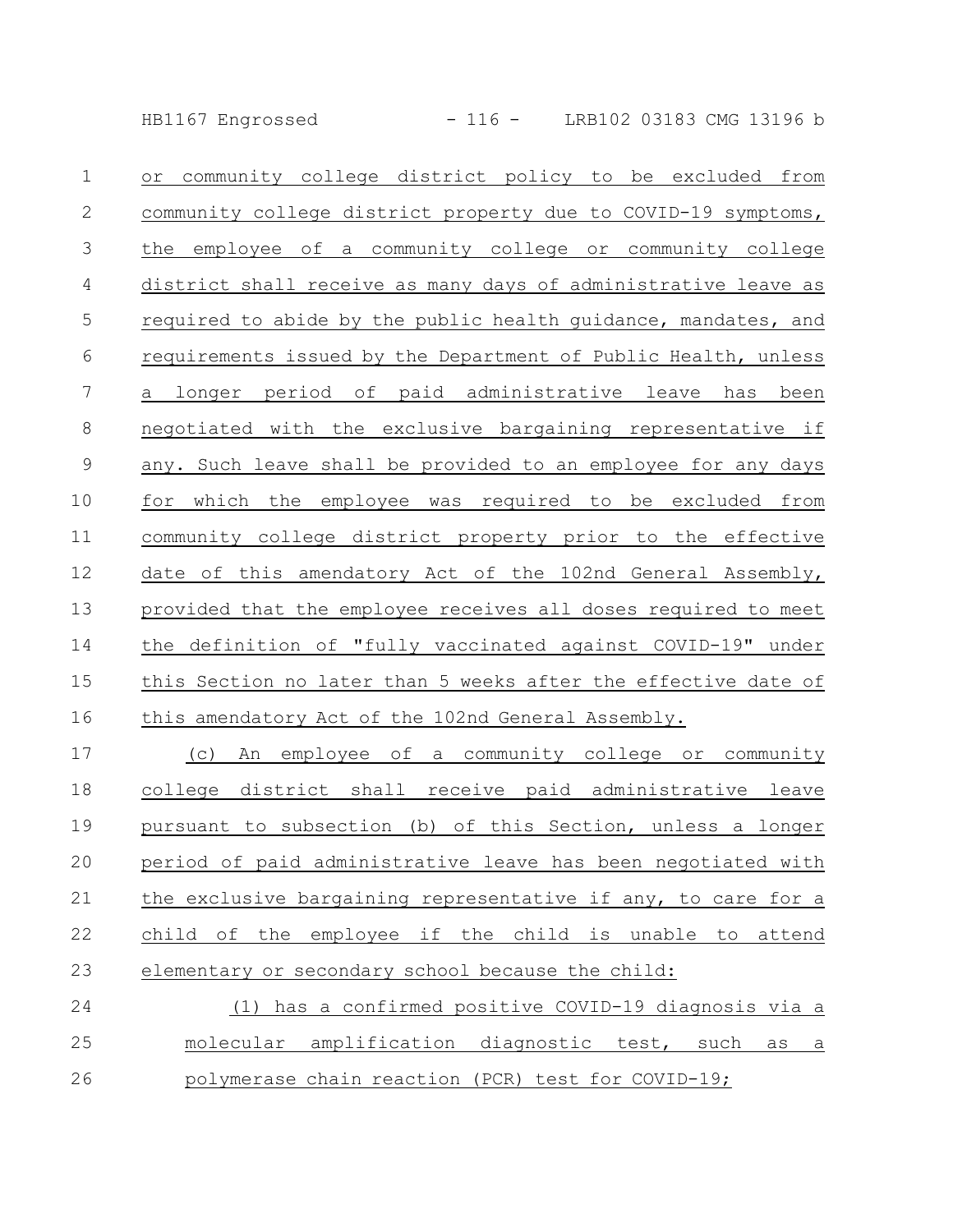HB1167 Engrossed - 116 - LRB102 03183 CMG 13196 b

| $\mathbf 1$    | community college district policy to be excluded from<br>or    |
|----------------|----------------------------------------------------------------|
| $\mathbf{2}$   | community college district property due to COVID-19 symptoms,  |
| 3              | the employee of a community college or community college       |
| 4              | district shall receive as many days of administrative leave as |
| 5              | required to abide by the public health guidance, mandates, and |
| 6              | requirements issued by the Department of Public Health, unless |
| $\overline{7}$ | longer period of paid administrative leave has been<br>a       |
| $8\,$          | negotiated with the exclusive bargaining representative if     |
| $\overline{9}$ | any. Such leave shall be provided to an employee for any days  |
| 10             | for<br>which<br>the employee was required to be excluded from  |
| 11             | community college district property prior to the effective     |
| 12             | date of this amendatory Act of the 102nd General Assembly,     |
| 13             | provided that the employee receives all doses required to meet |
| 14             | the definition of "fully vaccinated against COVID-19" under    |
| 15             | this Section no later than 5 weeks after the effective date of |
| 16             | this amendatory Act of the 102nd General Assembly.             |

(c) An employee of a community college or community college district shall receive paid administrative leave pursuant to subsection (b) of this Section, unless a longer period of paid administrative leave has been negotiated with the exclusive bargaining representative if any, to care for a child of the employee if the child is unable to attend elementary or secondary school because the child: 17 18 19 20 21 22 23

| 24 | (1) has a confirmed positive COVID-19 diagnosis via a |  |  |  |
|----|-------------------------------------------------------|--|--|--|
| 25 | molecular amplification diagnostic test, such as a    |  |  |  |
| 26 | polymerase chain reaction (PCR) test for COVID-19;    |  |  |  |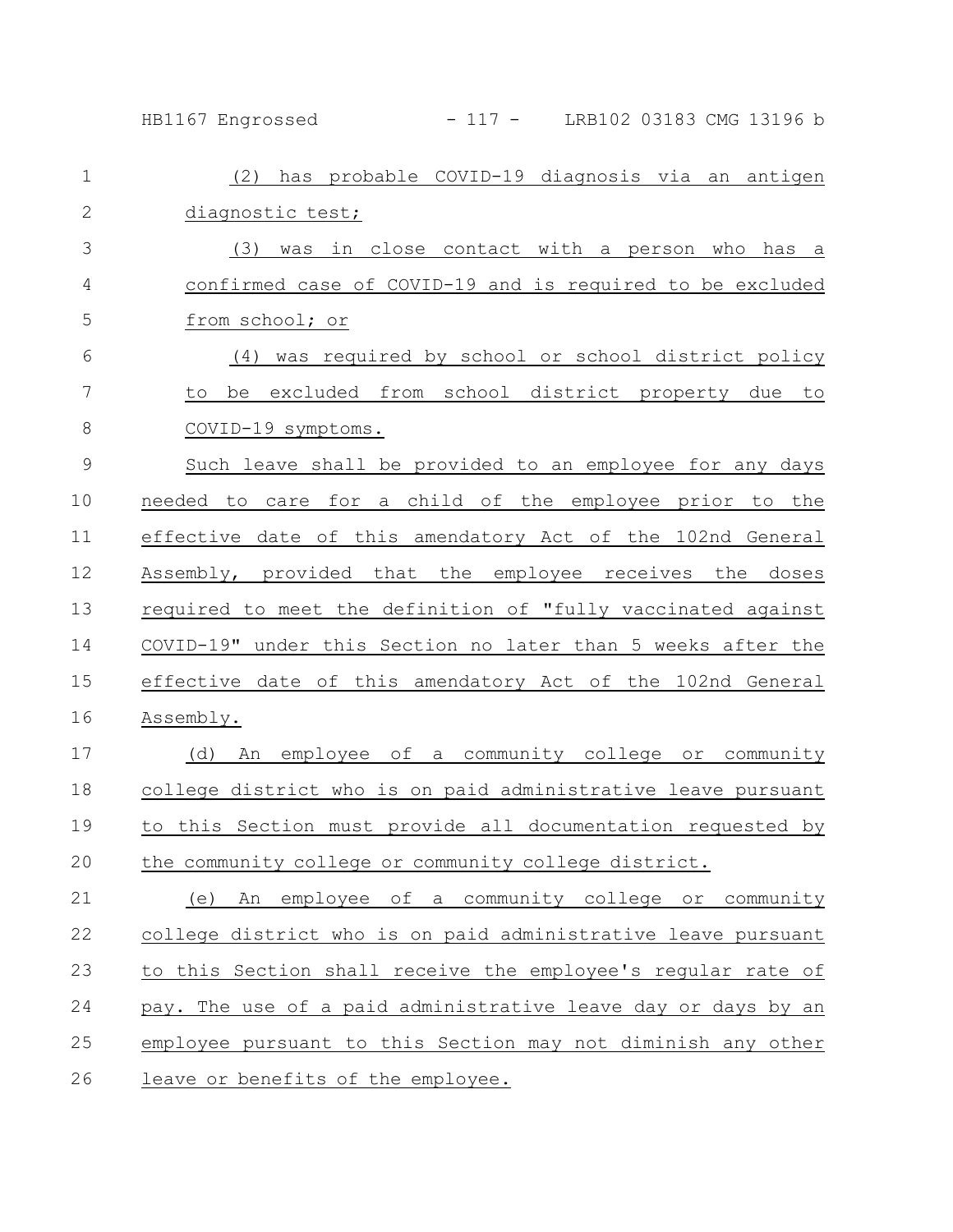| $\mathbf 1$    | (2) has probable COVID-19 diagnosis via an antigen            |
|----------------|---------------------------------------------------------------|
| $\mathbf{2}$   | diagnostic test;                                              |
| 3              | (3) was in close contact with a person who has a              |
| $\overline{4}$ | confirmed case of COVID-19 and is required to be excluded     |
| 5              | from school; or                                               |
| 6              | (4) was required by school or school district policy          |
| 7              | be excluded from school district property due to<br>to        |
| $\,8\,$        | COVID-19 symptoms.                                            |
| $\mathcal{G}$  | Such leave shall be provided to an employee for any days      |
| 10             | needed to care for a child of the employee prior to the       |
| 11             | effective date of this amendatory Act of the 102nd General    |
| 12             | Assembly, provided that the employee receives the doses       |
| 13             | required to meet the definition of "fully vaccinated against  |
| 14             | COVID-19" under this Section no later than 5 weeks after the  |
| 15             | effective date of this amendatory Act of the 102nd General    |
| 16             | Assembly.                                                     |
| 17             | An employee of a community college or community<br>(d)        |
| 18             | college district who is on paid administrative leave pursuant |
| 19             | to this Section must provide all documentation requested by   |
| 20             | the community college or community college district.          |
| 21             | An employee of a community college or community<br>(e)        |
| 22             | college district who is on paid administrative leave pursuant |
| 23             | to this Section shall receive the employee's regular rate of  |
| 24             | pay. The use of a paid administrative leave day or days by an |
| 25             | employee pursuant to this Section may not diminish any other  |
| 26             | leave or benefits of the employee.                            |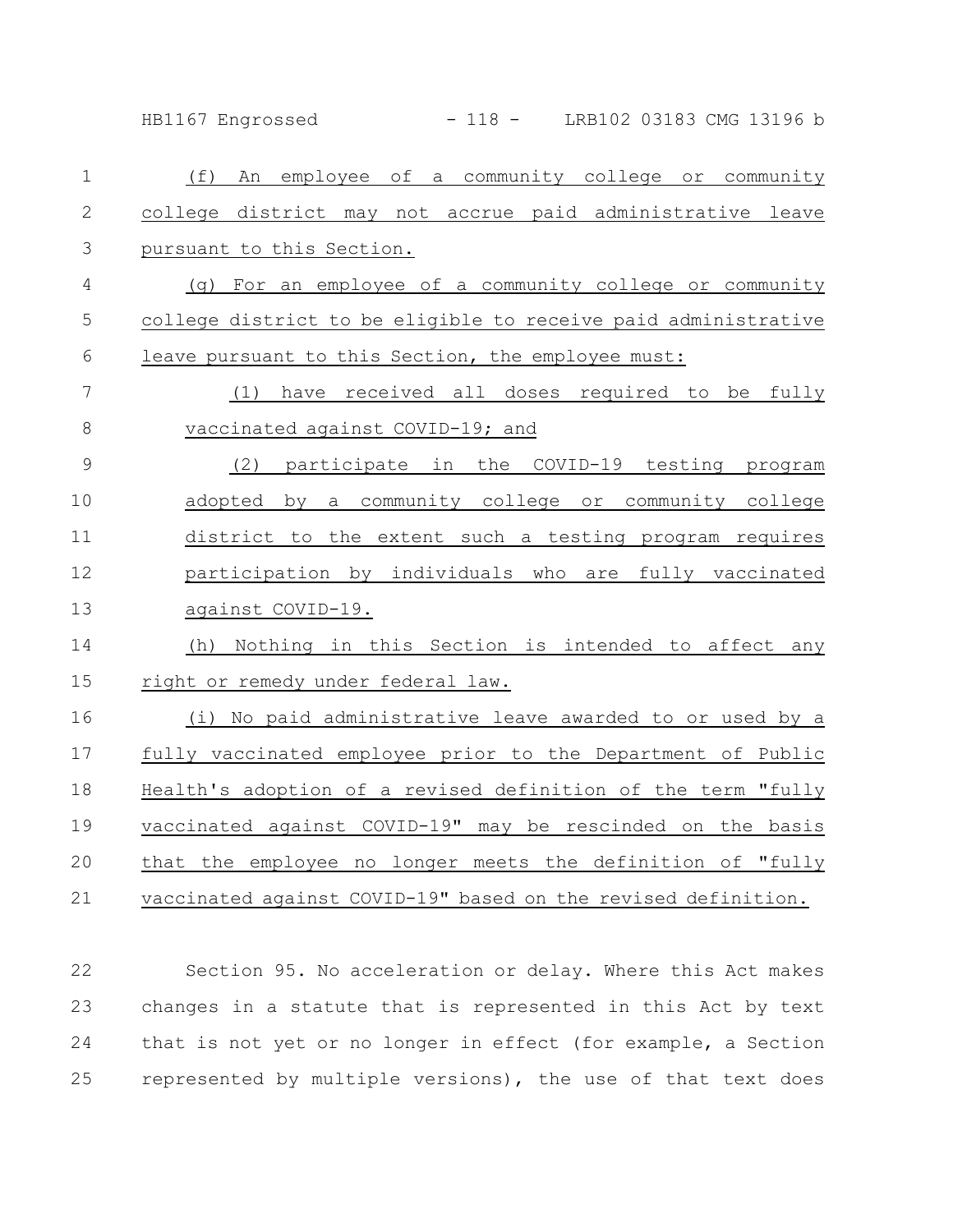HB1167 Engrossed - 118 - LRB102 03183 CMG 13196 b

| (f)<br>employee of a community college or community<br>An      |
|----------------------------------------------------------------|
| college district may not accrue paid administrative leave      |
| pursuant to this Section.                                      |
| (g) For an employee of a community college or community        |
| college district to be eligible to receive paid administrative |
| leave pursuant to this Section, the employee must:             |
| (1) have received all doses required to be fully               |
| vaccinated against COVID-19; and                               |
| participate in the COVID-19 testing program<br>(2)             |
| adopted by a community college or community college            |
| district to the extent such a testing program requires         |
| participation by individuals who are fully vaccinated          |
| against COVID-19.                                              |
| (h) Nothing in this Section is intended to affect any          |
| right or remedy under federal law.                             |
| (i) No paid administrative leave awarded to or used by a       |
| fully vaccinated employee prior to the Department of Public    |
| Health's adoption of a revised definition of the term "fully   |
| vaccinated against COVID-19" may be rescinded on the basis     |
| that the employee no longer meets the definition of "fully     |
| vaccinated against COVID-19" based on the revised definition.  |
|                                                                |

Section 95. No acceleration or delay. Where this Act makes changes in a statute that is represented in this Act by text that is not yet or no longer in effect (for example, a Section represented by multiple versions), the use of that text does 22 23 24 25